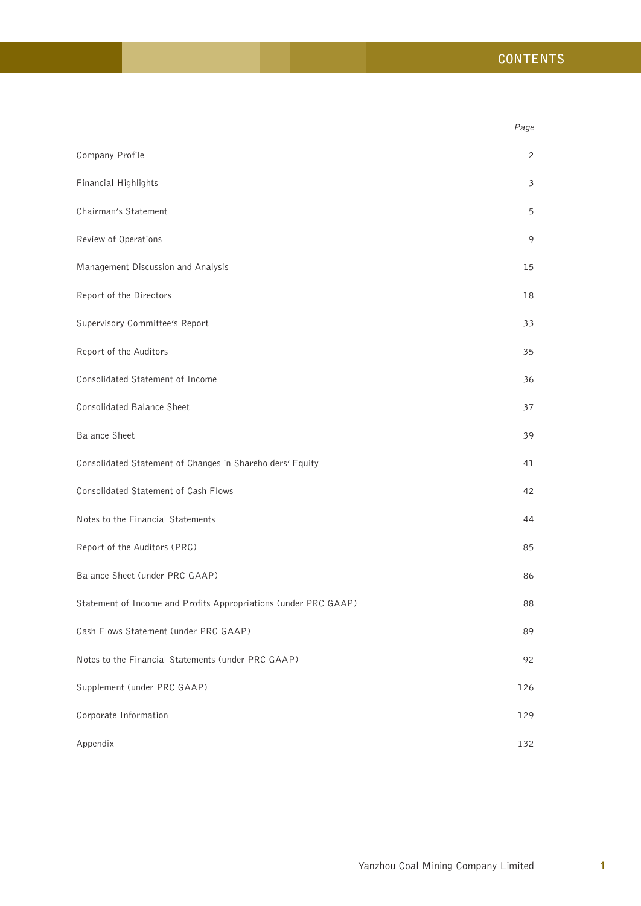|                                                                 | Page          |
|-----------------------------------------------------------------|---------------|
| Company Profile                                                 | 2             |
| Financial Highlights                                            | $\mathfrak z$ |
| Chairman's Statement                                            | 5             |
| Review of Operations                                            | 9             |
| Management Discussion and Analysis                              | 15            |
| Report of the Directors                                         | 18            |
| Supervisory Committee's Report                                  | 33            |
| Report of the Auditors                                          | 35            |
| Consolidated Statement of Income                                | 36            |
| Consolidated Balance Sheet                                      | 37            |
| <b>Balance Sheet</b>                                            | 39            |
| Consolidated Statement of Changes in Shareholders' Equity       | 41            |
| Consolidated Statement of Cash Flows                            | 42            |
| Notes to the Financial Statements                               | 44            |
| Report of the Auditors (PRC)                                    | 85            |
| Balance Sheet (under PRC GAAP)                                  | 86            |
| Statement of Income and Profits Appropriations (under PRC GAAP) | 88            |
| Cash Flows Statement (under PRC GAAP)                           | 89            |
| Notes to the Financial Statements (under PRC GAAP)              | 92            |
| Supplement (under PRC GAAP)                                     | 126           |
| Corporate Information                                           | 129           |
| Appendix                                                        | 132           |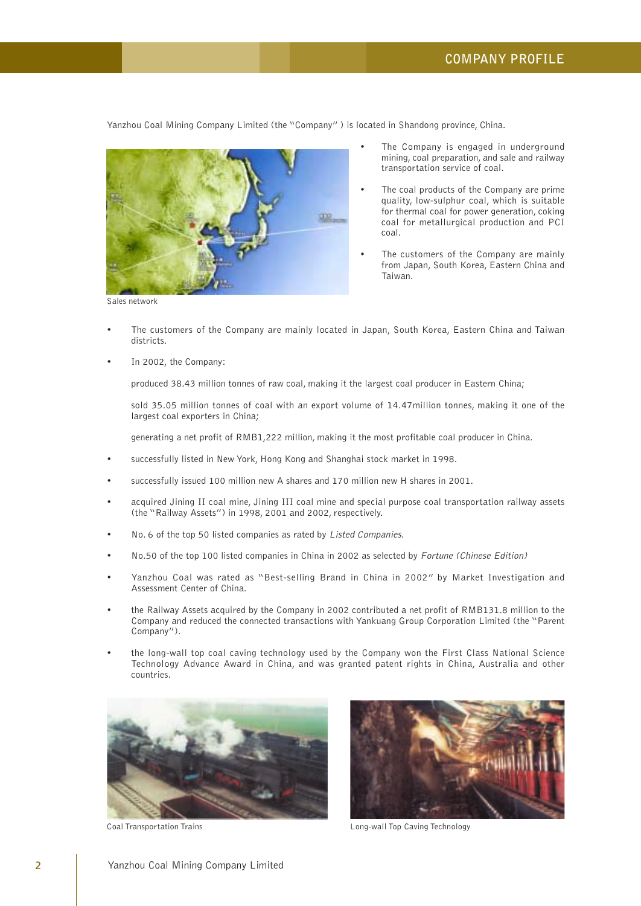Yanzhou Coal Mining Company Limited (the "Company" ) is located in Shandong province, China.



The Company is engaged in underground mining, coal preparation, and sale and railway transportation service of coal.

- The coal products of the Company are prime quality, low-sulphur coal, which is suitable for thermal coal for power generation, coking coal for metallurgical production and PCI coal.
- The customers of the Company are mainly from Japan, South Korea, Eastern China and Taiwan.

• The customers of the Company are mainly located in Japan, South Korea, Eastern China and Taiwan districts.

• In 2002, the Company:

produced 38.43 million tonnes of raw coal, making it the largest coal producer in Eastern China;

sold 35.05 million tonnes of coal with an export volume of 14.47million tonnes, making it one of the largest coal exporters in China;

generating a net profit of RMB1,222 million, making it the most profitable coal producer in China.

- successfully listed in New York, Hong Kong and Shanghai stock market in 1998.
- successfully issued 100 million new A shares and 170 million new H shares in 2001.
- acquired Jining II coal mine, Jining III coal mine and special purpose coal transportation railway assets (the "Railway Assets") in 1998, 2001 and 2002, respectively.
- No. 6 of the top 50 listed companies as rated by Listed Companies.
- No.50 of the top 100 listed companies in China in 2002 as selected by Fortune (Chinese Edition)
- Yanzhou Coal was rated as "Best-selling Brand in China in 2002" by Market Investigation and Assessment Center of China.
- the Railway Assets acquired by the Company in 2002 contributed a net profit of RMB131.8 million to the Company and reduced the connected transactions with Yankuang Group Corporation Limited (the "Parent Company").
- the long-wall top coal caving technology used by the Company won the First Class National Science Technology Advance Award in China, and was granted patent rights in China, Australia and other countries.





Coal Transportation Trains **Long-wall Top Caving Technology** Long-wall Top Caving Technology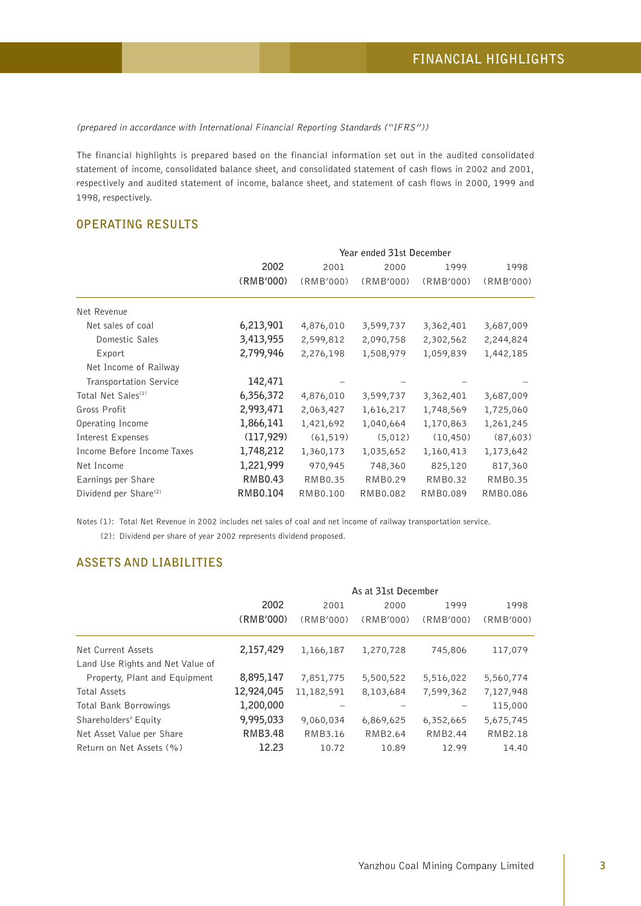(prepared in accordance with International Financial Reporting Standards ("IFRS"))

The financial highlights is prepared based on the financial information set out in the audited consolidated statement of income, consolidated balance sheet, and consolidated statement of cash flows in 2002 and 2001, respectively and audited statement of income, balance sheet, and statement of cash flows in 2000, 1999 and 1998, respectively.

# **OPERATING RESULTS**

|                                   |            | Year ended 31st December |           |           |           |  |  |
|-----------------------------------|------------|--------------------------|-----------|-----------|-----------|--|--|
|                                   | 2002       | 2001                     | 2000      | 1999      | 1998      |  |  |
|                                   | (RMB'000)  | (RMB'000)                | (RMB'000) | (RMB'000) | (RMB'000) |  |  |
| Net Revenue                       |            |                          |           |           |           |  |  |
| Net sales of coal                 | 6,213,901  | 4,876,010                | 3,599,737 | 3,362,401 | 3,687,009 |  |  |
| Domestic Sales                    | 3,413,955  | 2,599,812                | 2,090,758 | 2,302,562 | 2,244,824 |  |  |
| Export                            | 2,799,946  | 2,276,198                | 1,508,979 | 1,059,839 | 1,442,185 |  |  |
| Net Income of Railway             |            |                          |           |           |           |  |  |
| <b>Transportation Service</b>     | 142,471    |                          |           |           |           |  |  |
| Total Net Sales <sup>(1)</sup>    | 6,356,372  | 4,876,010                | 3,599,737 | 3,362,401 | 3,687,009 |  |  |
| Gross Profit                      | 2,993,471  | 2,063,427                | 1,616,217 | 1,748,569 | 1,725,060 |  |  |
| Operating Income                  | 1,866,141  | 1,421,692                | 1,040,664 | 1,170,863 | 1,261,245 |  |  |
| Interest Expenses                 | (117, 929) | (61, 519)                | (5,012)   | (10, 450) | (87,603)  |  |  |
| Income Before Income Taxes        | 1,748,212  | 1,360,173                | 1,035,652 | 1,160,413 | 1,173,642 |  |  |
| Net Income                        | 1,221,999  | 970,945                  | 748,360   | 825,120   | 817,360   |  |  |
| Earnings per Share                | RMB0.43    | RMB0.35                  | RMB0.29   | RMB0.32   | RMB0.35   |  |  |
| Dividend per Share <sup>(2)</sup> | RMB0.104   | RMB0.100                 | RMB0.082  | RMB0.089  | RMB0.086  |  |  |

Notes (1): Total Net Revenue in 2002 includes net sales of coal and net income of railway transportation service.

(2): Dividend per share of year 2002 represents dividend proposed.

# **ASSETS AND LIABILITIES**

|                                  | As at 31st December |                              |           |           |                |  |  |
|----------------------------------|---------------------|------------------------------|-----------|-----------|----------------|--|--|
|                                  | 2002                | 1999<br>1998<br>2001<br>2000 |           |           |                |  |  |
|                                  | (RMB'000)           | (RMB'000)                    | (RMB'000) | (RMB'000) | (RMB'000)      |  |  |
| Net Current Assets               | 2,157,429           | 1,166,187                    | 1,270,728 | 745,806   | 117,079        |  |  |
| Land Use Rights and Net Value of |                     |                              |           |           |                |  |  |
| Property, Plant and Equipment    | 8,895,147           | 7,851,775                    | 5,500,522 | 5,516,022 | 5,560,774      |  |  |
| <b>Total Assets</b>              | 12,924,045          | 11,182,591                   | 8,103,684 | 7,599,362 | 7,127,948      |  |  |
| Total Bank Borrowings            | 1,200,000           |                              |           |           | 115,000        |  |  |
| Shareholders' Equity             | 9,995,033           | 9,060,034                    | 6,869,625 | 6,352,665 | 5,675,745      |  |  |
| Net Asset Value per Share        | RMB3.48             | RMB3.16                      | RMB2.64   | RMB2.44   | <b>RMB2.18</b> |  |  |
| Return on Net Assets (%)         | 12.23               | 10.72                        | 10.89     | 12.99     | 14.40          |  |  |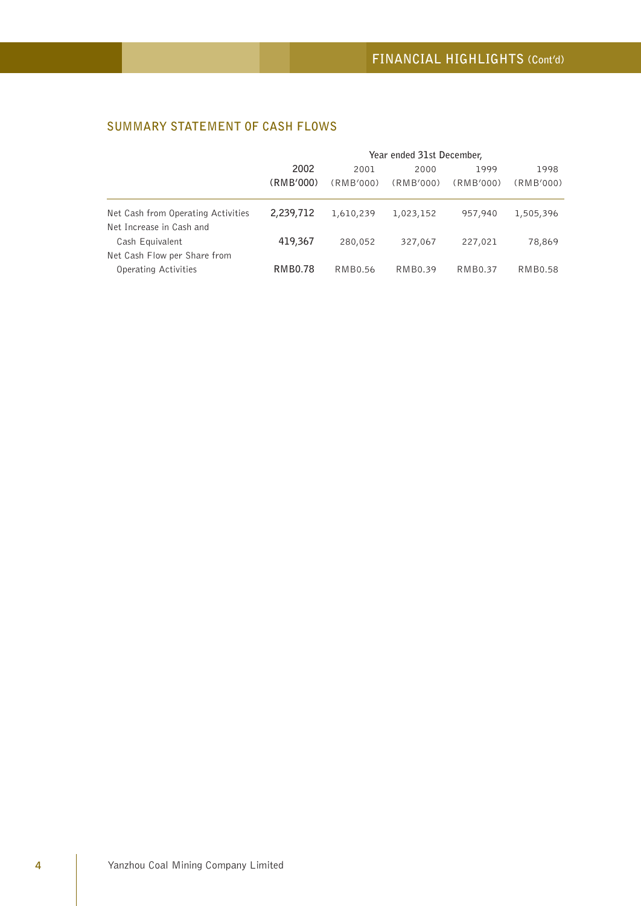# **SUMMARY STATEMENT OF CASH FLOWS**

|                                    | Year ended 31st December, |                |           |                |           |
|------------------------------------|---------------------------|----------------|-----------|----------------|-----------|
|                                    | 2002                      | 2001           | 2000      | 1999           | 1998      |
|                                    | (RMB'000)                 | (RMB'000)      | (RMB'000) | (RMB'000)      | (RMB'000) |
| Net Cash from Operating Activities | 2,239,712                 | 1,610,239      | 1,023,152 | 957,940        | 1,505,396 |
| Net Increase in Cash and           |                           |                |           |                |           |
| Cash Equivalent                    | 419,367                   | 280,052        | 327,067   | 227,021        | 78,869    |
| Net Cash Flow per Share from       |                           |                |           |                |           |
| Operating Activities               | <b>RMB0.78</b>            | <b>RMB0.56</b> | RMB0.39   | <b>RMB0.37</b> | RMB0.58   |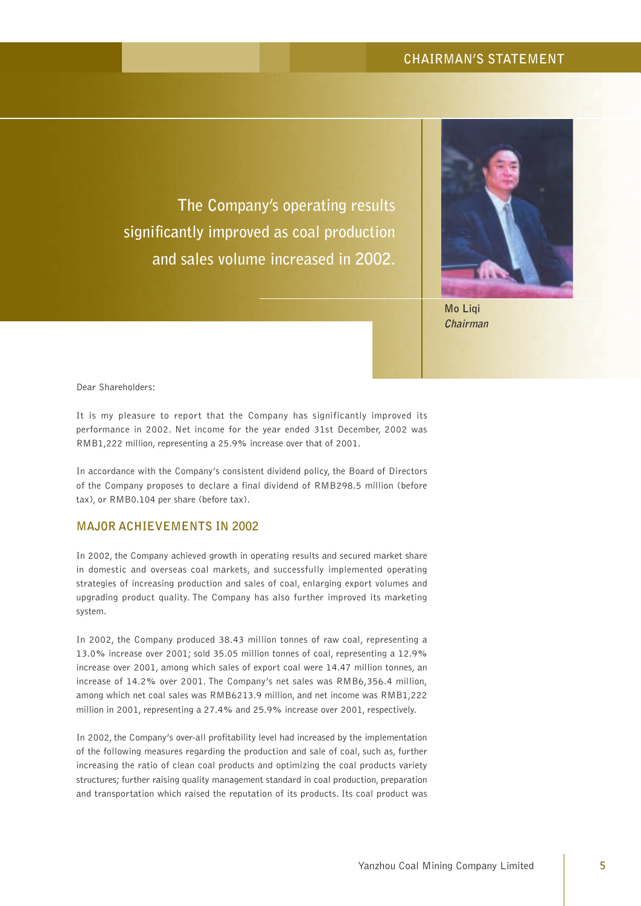# **CHAIRMAN'S STATEMENT**

**The Company's operating results significantly improved as coal production and sales volume increased in 2002.**



**Mo Liqi Chairman**

Dear Shareholders:

It is my pleasure to report that the Company has significantly improved its performance in 2002. Net income for the year ended 31st December, 2002 was RMB1,222 million, representing a 25.9% increase over that of 2001.

In accordance with the Company's consistent dividend policy, the Board of Directors of the Company proposes to declare a final dividend of RMB298.5 million (before tax), or RMB0.104 per share (before tax).

## **MAJOR ACHIEVEMENTS IN 2002**

In 2002, the Company achieved growth in operating results and secured market share in domestic and overseas coal markets, and successfully implemented operating strategies of increasing production and sales of coal, enlarging export volumes and upgrading product quality. The Company has also further improved its marketing system.

In 2002, the Company produced 38.43 million tonnes of raw coal, representing a 13.0% increase over 2001; sold 35.05 million tonnes of coal, representing a 12.9% increase over 2001, among which sales of export coal were 14.47 million tonnes, an increase of 14.2% over 2001. The Company's net sales was RMB6,356.4 million, among which net coal sales was RMB6213.9 million, and net income was RMB1,222 million in 2001, representing a 27.4% and 25.9% increase over 2001, respectively.

In 2002, the Company's over-all profitability level had increased by the implementation of the following measures regarding the production and sale of coal, such as, further increasing the ratio of clean coal products and optimizing the coal products variety structures; further raising quality management standard in coal production, preparation and transportation which raised the reputation of its products. Its coal product was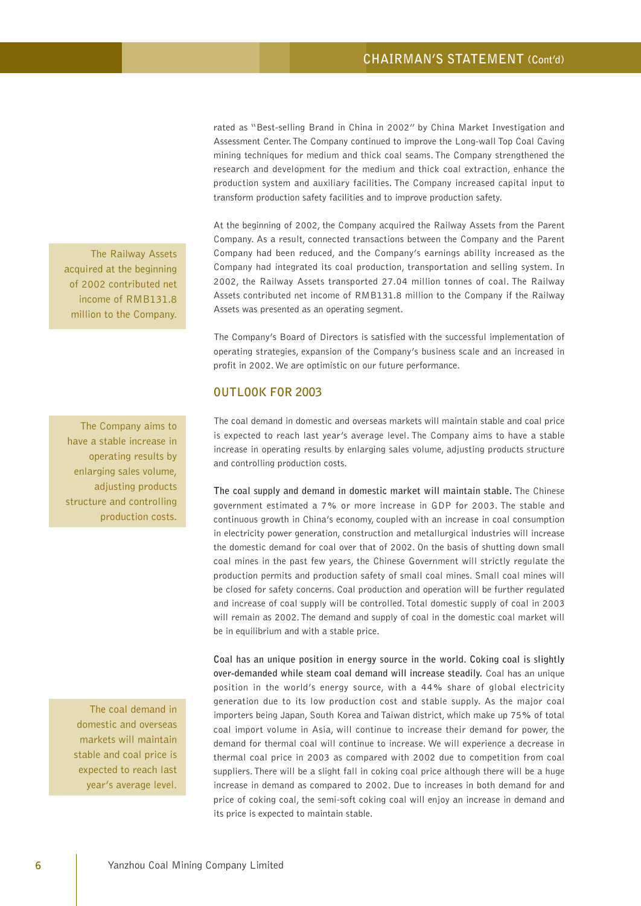rated as "Best-selling Brand in China in 2002" by China Market Investigation and Assessment Center. The Company continued to improve the Long-wall Top Coal Caving mining techniques for medium and thick coal seams. The Company strengthened the research and development for the medium and thick coal extraction, enhance the production system and auxiliary facilities. The Company increased capital input to transform production safety facilities and to improve production safety.

At the beginning of 2002, the Company acquired the Railway Assets from the Parent Company. As a result, connected transactions between the Company and the Parent Company had been reduced, and the Company's earnings ability increased as the Company had integrated its coal production, transportation and selling system. In 2002, the Railway Assets transported 27.04 million tonnes of coal. The Railway Assets contributed net income of RMB131.8 million to the Company if the Railway Assets was presented as an operating segment.

The Company's Board of Directors is satisfied with the successful implementation of operating strategies, expansion of the Company's business scale and an increased in profit in 2002. We are optimistic on our future performance.

### **OUTLOOK FOR 2003**

The coal demand in domestic and overseas markets will maintain stable and coal price is expected to reach last year's average level. The Company aims to have a stable increase in operating results by enlarging sales volume, adjusting products structure and controlling production costs.

**The coal supply and demand in domestic market will maintain stable.** The Chinese government estimated a 7% or more increase in GDP for 2003. The stable and continuous growth in China's economy, coupled with an increase in coal consumption in electricity power generation, construction and metallurgical industries will increase the domestic demand for coal over that of 2002. On the basis of shutting down small coal mines in the past few years, the Chinese Government will strictly regulate the production permits and production safety of small coal mines. Small coal mines will be closed for safety concerns. Coal production and operation will be further regulated and increase of coal supply will be controlled. Total domestic supply of coal in 2003 will remain as 2002. The demand and supply of coal in the domestic coal market will be in equilibrium and with a stable price.

**Coal has an unique position in energy source in the world. Coking coal is slightly over-demanded while steam coal demand will increase steadily.** Coal has an unique position in the world's energy source, with a 44% share of global electricity generation due to its low production cost and stable supply. As the major coal importers being Japan, South Korea and Taiwan district, which make up 75% of total coal import volume in Asia, will continue to increase their demand for power, the demand for thermal coal will continue to increase. We will experience a decrease in thermal coal price in 2003 as compared with 2002 due to competition from coal suppliers. There will be a slight fall in coking coal price although there will be a huge increase in demand as compared to 2002. Due to increases in both demand for and price of coking coal, the semi-soft coking coal will enjoy an increase in demand and its price is expected to maintain stable.

The Railway Assets acquired at the beginning of 2002 contributed net income of RMB131.8 million to the Company.

The Company aims to have a stable increase in operating results by enlarging sales volume, adjusting products structure and controlling production costs.

The coal demand in domestic and overseas markets will maintain stable and coal price is expected to reach last year's average level.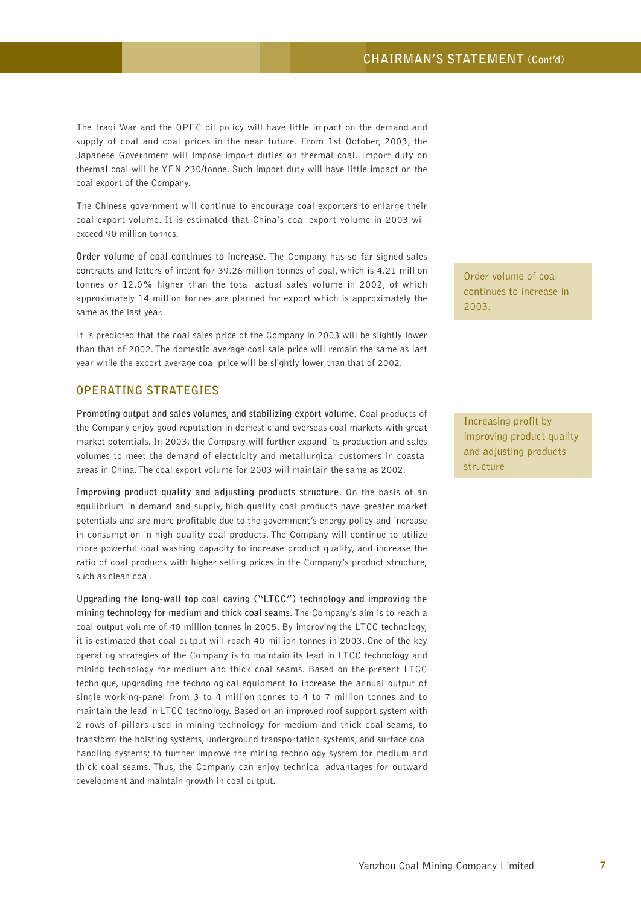The Iraqi War and the OPEC oil policy will have little impact on the demand and supply of coal and coal prices in the near future. From 1st October, 2003, the Japanese Government will impose import duties on thermal coal. Import duty on thermal coal will be YEN 230/tonne. Such import duty will have little impact on the coal export of the Company.

The Chinese government will continue to encourage coal exporters to enlarge their coal export volume. It is estimated that China's coal export volume in 2003 will exceed 90 million tonnes.

**Order volume of coal continues to increase.** The Company has so far signed sales contracts and letters of intent for 39.26 million tonnes of coal, which is 4.21 million tonnes or 12.0% higher than the total actual sales volume in 2002, of which approximately 14 million tonnes are planned for export which is approximately the same as the last year.

It is predicted that the coal sales price of the Company in 2003 will be slightly lower than that of 2002. The domestic average coal sale price will remain the same as last year while the export average coal price will be slightly lower than that of 2002.

### **OPERATING STRATEGIES**

**Promoting output and sales volumes, and stabilizing export volume.** Coal products of the Company enjoy good reputation in domestic and overseas coal markets with great market potentials. In 2003, the Company will further expand its production and sales volumes to meet the demand of electricity and metallurgical customers in coastal areas in China. The coal export volume for 2003 will maintain the same as 2002.

**Improving product quality and adjusting products structure.** On the basis of an equilibrium in demand and supply, high quality coal products have greater market potentials and are more profitable due to the government's energy policy and increase in consumption in high quality coal products. The Company will continue to utilize more powerful coal washing capacity to increase product quality, and increase the ratio of coal products with higher selling prices in the Company's product structure, such as clean coal.

**Upgrading the long-wall top coal caving ("LTCC") technology and improving the mining technology for medium and thick coal seams.** The Company's aim is to reach a coal output volume of 40 million tonnes in 2005. By improving the LTCC technology, it is estimated that coal output will reach 40 million tonnes in 2003. One of the key operating strategies of the Company is to maintain its lead in LTCC technology and mining technology for medium and thick coal seams. Based on the present LTCC technique, upgrading the technological equipment to increase the annual output of single working-panel from 3 to 4 million tonnes to 4 to 7 million tonnes and to maintain the lead in LTCC technology. Based on an improved roof support system with 2 rows of pillars used in mining technology for medium and thick coal seams, to transform the hoisting systems, underground transportation systems, and surface coal handling systems; to further improve the mining technology system for medium and thick coal seams. Thus, the Company can enjoy technical advantages for outward development and maintain growth in coal output.

Order volume of coal continues to increase in 2003.

Increasing profit by improving product quality and adjusting products structure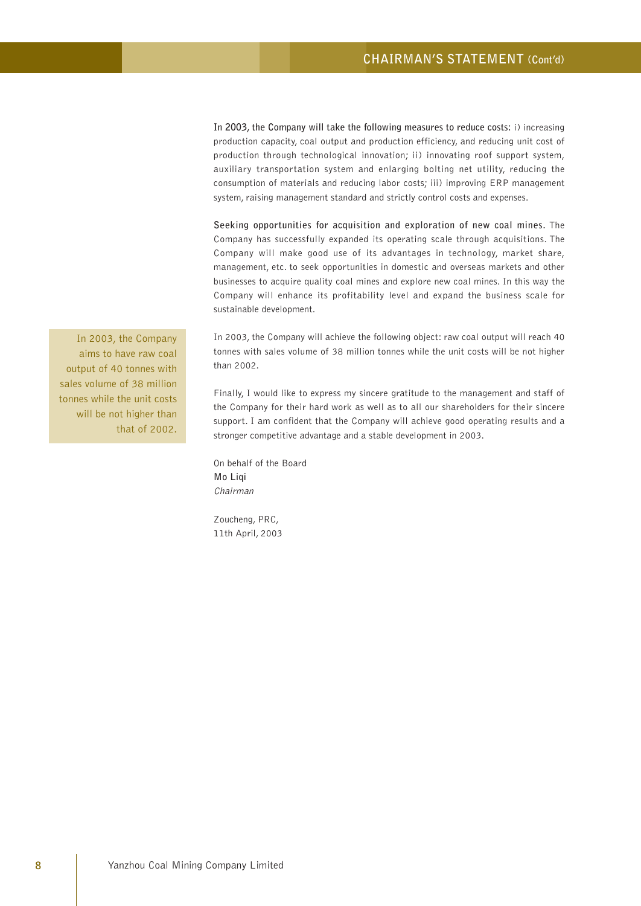**In 2003, the Company will take the following measures to reduce costs:** i) increasing production capacity, coal output and production efficiency, and reducing unit cost of production through technological innovation; ii) innovating roof support system, auxiliary transportation system and enlarging bolting net utility, reducing the consumption of materials and reducing labor costs; iii) improving ERP management system, raising management standard and strictly control costs and expenses.

**Seeking opportunities for acquisition and exploration of new coal mines.** The Company has successfully expanded its operating scale through acquisitions. The Company will make good use of its advantages in technology, market share, management, etc. to seek opportunities in domestic and overseas markets and other businesses to acquire quality coal mines and explore new coal mines. In this way the Company will enhance its profitability level and expand the business scale for sustainable development.

In 2003, the Company will achieve the following object: raw coal output will reach 40 tonnes with sales volume of 38 million tonnes while the unit costs will be not higher than 2002.

Finally, I would like to express my sincere gratitude to the management and staff of the Company for their hard work as well as to all our shareholders for their sincere support. I am confident that the Company will achieve good operating results and a stronger competitive advantage and a stable development in 2003.

On behalf of the Board **Mo Liqi** Chairman

Zoucheng, PRC, 11th April, 2003

In 2003, the Company aims to have raw coal output of 40 tonnes with sales volume of 38 million tonnes while the unit costs will be not higher than that of 2002.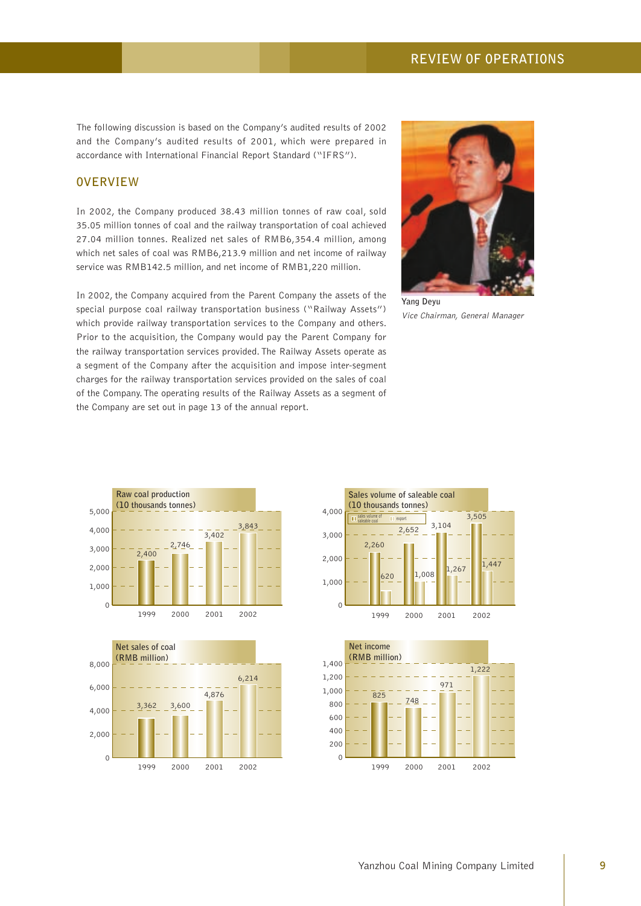The following discussion is based on the Company's audited results of 2002 and the Company's audited results of 2001, which were prepared in accordance with International Financial Report Standard ("IFRS").

# **OVERVIEW**

In 2002, the Company produced 38.43 million tonnes of raw coal, sold 35.05 million tonnes of coal and the railway transportation of coal achieved 27.04 million tonnes. Realized net sales of RMB6,354.4 million, among which net sales of coal was RMB6,213.9 million and net income of railway service was RMB142.5 million, and net income of RMB1,220 million.

In 2002, the Company acquired from the Parent Company the assets of the special purpose coal railway transportation business ("Railway Assets") which provide railway transportation services to the Company and others. Prior to the acquisition, the Company would pay the Parent Company for the railway transportation services provided. The Railway Assets operate as a segment of the Company after the acquisition and impose inter-segment charges for the railway transportation services provided on the sales of coal of the Company. The operating results of the Railway Assets as a segment of the Company are set out in page 13 of the annual report.



Vice Chairman, General Manager







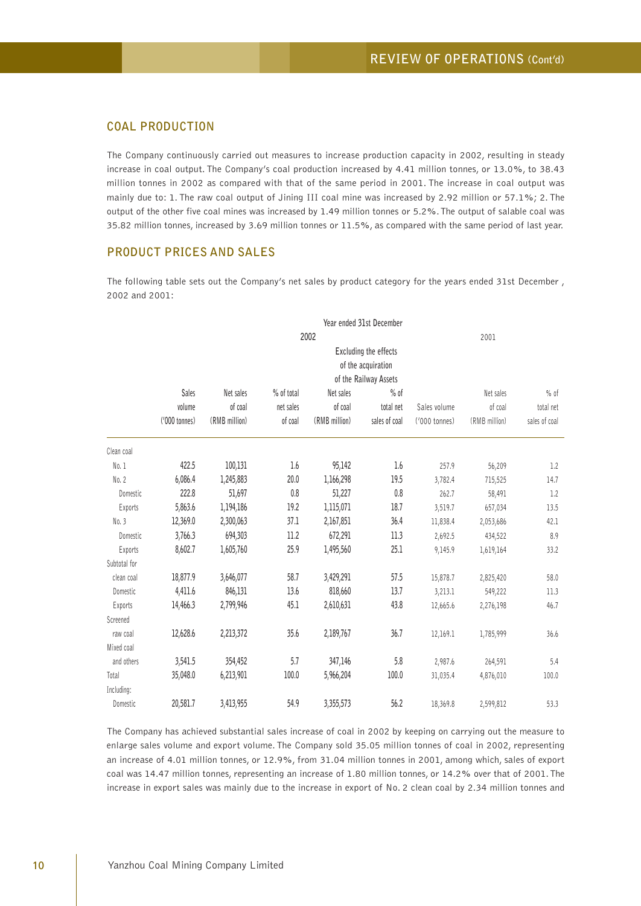# **COAL PRODUCTION**

The Company continuously carried out measures to increase production capacity in 2002, resulting in steady increase in coal output. The Company's coal production increased by 4.41 million tonnes, or 13.0%, to 38.43 million tonnes in 2002 as compared with that of the same period in 2001. The increase in coal output was mainly due to: 1. The raw coal output of Jining III coal mine was increased by 2.92 million or 57.1%; 2. The output of the other five coal mines was increased by 1.49 million tonnes or 5.2%. The output of salable coal was 35.82 million tonnes, increased by 3.69 million tonnes or 11.5%, as compared with the same period of last year.

# **PRODUCT PRICES AND SALES**

The following table sets out the Company's net sales by product category for the years ended 31st December , 2002 and 2001:

|              |                                             |               |            |               | Year ended 31st December |               |               |               |  |  |
|--------------|---------------------------------------------|---------------|------------|---------------|--------------------------|---------------|---------------|---------------|--|--|
|              |                                             |               |            | 2002          |                          |               | 2001          |               |  |  |
|              | Excluding the effects<br>of the acquiration |               |            |               |                          |               |               |               |  |  |
|              |                                             |               |            |               | of the Railway Assets    |               |               |               |  |  |
|              | <b>Sales</b>                                | Net sales     | % of total | Net sales     | $%$ of                   |               | Net sales     | $%$ of        |  |  |
|              | volume                                      | of coal       | net sales  | of coal       | total net                | Sales volume  | of coal       | total net     |  |  |
|              | ('000 tonnes)                               | (RMB million) | of coal    | (RMB million) | sales of coal            | ('000 tonnes) | (RMB million) | sales of coal |  |  |
| Clean coal   |                                             |               |            |               |                          |               |               |               |  |  |
| No. 1        | 422.5                                       | 100,131       | 1.6        | 95,142        | 1.6                      | 257.9         | 56,209        | 1.2           |  |  |
| No. 2        | 6,086.4                                     | 1,245,883     | 20.0       | 1,166,298     | 19.5                     | 3,782.4       | 715,525       | 14.7          |  |  |
| Domestic     | 222.8                                       | 51,697        | 0.8        | 51,227        | 0.8                      | 262.7         | 58,491        | 1.2           |  |  |
| Exports      | 5,863.6                                     | 1,194,186     | 19.2       | 1,115,071     | 18.7                     | 3,519.7       | 657,034       | 13.5          |  |  |
| No. 3        | 12,369.0                                    | 2,300,063     | 37.1       | 2,167,851     | 36.4                     | 11,838.4      | 2,053,686     | 42.1          |  |  |
| Domestic     | 3,766.3                                     | 694,303       | 11.2       | 672,291       | 11.3                     | 2,692.5       | 434,522       | 8.9           |  |  |
| Exports      | 8,602.7                                     | 1,605,760     | 25.9       | 1,495,560     | 25.1                     | 9,145.9       | 1,619,164     | 33.2          |  |  |
| Subtotal for |                                             |               |            |               |                          |               |               |               |  |  |
| clean coal   | 18,877.9                                    | 3,646,077     | 58.7       | 3,429,291     | 57.5                     | 15,878.7      | 2,825,420     | 58.0          |  |  |
| Domestic     | 4,411.6                                     | 846,131       | 13.6       | 818,660       | 13.7                     | 3,213.1       | 549,222       | 11.3          |  |  |
| Exports      | 14,466.3                                    | 2,799,946     | 45.1       | 2,610,631     | 43.8                     | 12,665.6      | 2,276,198     | 46.7          |  |  |
| Screened     |                                             |               |            |               |                          |               |               |               |  |  |
| raw coal     | 12,628.6                                    | 2,213,372     | 35.6       | 2,189,767     | 36.7                     | 12,169.1      | 1,785,999     | 36.6          |  |  |
| Mixed coal   |                                             |               |            |               |                          |               |               |               |  |  |
| and others   | 3,541.5                                     | 354,452       | 5.7        | 347,146       | 5.8                      | 2,987.6       | 264,591       | 5.4           |  |  |
| Total        | 35,048.0                                    | 6,213,901     | 100.0      | 5,966,204     | 100.0                    | 31,035.4      | 4,876,010     | 100.0         |  |  |
| Including:   |                                             |               |            |               |                          |               |               |               |  |  |
| Domestic     | 20,581.7                                    | 3,413,955     | 54.9       | 3,355,573     | 56.2                     | 18,369.8      | 2,599,812     | 53.3          |  |  |

The Company has achieved substantial sales increase of coal in 2002 by keeping on carrying out the measure to enlarge sales volume and export volume. The Company sold 35.05 million tonnes of coal in 2002, representing an increase of 4.01 million tonnes, or 12.9%, from 31.04 million tonnes in 2001, among which, sales of export coal was 14.47 million tonnes, representing an increase of 1.80 million tonnes, or 14.2% over that of 2001. The increase in export sales was mainly due to the increase in export of No. 2 clean coal by 2.34 million tonnes and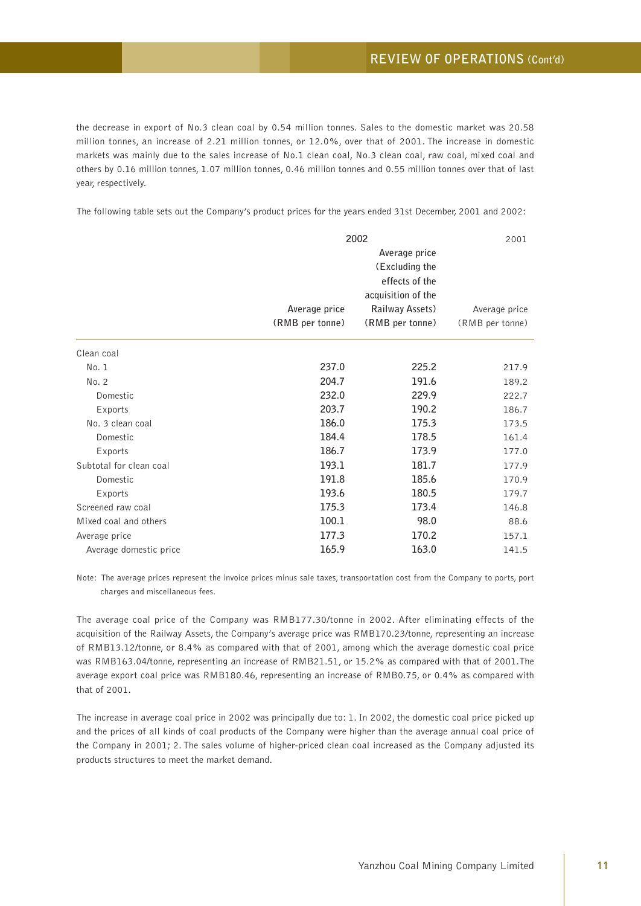the decrease in export of No.3 clean coal by 0.54 million tonnes. Sales to the domestic market was 20.58 million tonnes, an increase of 2.21 million tonnes, or 12.0%, over that of 2001. The increase in domestic markets was mainly due to the sales increase of No.1 clean coal, No.3 clean coal, raw coal, mixed coal and others by 0.16 million tonnes, 1.07 million tonnes, 0.46 million tonnes and 0.55 million tonnes over that of last year, respectively.

The following table sets out the Company's product prices for the years ended 31st December, 2001 and 2002:

|                         | 2002<br>2001                     |                                                                                                               |                                  |  |
|-------------------------|----------------------------------|---------------------------------------------------------------------------------------------------------------|----------------------------------|--|
|                         | Average price<br>(RMB per tonne) | Average price<br>(Excluding the<br>effects of the<br>acquisition of the<br>Railway Assets)<br>(RMB per tonne) | Average price<br>(RMB per tonne) |  |
| Clean coal              |                                  |                                                                                                               |                                  |  |
| No.1                    | 237.0                            | 225.2                                                                                                         | 217.9                            |  |
| No. 2                   | 204.7                            | 191.6                                                                                                         | 189.2                            |  |
| Domestic                | 232.0                            | 229.9                                                                                                         | 222.7                            |  |
| Exports                 | 203.7                            | 190.2                                                                                                         | 186.7                            |  |
| No. 3 clean coal        | 186.0                            | 175.3                                                                                                         | 173.5                            |  |
| Domestic                | 184.4                            | 178.5                                                                                                         | 161.4                            |  |
| Exports                 | 186.7                            | 173.9                                                                                                         | 177.0                            |  |
| Subtotal for clean coal | 193.1                            | 181.7                                                                                                         | 177.9                            |  |
| Domestic                | 191.8                            | 185.6                                                                                                         | 170.9                            |  |
| Exports                 | 193.6                            | 180.5                                                                                                         | 179.7                            |  |
| Screened raw coal       | 175.3                            | 173.4                                                                                                         | 146.8                            |  |
| Mixed coal and others   | 100.1                            | 98.0                                                                                                          | 88.6                             |  |
| Average price           | 177.3                            | 170.2                                                                                                         | 157.1                            |  |
| Average domestic price  | 165.9                            | 163.0                                                                                                         | 141.5                            |  |

Note: The average prices represent the invoice prices minus sale taxes, transportation cost from the Company to ports, port charges and miscellaneous fees.

The average coal price of the Company was RMB177.30/tonne in 2002. After eliminating effects of the acquisition of the Railway Assets, the Company's average price was RMB170.23/tonne, representing an increase of RMB13.12/tonne, or 8.4% as compared with that of 2001, among which the average domestic coal price was RMB163.04/tonne, representing an increase of RMB21.51, or 15.2% as compared with that of 2001.The average export coal price was RMB180.46, representing an increase of RMB0.75, or 0.4% as compared with that of 2001.

The increase in average coal price in 2002 was principally due to: 1. In 2002, the domestic coal price picked up and the prices of all kinds of coal products of the Company were higher than the average annual coal price of the Company in 2001; 2. The sales volume of higher-priced clean coal increased as the Company adjusted its products structures to meet the market demand.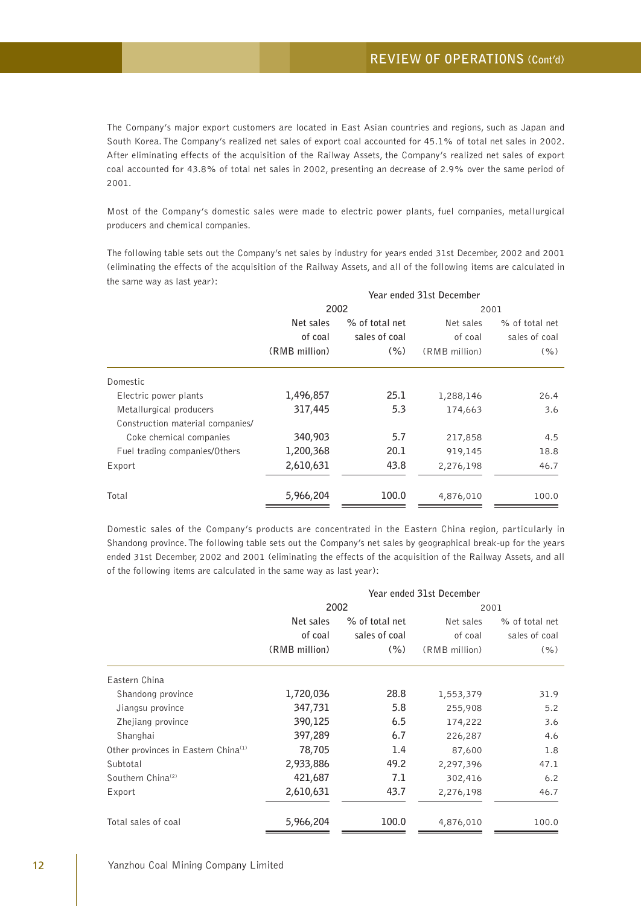The Company's major export customers are located in East Asian countries and regions, such as Japan and South Korea. The Company's realized net sales of export coal accounted for 45.1% of total net sales in 2002. After eliminating effects of the acquisition of the Railway Assets, the Company's realized net sales of export coal accounted for 43.8% of total net sales in 2002, presenting an decrease of 2.9% over the same period of 2001.

Most of the Company's domestic sales were made to electric power plants, fuel companies, metallurgical producers and chemical companies.

The following table sets out the Company's net sales by industry for years ended 31st December, 2002 and 2001 (eliminating the effects of the acquisition of the Railway Assets, and all of the following items are calculated in the same way as last year):

|                                  | Year ended 31st December |                |               |                |  |
|----------------------------------|--------------------------|----------------|---------------|----------------|--|
|                                  | 2002                     |                | 2001          |                |  |
|                                  | Net sales                | % of total net | Net sales     | % of total net |  |
|                                  | of coal                  | sales of coal  | of coal       | sales of coal  |  |
|                                  | (RMB million)            | (% )           | (RMB million) | ( %)           |  |
| Domestic                         |                          |                |               |                |  |
| Electric power plants            | 1,496,857                | 25.1           | 1,288,146     | 26.4           |  |
| Metallurgical producers          | 317,445                  | 5.3            | 174,663       | 3.6            |  |
| Construction material companies/ |                          |                |               |                |  |
| Coke chemical companies          | 340,903                  | 5.7            | 217,858       | 4.5            |  |
| Fuel trading companies/Others    | 1,200,368                | 20.1           | 919,145       | 18.8           |  |
| Export                           | 2,610,631                | 43.8           | 2,276,198     | 46.7           |  |
| Total                            | 5,966,204                | 100.0          | 4,876,010     | 100.0          |  |

Domestic sales of the Company's products are concentrated in the Eastern China region, particularly in Shandong province. The following table sets out the Company's net sales by geographical break-up for the years ended 31st December, 2002 and 2001 (eliminating the effects of the acquisition of the Railway Assets, and all of the following items are calculated in the same way as last year):

|                                                 |               |                | Year ended 31st December |                |
|-------------------------------------------------|---------------|----------------|--------------------------|----------------|
|                                                 | 2002          |                | 2001                     |                |
|                                                 | Net sales     | % of total net | Net sales                | % of total net |
|                                                 | of coal       | sales of coal  | of coal                  | sales of coal  |
|                                                 | (RMB million) | (% )           | (RMB million)            | ( %)           |
| Eastern China                                   |               |                |                          |                |
| Shandong province                               | 1,720,036     | 28.8           | 1,553,379                | 31.9           |
| Jiangsu province                                | 347,731       | 5.8            | 255,908                  | 5.2            |
| Zhejiang province                               | 390,125       | 6.5            | 174,222                  | 3.6            |
| Shanghai                                        | 397,289       | 6.7            | 226,287                  | 4.6            |
| Other provinces in Eastern China <sup>(1)</sup> | 78,705        | 1.4            | 87,600                   | 1.8            |
| Subtotal                                        | 2,933,886     | 49.2           | 2,297,396                | 47.1           |
| Southern China <sup>(2)</sup>                   | 421,687       | 7.1            | 302,416                  | 6.2            |
| Export                                          | 2,610,631     | 43.7           | 2,276,198                | 46.7           |
| Total sales of coal                             | 5,966,204     | 100.0          | 4,876,010                | 100.0          |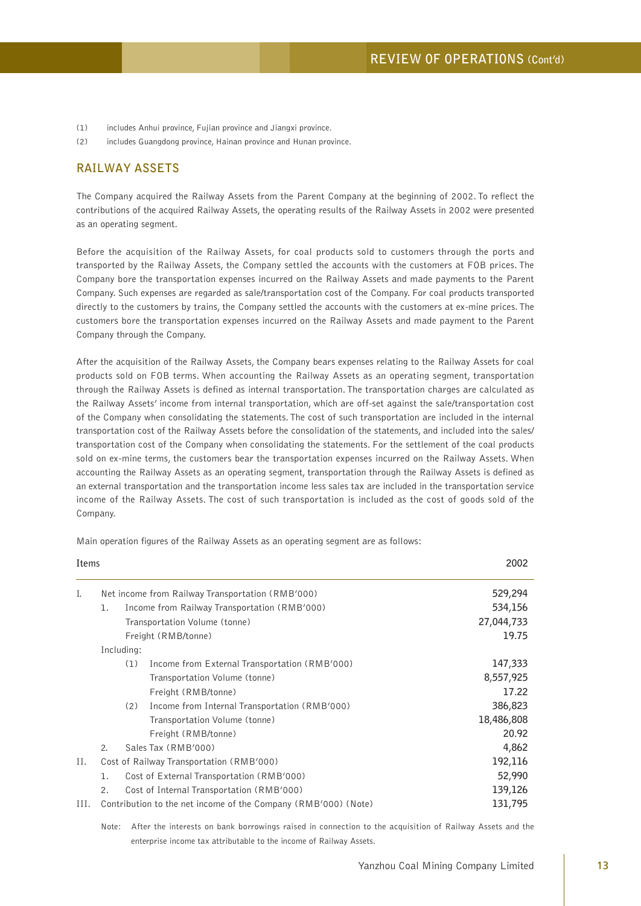- (1) includes Anhui province, Fujian province and Jiangxi province.
- (2) includes Guangdong province, Hainan province and Hunan province.

# **RAILWAY ASSETS**

The Company acquired the Railway Assets from the Parent Company at the beginning of 2002. To reflect the contributions of the acquired Railway Assets, the operating results of the Railway Assets in 2002 were presented as an operating segment.

Before the acquisition of the Railway Assets, for coal products sold to customers through the ports and transported by the Railway Assets, the Company settled the accounts with the customers at FOB prices. The Company bore the transportation expenses incurred on the Railway Assets and made payments to the Parent Company. Such expenses are regarded as sale/transportation cost of the Company. For coal products transported directly to the customers by trains, the Company settled the accounts with the customers at ex-mine prices. The customers bore the transportation expenses incurred on the Railway Assets and made payment to the Parent Company through the Company.

After the acquisition of the Railway Assets, the Company bears expenses relating to the Railway Assets for coal products sold on FOB terms. When accounting the Railway Assets as an operating segment, transportation through the Railway Assets is defined as internal transportation. The transportation charges are calculated as the Railway Assets' income from internal transportation, which are off-set against the sale/transportation cost of the Company when consolidating the statements. The cost of such transportation are included in the internal transportation cost of the Railway Assets before the consolidation of the statements, and included into the sales/ transportation cost of the Company when consolidating the statements. For the settlement of the coal products sold on ex-mine terms, the customers bear the transportation expenses incurred on the Railway Assets. When accounting the Railway Assets as an operating segment, transportation through the Railway Assets is defined as an external transportation and the transportation income less sales tax are included in the transportation service income of the Railway Assets. The cost of such transportation is included as the cost of goods sold of the Company.

| Items |                       |            |                                                                | 2002       |
|-------|-----------------------|------------|----------------------------------------------------------------|------------|
| Ι.    |                       |            | Net income from Railway Transportation (RMB'000)               | 529,294    |
|       | 1.                    |            | Income from Railway Transportation (RMB'000)                   | 534,156    |
|       |                       |            | Transportation Volume (tonne)                                  | 27,044,733 |
|       |                       |            | Freight (RMB/tonne)                                            | 19.75      |
|       |                       | Including: |                                                                |            |
|       |                       | (1)        | Income from External Transportation (RMB'000)                  | 147,333    |
|       |                       |            | Transportation Volume (tonne)                                  | 8,557,925  |
|       |                       |            | Freight (RMB/tonne)                                            | 17.22      |
|       |                       | (2)        | Income from Internal Transportation (RMB'000)                  | 386,823    |
|       |                       |            | Transportation Volume (tonne)                                  | 18,486,808 |
|       |                       |            | Freight (RMB/tonne)                                            | 20.92      |
|       | $\mathcal{P}_{\cdot}$ |            | Sales Tax (RMB'000)                                            | 4,862      |
| Н.    |                       |            | Cost of Railway Transportation (RMB'000)                       | 192,116    |
|       | ı.                    |            | Cost of External Transportation (RMB'000)                      | 52,990     |
|       | 2.                    |            | Cost of Internal Transportation (RMB'000)                      | 139,126    |
| III.  |                       |            | Contribution to the net income of the Company (RMB'000) (Note) | 131,795    |

Main operation figures of the Railway Assets as an operating segment are as follows:

Note: After the interests on bank borrowings raised in connection to the acquisition of Railway Assets and the enterprise income tax attributable to the income of Railway Assets.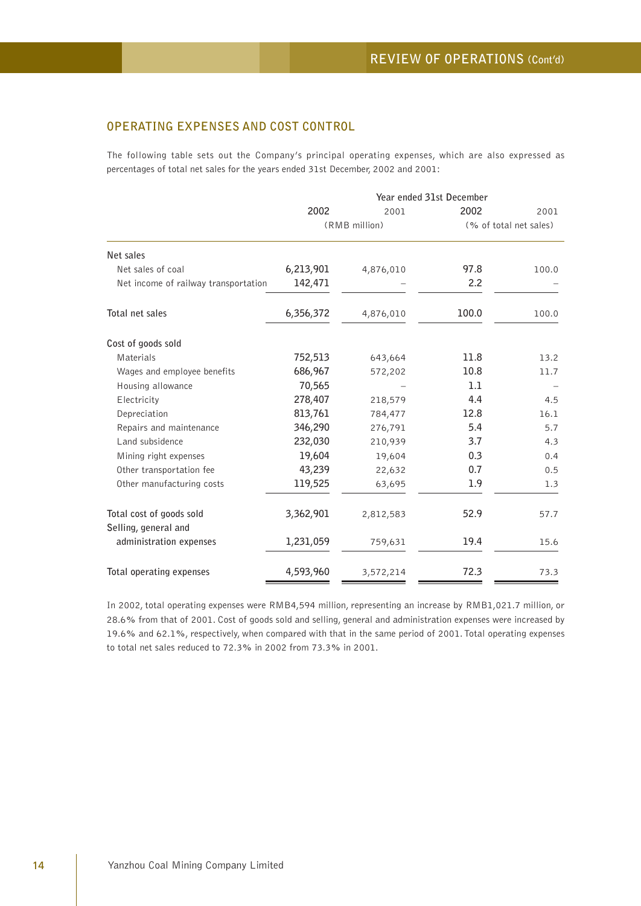# **OPERATING EXPENSES AND COST CONTROL**

The following table sets out the Company's principal operating expenses, which are also expressed as percentages of total net sales for the years ended 31st December, 2002 and 2001:

|                                                  |           |               | Year ended 31st December |                        |
|--------------------------------------------------|-----------|---------------|--------------------------|------------------------|
|                                                  | 2002      | 2001          | 2002                     | 2001                   |
|                                                  |           | (RMB million) |                          | (% of total net sales) |
| Net sales                                        |           |               |                          |                        |
| Net sales of coal                                | 6,213,901 | 4,876,010     | 97.8                     | 100.0                  |
| Net income of railway transportation             | 142,471   |               | 2.2                      |                        |
| Total net sales                                  | 6,356,372 | 4,876,010     | 100.0                    | 100.0                  |
| Cost of goods sold                               |           |               |                          |                        |
| Materials                                        | 752,513   | 643,664       | 11.8                     | 13.2                   |
| Wages and employee benefits                      | 686,967   | 572,202       | 10.8                     | 11.7                   |
| Housing allowance                                | 70,565    |               | 1.1                      |                        |
| Electricity                                      | 278,407   | 218,579       | 4.4                      | 4.5                    |
| Depreciation                                     | 813,761   | 784,477       | 12.8                     | 16.1                   |
| Repairs and maintenance                          | 346,290   | 276,791       | 5.4                      | 5.7                    |
| Land subsidence                                  | 232,030   | 210,939       | 3.7                      | 4.3                    |
| Mining right expenses                            | 19,604    | 19,604        | 0.3                      | 0.4                    |
| Other transportation fee                         | 43,239    | 22,632        | 0.7                      | 0.5                    |
| Other manufacturing costs                        | 119,525   | 63,695        | 1.9                      | 1.3                    |
| Total cost of goods sold<br>Selling, general and | 3,362,901 | 2,812,583     | 52.9                     | 57.7                   |
| administration expenses                          | 1,231,059 | 759,631       | 19.4                     | 15.6                   |
| Total operating expenses                         | 4,593,960 | 3,572,214     | 72.3                     | 73.3                   |

In 2002, total operating expenses were RMB4,594 million, representing an increase by RMB1,021.7 million, or 28.6% from that of 2001. Cost of goods sold and selling, general and administration expenses were increased by 19.6% and 62.1%, respectively, when compared with that in the same period of 2001. Total operating expenses to total net sales reduced to 72.3% in 2002 from 73.3% in 2001.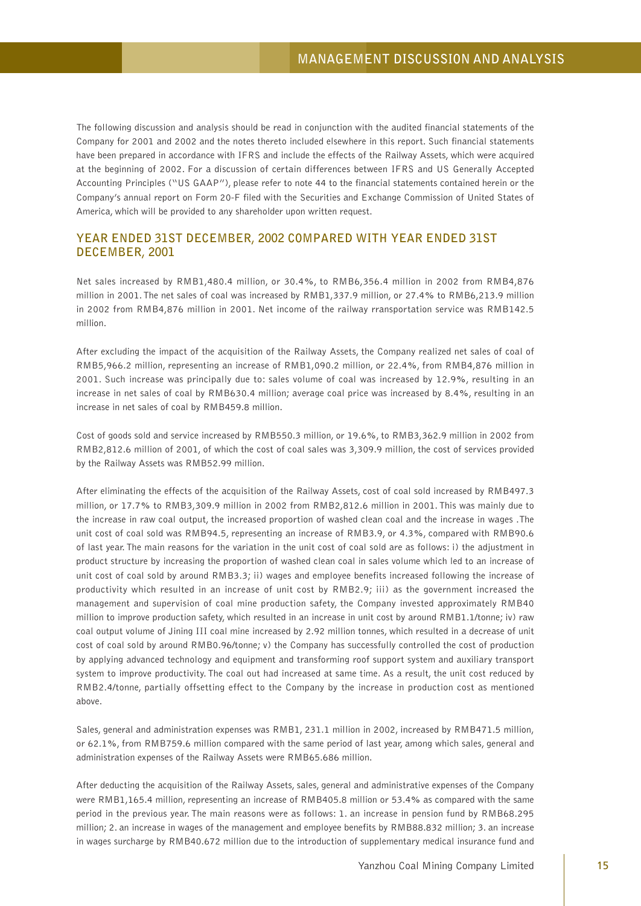The following discussion and analysis should be read in conjunction with the audited financial statements of the Company for 2001 and 2002 and the notes thereto included elsewhere in this report. Such financial statements have been prepared in accordance with IFRS and include the effects of the Railway Assets, which were acquired at the beginning of 2002. For a discussion of certain differences between IFRS and US Generally Accepted Accounting Principles ("US GAAP"), please refer to note 44 to the financial statements contained herein or the Company's annual report on Form 20-F filed with the Securities and Exchange Commission of United States of America, which will be provided to any shareholder upon written request.

# **YEAR ENDED 31ST DECEMBER, 2002 COMPARED WITH YEAR ENDED 31ST DECEMBER, 2001**

Net sales increased by RMB1,480.4 million, or 30.4%, to RMB6,356.4 million in 2002 from RMB4,876 million in 2001. The net sales of coal was increased by RMB1,337.9 million, or 27.4% to RMB6,213.9 million in 2002 from RMB4,876 million in 2001. Net income of the railway rransportation service was RMB142.5 million.

After excluding the impact of the acquisition of the Railway Assets, the Company realized net sales of coal of RMB5,966.2 million, representing an increase of RMB1,090.2 million, or 22.4%, from RMB4,876 million in 2001. Such increase was principally due to: sales volume of coal was increased by 12.9%, resulting in an increase in net sales of coal by RMB630.4 million; average coal price was increased by 8.4%, resulting in an increase in net sales of coal by RMB459.8 million.

Cost of goods sold and service increased by RMB550.3 million, or 19.6%, to RMB3,362.9 million in 2002 from RMB2,812.6 million of 2001, of which the cost of coal sales was 3,309.9 million, the cost of services provided by the Railway Assets was RMB52.99 million.

After eliminating the effects of the acquisition of the Railway Assets, cost of coal sold increased by RMB497.3 million, or 17.7% to RMB3,309.9 million in 2002 from RMB2,812.6 million in 2001. This was mainly due to the increase in raw coal output, the increased proportion of washed clean coal and the increase in wages .The unit cost of coal sold was RMB94.5, representing an increase of RMB3.9, or 4.3%, compared with RMB90.6 of last year. The main reasons for the variation in the unit cost of coal sold are as follows: i) the adjustment in product structure by increasing the proportion of washed clean coal in sales volume which led to an increase of unit cost of coal sold by around RMB3.3; ii) wages and employee benefits increased following the increase of productivity which resulted in an increase of unit cost by RMB2.9; iii) as the government increased the management and supervision of coal mine production safety, the Company invested approximately RMB40 million to improve production safety, which resulted in an increase in unit cost by around RMB1.1/tonne; iv) raw coal output volume of Jining III coal mine increased by 2.92 million tonnes, which resulted in a decrease of unit cost of coal sold by around RMB0.96/tonne; v) the Company has successfully controlled the cost of production by applying advanced technology and equipment and transforming roof support system and auxiliary transport system to improve productivity. The coal out had increased at same time. As a result, the unit cost reduced by RMB2.4/tonne, partially offsetting effect to the Company by the increase in production cost as mentioned above.

Sales, general and administration expenses was RMB1, 231.1 million in 2002, increased by RMB471.5 million, or 62.1%, from RMB759.6 million compared with the same period of last year, among which sales, general and administration expenses of the Railway Assets were RMB65.686 million.

After deducting the acquisition of the Railway Assets, sales, general and administrative expenses of the Company were RMB1,165.4 million, representing an increase of RMB405.8 million or 53.4% as compared with the same period in the previous year. The main reasons were as follows: 1. an increase in pension fund by RMB68.295 million; 2. an increase in wages of the management and employee benefits by RMB88.832 million; 3. an increase in wages surcharge by RMB40.672 million due to the introduction of supplementary medical insurance fund and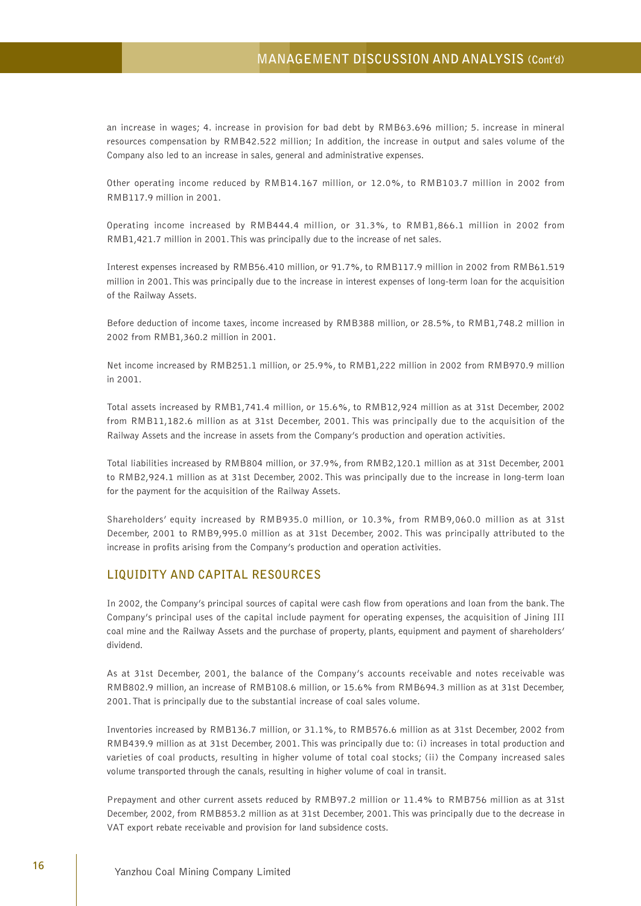# **MANAGEMENT DISCUSSION AND ANALYSIS (Cont'd)**

an increase in wages; 4. increase in provision for bad debt by RMB63.696 million; 5. increase in mineral resources compensation by RMB42.522 million; In addition, the increase in output and sales volume of the Company also led to an increase in sales, general and administrative expenses.

Other operating income reduced by RMB14.167 million, or 12.0%, to RMB103.7 million in 2002 from RMB117.9 million in 2001.

Operating income increased by RMB444.4 million, or 31.3%, to RMB1,866.1 million in 2002 from RMB1,421.7 million in 2001. This was principally due to the increase of net sales.

Interest expenses increased by RMB56.410 million, or 91.7%, to RMB117.9 million in 2002 from RMB61.519 million in 2001. This was principally due to the increase in interest expenses of long-term loan for the acquisition of the Railway Assets.

Before deduction of income taxes, income increased by RMB388 million, or 28.5%, to RMB1,748.2 million in 2002 from RMB1,360.2 million in 2001.

Net income increased by RMB251.1 million, or 25.9%, to RMB1,222 million in 2002 from RMB970.9 million in 2001.

Total assets increased by RMB1,741.4 million, or 15.6%, to RMB12,924 million as at 31st December, 2002 from RMB11,182.6 million as at 31st December, 2001. This was principally due to the acquisition of the Railway Assets and the increase in assets from the Company's production and operation activities.

Total liabilities increased by RMB804 million, or 37.9%, from RMB2,120.1 million as at 31st December, 2001 to RMB2,924.1 million as at 31st December, 2002. This was principally due to the increase in long-term loan for the payment for the acquisition of the Railway Assets.

Shareholders' equity increased by RMB935.0 million, or 10.3%, from RMB9,060.0 million as at 31st December, 2001 to RMB9,995.0 million as at 31st December, 2002. This was principally attributed to the increase in profits arising from the Company's production and operation activities.

# **LIQUIDITY AND CAPITAL RESOURCES**

In 2002, the Company's principal sources of capital were cash flow from operations and loan from the bank. The Company's principal uses of the capital include payment for operating expenses, the acquisition of Jining III coal mine and the Railway Assets and the purchase of property, plants, equipment and payment of shareholders' dividend.

As at 31st December, 2001, the balance of the Company's accounts receivable and notes receivable was RMB802.9 million, an increase of RMB108.6 million, or 15.6% from RMB694.3 million as at 31st December, 2001. That is principally due to the substantial increase of coal sales volume.

Inventories increased by RMB136.7 million, or 31.1%, to RMB576.6 million as at 31st December, 2002 from RMB439.9 million as at 31st December, 2001. This was principally due to: (i) increases in total production and varieties of coal products, resulting in higher volume of total coal stocks; (ii) the Company increased sales volume transported through the canals, resulting in higher volume of coal in transit.

Prepayment and other current assets reduced by RMB97.2 million or 11.4% to RMB756 million as at 31st December, 2002, from RMB853.2 million as at 31st December, 2001. This was principally due to the decrease in VAT export rebate receivable and provision for land subsidence costs.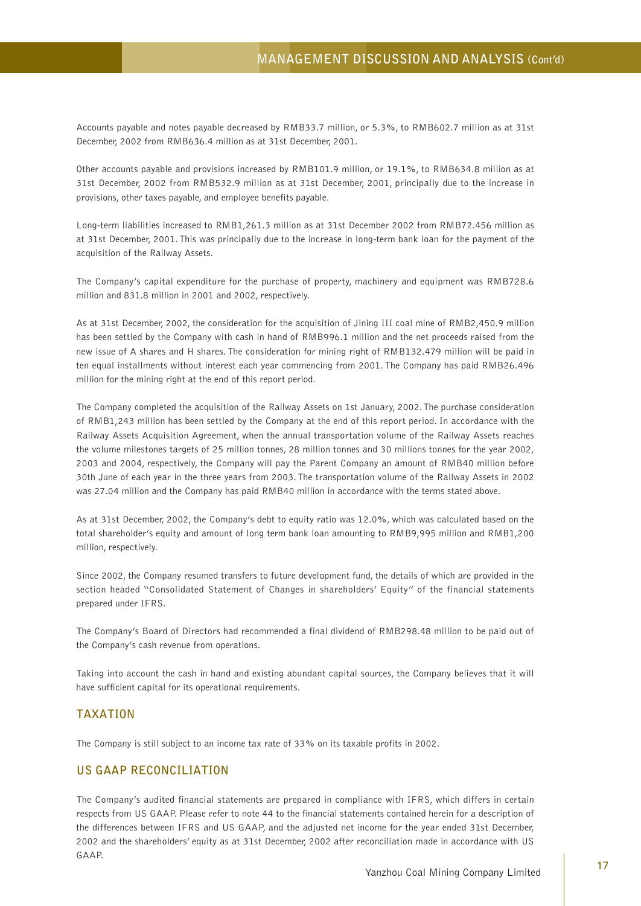Accounts payable and notes payable decreased by RMB33.7 million, or 5.3%, to RMB602.7 million as at 31st December, 2002 from RMB636.4 million as at 31st December, 2001.

Other accounts payable and provisions increased by RMB101.9 million, or 19.1%, to RMB634.8 million as at 31st December, 2002 from RMB532.9 million as at 31st December, 2001, principally due to the increase in provisions, other taxes payable, and employee benefits payable.

Long-term liabilities increased to RMB1,261.3 million as at 31st December 2002 from RMB72.456 million as at 31st December, 2001. This was principally due to the increase in long-term bank loan for the payment of the acquisition of the Railway Assets.

The Company's capital expenditure for the purchase of property, machinery and equipment was RMB728.6 million and 831.8 million in 2001 and 2002, respectively.

As at 31st December, 2002, the consideration for the acquisition of Jining III coal mine of RMB2,450.9 million has been settled by the Company with cash in hand of RMB996.1 million and the net proceeds raised from the new issue of A shares and H shares. The consideration for mining right of RMB132.479 million will be paid in ten equal installments without interest each year commencing from 2001. The Company has paid RMB26.496 million for the mining right at the end of this report period.

The Company completed the acquisition of the Railway Assets on 1st January, 2002. The purchase consideration of RMB1,243 million has been settled by the Company at the end of this report period. In accordance with the Railway Assets Acquisition Agreement, when the annual transportation volume of the Railway Assets reaches the volume milestones targets of 25 million tonnes, 28 million tonnes and 30 millions tonnes for the year 2002, 2003 and 2004, respectively, the Company will pay the Parent Company an amount of RMB40 million before 30th June of each year in the three years from 2003. The transportation volume of the Railway Assets in 2002 was 27.04 million and the Company has paid RMB40 million in accordance with the terms stated above.

As at 31st December, 2002, the Company's debt to equity ratio was 12.0%, which was calculated based on the total shareholder's equity and amount of long term bank loan amounting to RMB9,995 million and RMB1,200 million, respectively.

Since 2002, the Company resumed transfers to future development fund, the details of which are provided in the section headed "Consolidated Statement of Changes in shareholders' Equity" of the financial statements prepared under IFRS.

The Company's Board of Directors had recommended a final dividend of RMB298.48 million to be paid out of the Company's cash revenue from operations.

Taking into account the cash in hand and existing abundant capital sources, the Company believes that it will have sufficient capital for its operational requirements.

## **TAXATION**

The Company is still subject to an income tax rate of 33% on its taxable profits in 2002.

### **US GAAP RECONCILIATION**

The Company's audited financial statements are prepared in compliance with IFRS, which differs in certain respects from US GAAP. Please refer to note 44 to the financial statements contained herein for a description of the differences between IFRS and US GAAP, and the adjusted net income for the year ended 31st December, 2002 and the shareholders' equity as at 31st December, 2002 after reconciliation made in accordance with US GAAP.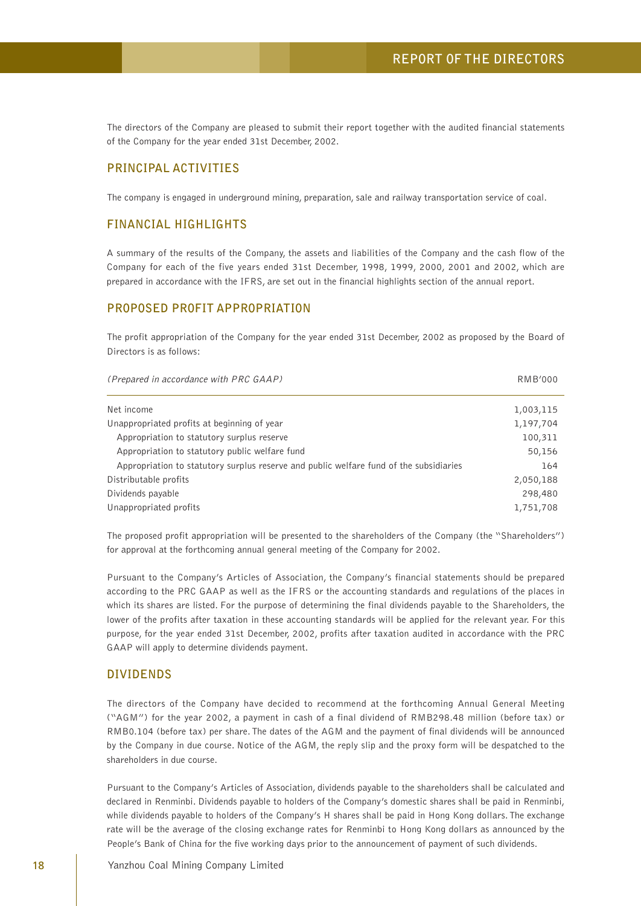The directors of the Company are pleased to submit their report together with the audited financial statements of the Company for the year ended 31st December, 2002.

#### **PRINCIPAL ACTIVITIES**

The company is engaged in underground mining, preparation, sale and railway transportation service of coal.

## **FINANCIAL HIGHLIGHTS**

A summary of the results of the Company, the assets and liabilities of the Company and the cash flow of the Company for each of the five years ended 31st December, 1998, 1999, 2000, 2001 and 2002, which are prepared in accordance with the IFRS, are set out in the financial highlights section of the annual report.

#### **PROPOSED PROFIT APPROPRIATION**

The profit appropriation of the Company for the year ended 31st December, 2002 as proposed by the Board of Directors is as follows:

| (Prepared in accordance with PRC GAAP)                                                 | <b>RMB'000</b> |
|----------------------------------------------------------------------------------------|----------------|
| Net income                                                                             | 1,003,115      |
| Unappropriated profits at beginning of year                                            | 1,197,704      |
| Appropriation to statutory surplus reserve                                             | 100,311        |
| Appropriation to statutory public welfare fund                                         | 50,156         |
| Appropriation to statutory surplus reserve and public welfare fund of the subsidiaries | 164            |
| Distributable profits                                                                  | 2,050,188      |
| Dividends payable                                                                      | 298,480        |
| Unappropriated profits                                                                 | 1,751,708      |

The proposed profit appropriation will be presented to the shareholders of the Company (the "Shareholders") for approval at the forthcoming annual general meeting of the Company for 2002.

Pursuant to the Company's Articles of Association, the Company's financial statements should be prepared according to the PRC GAAP as well as the IFRS or the accounting standards and regulations of the places in which its shares are listed. For the purpose of determining the final dividends payable to the Shareholders, the lower of the profits after taxation in these accounting standards will be applied for the relevant year. For this purpose, for the year ended 31st December, 2002, profits after taxation audited in accordance with the PRC GAAP will apply to determine dividends payment.

#### **DIVIDENDS**

The directors of the Company have decided to recommend at the forthcoming Annual General Meeting ("AGM") for the year 2002, a payment in cash of a final dividend of RMB298.48 million (before tax) or RMB0.104 (before tax) per share. The dates of the AGM and the payment of final dividends will be announced by the Company in due course. Notice of the AGM, the reply slip and the proxy form will be despatched to the shareholders in due course.

Pursuant to the Company's Articles of Association, dividends payable to the shareholders shall be calculated and declared in Renminbi. Dividends payable to holders of the Company's domestic shares shall be paid in Renminbi, while dividends payable to holders of the Company's H shares shall be paid in Hong Kong dollars. The exchange rate will be the average of the closing exchange rates for Renminbi to Hong Kong dollars as announced by the People's Bank of China for the five working days prior to the announcement of payment of such dividends.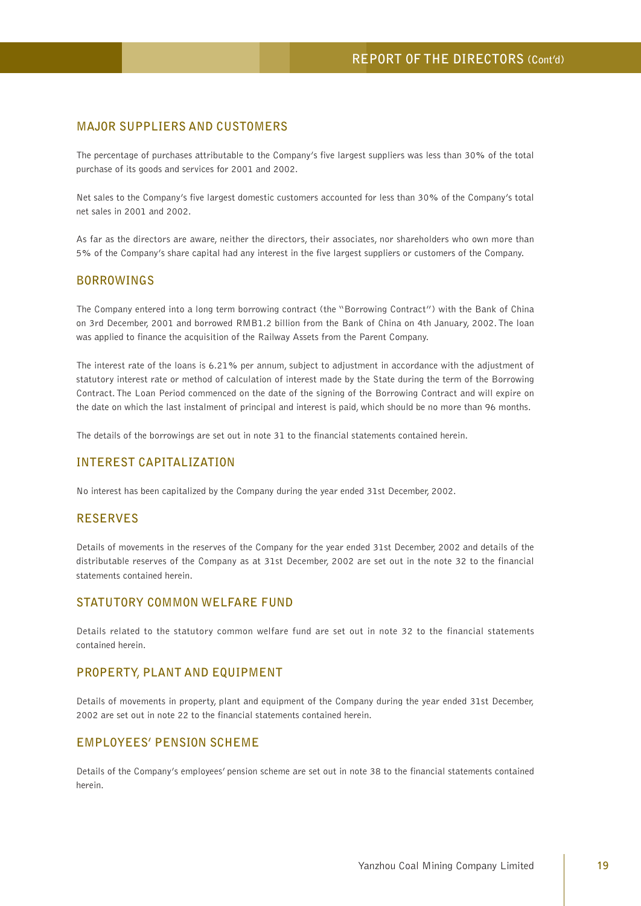# **MAJOR SUPPLIERS AND CUSTOMERS**

The percentage of purchases attributable to the Company's five largest suppliers was less than 30% of the total purchase of its goods and services for 2001 and 2002.

Net sales to the Company's five largest domestic customers accounted for less than 30% of the Company's total net sales in 2001 and 2002.

As far as the directors are aware, neither the directors, their associates, nor shareholders who own more than 5% of the Company's share capital had any interest in the five largest suppliers or customers of the Company.

### **BORROWINGS**

The Company entered into a long term borrowing contract (the "Borrowing Contract") with the Bank of China on 3rd December, 2001 and borrowed RMB1.2 billion from the Bank of China on 4th January, 2002. The loan was applied to finance the acquisition of the Railway Assets from the Parent Company.

The interest rate of the loans is 6.21% per annum, subject to adjustment in accordance with the adjustment of statutory interest rate or method of calculation of interest made by the State during the term of the Borrowing Contract. The Loan Period commenced on the date of the signing of the Borrowing Contract and will expire on the date on which the last instalment of principal and interest is paid, which should be no more than 96 months.

The details of the borrowings are set out in note 31 to the financial statements contained herein.

## **INTEREST CAPITALIZATION**

No interest has been capitalized by the Company during the year ended 31st December, 2002.

## **RESERVES**

Details of movements in the reserves of the Company for the year ended 31st December, 2002 and details of the distributable reserves of the Company as at 31st December, 2002 are set out in the note 32 to the financial statements contained herein.

### **STATUTORY COMMON WELFARE FUND**

Details related to the statutory common welfare fund are set out in note 32 to the financial statements contained herein.

# **PROPERTY, PLANT AND EQUIPMENT**

Details of movements in property, plant and equipment of the Company during the year ended 31st December, 2002 are set out in note 22 to the financial statements contained herein.

#### **EMPLOYEES' PENSION SCHEME**

Details of the Company's employees' pension scheme are set out in note 38 to the financial statements contained herein.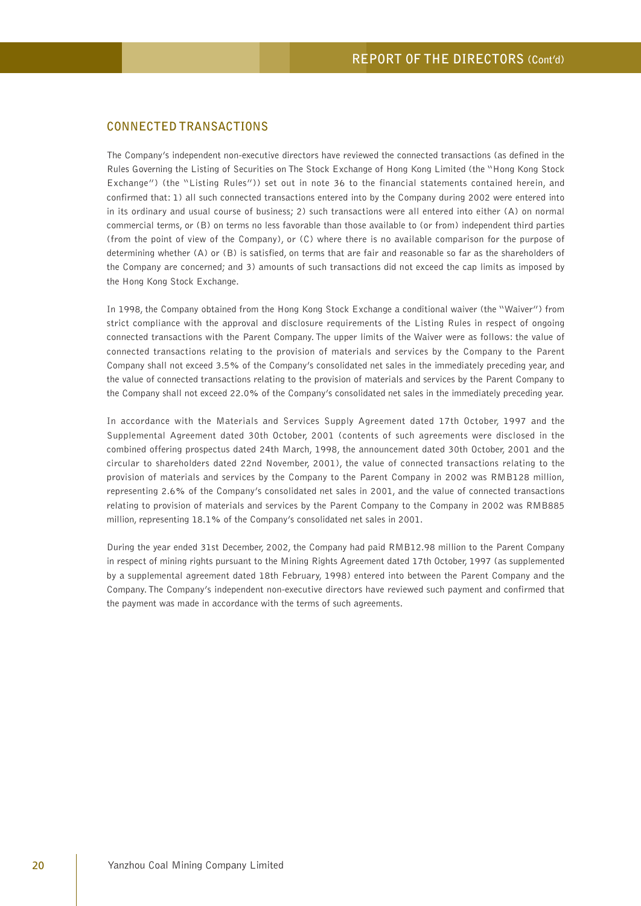## **CONNECTED TRANSACTIONS**

The Company's independent non-executive directors have reviewed the connected transactions (as defined in the Rules Governing the Listing of Securities on The Stock Exchange of Hong Kong Limited (the "Hong Kong Stock Exchange") (the "Listing Rules")) set out in note 36 to the financial statements contained herein, and confirmed that: 1) all such connected transactions entered into by the Company during 2002 were entered into in its ordinary and usual course of business; 2) such transactions were all entered into either (A) on normal commercial terms, or (B) on terms no less favorable than those available to (or from) independent third parties (from the point of view of the Company), or (C) where there is no available comparison for the purpose of determining whether (A) or (B) is satisfied, on terms that are fair and reasonable so far as the shareholders of the Company are concerned; and 3) amounts of such transactions did not exceed the cap limits as imposed by the Hong Kong Stock Exchange.

In 1998, the Company obtained from the Hong Kong Stock Exchange a conditional waiver (the "Waiver") from strict compliance with the approval and disclosure requirements of the Listing Rules in respect of ongoing connected transactions with the Parent Company. The upper limits of the Waiver were as follows: the value of connected transactions relating to the provision of materials and services by the Company to the Parent Company shall not exceed 3.5% of the Company's consolidated net sales in the immediately preceding year, and the value of connected transactions relating to the provision of materials and services by the Parent Company to the Company shall not exceed 22.0% of the Company's consolidated net sales in the immediately preceding year.

In accordance with the Materials and Services Supply Agreement dated 17th October, 1997 and the Supplemental Agreement dated 30th October, 2001 (contents of such agreements were disclosed in the combined offering prospectus dated 24th March, 1998, the announcement dated 30th October, 2001 and the circular to shareholders dated 22nd November, 2001), the value of connected transactions relating to the provision of materials and services by the Company to the Parent Company in 2002 was RMB128 million, representing 2.6% of the Company's consolidated net sales in 2001, and the value of connected transactions relating to provision of materials and services by the Parent Company to the Company in 2002 was RMB885 million, representing 18.1% of the Company's consolidated net sales in 2001.

During the year ended 31st December, 2002, the Company had paid RMB12.98 million to the Parent Company in respect of mining rights pursuant to the Mining Rights Agreement dated 17th October, 1997 (as supplemented by a supplemental agreement dated 18th February, 1998) entered into between the Parent Company and the Company. The Company's independent non-executive directors have reviewed such payment and confirmed that the payment was made in accordance with the terms of such agreements.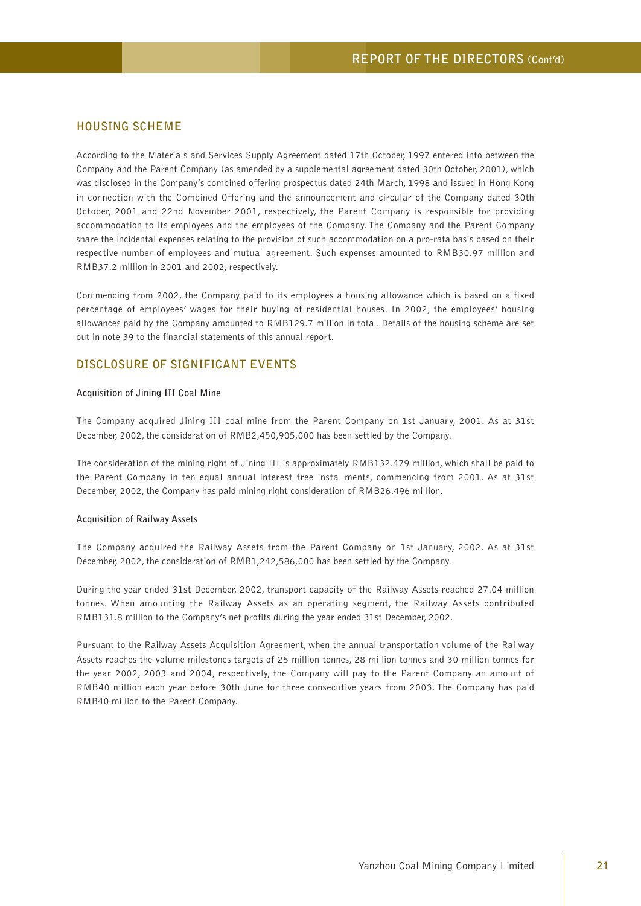## **HOUSING SCHEME**

According to the Materials and Services Supply Agreement dated 17th October, 1997 entered into between the Company and the Parent Company (as amended by a supplemental agreement dated 30th October, 2001), which was disclosed in the Company's combined offering prospectus dated 24th March, 1998 and issued in Hong Kong in connection with the Combined Offering and the announcement and circular of the Company dated 30th October, 2001 and 22nd November 2001, respectively, the Parent Company is responsible for providing accommodation to its employees and the employees of the Company. The Company and the Parent Company share the incidental expenses relating to the provision of such accommodation on a pro-rata basis based on their respective number of employees and mutual agreement. Such expenses amounted to RMB30.97 million and RMB37.2 million in 2001 and 2002, respectively.

Commencing from 2002, the Company paid to its employees a housing allowance which is based on a fixed percentage of employees' wages for their buying of residential houses. In 2002, the employees' housing allowances paid by the Company amounted to RMB129.7 million in total. Details of the housing scheme are set out in note 39 to the financial statements of this annual report.

### **DISCLOSURE OF SIGNIFICANT EVENTS**

#### **Acquisition of Jining III Coal Mine**

The Company acquired Jining III coal mine from the Parent Company on 1st January, 2001. As at 31st December, 2002, the consideration of RMB2,450,905,000 has been settled by the Company.

The consideration of the mining right of Jining III is approximately RMB132.479 million, which shall be paid to the Parent Company in ten equal annual interest free installments, commencing from 2001. As at 31st December, 2002, the Company has paid mining right consideration of RMB26.496 million.

#### **Acquisition of Railway Assets**

The Company acquired the Railway Assets from the Parent Company on 1st January, 2002. As at 31st December, 2002, the consideration of RMB1,242,586,000 has been settled by the Company.

During the year ended 31st December, 2002, transport capacity of the Railway Assets reached 27.04 million tonnes. When amounting the Railway Assets as an operating segment, the Railway Assets contributed RMB131.8 million to the Company's net profits during the year ended 31st December, 2002.

Pursuant to the Railway Assets Acquisition Agreement, when the annual transportation volume of the Railway Assets reaches the volume milestones targets of 25 million tonnes, 28 million tonnes and 30 million tonnes for the year 2002, 2003 and 2004, respectively, the Company will pay to the Parent Company an amount of RMB40 million each year before 30th June for three consecutive years from 2003. The Company has paid RMB40 million to the Parent Company.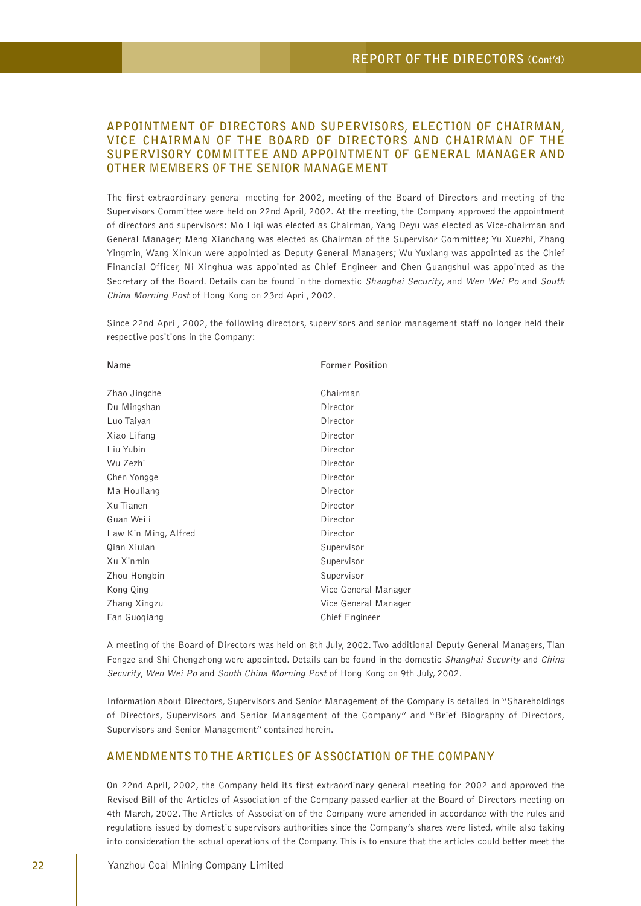# **APPOINTMENT OF DIRECTORS AND SUPERVISORS, ELECTION OF CHAIRMAN, VICE CHAIRMAN OF THE BOARD OF DIRECTORS AND CHAIRMAN OF THE SUPERVISORY COMMITTEE AND APPOINTMENT OF GENERAL MANAGER AND OTHER MEMBERS OF THE SENIOR MANAGEMENT**

The first extraordinary general meeting for 2002, meeting of the Board of Directors and meeting of the Supervisors Committee were held on 22nd April, 2002. At the meeting, the Company approved the appointment of directors and supervisors: Mo Liqi was elected as Chairman, Yang Deyu was elected as Vice-chairman and General Manager; Meng Xianchang was elected as Chairman of the Supervisor Committee; Yu Xuezhi, Zhang Yingmin, Wang Xinkun were appointed as Deputy General Managers; Wu Yuxiang was appointed as the Chief Financial Officer, Ni Xinghua was appointed as Chief Engineer and Chen Guangshui was appointed as the Secretary of the Board. Details can be found in the domestic Shanghai Security, and Wen Wei Po and South China Morning Post of Hong Kong on 23rd April, 2002.

Since 22nd April, 2002, the following directors, supervisors and senior management staff no longer held their respective positions in the Company:

| Name                 | <b>Former Position</b> |
|----------------------|------------------------|
| Zhao Jingche         | Chairman               |
| Du Mingshan          | Director               |
| Luo Taiyan           | Director               |
| Xiao Lifang          | Director               |
| Liu Yubin            | Director               |
| Wu Zezhi             | Director               |
| Chen Yongge          | Director               |
| Ma Houliang          | Director               |
| Xu Tianen            | Director               |
| Guan Weili           | Director               |
| Law Kin Ming, Alfred | Director               |
| Qian Xiulan          | Supervisor             |
| Xu Xinmin            | Supervisor             |
| Zhou Hongbin         | Supervisor             |
| Kong Qing            | Vice General Manager   |
| Zhang Xingzu         | Vice General Manager   |
| Fan Guogiang         | Chief Engineer         |

A meeting of the Board of Directors was held on 8th July, 2002. Two additional Deputy General Managers, Tian Fengze and Shi Chengzhong were appointed. Details can be found in the domestic Shanghai Security and China Security, Wen Wei Po and South China Morning Post of Hong Kong on 9th July, 2002.

Information about Directors, Supervisors and Senior Management of the Company is detailed in "Shareholdings of Directors, Supervisors and Senior Management of the Company" and "Brief Biography of Directors, Supervisors and Senior Management" contained herein.

# **AMENDMENTS TO THE ARTICLES OF ASSOCIATION OF THE COMPANY**

On 22nd April, 2002, the Company held its first extraordinary general meeting for 2002 and approved the Revised Bill of the Articles of Association of the Company passed earlier at the Board of Directors meeting on 4th March, 2002. The Articles of Association of the Company were amended in accordance with the rules and regulations issued by domestic supervisors authorities since the Company's shares were listed, while also taking into consideration the actual operations of the Company. This is to ensure that the articles could better meet the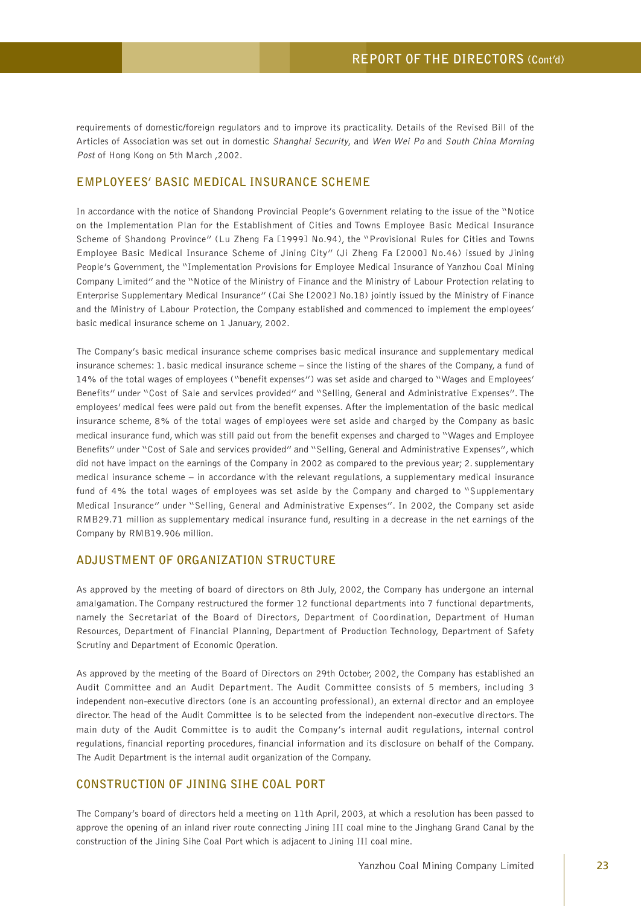requirements of domestic/foreign regulators and to improve its practicality. Details of the Revised Bill of the Articles of Association was set out in domestic Shanghai Security, and Wen Wei Po and South China Morning Post of Hong Kong on 5th March ,2002.

#### **EMPLOYEES' BASIC MEDICAL INSURANCE SCHEME**

In accordance with the notice of Shandong Provincial People's Government relating to the issue of the "Notice on the Implementation Plan for the Establishment of Cities and Towns Employee Basic Medical Insurance Scheme of Shandong Province" (Lu Zheng Fa [1999] No.94), the "Provisional Rules for Cities and Towns Employee Basic Medical Insurance Scheme of Jining City" (Ji Zheng Fa [2000] No.46) issued by Jining People's Government, the "Implementation Provisions for Employee Medical Insurance of Yanzhou Coal Mining Company Limited" and the "Notice of the Ministry of Finance and the Ministry of Labour Protection relating to Enterprise Supplementary Medical Insurance" (Cai She [2002] No.18) jointly issued by the Ministry of Finance and the Ministry of Labour Protection, the Company established and commenced to implement the employees' basic medical insurance scheme on 1 January, 2002.

The Company's basic medical insurance scheme comprises basic medical insurance and supplementary medical insurance schemes: 1. basic medical insurance scheme – since the listing of the shares of the Company, a fund of 14% of the total wages of employees ("benefit expenses") was set aside and charged to "Wages and Employees' Benefits" under "Cost of Sale and services provided" and "Selling, General and Administrative Expenses". The employees' medical fees were paid out from the benefit expenses. After the implementation of the basic medical insurance scheme, 8% of the total wages of employees were set aside and charged by the Company as basic medical insurance fund, which was still paid out from the benefit expenses and charged to "Wages and Employee Benefits" under "Cost of Sale and services provided" and "Selling, General and Administrative Expenses", which did not have impact on the earnings of the Company in 2002 as compared to the previous year; 2. supplementary medical insurance scheme – in accordance with the relevant regulations, a supplementary medical insurance fund of 4% the total wages of employees was set aside by the Company and charged to "Supplementary Medical Insurance" under "Selling, General and Administrative Expenses". In 2002, the Company set aside RMB29.71 million as supplementary medical insurance fund, resulting in a decrease in the net earnings of the Company by RMB19.906 million.

# **ADJUSTMENT OF ORGANIZATION STRUCTURE**

As approved by the meeting of board of directors on 8th July, 2002, the Company has undergone an internal amalgamation. The Company restructured the former 12 functional departments into 7 functional departments, namely the Secretariat of the Board of Directors, Department of Coordination, Department of Human Resources, Department of Financial Planning, Department of Production Technology, Department of Safety Scrutiny and Department of Economic Operation.

As approved by the meeting of the Board of Directors on 29th October, 2002, the Company has established an Audit Committee and an Audit Department. The Audit Committee consists of 5 members, including 3 independent non-executive directors (one is an accounting professional), an external director and an employee director. The head of the Audit Committee is to be selected from the independent non-executive directors. The main duty of the Audit Committee is to audit the Company's internal audit regulations, internal control regulations, financial reporting procedures, financial information and its disclosure on behalf of the Company. The Audit Department is the internal audit organization of the Company.

# **CONSTRUCTION OF JINING SIHE COAL PORT**

The Company's board of directors held a meeting on 11th April, 2003, at which a resolution has been passed to approve the opening of an inland river route connecting Jining III coal mine to the Jinghang Grand Canal by the construction of the Jining Sihe Coal Port which is adjacent to Jining III coal mine.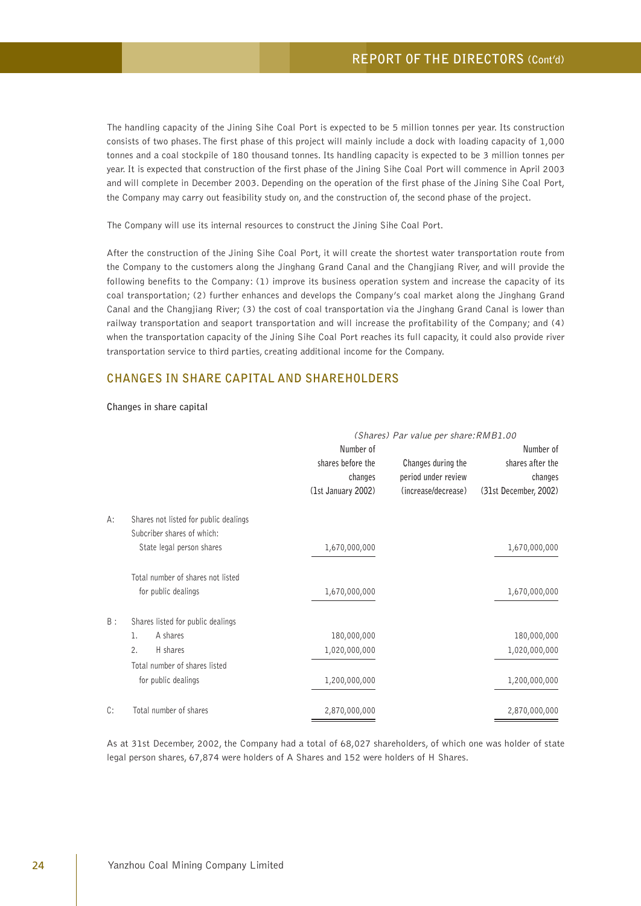The handling capacity of the Jining Sihe Coal Port is expected to be 5 million tonnes per year. Its construction consists of two phases. The first phase of this project will mainly include a dock with loading capacity of 1,000 tonnes and a coal stockpile of 180 thousand tonnes. Its handling capacity is expected to be 3 million tonnes per year. It is expected that construction of the first phase of the Jining Sihe Coal Port will commence in April 2003 and will complete in December 2003. Depending on the operation of the first phase of the Jining Sihe Coal Port, the Company may carry out feasibility study on, and the construction of, the second phase of the project.

The Company will use its internal resources to construct the Jining Sihe Coal Port.

After the construction of the Jining Sihe Coal Port, it will create the shortest water transportation route from the Company to the customers along the Jinghang Grand Canal and the Changjiang River, and will provide the following benefits to the Company: (1) improve its business operation system and increase the capacity of its coal transportation; (2) further enhances and develops the Company's coal market along the Jinghang Grand Canal and the Changjiang River; (3) the cost of coal transportation via the Jinghang Grand Canal is lower than railway transportation and seaport transportation and will increase the profitability of the Company; and (4) when the transportation capacity of the Jining Sihe Coal Port reaches its full capacity, it could also provide river transportation service to third parties, creating additional income for the Company.

#### **CHANGES IN SHARE CAPITAL AND SHAREHOLDERS**

#### **Changes in share capital**

|    |                                       | (Shares) Par value per share: RMB1.00 |                                           |                             |
|----|---------------------------------------|---------------------------------------|-------------------------------------------|-----------------------------|
|    |                                       | Number of                             |                                           | Number of                   |
|    |                                       | shares before the<br>changes          | Changes during the<br>period under review | shares after the<br>changes |
|    |                                       |                                       |                                           |                             |
|    |                                       | (1st January 2002)                    | (increase/decrease)                       | (31st December, 2002)       |
| А: | Shares not listed for public dealings |                                       |                                           |                             |
|    | Subcriber shares of which:            |                                       |                                           |                             |
|    | State legal person shares             | 1,670,000,000                         |                                           | 1,670,000,000               |
|    | Total number of shares not listed     |                                       |                                           |                             |
|    | for public dealings                   | 1,670,000,000                         |                                           | 1,670,000,000               |
| B: | Shares listed for public dealings     |                                       |                                           |                             |
|    | A shares<br>1.                        | 180,000,000                           |                                           | 180,000,000                 |
|    | H shares<br>2.                        | 1,020,000,000                         |                                           | 1,020,000,000               |
|    | Total number of shares listed         |                                       |                                           |                             |
|    | for public dealings                   | 1,200,000,000                         |                                           | 1,200,000,000               |
| C: | Total number of shares                | 2,870,000,000                         |                                           | 2,870,000,000               |

As at 31st December, 2002, the Company had a total of 68,027 shareholders, of which one was holder of state legal person shares, 67,874 were holders of A Shares and 152 were holders of H Shares.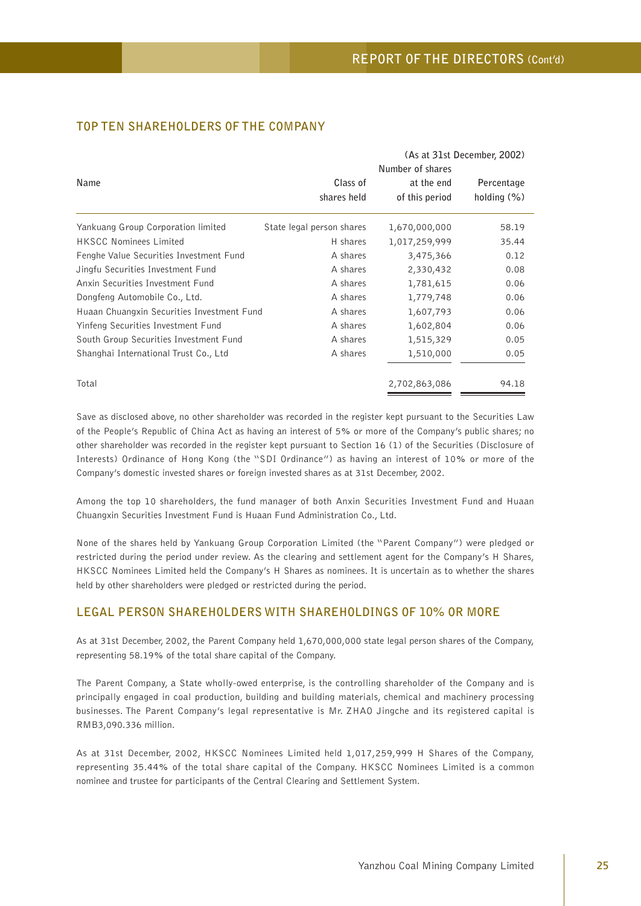|                                            | (As at 31st December, 2002)<br>Number of shares |                |                |  |
|--------------------------------------------|-------------------------------------------------|----------------|----------------|--|
| Name                                       | Class of                                        | at the end     | Percentage     |  |
|                                            | shares held                                     | of this period | holding $(\%)$ |  |
| Yankuang Group Corporation limited         | State legal person shares                       | 1,670,000,000  | 58.19          |  |
| <b>HKSCC Nominees Limited</b>              | H shares                                        | 1,017,259,999  | 35.44          |  |
| Fenghe Value Securities Investment Fund    | A shares                                        | 3,475,366      | 0.12           |  |
| Jingfu Securities Investment Fund          | A shares                                        | 2,330,432      | 0.08           |  |
| Anxin Securities Investment Fund           | A shares                                        | 1,781,615      | 0.06           |  |
| Dongfeng Automobile Co., Ltd.              | A shares                                        | 1,779,748      | 0.06           |  |
| Huaan Chuangxin Securities Investment Fund | A shares                                        | 1,607,793      | 0.06           |  |
| Yinfeng Securities Investment Fund         | A shares                                        | 1,602,804      | 0.06           |  |
| South Group Securities Investment Fund     | A shares                                        | 1,515,329      | 0.05           |  |
| Shanghai International Trust Co., Ltd      | A shares                                        | 1,510,000      | 0.05           |  |
| Total                                      |                                                 | 2,702,863,086  | 94.18          |  |

# **TOP TEN SHAREHOLDERS OF THE COMPANY**

Save as disclosed above, no other shareholder was recorded in the register kept pursuant to the Securities Law of the People's Republic of China Act as having an interest of 5% or more of the Company's public shares; no other shareholder was recorded in the register kept pursuant to Section 16 (1) of the Securities (Disclosure of Interests) Ordinance of Hong Kong (the "SDI Ordinance") as having an interest of 10% or more of the Company's domestic invested shares or foreign invested shares as at 31st December, 2002.

Among the top 10 shareholders, the fund manager of both Anxin Securities Investment Fund and Huaan Chuangxin Securities Investment Fund is Huaan Fund Administration Co., Ltd.

None of the shares held by Yankuang Group Corporation Limited (the "Parent Company") were pledged or restricted during the period under review. As the clearing and settlement agent for the Company's H Shares, HKSCC Nominees Limited held the Company's H Shares as nominees. It is uncertain as to whether the shares held by other shareholders were pledged or restricted during the period.

### **LEGAL PERSON SHAREHOLDERS WITH SHAREHOLDINGS OF 10% OR MORE**

As at 31st December, 2002, the Parent Company held 1,670,000,000 state legal person shares of the Company, representing 58.19% of the total share capital of the Company.

The Parent Company, a State wholly-owed enterprise, is the controlling shareholder of the Company and is principally engaged in coal production, building and building materials, chemical and machinery processing businesses. The Parent Company's legal representative is Mr. ZHAO Jingche and its registered capital is RMB3,090.336 million.

As at 31st December, 2002, HKSCC Nominees Limited held 1,017,259,999 H Shares of the Company, representing 35.44% of the total share capital of the Company. HKSCC Nominees Limited is a common nominee and trustee for participants of the Central Clearing and Settlement System.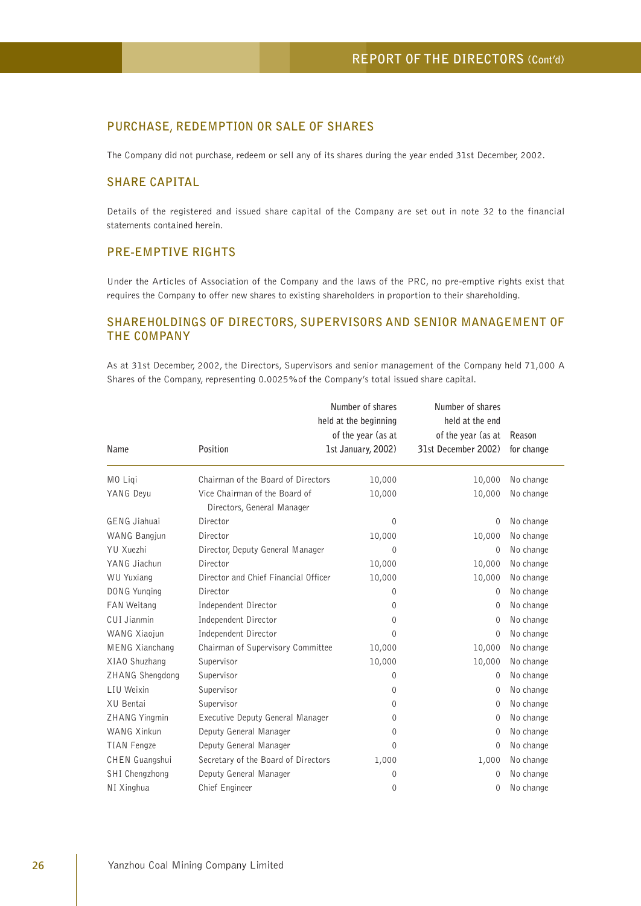# **PURCHASE, REDEMPTION OR SALE OF SHARES**

The Company did not purchase, redeem or sell any of its shares during the year ended 31st December, 2002.

# **SHARE CAPITAL**

Details of the registered and issued share capital of the Company are set out in note 32 to the financial statements contained herein.

# **PRE-EMPTIVE RIGHTS**

Under the Articles of Association of the Company and the laws of the PRC, no pre-emptive rights exist that requires the Company to offer new shares to existing shareholders in proportion to their shareholding.

# **SHAREHOLDINGS OF DIRECTORS, SUPERVISORS AND SENIOR MANAGEMENT OF THE COMPANY**

As at 31st December, 2002, the Directors, Supervisors and senior management of the Company held 71,000 A Shares of the Company, representing 0.0025%of the Company's total issued share capital.

|                       |                                                             | Number of shares      | Number of shares    | Reason     |
|-----------------------|-------------------------------------------------------------|-----------------------|---------------------|------------|
|                       |                                                             | held at the beginning | held at the end     |            |
|                       |                                                             | of the year (as at    | of the year (as at  |            |
| Name                  | Position                                                    | 1st January, 2002)    | 31st December 2002) | for change |
| MO Ligi               | Chairman of the Board of Directors                          | 10,000                | 10,000              | No change  |
| YANG Deyu             | Vice Chairman of the Board of<br>Directors, General Manager | 10,000                | 10,000              | No change  |
| <b>GENG Jiahuai</b>   | Director                                                    | 0                     | 0                   | No change  |
| WANG Bangjun          | Director                                                    | 10,000                | 10,000              | No change  |
| YU Xuezhi             | Director, Deputy General Manager                            | 0                     | 0                   | No change  |
| YANG Jiachun          | Director                                                    | 10,000                | 10,000              | No change  |
| <b>WU Yuxiang</b>     | Director and Chief Financial Officer                        | 10,000                | 10,000              | No change  |
| DONG Yunging          | Director                                                    | 0                     | 0                   | No change  |
| <b>FAN Weitang</b>    | Independent Director                                        | 0                     | $\Omega$            | No change  |
| CUI Jianmin           | Independent Director                                        | $\Omega$              | 0                   | No change  |
| WANG Xiaojun          | Independent Director                                        | $\Omega$              | $\Omega$            | No change  |
| <b>MENG Xianchang</b> | Chairman of Supervisory Committee                           | 10,000                | 10,000              | No change  |
| XIAO Shuzhang         | Supervisor                                                  | 10,000                | 10,000              | No change  |
| ZHANG Shengdong       | Supervisor                                                  | $\Omega$              | $\Omega$            | No change  |
| LIU Weixin            | Supervisor                                                  | $\Omega$              | $\Omega$            | No change  |
| XU Bentai             | Supervisor                                                  | $\Omega$              | 0                   | No change  |
| ZHANG Yingmin         | Executive Deputy General Manager                            | 0                     | 0                   | No change  |
| WANG Xinkun           | Deputy General Manager                                      | $\Omega$              | 0                   | No change  |
| TIAN Fengze           | Deputy General Manager                                      | $\Omega$              | 0                   | No change  |
| CHEN Guangshui        | Secretary of the Board of Directors                         | 1,000                 | 1,000               | No change  |
| SHI Chengzhong        | Deputy General Manager                                      | 0                     | $\Omega$            | No change  |
| NI Xinghua            | Chief Engineer                                              | 0                     | 0                   | No change  |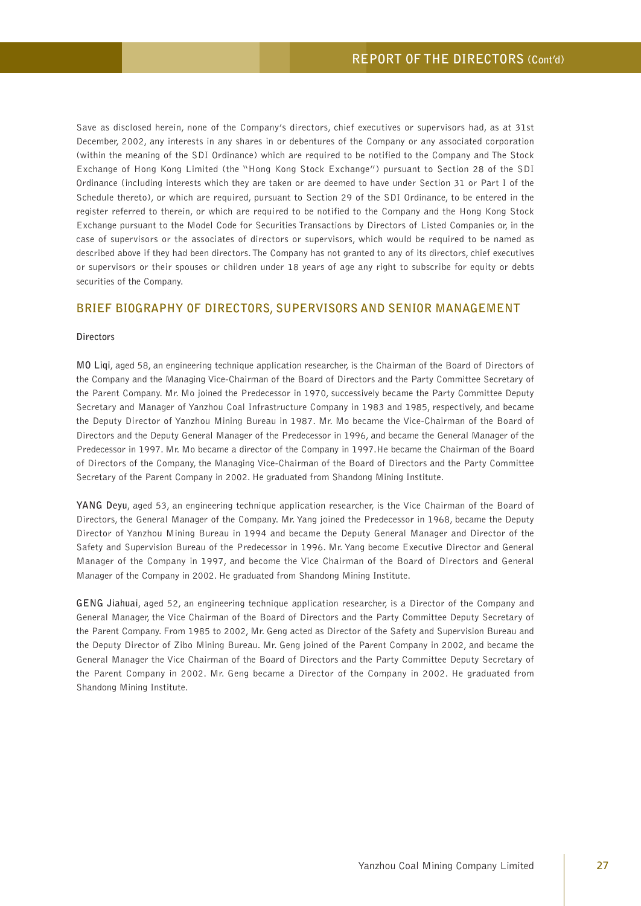Save as disclosed herein, none of the Company's directors, chief executives or supervisors had, as at 31st December, 2002, any interests in any shares in or debentures of the Company or any associated corporation (within the meaning of the SDI Ordinance) which are required to be notified to the Company and The Stock Exchange of Hong Kong Limited (the "Hong Kong Stock Exchange") pursuant to Section 28 of the SDI Ordinance (including interests which they are taken or are deemed to have under Section 31 or Part I of the Schedule thereto), or which are required, pursuant to Section 29 of the SDI Ordinance, to be entered in the register referred to therein, or which are required to be notified to the Company and the Hong Kong Stock Exchange pursuant to the Model Code for Securities Transactions by Directors of Listed Companies or, in the case of supervisors or the associates of directors or supervisors, which would be required to be named as described above if they had been directors. The Company has not granted to any of its directors, chief executives or supervisors or their spouses or children under 18 years of age any right to subscribe for equity or debts securities of the Company.

#### **BRIEF BIOGRAPHY OF DIRECTORS, SUPERVISORS AND SENIOR MANAGEMENT**

#### **Directors**

**MO Liqi**, aged 58, an engineering technique application researcher, is the Chairman of the Board of Directors of the Company and the Managing Vice-Chairman of the Board of Directors and the Party Committee Secretary of the Parent Company. Mr. Mo joined the Predecessor in 1970, successively became the Party Committee Deputy Secretary and Manager of Yanzhou Coal Infrastructure Company in 1983 and 1985, respectively, and became the Deputy Director of Yanzhou Mining Bureau in 1987. Mr. Mo became the Vice-Chairman of the Board of Directors and the Deputy General Manager of the Predecessor in 1996, and became the General Manager of the Predecessor in 1997. Mr. Mo became a director of the Company in 1997.He became the Chairman of the Board of Directors of the Company, the Managing Vice-Chairman of the Board of Directors and the Party Committee Secretary of the Parent Company in 2002. He graduated from Shandong Mining Institute.

**YANG Deyu**, aged 53, an engineering technique application researcher, is the Vice Chairman of the Board of Directors, the General Manager of the Company. Mr. Yang joined the Predecessor in 1968, became the Deputy Director of Yanzhou Mining Bureau in 1994 and became the Deputy General Manager and Director of the Safety and Supervision Bureau of the Predecessor in 1996. Mr. Yang become Executive Director and General Manager of the Company in 1997, and become the Vice Chairman of the Board of Directors and General Manager of the Company in 2002. He graduated from Shandong Mining Institute.

**GENG Jiahuai**, aged 52, an engineering technique application researcher, is a Director of the Company and General Manager, the Vice Chairman of the Board of Directors and the Party Committee Deputy Secretary of the Parent Company. From 1985 to 2002, Mr. Geng acted as Director of the Safety and Supervision Bureau and the Deputy Director of Zibo Mining Bureau. Mr. Geng joined of the Parent Company in 2002, and became the General Manager the Vice Chairman of the Board of Directors and the Party Committee Deputy Secretary of the Parent Company in 2002. Mr. Geng became a Director of the Company in 2002. He graduated from Shandong Mining Institute.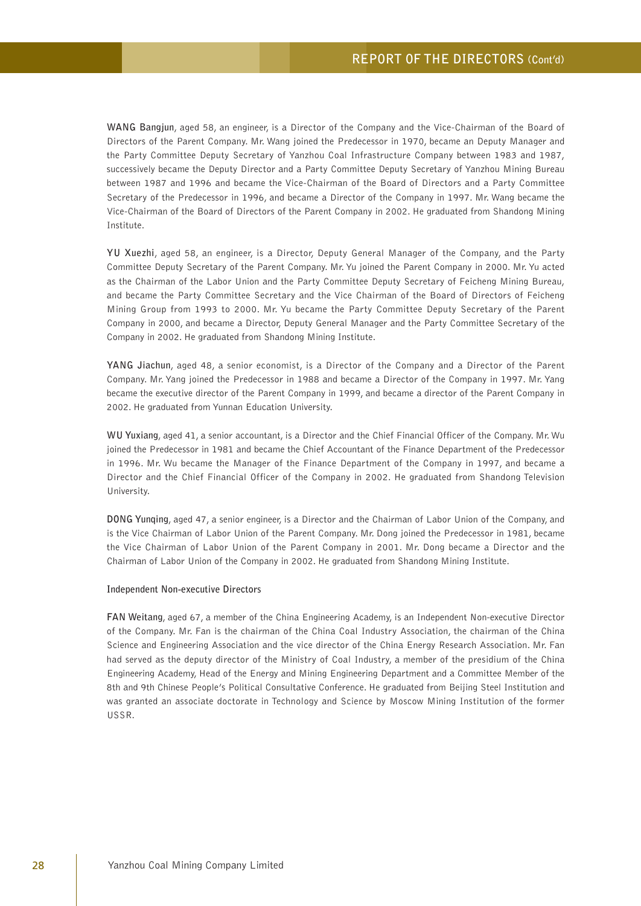**WANG Bangjun**, aged 58, an engineer, is a Director of the Company and the Vice-Chairman of the Board of Directors of the Parent Company. Mr. Wang joined the Predecessor in 1970, became an Deputy Manager and the Party Committee Deputy Secretary of Yanzhou Coal Infrastructure Company between 1983 and 1987, successively became the Deputy Director and a Party Committee Deputy Secretary of Yanzhou Mining Bureau between 1987 and 1996 and became the Vice-Chairman of the Board of Directors and a Party Committee Secretary of the Predecessor in 1996, and became a Director of the Company in 1997. Mr. Wang became the Vice-Chairman of the Board of Directors of the Parent Company in 2002. He graduated from Shandong Mining Institute.

**YU Xuezhi**, aged 58, an engineer, is a Director, Deputy General Manager of the Company, and the Party Committee Deputy Secretary of the Parent Company. Mr. Yu joined the Parent Company in 2000. Mr. Yu acted as the Chairman of the Labor Union and the Party Committee Deputy Secretary of Feicheng Mining Bureau, and became the Party Committee Secretary and the Vice Chairman of the Board of Directors of Feicheng Mining Group from 1993 to 2000. Mr. Yu became the Party Committee Deputy Secretary of the Parent Company in 2000, and became a Director, Deputy General Manager and the Party Committee Secretary of the Company in 2002. He graduated from Shandong Mining Institute.

**YANG Jiachun**, aged 48, a senior economist, is a Director of the Company and a Director of the Parent Company. Mr. Yang joined the Predecessor in 1988 and became a Director of the Company in 1997. Mr. Yang became the executive director of the Parent Company in 1999, and became a director of the Parent Company in 2002. He graduated from Yunnan Education University.

**WU Yuxiang**, aged 41, a senior accountant, is a Director and the Chief Financial Officer of the Company. Mr. Wu joined the Predecessor in 1981 and became the Chief Accountant of the Finance Department of the Predecessor in 1996. Mr. Wu became the Manager of the Finance Department of the Company in 1997, and became a Director and the Chief Financial Officer of the Company in 2002. He graduated from Shandong Television University.

**DONG Yunqing**, aged 47, a senior engineer, is a Director and the Chairman of Labor Union of the Company, and is the Vice Chairman of Labor Union of the Parent Company. Mr. Dong joined the Predecessor in 1981, became the Vice Chairman of Labor Union of the Parent Company in 2001. Mr. Dong became a Director and the Chairman of Labor Union of the Company in 2002. He graduated from Shandong Mining Institute.

#### **Independent Non-executive Directors**

**FAN Weitang**, aged 67, a member of the China Engineering Academy, is an Independent Non-executive Director of the Company. Mr. Fan is the chairman of the China Coal Industry Association, the chairman of the China Science and Engineering Association and the vice director of the China Energy Research Association. Mr. Fan had served as the deputy director of the Ministry of Coal Industry, a member of the presidium of the China Engineering Academy, Head of the Energy and Mining Engineering Department and a Committee Member of the 8th and 9th Chinese People's Political Consultative Conference. He graduated from Beijing Steel Institution and was granted an associate doctorate in Technology and Science by Moscow Mining Institution of the former USSR.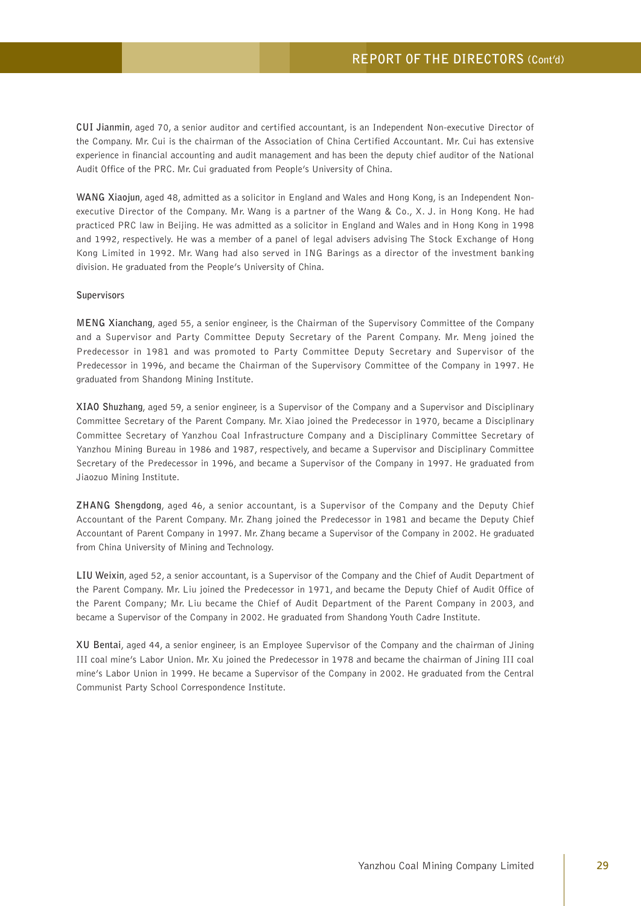**CUI Jianmin**, aged 70, a senior auditor and certified accountant, is an Independent Non-executive Director of the Company. Mr. Cui is the chairman of the Association of China Certified Accountant. Mr. Cui has extensive experience in financial accounting and audit management and has been the deputy chief auditor of the National Audit Office of the PRC. Mr. Cui graduated from People's University of China.

**WANG Xiaojun**, aged 48, admitted as a solicitor in England and Wales and Hong Kong, is an Independent Nonexecutive Director of the Company. Mr. Wang is a partner of the Wang & Co., X. J. in Hong Kong. He had practiced PRC law in Beijing. He was admitted as a solicitor in England and Wales and in Hong Kong in 1998 and 1992, respectively. He was a member of a panel of legal advisers advising The Stock Exchange of Hong Kong Limited in 1992. Mr. Wang had also served in ING Barings as a director of the investment banking division. He graduated from the People's University of China.

#### **Supervisors**

**MENG Xianchang**, aged 55, a senior engineer, is the Chairman of the Supervisory Committee of the Company and a Supervisor and Party Committee Deputy Secretary of the Parent Company. Mr. Meng joined the Predecessor in 1981 and was promoted to Party Committee Deputy Secretary and Supervisor of the Predecessor in 1996, and became the Chairman of the Supervisory Committee of the Company in 1997. He graduated from Shandong Mining Institute.

**XIAO Shuzhang**, aged 59, a senior engineer, is a Supervisor of the Company and a Supervisor and Disciplinary Committee Secretary of the Parent Company. Mr. Xiao joined the Predecessor in 1970, became a Disciplinary Committee Secretary of Yanzhou Coal Infrastructure Company and a Disciplinary Committee Secretary of Yanzhou Mining Bureau in 1986 and 1987, respectively, and became a Supervisor and Disciplinary Committee Secretary of the Predecessor in 1996, and became a Supervisor of the Company in 1997. He graduated from Jiaozuo Mining Institute.

**ZHANG Shengdong**, aged 46, a senior accountant, is a Supervisor of the Company and the Deputy Chief Accountant of the Parent Company. Mr. Zhang joined the Predecessor in 1981 and became the Deputy Chief Accountant of Parent Company in 1997. Mr. Zhang became a Supervisor of the Company in 2002. He graduated from China University of Mining and Technology.

**LIU Weixin**, aged 52, a senior accountant, is a Supervisor of the Company and the Chief of Audit Department of the Parent Company. Mr. Liu joined the Predecessor in 1971, and became the Deputy Chief of Audit Office of the Parent Company; Mr. Liu became the Chief of Audit Department of the Parent Company in 2003, and became a Supervisor of the Company in 2002. He graduated from Shandong Youth Cadre Institute.

**XU Bentai**, aged 44, a senior engineer, is an Employee Supervisor of the Company and the chairman of Jining III coal mine's Labor Union. Mr. Xu joined the Predecessor in 1978 and became the chairman of Jining III coal mine's Labor Union in 1999. He became a Supervisor of the Company in 2002. He graduated from the Central Communist Party School Correspondence Institute.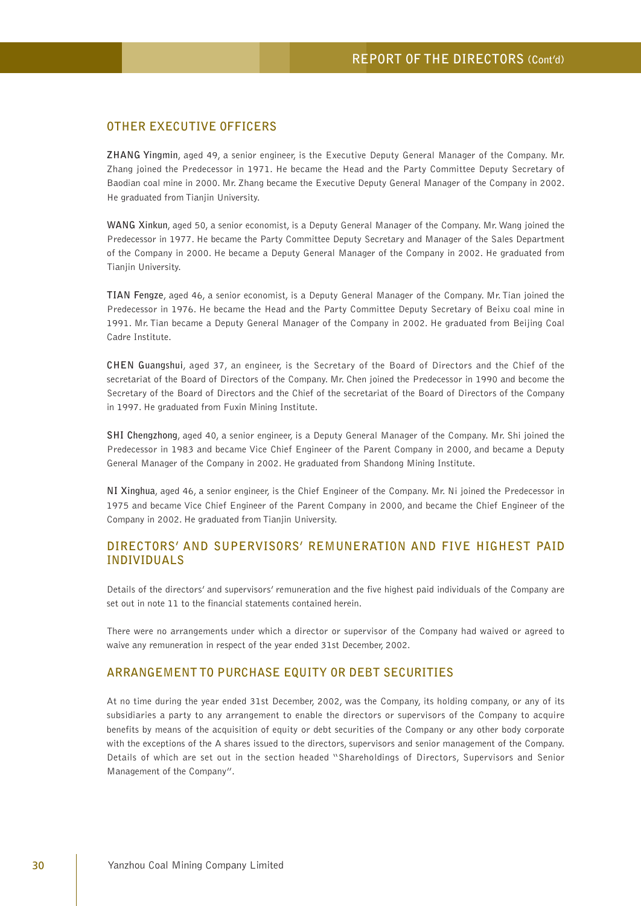# **OTHER EXECUTIVE OFFICERS**

**ZHANG Yingmin**, aged 49, a senior engineer, is the Executive Deputy General Manager of the Company. Mr. Zhang joined the Predecessor in 1971. He became the Head and the Party Committee Deputy Secretary of Baodian coal mine in 2000. Mr. Zhang became the Executive Deputy General Manager of the Company in 2002. He graduated from Tianjin University.

**WANG Xinkun**, aged 50, a senior economist, is a Deputy General Manager of the Company. Mr. Wang joined the Predecessor in 1977. He became the Party Committee Deputy Secretary and Manager of the Sales Department of the Company in 2000. He became a Deputy General Manager of the Company in 2002. He graduated from Tianjin University.

**TIAN Fengze**, aged 46, a senior economist, is a Deputy General Manager of the Company. Mr. Tian joined the Predecessor in 1976. He became the Head and the Party Committee Deputy Secretary of Beixu coal mine in 1991. Mr. Tian became a Deputy General Manager of the Company in 2002. He graduated from Beijing Coal Cadre Institute.

**CHEN Guangshui**, aged 37, an engineer, is the Secretary of the Board of Directors and the Chief of the secretariat of the Board of Directors of the Company. Mr. Chen joined the Predecessor in 1990 and become the Secretary of the Board of Directors and the Chief of the secretariat of the Board of Directors of the Company in 1997. He graduated from Fuxin Mining Institute.

**SHI Chengzhong**, aged 40, a senior engineer, is a Deputy General Manager of the Company. Mr. Shi joined the Predecessor in 1983 and became Vice Chief Engineer of the Parent Company in 2000, and became a Deputy General Manager of the Company in 2002. He graduated from Shandong Mining Institute.

**NI Xinghua**, aged 46, a senior engineer, is the Chief Engineer of the Company. Mr. Ni joined the Predecessor in 1975 and became Vice Chief Engineer of the Parent Company in 2000, and became the Chief Engineer of the Company in 2002. He graduated from Tianjin University.

# **DIRECTORS' AND SUPERVISORS' REMUNERATION AND FIVE HIGHEST PAID INDIVIDUALS**

Details of the directors' and supervisors' remuneration and the five highest paid individuals of the Company are set out in note 11 to the financial statements contained herein.

There were no arrangements under which a director or supervisor of the Company had waived or agreed to waive any remuneration in respect of the year ended 31st December, 2002.

### **ARRANGEMENT TO PURCHASE EQUITY OR DEBT SECURITIES**

At no time during the year ended 31st December, 2002, was the Company, its holding company, or any of its subsidiaries a party to any arrangement to enable the directors or supervisors of the Company to acquire benefits by means of the acquisition of equity or debt securities of the Company or any other body corporate with the exceptions of the A shares issued to the directors, supervisors and senior management of the Company. Details of which are set out in the section headed "Shareholdings of Directors, Supervisors and Senior Management of the Company".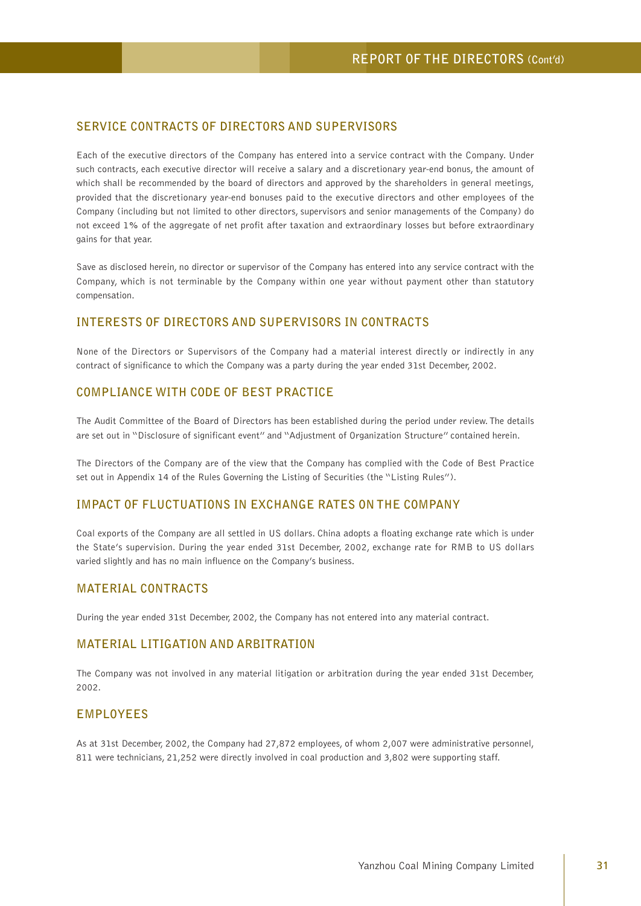# **SERVICE CONTRACTS OF DIRECTORS AND SUPERVISORS**

Each of the executive directors of the Company has entered into a service contract with the Company. Under such contracts, each executive director will receive a salary and a discretionary year-end bonus, the amount of which shall be recommended by the board of directors and approved by the shareholders in general meetings, provided that the discretionary year-end bonuses paid to the executive directors and other employees of the Company (including but not limited to other directors, supervisors and senior managements of the Company) do not exceed 1% of the aggregate of net profit after taxation and extraordinary losses but before extraordinary gains for that year.

Save as disclosed herein, no director or supervisor of the Company has entered into any service contract with the Company, which is not terminable by the Company within one year without payment other than statutory compensation.

# **INTERESTS OF DIRECTORS AND SUPERVISORS IN CONTRACTS**

None of the Directors or Supervisors of the Company had a material interest directly or indirectly in any contract of significance to which the Company was a party during the year ended 31st December, 2002.

# **COMPLIANCE WITH CODE OF BEST PRACTICE**

The Audit Committee of the Board of Directors has been established during the period under review. The details are set out in "Disclosure of significant event" and "Adjustment of Organization Structure" contained herein.

The Directors of the Company are of the view that the Company has complied with the Code of Best Practice set out in Appendix 14 of the Rules Governing the Listing of Securities (the "Listing Rules").

### **IMPACT OF FLUCTUATIONS IN EXCHANGE RATES ON THE COMPANY**

Coal exports of the Company are all settled in US dollars. China adopts a floating exchange rate which is under the State's supervision. During the year ended 31st December, 2002, exchange rate for RMB to US dollars varied slightly and has no main influence on the Company's business.

# **MATERIAL CONTRACTS**

During the year ended 31st December, 2002, the Company has not entered into any material contract.

# **MATERIAL LITIGATION AND ARBITRATION**

The Company was not involved in any material litigation or arbitration during the year ended 31st December, 2002.

#### **EMPLOYEES**

As at 31st December, 2002, the Company had 27,872 employees, of whom 2,007 were administrative personnel, 811 were technicians, 21,252 were directly involved in coal production and 3,802 were supporting staff.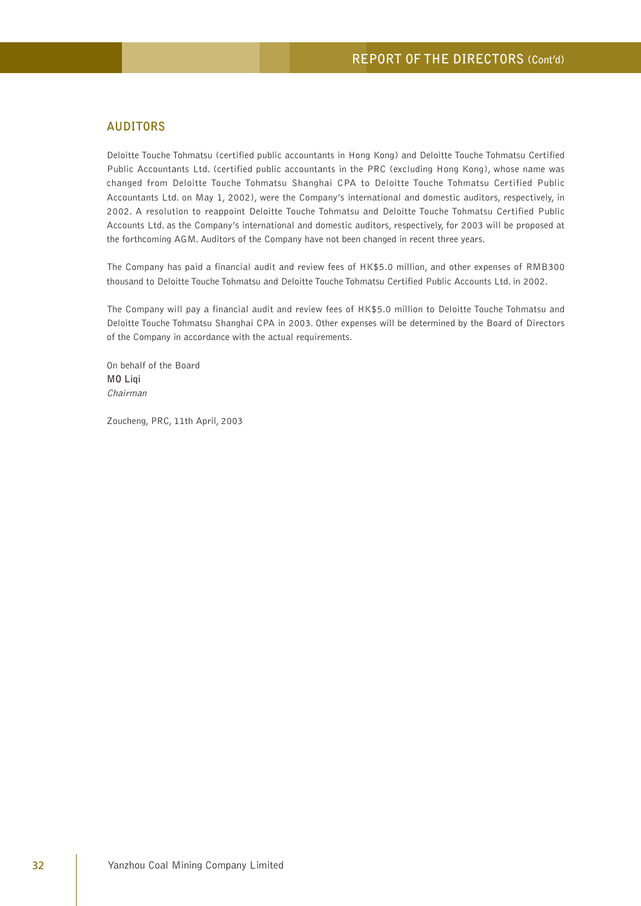#### **AUDITORS**

Deloitte Touche Tohmatsu (certified public accountants in Hong Kong) and Deloitte Touche Tohmatsu Certified Public Accountants Ltd. (certified public accountants in the PRC (excluding Hong Kong), whose name was changed from Deloitte Touche Tohmatsu Shanghai CPA to Deloitte Touche Tohmatsu Certified Public Accountants Ltd. on May 1, 2002), were the Company's international and domestic auditors, respectively, in 2002. A resolution to reappoint Deloitte Touche Tohmatsu and Deloitte Touche Tohmatsu Certified Public Accounts Ltd. as the Company's international and domestic auditors, respectively, for 2003 will be proposed at the forthcoming AGM. Auditors of the Company have not been changed in recent three years.

The Company has paid a financial audit and review fees of HK\$5.0 million, and other expenses of RMB300 thousand to Deloitte Touche Tohmatsu and Deloitte Touche Tohmatsu Certified Public Accounts Ltd. in 2002.

The Company will pay a financial audit and review fees of HK\$5.0 million to Deloitte Touche Tohmatsu and Deloitte Touche Tohmatsu Shanghai CPA in 2003. Other expenses will be determined by the Board of Directors of the Company in accordance with the actual requirements.

On behalf of the Board **MO Liqi** Chairman

Zoucheng, PRC, 11th April, 2003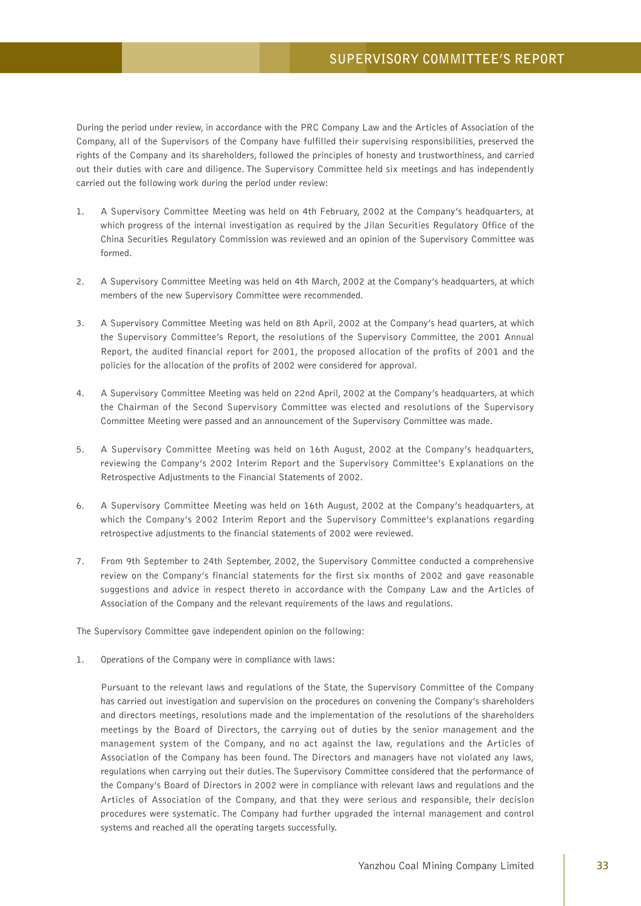During the period under review, in accordance with the PRC Company Law and the Articles of Association of the Company, all of the Supervisors of the Company have fulfilled their supervising responsibilities, preserved the rights of the Company and its shareholders, followed the principles of honesty and trustworthiness, and carried out their duties with care and diligence. The Supervisory Committee held six meetings and has independently carried out the following work during the period under review:

- 1. A Supervisory Committee Meeting was held on 4th February, 2002 at the Company's headquarters, at which progress of the internal investigation as required by the Jilan Securities Regulatory Office of the China Securities Regulatory Commission was reviewed and an opinion of the Supervisory Committee was formed.
- 2. A Supervisory Committee Meeting was held on 4th March, 2002 at the Company's headquarters, at which members of the new Supervisory Committee were recommended.
- 3. A Supervisory Committee Meeting was held on 8th April, 2002 at the Company's head quarters, at which the Supervisory Committee's Report, the resolutions of the Supervisory Committee, the 2001 Annual Report, the audited financial report for 2001, the proposed allocation of the profits of 2001 and the policies for the allocation of the profits of 2002 were considered for approval.
- 4. A Supervisory Committee Meeting was held on 22nd April, 2002 at the Company's headquarters, at which the Chairman of the Second Supervisory Committee was elected and resolutions of the Supervisory Committee Meeting were passed and an announcement of the Supervisory Committee was made.
- 5. A Supervisory Committee Meeting was held on 16th August, 2002 at the Company's headquarters, reviewing the Company's 2002 Interim Report and the Supervisory Committee's Explanations on the Retrospective Adjustments to the Financial Statements of 2002.
- 6. A Supervisory Committee Meeting was held on 16th August, 2002 at the Company's headquarters, at which the Company's 2002 Interim Report and the Supervisory Committee's explanations regarding retrospective adjustments to the financial statements of 2002 were reviewed.
- 7. From 9th September to 24th September, 2002, the Supervisory Committee conducted a comprehensive review on the Company's financial statements for the first six months of 2002 and gave reasonable suggestions and advice in respect thereto in accordance with the Company Law and the Articles of Association of the Company and the relevant requirements of the laws and regulations.

The Supervisory Committee gave independent opinion on the following:

1. Operations of the Company were in compliance with laws:

Pursuant to the relevant laws and regulations of the State, the Supervisory Committee of the Company has carried out investigation and supervision on the procedures on convening the Company's shareholders and directors meetings, resolutions made and the implementation of the resolutions of the shareholders meetings by the Board of Directors, the carrying out of duties by the senior management and the management system of the Company, and no act against the law, regulations and the Articles of Association of the Company has been found. The Directors and managers have not violated any laws, regulations when carrying out their duties. The Supervisory Committee considered that the performance of the Company's Board of Directors in 2002 were in compliance with relevant laws and regulations and the Articles of Association of the Company, and that they were serious and responsible, their decision procedures were systematic. The Company had further upgraded the internal management and control systems and reached all the operating targets successfully.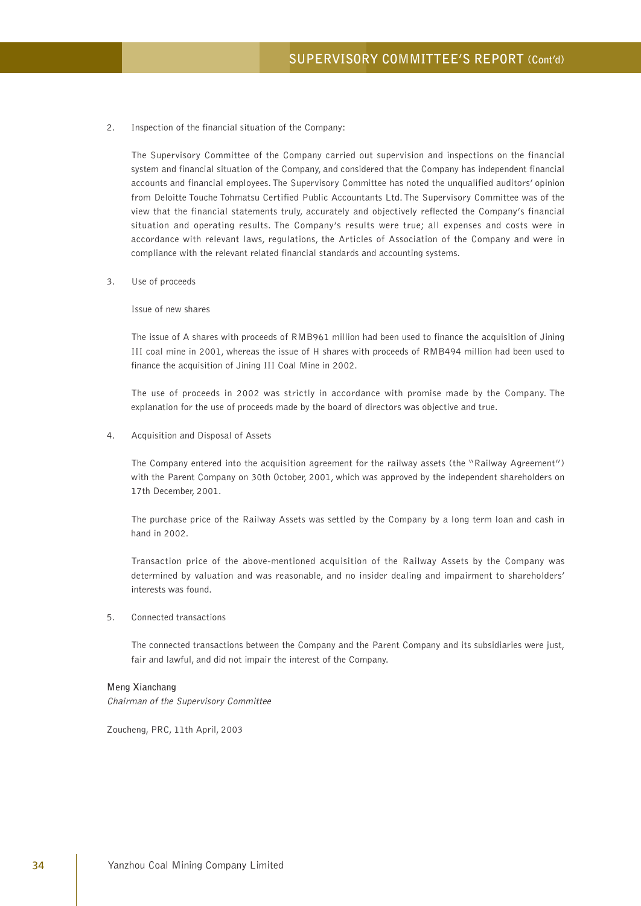2. Inspection of the financial situation of the Company:

The Supervisory Committee of the Company carried out supervision and inspections on the financial system and financial situation of the Company, and considered that the Company has independent financial accounts and financial employees. The Supervisory Committee has noted the unqualified auditors' opinion from Deloitte Touche Tohmatsu Certified Public Accountants Ltd. The Supervisory Committee was of the view that the financial statements truly, accurately and objectively reflected the Company's financial situation and operating results. The Company's results were true; all expenses and costs were in accordance with relevant laws, regulations, the Articles of Association of the Company and were in compliance with the relevant related financial standards and accounting systems.

3. Use of proceeds

Issue of new shares

The issue of A shares with proceeds of RMB961 million had been used to finance the acquisition of Jining III coal mine in 2001, whereas the issue of H shares with proceeds of RMB494 million had been used to finance the acquisition of Jining III Coal Mine in 2002.

The use of proceeds in 2002 was strictly in accordance with promise made by the Company. The explanation for the use of proceeds made by the board of directors was objective and true.

4. Acquisition and Disposal of Assets

The Company entered into the acquisition agreement for the railway assets (the "Railway Agreement") with the Parent Company on 30th October, 2001, which was approved by the independent shareholders on 17th December, 2001.

The purchase price of the Railway Assets was settled by the Company by a long term loan and cash in hand in 2002.

Transaction price of the above-mentioned acquisition of the Railway Assets by the Company was determined by valuation and was reasonable, and no insider dealing and impairment to shareholders' interests was found.

5. Connected transactions

The connected transactions between the Company and the Parent Company and its subsidiaries were just, fair and lawful, and did not impair the interest of the Company.

#### **Meng Xianchang**

Chairman of the Supervisory Committee

Zoucheng, PRC, 11th April, 2003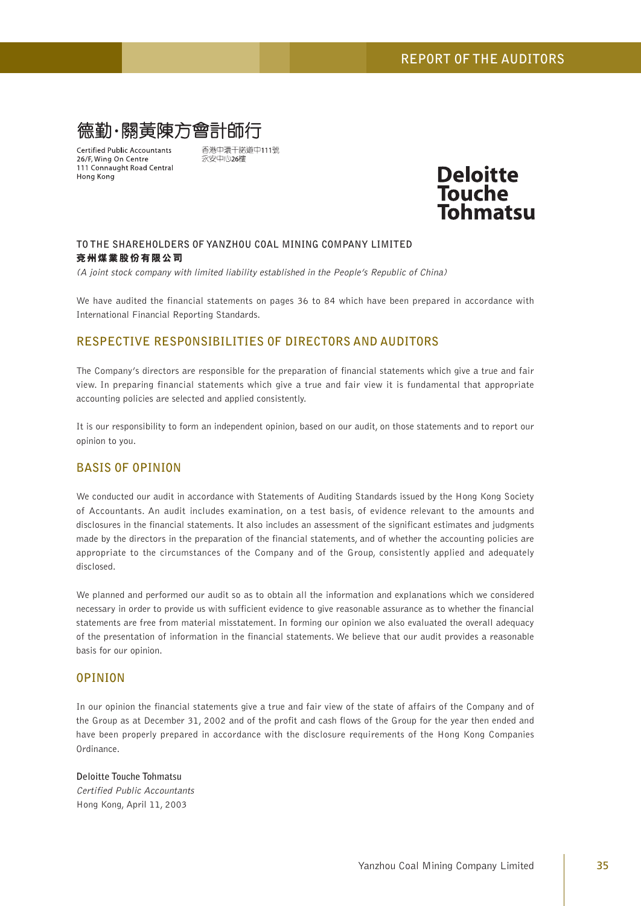

**Certified Public Accountants** 26/F, Wing On Centre 111 Connaught Road Central Hong Kong

香港中環干諾道中111號 永安中心26樓



#### **TO THE SHAREHOLDERS OF YANZHOU COAL MINING COMPANY LIMITED 兗州煤業股份有限公司**

(A joint stock company with limited liability established in the People's Republic of China)

We have audited the financial statements on pages 36 to 84 which have been prepared in accordance with International Financial Reporting Standards.

# **RESPECTIVE RESPONSIBILITIES OF DIRECTORS AND AUDITORS**

The Company's directors are responsible for the preparation of financial statements which give a true and fair view. In preparing financial statements which give a true and fair view it is fundamental that appropriate accounting policies are selected and applied consistently.

It is our responsibility to form an independent opinion, based on our audit, on those statements and to report our opinion to you.

### **BASIS OF OPINION**

We conducted our audit in accordance with Statements of Auditing Standards issued by the Hong Kong Society of Accountants. An audit includes examination, on a test basis, of evidence relevant to the amounts and disclosures in the financial statements. It also includes an assessment of the significant estimates and judgments made by the directors in the preparation of the financial statements, and of whether the accounting policies are appropriate to the circumstances of the Company and of the Group, consistently applied and adequately disclosed.

We planned and performed our audit so as to obtain all the information and explanations which we considered necessary in order to provide us with sufficient evidence to give reasonable assurance as to whether the financial statements are free from material misstatement. In forming our opinion we also evaluated the overall adequacy of the presentation of information in the financial statements. We believe that our audit provides a reasonable basis for our opinion.

### **OPINION**

In our opinion the financial statements give a true and fair view of the state of affairs of the Company and of the Group as at December 31, 2002 and of the profit and cash flows of the Group for the year then ended and have been properly prepared in accordance with the disclosure requirements of the Hong Kong Companies Ordinance.

# **Deloitte Touche Tohmatsu** Certified Public Accountants Hong Kong, April 11, 2003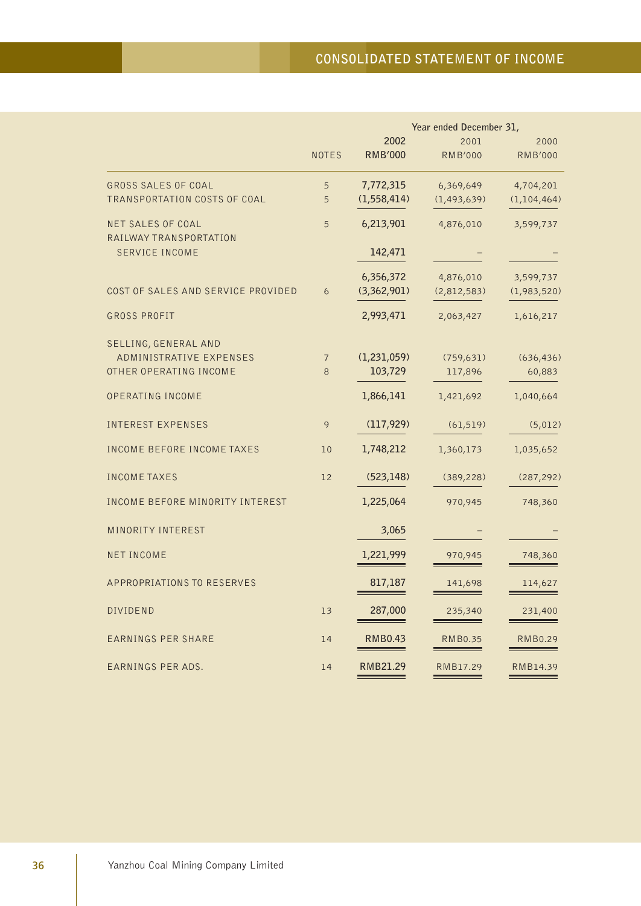|                                                    |                | Year ended December 31, |                |                |
|----------------------------------------------------|----------------|-------------------------|----------------|----------------|
|                                                    |                | 2002                    | 2001           | 2000           |
|                                                    | <b>NOTES</b>   | <b>RMB'000</b>          | <b>RMB'000</b> | <b>RMB'000</b> |
| <b>GROSS SALES OF COAL</b>                         | 5              | 7,772,315               | 6,369,649      | 4,704,201      |
| TRANSPORTATION COSTS OF COAL                       | 5              | (1, 558, 414)           | (1, 493, 639)  | (1, 104, 464)  |
| <b>NET SALES OF COAL</b><br>RAILWAY TRANSPORTATION | 5              | 6,213,901               | 4,876,010      | 3,599,737      |
| <b>SERVICE INCOME</b>                              |                | 142,471                 |                |                |
|                                                    |                | 6,356,372               | 4,876,010      | 3,599,737      |
| COST OF SALES AND SERVICE PROVIDED                 | 6              | (3,362,901)             | (2,812,583)    | (1,983,520)    |
| <b>GROSS PROFIT</b>                                |                | 2,993,471               | 2,063,427      | 1,616,217      |
| SELLING, GENERAL AND                               |                |                         |                |                |
| ADMINISTRATIVE EXPENSES                            | $\overline{7}$ | (1, 231, 059)           | (759, 631)     | (636, 436)     |
| OTHER OPERATING INCOME                             | 8              | 103,729                 | 117,896        | 60,883         |
| OPERATING INCOME                                   |                | 1,866,141               | 1,421,692      | 1,040,664      |
| <b>INTEREST EXPENSES</b>                           | 9              | (117, 929)              | (61, 519)      | (5,012)        |
| <b>INCOME BEFORE INCOME TAXES</b>                  | 10             | 1,748,212               | 1,360,173      | 1,035,652      |
| <b>INCOME TAXES</b>                                | 12             | (523, 148)              | (389, 228)     | (287, 292)     |
| INCOME BEFORE MINORITY INTEREST                    |                | 1,225,064               | 970,945        | 748,360        |
| MINORITY INTEREST                                  |                | 3,065                   |                |                |
| <b>NET INCOME</b>                                  |                | 1,221,999               | 970,945        | 748,360        |
| APPROPRIATIONS TO RESERVES                         |                | 817,187                 | 141,698        | 114,627        |
| <b>DIVIDEND</b>                                    | 13             | 287,000                 | 235,340        | 231,400        |
| <b>EARNINGS PER SHARE</b>                          | 14             | <b>RMB0.43</b>          | RMB0.35        | <b>RMB0.29</b> |
| EARNINGS PER ADS.                                  | 14             | RMB21.29                | RMB17.29       | RMB14.39       |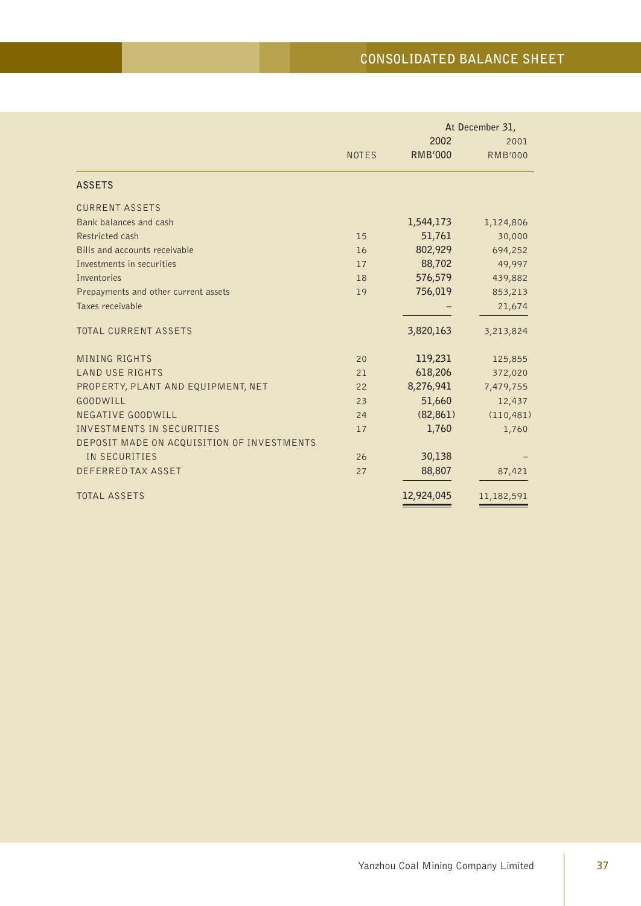|                                            |              |                | At December 31, |  |
|--------------------------------------------|--------------|----------------|-----------------|--|
|                                            |              | 2002           | 2001            |  |
|                                            | <b>NOTES</b> | <b>RMB'000</b> | <b>RMB'000</b>  |  |
| <b>ASSETS</b>                              |              |                |                 |  |
| <b>CURRENT ASSETS</b>                      |              |                |                 |  |
| Bank balances and cash                     |              | 1,544,173      | 1,124,806       |  |
| Restricted cash                            | 15           | 51,761         | 30,000          |  |
| Bills and accounts receivable              | 16           | 802,929        | 694,252         |  |
| Investments in securities                  | 17           | 88,702         | 49,997          |  |
| Inventories                                | 18           | 576,579        | 439,882         |  |
| Prepayments and other current assets       | 19           | 756,019        | 853,213         |  |
| Taxes receivable                           |              |                | 21,674          |  |
| <b>TOTAL CURRENT ASSETS</b>                |              | 3,820,163      | 3,213,824       |  |
| <b>MINING RIGHTS</b>                       | 20           | 119,231        | 125,855         |  |
| <b>LAND USE RIGHTS</b>                     | 21           | 618,206        | 372,020         |  |
| PROPERTY, PLANT AND EQUIPMENT, NET         | 22           | 8,276,941      | 7,479,755       |  |
| <b>GOODWILL</b>                            | 23           | 51,660         | 12,437          |  |
| NEGATIVE GOODWILL                          | 24           | (82, 861)      | (110, 481)      |  |
| <b>INVESTMENTS IN SECURITIES</b>           | 17           | 1,760          | 1,760           |  |
| DEPOSIT MADE ON ACQUISITION OF INVESTMENTS |              |                |                 |  |
| IN SECURITIES                              | 26           | 30,138         |                 |  |
| DEFERRED TAX ASSET                         | 27           | 88,807         | 87,421          |  |
| <b>TOTAL ASSETS</b>                        |              | 12,924,045     | 11,182,591      |  |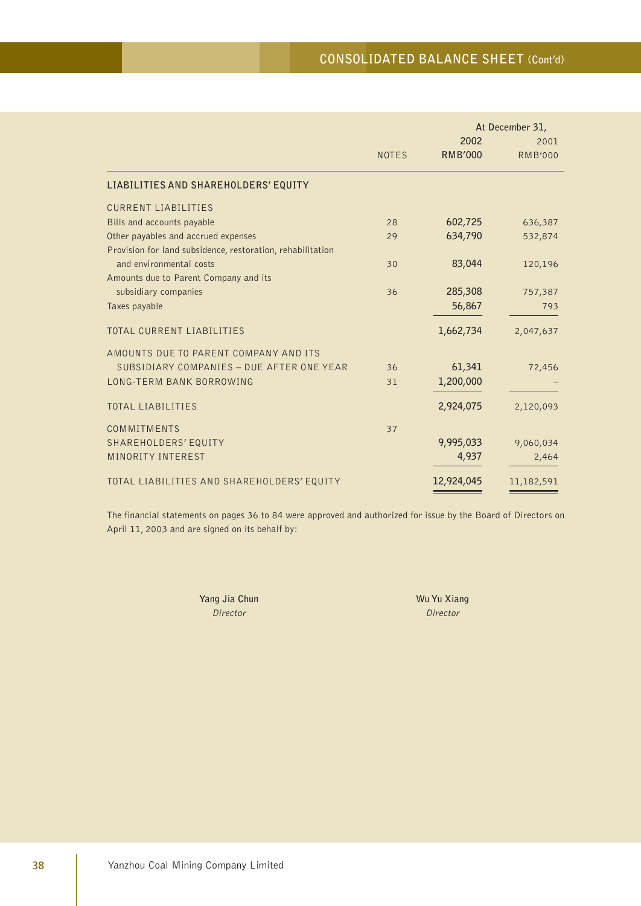|                                                            |              |                | At December 31, |  |
|------------------------------------------------------------|--------------|----------------|-----------------|--|
|                                                            |              | 2002           | 2001            |  |
|                                                            | <b>NOTES</b> | <b>RMB'000</b> | <b>RMB'000</b>  |  |
| LIABILITIES AND SHAREHOLDERS' EQUITY                       |              |                |                 |  |
| <b>CURRENT LIABILITIES</b>                                 |              |                |                 |  |
| Bills and accounts payable                                 | 28           | 602,725        | 636,387         |  |
| Other payables and accrued expenses                        | 29           | 634,790        | 532,874         |  |
| Provision for land subsidence, restoration, rehabilitation |              |                |                 |  |
| and environmental costs                                    | 30           | 83,044         | 120,196         |  |
| Amounts due to Parent Company and its                      |              |                |                 |  |
| subsidiary companies                                       | 36           | 285,308        | 757,387         |  |
| Taxes payable                                              |              | 56,867         | 793             |  |
|                                                            |              |                |                 |  |
| TOTAL CURRENT LIABILITIES                                  |              | 1,662,734      | 2,047,637       |  |
| AMOUNTS DUE TO PARENT COMPANY AND ITS                      |              |                |                 |  |
| SUBSIDIARY COMPANIES - DUE AFTER ONE YEAR                  | 36           | 61,341         | 72,456          |  |
| LONG-TERM BANK BORROWING                                   | 31           | 1,200,000      |                 |  |
|                                                            |              |                |                 |  |
| <b>TOTAL LIABILITIES</b>                                   |              | 2,924,075      | 2,120,093       |  |
| COMMITMENTS                                                | 37           |                |                 |  |
| SHAREHOLDERS' EQUITY                                       |              | 9,995,033      | 9,060,034       |  |
| MINORITY INTEREST                                          |              | 4,937          | 2,464           |  |
|                                                            |              |                |                 |  |
| TOTAL LIABILITIES AND SHAREHOLDERS' EQUITY                 |              | 12,924,045     | 11,182,591      |  |

The financial statements on pages 36 to 84 were approved and authorized for issue by the Board of Directors on April 11, 2003 and are signed on its behalf by:

> **Yang Jia Chun** Wu Yu Xiang Director Director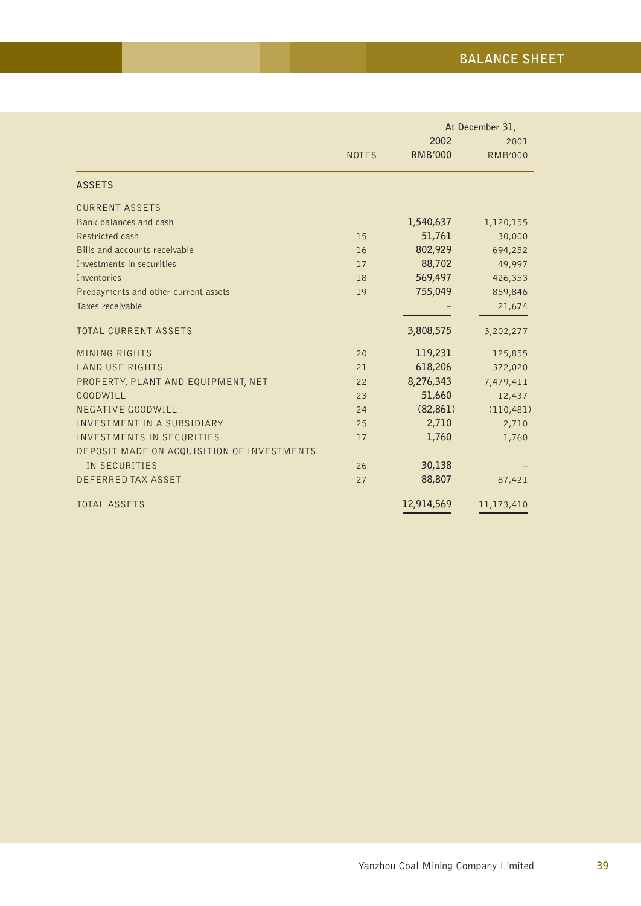|                                            |              |                | At December 31, |  |
|--------------------------------------------|--------------|----------------|-----------------|--|
|                                            |              | 2002           | 2001            |  |
|                                            | <b>NOTES</b> | <b>RMB'000</b> | <b>RMB'000</b>  |  |
| <b>ASSETS</b>                              |              |                |                 |  |
| <b>CURRENT ASSETS</b>                      |              |                |                 |  |
| Bank balances and cash                     |              | 1,540,637      | 1,120,155       |  |
| Restricted cash                            | 15           | 51,761         | 30,000          |  |
| Bills and accounts receivable              | 16           | 802,929        | 694,252         |  |
| Investments in securities                  | 17           | 88,702         | 49,997          |  |
| Inventories                                | 18           | 569,497        | 426,353         |  |
| Prepayments and other current assets       | 19           | 755,049        | 859,846         |  |
| Taxes receivable                           |              |                | 21,674          |  |
| <b>TOTAL CURRENT ASSETS</b>                |              | 3,808,575      | 3,202,277       |  |
| <b>MINING RIGHTS</b>                       | 20           | 119,231        | 125,855         |  |
| <b>LAND USE RIGHTS</b>                     | 21           | 618,206        | 372,020         |  |
| PROPERTY, PLANT AND EQUIPMENT, NET         | 22           | 8,276,343      | 7,479,411       |  |
| <b>GOODWILL</b>                            | 23           | 51,660         | 12,437          |  |
| NEGATIVE GOODWILL                          | 24           | (82, 861)      | (110, 481)      |  |
| INVESTMENT IN A SUBSIDIARY                 | 25           | 2,710          | 2,710           |  |
| <b>INVESTMENTS IN SECURITIES</b>           | 17           | 1,760          | 1,760           |  |
| DEPOSIT MADE ON ACQUISITION OF INVESTMENTS |              |                |                 |  |
| IN SECURITIES                              | 26           | 30,138         |                 |  |
| DEFERRED TAX ASSET                         | 27           | 88,807         | 87,421          |  |
| <b>TOTAL ASSETS</b>                        |              | 12,914,569     | 11,173,410      |  |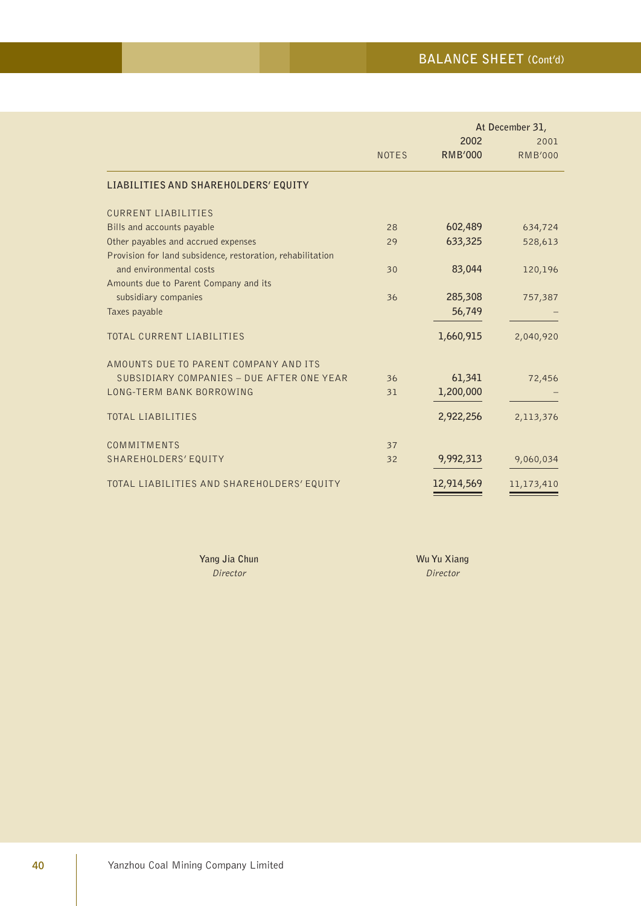|                                                            |              |                | At December 31, |  |
|------------------------------------------------------------|--------------|----------------|-----------------|--|
|                                                            |              | 2002           | 2001            |  |
|                                                            | <b>NOTES</b> | <b>RMB'000</b> | <b>RMB'000</b>  |  |
| LIABILITIES AND SHAREHOLDERS' EQUITY                       |              |                |                 |  |
| <b>CURRENT LIABILITIES</b>                                 |              |                |                 |  |
| Bills and accounts payable                                 | 28           | 602,489        | 634,724         |  |
| Other payables and accrued expenses                        | 29           | 633,325        | 528,613         |  |
| Provision for land subsidence, restoration, rehabilitation |              |                |                 |  |
| and environmental costs                                    | 30           | 83,044         | 120,196         |  |
| Amounts due to Parent Company and its                      |              |                |                 |  |
| subsidiary companies                                       | 36           | 285,308        | 757,387         |  |
| Taxes payable                                              |              | 56,749         |                 |  |
| <b>TOTAL CURRENT LIABILITIES</b>                           |              | 1,660,915      | 2,040,920       |  |
| AMOUNTS DUE TO PARENT COMPANY AND ITS                      |              |                |                 |  |
| SUBSIDIARY COMPANIES - DUE AFTER ONE YEAR                  | 36           | 61,341         | 72,456          |  |
| LONG-TERM BANK BORROWING                                   | 31           | 1,200,000      |                 |  |
|                                                            |              |                |                 |  |
| <b>TOTAL LIABILITIES</b>                                   |              | 2,922,256      | 2,113,376       |  |
| COMMITMENTS                                                | 37           |                |                 |  |
| SHAREHOLDERS' EQUITY                                       | 32           | 9,992,313      | 9,060,034       |  |
|                                                            |              |                |                 |  |
| TOTAL LIABILITIES AND SHAREHOLDERS' EQUITY                 |              | 12,914,569     | 11,173,410      |  |

**Yang Jia Chun** Wu Yu Xiang Director Director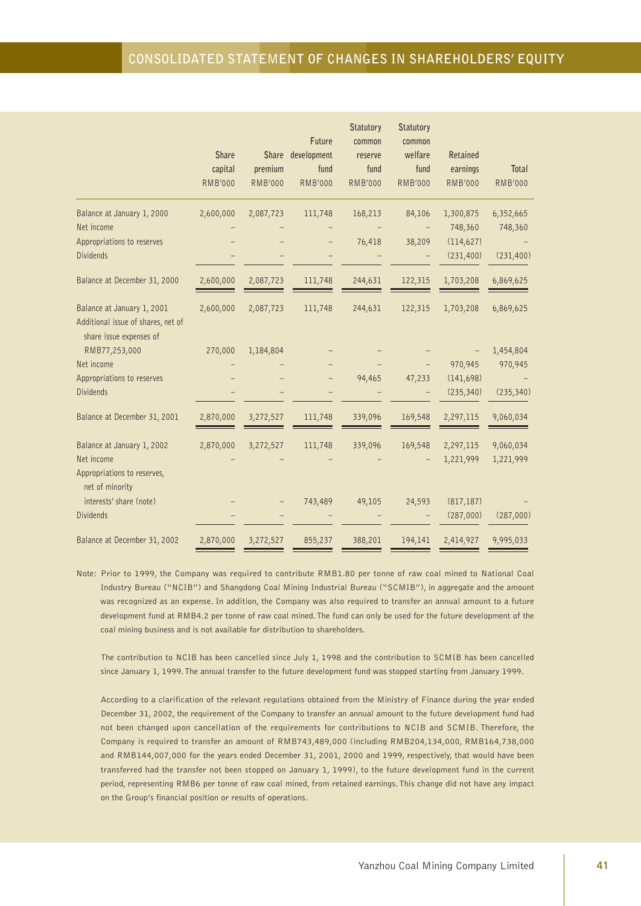|                                                                                             |                |                | Future         | Statutory<br>common | <b>Statutory</b><br>common |                |                |
|---------------------------------------------------------------------------------------------|----------------|----------------|----------------|---------------------|----------------------------|----------------|----------------|
|                                                                                             | Share          | Share          | development    | reserve             | welfare                    | Retained       |                |
|                                                                                             | capital        | premium        | fund           | fund                | fund                       | earnings       | Total          |
|                                                                                             | <b>RMB'000</b> | <b>RMB'000</b> | <b>RMB'000</b> | <b>RMB'000</b>      | <b>RMB'000</b>             | <b>RMB'000</b> | <b>RMB'000</b> |
| Balance at January 1, 2000                                                                  | 2,600,000      | 2,087,723      | 111,748        | 168,213             | 84,106                     | 1,300,875      | 6,352,665      |
| Net income                                                                                  |                |                |                |                     |                            | 748,360        | 748,360        |
| Appropriations to reserves                                                                  |                |                |                | 76,418              | 38,209                     | (114, 627)     |                |
| <b>Dividends</b>                                                                            |                |                |                |                     |                            | (231, 400)     | (231, 400)     |
| Balance at December 31, 2000                                                                | 2,600,000      | 2,087,723      | 111,748        | 244,631             | 122,315                    | 1,703,208      | 6,869,625      |
| Balance at January 1, 2001<br>Additional issue of shares, net of<br>share issue expenses of | 2,600,000      | 2,087,723      | 111,748        | 244,631             | 122,315                    | 1,703,208      | 6,869,625      |
| RMB77,253,000                                                                               | 270,000        | 1,184,804      |                |                     |                            |                | 1,454,804      |
| Net income                                                                                  |                |                |                |                     |                            | 970,945        | 970,945        |
| Appropriations to reserves                                                                  |                |                |                | 94,465              | 47,233                     | (141, 698)     |                |
| <b>Dividends</b>                                                                            |                |                |                |                     |                            | (235, 340)     | (235, 340)     |
| Balance at December 31, 2001                                                                | 2,870,000      | 3,272,527      | 111,748        | 339,096             | 169,548                    | 2,297,115      | 9,060,034      |
| Balance at January 1, 2002                                                                  | 2,870,000      | 3,272,527      | 111,748        | 339,096             | 169,548                    | 2,297,115      | 9,060,034      |
| Net income<br>Appropriations to reserves,<br>net of minority                                |                |                |                |                     |                            | 1,221,999      | 1,221,999      |
| interests' share (note)                                                                     |                |                | 743,489        | 49,105              | 24,593                     | (817, 187)     |                |
| <b>Dividends</b>                                                                            |                |                |                |                     |                            | (287,000)      | (287,000)      |
| Balance at December 31, 2002                                                                | 2,870,000      | 3,272,527      | 855,237        | 388,201             | 194,141                    | 2,414,927      | 9,995,033      |

Note: Prior to 1999, the Company was required to contribute RMB1.80 per tonne of raw coal mined to National Coal Industry Bureau ("NCIB") and Shangdong Coal Mining Industrial Bureau ("SCMIB"), in aggregate and the amount was recognized as an expense. In addition, the Company was also required to transfer an annual amount to a future development fund at RMB4.2 per tonne of raw coal mined. The fund can only be used for the future development of the coal mining business and is not available for distribution to shareholders.

The contribution to NCIB has been cancelled since July 1, 1998 and the contribution to SCMIB has been cancelled since January 1, 1999. The annual transfer to the future development fund was stopped starting from January 1999.

According to a clarification of the relevant regulations obtained from the Ministry of Finance during the year ended December 31, 2002, the requirement of the Company to transfer an annual amount to the future development fund had not been changed upon cancellation of the requirements for contributions to NCIB and SCMIB. Therefore, the Company is required to transfer an amount of RMB743,489,000 (including RMB204,134,000, RMB164,738,000 and RMB144,007,000 for the years ended December 31, 2001, 2000 and 1999, respectively, that would have been transferred had the transfer not been stopped on January 1, 1999), to the future development fund in the current period, representing RMB6 per tonne of raw coal mined, from retained earnings. This change did not have any impact on the Group's financial position or results of operations.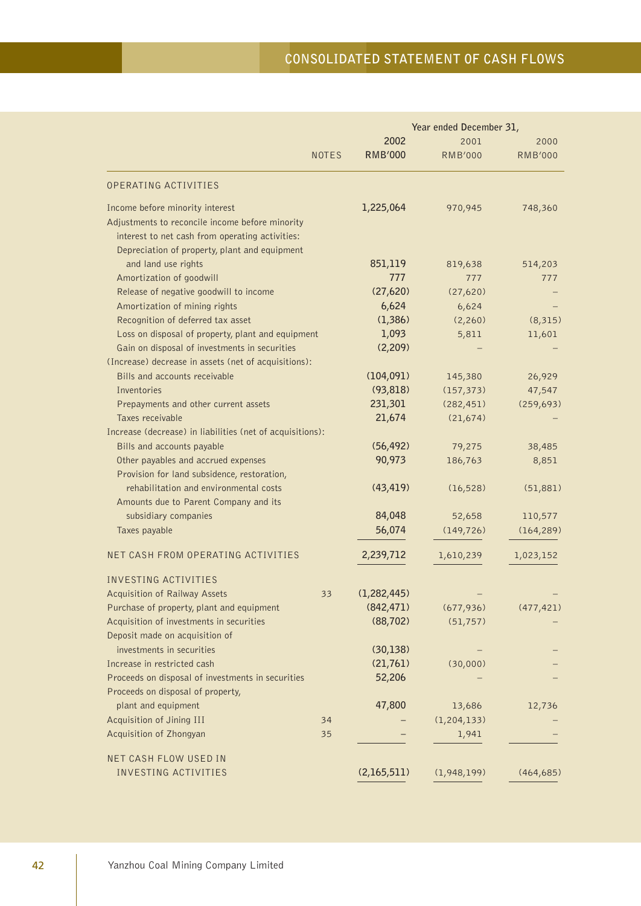|                                                           |              |                | Year ended December 31, |                |
|-----------------------------------------------------------|--------------|----------------|-------------------------|----------------|
|                                                           |              | 2002           | 2001                    | 2000           |
|                                                           | <b>NOTES</b> | <b>RMB'000</b> | <b>RMB'000</b>          | <b>RMB'000</b> |
| OPERATING ACTIVITIES                                      |              |                |                         |                |
| Income before minority interest                           |              | 1,225,064      | 970,945                 | 748,360        |
| Adjustments to reconcile income before minority           |              |                |                         |                |
| interest to net cash from operating activities:           |              |                |                         |                |
| Depreciation of property, plant and equipment             |              |                |                         |                |
| and land use rights                                       |              | 851,119        | 819,638                 | 514,203        |
| Amortization of goodwill                                  |              | 777            | 777                     | 777            |
| Release of negative goodwill to income                    |              | (27,620)       | (27,620)                |                |
| Amortization of mining rights                             |              | 6,624          | 6,624                   |                |
| Recognition of deferred tax asset                         |              | (1, 386)       | (2,260)                 | (8, 315)       |
| Loss on disposal of property, plant and equipment         |              | 1,093          | 5,811                   | 11,601         |
| Gain on disposal of investments in securities             |              | (2, 209)       |                         |                |
| (Increase) decrease in assets (net of acquisitions):      |              |                |                         |                |
| Bills and accounts receivable                             |              | (104, 091)     | 145,380                 | 26,929         |
| Inventories                                               |              | (93, 818)      | (157, 373)              | 47,547         |
| Prepayments and other current assets                      |              | 231,301        | (282, 451)              | (259, 693)     |
| Taxes receivable                                          |              | 21,674         | (21, 674)               |                |
| Increase (decrease) in liabilities (net of acquisitions): |              |                |                         |                |
| Bills and accounts payable                                |              | (56, 492)      | 79,275                  | 38,485         |
| Other payables and accrued expenses                       |              | 90,973         | 186,763                 | 8,851          |
| Provision for land subsidence, restoration,               |              |                |                         |                |
| rehabilitation and environmental costs                    |              | (43, 419)      | (16, 528)               | (51, 881)      |
| Amounts due to Parent Company and its                     |              |                |                         |                |
| subsidiary companies                                      |              | 84,048         | 52,658                  | 110,577        |
| Taxes payable                                             |              | 56,074         | (149, 726)              | (164, 289)     |
| NET CASH FROM OPERATING ACTIVITIES                        |              | 2,239,712      | 1,610,239               | 1,023,152      |
| INVESTING ACTIVITIES                                      |              |                |                         |                |
| Acquisition of Railway Assets                             | 33           | (1, 282, 445)  |                         |                |
| Purchase of property, plant and equipment                 |              | (842, 471)     | (677,936)               | (477, 421)     |
| Acquisition of investments in securities                  |              | (88, 702)      | (51, 757)               |                |
| Deposit made on acquisition of                            |              |                |                         |                |
| investments in securities                                 |              | (30, 138)      |                         |                |
| Increase in restricted cash                               |              | (21, 761)      | (30,000)                |                |
| Proceeds on disposal of investments in securities         |              | 52,206         |                         |                |
| Proceeds on disposal of property,                         |              |                |                         |                |
| plant and equipment                                       |              | 47,800         | 13,686                  | 12,736         |
| Acquisition of Jining III                                 | 34           |                | (1, 204, 133)           |                |
| Acquisition of Zhongyan                                   | 35           |                | 1,941                   |                |
|                                                           |              |                |                         |                |
| NET CASH FLOW USED IN                                     |              |                |                         |                |
| <b>INVESTING ACTIVITIES</b>                               |              | (2,165,511)    | (1,948,199)             | (464, 685)     |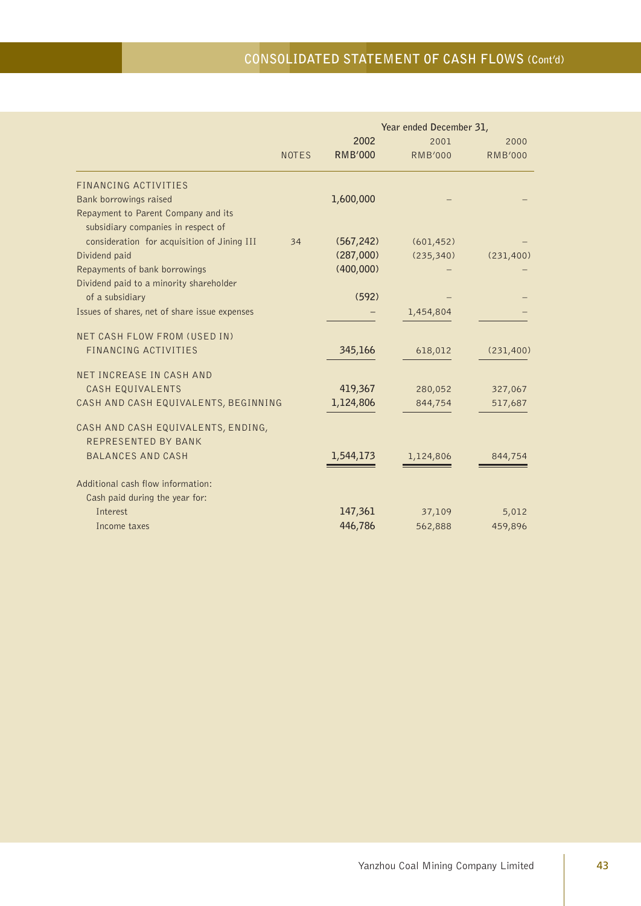# **CONSOLIDATED STATEMENT OF CASH FLOWS (Cont'd)**

|                                                                           |              | Year ended December 31, |                |                |  |
|---------------------------------------------------------------------------|--------------|-------------------------|----------------|----------------|--|
|                                                                           |              | 2002                    | 2001           | 2000           |  |
|                                                                           | <b>NOTES</b> | <b>RMB'000</b>          | <b>RMB'000</b> | <b>RMB'000</b> |  |
| FINANCING ACTIVITIES                                                      |              |                         |                |                |  |
| Bank borrowings raised                                                    |              | 1,600,000               |                |                |  |
| Repayment to Parent Company and its<br>subsidiary companies in respect of |              |                         |                |                |  |
| consideration for acquisition of Jining III                               | 34           | (567, 242)              | (601, 452)     |                |  |
| Dividend paid                                                             |              | (287,000)               | (235, 340)     | (231, 400)     |  |
| Repayments of bank borrowings                                             |              | (400,000)               |                |                |  |
| Dividend paid to a minority shareholder                                   |              |                         |                |                |  |
| of a subsidiary                                                           |              | (592)                   |                |                |  |
| Issues of shares, net of share issue expenses                             |              |                         | 1,454,804      |                |  |
| NET CASH FLOW FROM (USED IN)                                              |              |                         |                |                |  |
| FINANCING ACTIVITIES                                                      |              | 345,166                 | 618,012        | (231, 400)     |  |
| NET INCREASE IN CASH AND                                                  |              |                         |                |                |  |
| CASH EQUIVALENTS                                                          |              | 419,367                 | 280,052        | 327,067        |  |
| CASH AND CASH EQUIVALENTS, BEGINNING                                      |              | 1,124,806               | 844,754        | 517,687        |  |
| CASH AND CASH EQUIVALENTS, ENDING,                                        |              |                         |                |                |  |
| REPRESENTED BY BANK                                                       |              |                         |                |                |  |
| <b>BALANCES AND CASH</b>                                                  |              | 1,544,173               | 1,124,806      | 844,754        |  |
| Additional cash flow information:                                         |              |                         |                |                |  |
| Cash paid during the year for:                                            |              |                         |                |                |  |
| <b>Interest</b>                                                           |              | 147,361                 | 37,109         | 5,012          |  |
| Income taxes                                                              |              | 446,786                 | 562,888        | 459,896        |  |
|                                                                           |              |                         |                |                |  |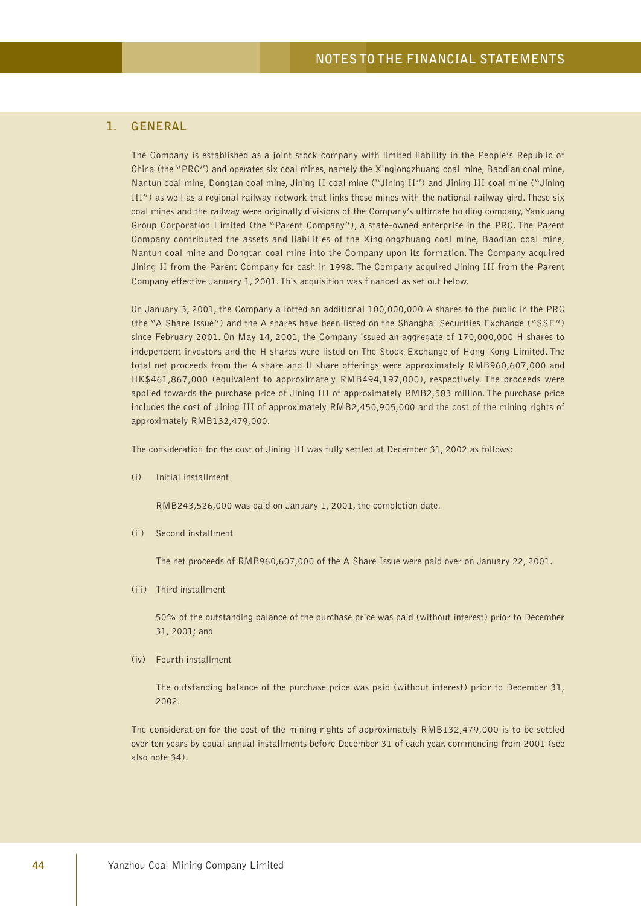## **1. GENERAL**

The Company is established as a joint stock company with limited liability in the People's Republic of China (the "PRC") and operates six coal mines, namely the Xinglongzhuang coal mine, Baodian coal mine, Nantun coal mine, Dongtan coal mine, Jining II coal mine ("Jining II") and Jining III coal mine ("Jining III") as well as a regional railway network that links these mines with the national railway gird. These six coal mines and the railway were originally divisions of the Company's ultimate holding company, Yankuang Group Corporation Limited (the "Parent Company"), a state-owned enterprise in the PRC. The Parent Company contributed the assets and liabilities of the Xinglongzhuang coal mine, Baodian coal mine, Nantun coal mine and Dongtan coal mine into the Company upon its formation. The Company acquired Jining II from the Parent Company for cash in 1998. The Company acquired Jining III from the Parent Company effective January 1, 2001. This acquisition was financed as set out below.

On January 3, 2001, the Company allotted an additional 100,000,000 A shares to the public in the PRC (the "A Share Issue") and the A shares have been listed on the Shanghai Securities Exchange ("SSE") since February 2001. On May 14, 2001, the Company issued an aggregate of 170,000,000 H shares to independent investors and the H shares were listed on The Stock Exchange of Hong Kong Limited. The total net proceeds from the A share and H share offerings were approximately RMB960,607,000 and HK\$461,867,000 (equivalent to approximately RMB494,197,000), respectively. The proceeds were applied towards the purchase price of Jining III of approximately RMB2,583 million. The purchase price includes the cost of Jining III of approximately RMB2,450,905,000 and the cost of the mining rights of approximately RMB132,479,000.

The consideration for the cost of Jining III was fully settled at December 31, 2002 as follows:

(i) Initial installment

RMB243,526,000 was paid on January 1, 2001, the completion date.

(ii) Second installment

The net proceeds of RMB960,607,000 of the A Share Issue were paid over on January 22, 2001.

(iii) Third installment

50% of the outstanding balance of the purchase price was paid (without interest) prior to December 31, 2001; and

(iv) Fourth installment

The outstanding balance of the purchase price was paid (without interest) prior to December 31, 2002.

The consideration for the cost of the mining rights of approximately RMB132,479,000 is to be settled over ten years by equal annual installments before December 31 of each year, commencing from 2001 (see also note 34).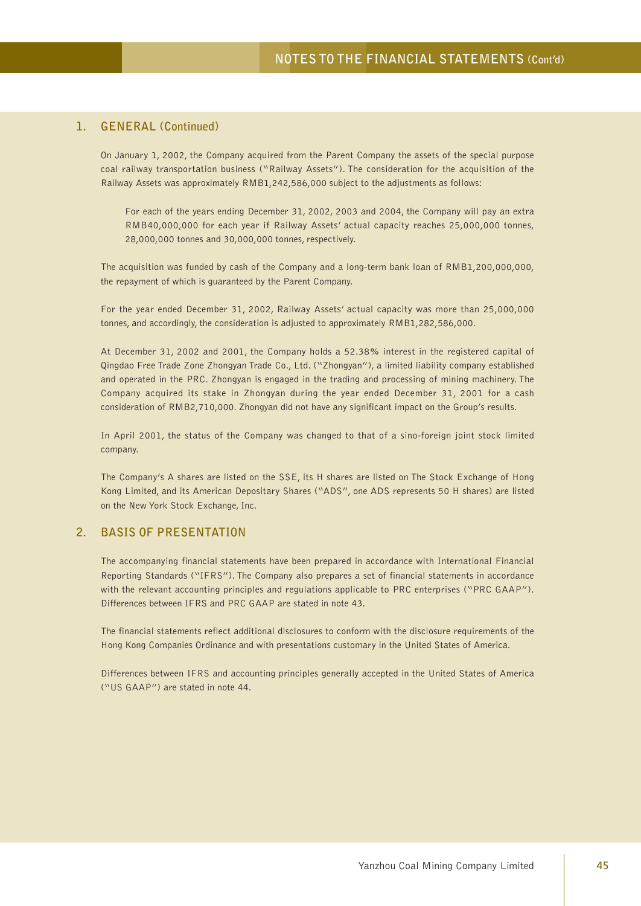### **1. GENERAL (Continued)**

On January 1, 2002, the Company acquired from the Parent Company the assets of the special purpose coal railway transportation business ("Railway Assets"). The consideration for the acquisition of the Railway Assets was approximately RMB1,242,586,000 subject to the adjustments as follows:

For each of the years ending December 31, 2002, 2003 and 2004, the Company will pay an extra RMB40,000,000 for each year if Railway Assets' actual capacity reaches 25,000,000 tonnes, 28,000,000 tonnes and 30,000,000 tonnes, respectively.

The acquisition was funded by cash of the Company and a long-term bank loan of RMB1,200,000,000, the repayment of which is guaranteed by the Parent Company.

For the year ended December 31, 2002, Railway Assets' actual capacity was more than 25,000,000 tonnes, and accordingly, the consideration is adjusted to approximately RMB1,282,586,000.

At December 31, 2002 and 2001, the Company holds a 52.38% interest in the registered capital of Qingdao Free Trade Zone Zhongyan Trade Co., Ltd. ("Zhongyan"), a limited liability company established and operated in the PRC. Zhongyan is engaged in the trading and processing of mining machinery. The Company acquired its stake in Zhongyan during the year ended December 31, 2001 for a cash consideration of RMB2,710,000. Zhongyan did not have any significant impact on the Group's results.

In April 2001, the status of the Company was changed to that of a sino-foreign joint stock limited company.

The Company's A shares are listed on the SSE, its H shares are listed on The Stock Exchange of Hong Kong Limited, and its American Depositary Shares ("ADS", one ADS represents 50 H shares) are listed on the New York Stock Exchange, Inc.

### **2. BASIS OF PRESENTATION**

The accompanying financial statements have been prepared in accordance with International Financial Reporting Standards ("IFRS"). The Company also prepares a set of financial statements in accordance with the relevant accounting principles and regulations applicable to PRC enterprises ("PRC GAAP"). Differences between IFRS and PRC GAAP are stated in note 43.

The financial statements reflect additional disclosures to conform with the disclosure requirements of the Hong Kong Companies Ordinance and with presentations customary in the United States of America.

Differences between IFRS and accounting principles generally accepted in the United States of America ("US GAAP") are stated in note 44.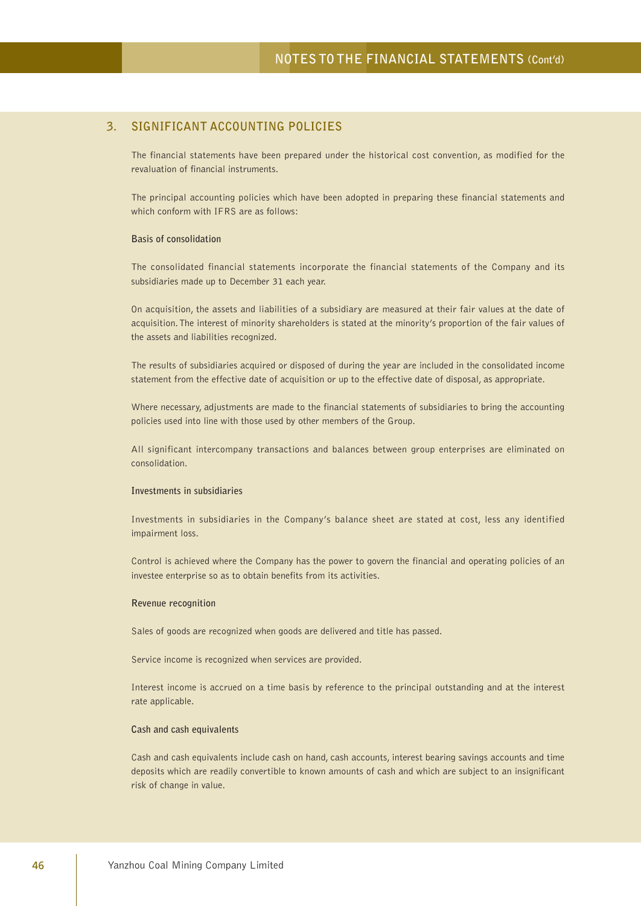## **3. SIGNIFICANT ACCOUNTING POLICIES**

The financial statements have been prepared under the historical cost convention, as modified for the revaluation of financial instruments.

The principal accounting policies which have been adopted in preparing these financial statements and which conform with IFRS are as follows:

### **Basis of consolidation**

The consolidated financial statements incorporate the financial statements of the Company and its subsidiaries made up to December 31 each year.

On acquisition, the assets and liabilities of a subsidiary are measured at their fair values at the date of acquisition. The interest of minority shareholders is stated at the minority's proportion of the fair values of the assets and liabilities recognized.

The results of subsidiaries acquired or disposed of during the year are included in the consolidated income statement from the effective date of acquisition or up to the effective date of disposal, as appropriate.

Where necessary, adjustments are made to the financial statements of subsidiaries to bring the accounting policies used into line with those used by other members of the Group.

All significant intercompany transactions and balances between group enterprises are eliminated on consolidation.

#### **Investments in subsidiaries**

Investments in subsidiaries in the Company's balance sheet are stated at cost, less any identified impairment loss.

Control is achieved where the Company has the power to govern the financial and operating policies of an investee enterprise so as to obtain benefits from its activities.

#### **Revenue recognition**

Sales of goods are recognized when goods are delivered and title has passed.

Service income is recognized when services are provided.

Interest income is accrued on a time basis by reference to the principal outstanding and at the interest rate applicable.

### **Cash and cash equivalents**

Cash and cash equivalents include cash on hand, cash accounts, interest bearing savings accounts and time deposits which are readily convertible to known amounts of cash and which are subject to an insignificant risk of change in value.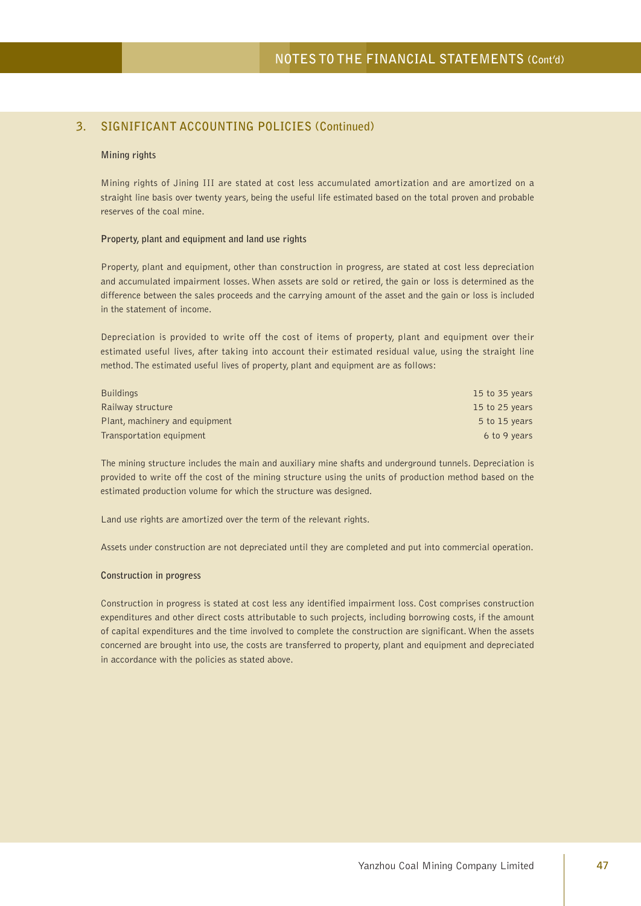#### **Mining rights**

Mining rights of Jining III are stated at cost less accumulated amortization and are amortized on a straight line basis over twenty years, being the useful life estimated based on the total proven and probable reserves of the coal mine.

### **Property, plant and equipment and land use rights**

Property, plant and equipment, other than construction in progress, are stated at cost less depreciation and accumulated impairment losses. When assets are sold or retired, the gain or loss is determined as the difference between the sales proceeds and the carrying amount of the asset and the gain or loss is included in the statement of income.

Depreciation is provided to write off the cost of items of property, plant and equipment over their estimated useful lives, after taking into account their estimated residual value, using the straight line method. The estimated useful lives of property, plant and equipment are as follows:

| <b>Buildings</b>               | 15 to 35 years |
|--------------------------------|----------------|
| Railway structure              | 15 to 25 years |
| Plant, machinery and equipment | 5 to 15 years  |
| Transportation equipment       | 6 to 9 years   |

The mining structure includes the main and auxiliary mine shafts and underground tunnels. Depreciation is provided to write off the cost of the mining structure using the units of production method based on the estimated production volume for which the structure was designed.

Land use rights are amortized over the term of the relevant rights.

Assets under construction are not depreciated until they are completed and put into commercial operation.

### **Construction in progress**

Construction in progress is stated at cost less any identified impairment loss. Cost comprises construction expenditures and other direct costs attributable to such projects, including borrowing costs, if the amount of capital expenditures and the time involved to complete the construction are significant. When the assets concerned are brought into use, the costs are transferred to property, plant and equipment and depreciated in accordance with the policies as stated above.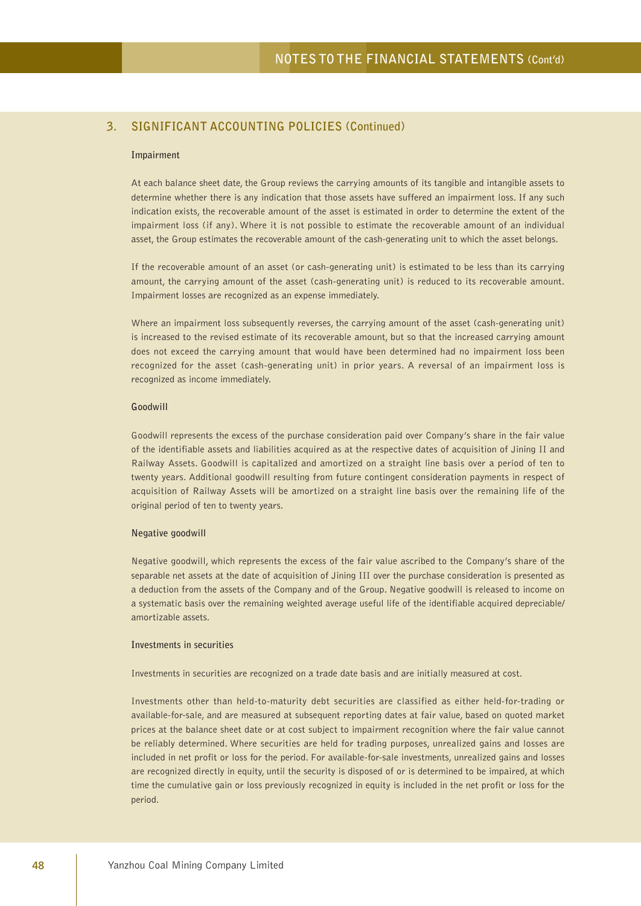#### **Impairment**

At each balance sheet date, the Group reviews the carrying amounts of its tangible and intangible assets to determine whether there is any indication that those assets have suffered an impairment loss. If any such indication exists, the recoverable amount of the asset is estimated in order to determine the extent of the impairment loss (if any). Where it is not possible to estimate the recoverable amount of an individual asset, the Group estimates the recoverable amount of the cash-generating unit to which the asset belongs.

If the recoverable amount of an asset (or cash-generating unit) is estimated to be less than its carrying amount, the carrying amount of the asset (cash-generating unit) is reduced to its recoverable amount. Impairment losses are recognized as an expense immediately.

Where an impairment loss subsequently reverses, the carrying amount of the asset (cash-generating unit) is increased to the revised estimate of its recoverable amount, but so that the increased carrying amount does not exceed the carrying amount that would have been determined had no impairment loss been recognized for the asset (cash-generating unit) in prior years. A reversal of an impairment loss is recognized as income immediately.

### **Goodwill**

Goodwill represents the excess of the purchase consideration paid over Company's share in the fair value of the identifiable assets and liabilities acquired as at the respective dates of acquisition of Jining II and Railway Assets. Goodwill is capitalized and amortized on a straight line basis over a period of ten to twenty years. Additional goodwill resulting from future contingent consideration payments in respect of acquisition of Railway Assets will be amortized on a straight line basis over the remaining life of the original period of ten to twenty years.

#### **Negative goodwill**

Negative goodwill, which represents the excess of the fair value ascribed to the Company's share of the separable net assets at the date of acquisition of Jining III over the purchase consideration is presented as a deduction from the assets of the Company and of the Group. Negative goodwill is released to income on a systematic basis over the remaining weighted average useful life of the identifiable acquired depreciable/ amortizable assets.

#### **Investments in securities**

Investments in securities are recognized on a trade date basis and are initially measured at cost.

Investments other than held-to-maturity debt securities are classified as either held-for-trading or available-for-sale, and are measured at subsequent reporting dates at fair value, based on quoted market prices at the balance sheet date or at cost subject to impairment recognition where the fair value cannot be reliably determined. Where securities are held for trading purposes, unrealized gains and losses are included in net profit or loss for the period. For available-for-sale investments, unrealized gains and losses are recognized directly in equity, until the security is disposed of or is determined to be impaired, at which time the cumulative gain or loss previously recognized in equity is included in the net profit or loss for the period.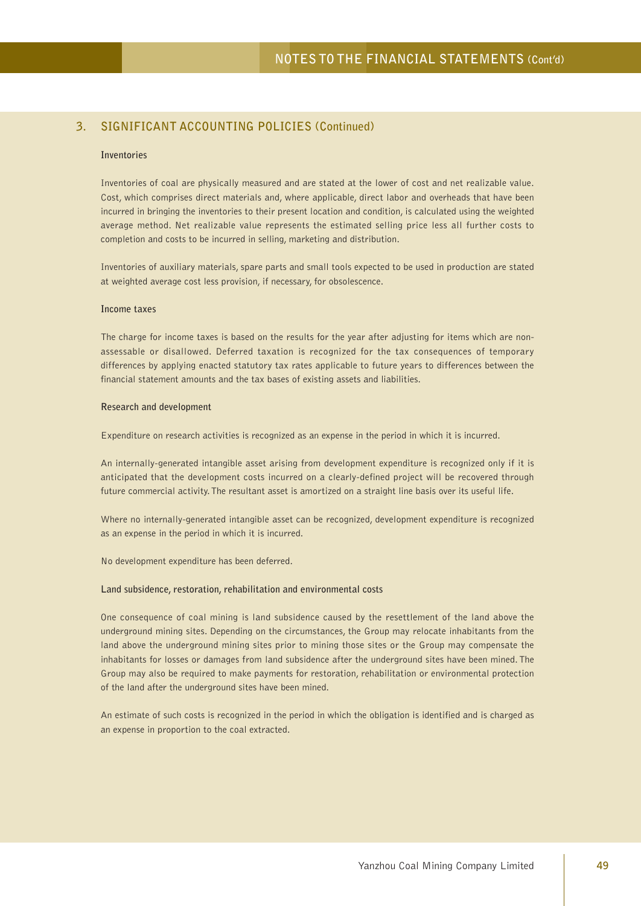### **Inventories**

Inventories of coal are physically measured and are stated at the lower of cost and net realizable value. Cost, which comprises direct materials and, where applicable, direct labor and overheads that have been incurred in bringing the inventories to their present location and condition, is calculated using the weighted average method. Net realizable value represents the estimated selling price less all further costs to completion and costs to be incurred in selling, marketing and distribution.

Inventories of auxiliary materials, spare parts and small tools expected to be used in production are stated at weighted average cost less provision, if necessary, for obsolescence.

### **Income taxes**

The charge for income taxes is based on the results for the year after adjusting for items which are nonassessable or disallowed. Deferred taxation is recognized for the tax consequences of temporary differences by applying enacted statutory tax rates applicable to future years to differences between the financial statement amounts and the tax bases of existing assets and liabilities.

#### **Research and development**

Expenditure on research activities is recognized as an expense in the period in which it is incurred.

An internally-generated intangible asset arising from development expenditure is recognized only if it is anticipated that the development costs incurred on a clearly-defined project will be recovered through future commercial activity. The resultant asset is amortized on a straight line basis over its useful life.

Where no internally-generated intangible asset can be recognized, development expenditure is recognized as an expense in the period in which it is incurred.

No development expenditure has been deferred.

#### **Land subsidence, restoration, rehabilitation and environmental costs**

One consequence of coal mining is land subsidence caused by the resettlement of the land above the underground mining sites. Depending on the circumstances, the Group may relocate inhabitants from the land above the underground mining sites prior to mining those sites or the Group may compensate the inhabitants for losses or damages from land subsidence after the underground sites have been mined. The Group may also be required to make payments for restoration, rehabilitation or environmental protection of the land after the underground sites have been mined.

An estimate of such costs is recognized in the period in which the obligation is identified and is charged as an expense in proportion to the coal extracted.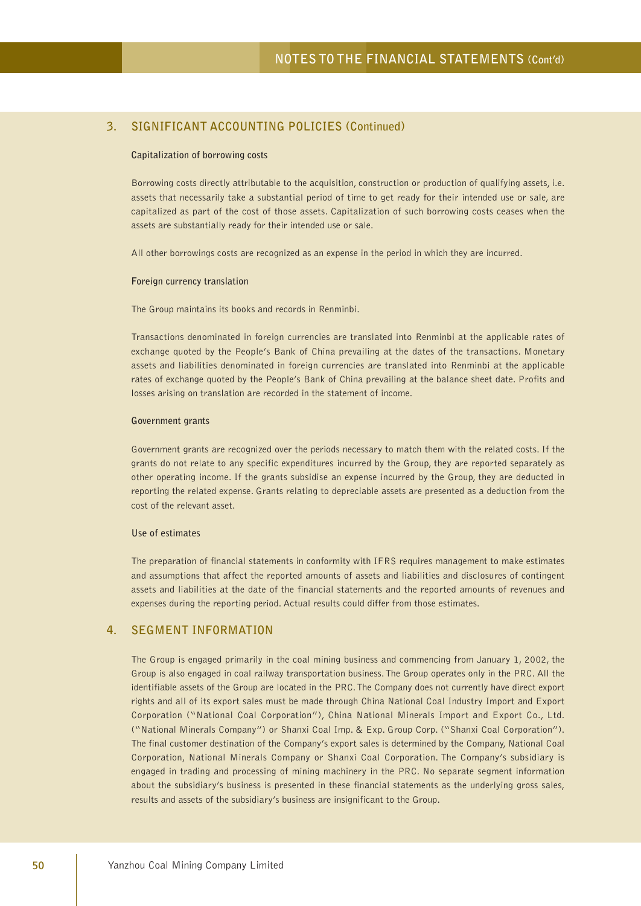#### **Capitalization of borrowing costs**

Borrowing costs directly attributable to the acquisition, construction or production of qualifying assets, i.e. assets that necessarily take a substantial period of time to get ready for their intended use or sale, are capitalized as part of the cost of those assets. Capitalization of such borrowing costs ceases when the assets are substantially ready for their intended use or sale.

All other borrowings costs are recognized as an expense in the period in which they are incurred.

#### **Foreign currency translation**

The Group maintains its books and records in Renminbi.

Transactions denominated in foreign currencies are translated into Renminbi at the applicable rates of exchange quoted by the People's Bank of China prevailing at the dates of the transactions. Monetary assets and liabilities denominated in foreign currencies are translated into Renminbi at the applicable rates of exchange quoted by the People's Bank of China prevailing at the balance sheet date. Profits and losses arising on translation are recorded in the statement of income.

#### **Government grants**

Government grants are recognized over the periods necessary to match them with the related costs. If the grants do not relate to any specific expenditures incurred by the Group, they are reported separately as other operating income. If the grants subsidise an expense incurred by the Group, they are deducted in reporting the related expense. Grants relating to depreciable assets are presented as a deduction from the cost of the relevant asset.

#### **Use of estimates**

The preparation of financial statements in conformity with IFRS requires management to make estimates and assumptions that affect the reported amounts of assets and liabilities and disclosures of contingent assets and liabilities at the date of the financial statements and the reported amounts of revenues and expenses during the reporting period. Actual results could differ from those estimates.

### **4. SEGMENT INFORMATION**

The Group is engaged primarily in the coal mining business and commencing from January 1, 2002, the Group is also engaged in coal railway transportation business. The Group operates only in the PRC. All the identifiable assets of the Group are located in the PRC. The Company does not currently have direct export rights and all of its export sales must be made through China National Coal Industry Import and Export Corporation ("National Coal Corporation"), China National Minerals Import and Export Co., Ltd. ("National Minerals Company") or Shanxi Coal Imp. & Exp. Group Corp. ("Shanxi Coal Corporation"). The final customer destination of the Company's export sales is determined by the Company, National Coal Corporation, National Minerals Company or Shanxi Coal Corporation. The Company's subsidiary is engaged in trading and processing of mining machinery in the PRC. No separate segment information about the subsidiary's business is presented in these financial statements as the underlying gross sales, results and assets of the subsidiary's business are insignificant to the Group.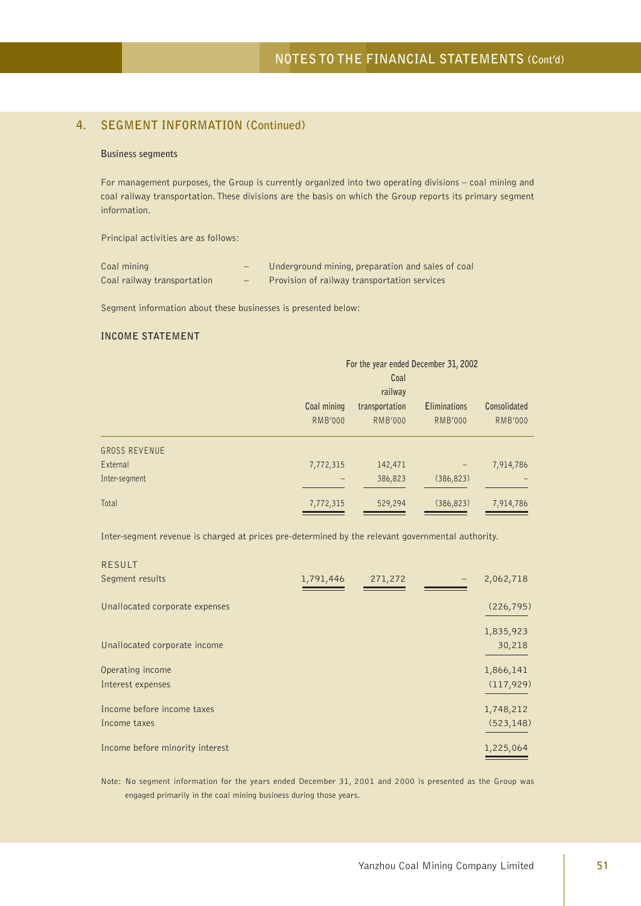## **4. SEGMENT INFORMATION (Continued)**

#### **Business segments**

For management purposes, the Group is currently organized into two operating divisions – coal mining and coal railway transportation. These divisions are the basis on which the Group reports its primary segment information.

Principal activities are as follows:

| Coal mining                 | $-$ | Underground mining, preparation and sales of coal |
|-----------------------------|-----|---------------------------------------------------|
| Coal railway transportation | $-$ | Provision of railway transportation services      |

Segment information about these businesses is presented below:

### **INCOME STATEMENT**

|                      |                | For the year ended December 31, 2002<br>Coal<br>railway |                |                |  |  |  |
|----------------------|----------------|---------------------------------------------------------|----------------|----------------|--|--|--|
|                      | Coal mining    | <b>Eliminations</b><br>transportation                   |                |                |  |  |  |
|                      | <b>RMB'000</b> | <b>RMB'000</b>                                          | <b>RMB'000</b> | <b>RMB'000</b> |  |  |  |
| <b>GROSS REVENUE</b> |                |                                                         |                |                |  |  |  |
| External             | 7,772,315      | 142,471                                                 |                | 7,914,786      |  |  |  |
| Inter-segment        |                | 386,823                                                 | (386, 823)     |                |  |  |  |
| Total                | 7,772,315      | 529,294                                                 | (386, 823)     | 7,914,786      |  |  |  |

Inter-segment revenue is charged at prices pre-determined by the relevant governmental authority.

| 1,791,446 | 271,272 | 2,062,718  |
|-----------|---------|------------|
|           |         | (226, 795) |
|           |         | 1,835,923  |
|           |         | 30,218     |
|           |         | 1,866,141  |
|           |         | (117, 929) |
|           |         | 1,748,212  |
|           |         | (523, 148) |
|           |         | 1,225,064  |
|           |         |            |

Note: No segment information for the years ended December 31, 2001 and 2000 is presented as the Group was engaged primarily in the coal mining business during those years.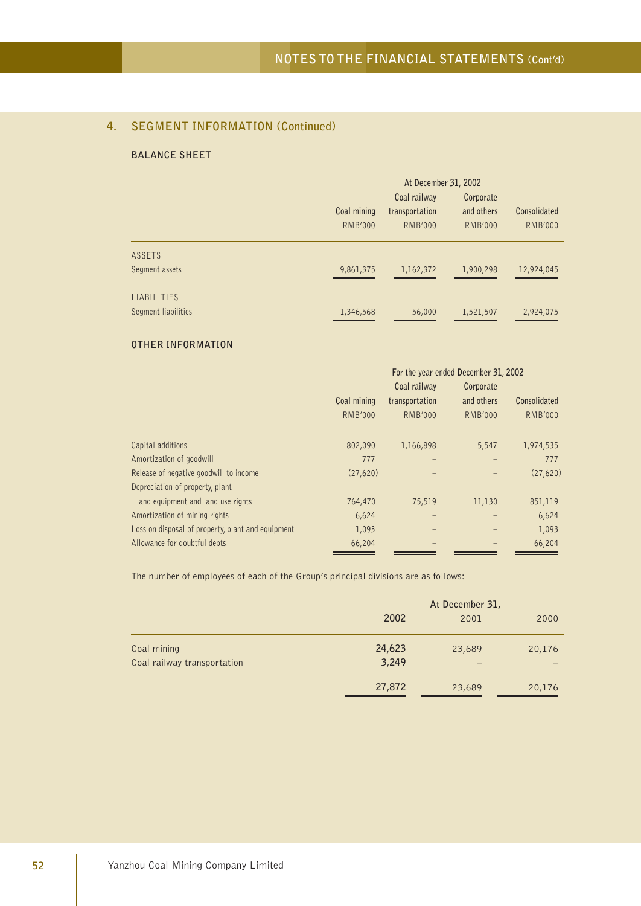## **4. SEGMENT INFORMATION (Continued)**

### **BALANCE SHEET**

|                     |                | At December 31, 2002 |                |                |  |  |
|---------------------|----------------|----------------------|----------------|----------------|--|--|
|                     |                | Coal railway         | Corporate      |                |  |  |
|                     | Coal mining    | transportation       | and others     | Consolidated   |  |  |
|                     | <b>RMB'000</b> | <b>RMB'000</b>       | <b>RMB'000</b> | <b>RMB'000</b> |  |  |
| ASSETS              |                |                      |                |                |  |  |
| Segment assets      | 9,861,375      | 1,162,372            | 1,900,298      | 12,924,045     |  |  |
| LIABILITIES         |                |                      |                |                |  |  |
| Segment liabilities | 1,346,568      | 56,000               | 1,521,507      | 2,924,075      |  |  |

### **OTHER INFORMATION**

|                                                   |                |                | For the year ended December 31, 2002 |                |
|---------------------------------------------------|----------------|----------------|--------------------------------------|----------------|
|                                                   |                | Coal railway   | Corporate                            |                |
|                                                   | Coal mining    | transportation | and others                           | Consolidated   |
|                                                   | <b>RMB'000</b> | <b>RMB'000</b> | <b>RMB'000</b>                       | <b>RMB'000</b> |
| Capital additions                                 | 802,090        | 1,166,898      | 5,547                                | 1,974,535      |
| Amortization of goodwill                          | 777            | -              |                                      | 777            |
| Release of negative goodwill to income            | (27,620)       |                |                                      | (27,620)       |
| Depreciation of property, plant                   |                |                |                                      |                |
| and equipment and land use rights                 | 764,470        | 75,519         | 11,130                               | 851,119        |
| Amortization of mining rights                     | 6,624          |                |                                      | 6,624          |
| Loss on disposal of property, plant and equipment | 1,093          |                |                                      | 1,093          |
| Allowance for doubtful debts                      | 66,204         |                |                                      | 66,204         |

The number of employees of each of the Group's principal divisions are as follows:

|                             | At December 31, |        |        |
|-----------------------------|-----------------|--------|--------|
|                             | 2002            | 2001   | 2000   |
| Coal mining                 | 24,623          | 23,689 | 20,176 |
| Coal railway transportation | 3,249           |        |        |
|                             | 27,872          | 23,689 | 20,176 |
|                             |                 |        |        |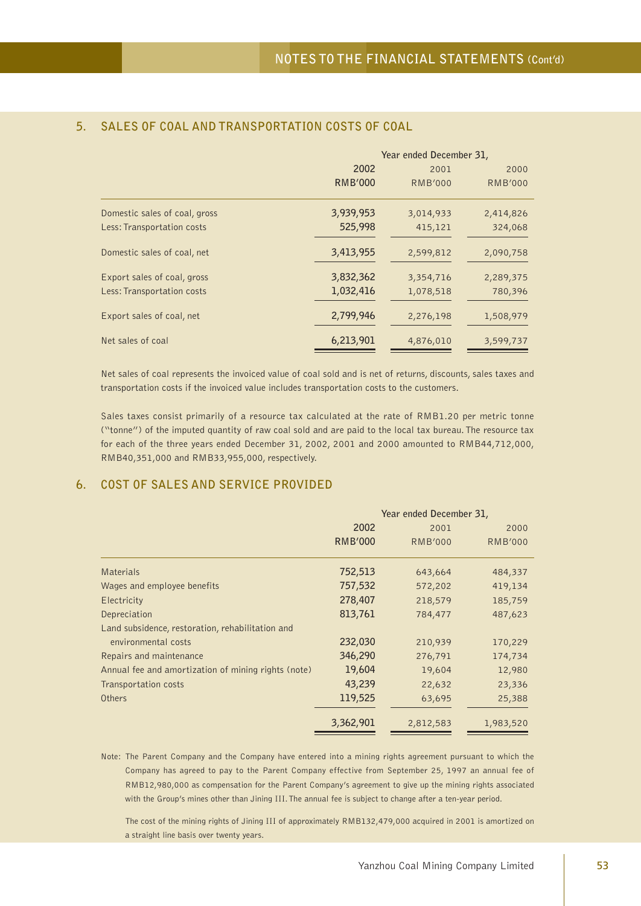|                               | Year ended December 31, |                |                |
|-------------------------------|-------------------------|----------------|----------------|
|                               | 2002                    | 2001           | 2000           |
|                               | <b>RMB'000</b>          | <b>RMB'000</b> | <b>RMB'000</b> |
| Domestic sales of coal, gross | 3,939,953               | 3,014,933      | 2,414,826      |
| Less: Transportation costs    | 525,998                 | 415,121        | 324,068        |
| Domestic sales of coal, net   | 3,413,955               | 2,599,812      | 2,090,758      |
| Export sales of coal, gross   | 3,832,362               | 3,354,716      | 2,289,375      |
| Less: Transportation costs    | 1,032,416               | 1,078,518      | 780,396        |
| Export sales of coal, net     | 2,799,946               | 2,276,198      | 1,508,979      |
| Net sales of coal             | 6,213,901               | 4,876,010      | 3,599,737      |

## **5. SALES OF COAL AND TRANSPORTATION COSTS OF COAL**

Net sales of coal represents the invoiced value of coal sold and is net of returns, discounts, sales taxes and transportation costs if the invoiced value includes transportation costs to the customers.

Sales taxes consist primarily of a resource tax calculated at the rate of RMB1.20 per metric tonne ("tonne") of the imputed quantity of raw coal sold and are paid to the local tax bureau. The resource tax for each of the three years ended December 31, 2002, 2001 and 2000 amounted to RMB44,712,000, RMB40,351,000 and RMB33,955,000, respectively.

## **6. COST OF SALES AND SERVICE PROVIDED**

|                                                     |                | Year ended December 31, |                |  |
|-----------------------------------------------------|----------------|-------------------------|----------------|--|
|                                                     | 2002           | 2001                    | 2000           |  |
|                                                     | <b>RMB'000</b> | <b>RMB'000</b>          | <b>RMB'000</b> |  |
| <b>Materials</b>                                    | 752,513        | 643,664                 | 484,337        |  |
| Wages and employee benefits                         | 757,532        | 572,202                 | 419,134        |  |
| Electricity                                         | 278,407        | 218,579                 | 185,759        |  |
| Depreciation                                        | 813,761        | 784,477                 | 487,623        |  |
| Land subsidence, restoration, rehabilitation and    |                |                         |                |  |
| environmental costs                                 | 232,030        | 210,939                 | 170,229        |  |
| Repairs and maintenance                             | 346,290        | 276,791                 | 174,734        |  |
| Annual fee and amortization of mining rights (note) | 19,604         | 19,604                  | 12,980         |  |
| Transportation costs                                | 43,239         | 22,632                  | 23,336         |  |
| <b>Others</b>                                       | 119,525        | 63,695                  | 25,388         |  |
|                                                     | 3,362,901      | 2,812,583               | 1,983,520      |  |

Note: The Parent Company and the Company have entered into a mining rights agreement pursuant to which the Company has agreed to pay to the Parent Company effective from September 25, 1997 an annual fee of RMB12,980,000 as compensation for the Parent Company's agreement to give up the mining rights associated with the Group's mines other than Jining III. The annual fee is subject to change after a ten-year period.

The cost of the mining rights of Jining III of approximately RMB132,479,000 acquired in 2001 is amortized on a straight line basis over twenty years.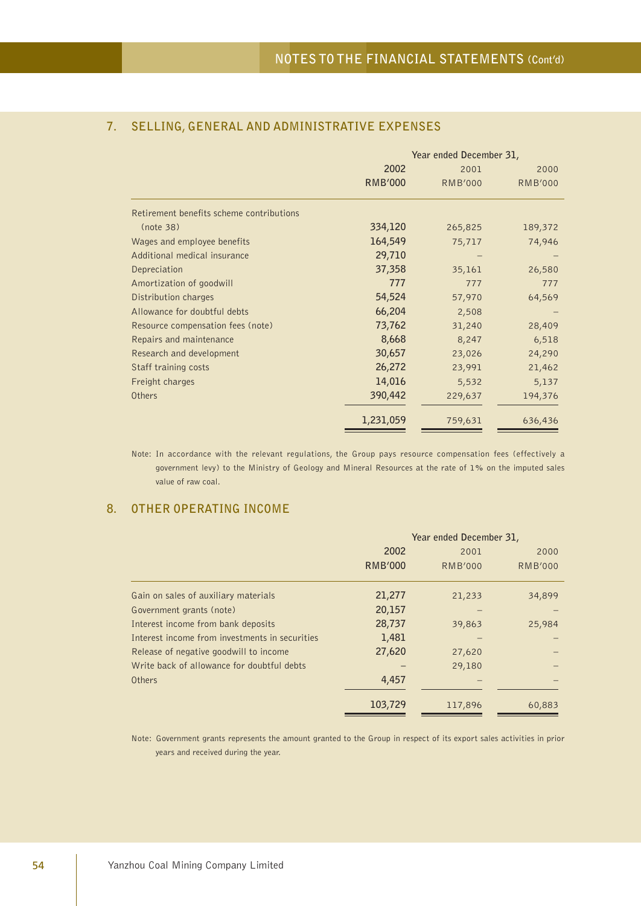|                                          | Year ended December 31, |                |                |
|------------------------------------------|-------------------------|----------------|----------------|
|                                          | 2002                    | 2001           | 2000           |
|                                          | <b>RMB'000</b>          | <b>RMB'000</b> | <b>RMB'000</b> |
| Retirement benefits scheme contributions |                         |                |                |
| (note 38)                                | 334,120                 | 265,825        | 189,372        |
| Wages and employee benefits              | 164,549                 | 75,717         | 74,946         |
| Additional medical insurance             | 29,710                  |                |                |
| Depreciation                             | 37,358                  | 35,161         | 26,580         |
| Amortization of goodwill                 | 777                     | 777            | 777            |
| Distribution charges                     | 54,524                  | 57,970         | 64,569         |
| Allowance for doubtful debts             | 66,204                  | 2,508          |                |
| Resource compensation fees (note)        | 73,762                  | 31,240         | 28,409         |
| Repairs and maintenance                  | 8,668                   | 8,247          | 6,518          |
| Research and development                 | 30,657                  | 23,026         | 24,290         |
| Staff training costs                     | 26,272                  | 23,991         | 21,462         |
| Freight charges                          | 14,016                  | 5,532          | 5,137          |
| <b>Others</b>                            | 390,442                 | 229,637        | 194,376        |
|                                          | 1,231,059               | 759,631        | 636,436        |

## **7. SELLING, GENERAL AND ADMINISTRATIVE EXPENSES**

Note: In accordance with the relevant regulations, the Group pays resource compensation fees (effectively a government levy) to the Ministry of Geology and Mineral Resources at the rate of 1% on the imputed sales value of raw coal.

## **8. OTHER OPERATING INCOME**

|                                                | Year ended December 31, |                |                |
|------------------------------------------------|-------------------------|----------------|----------------|
|                                                | 2002                    | 2001           | 2000           |
|                                                | <b>RMB'000</b>          | <b>RMB'000</b> | <b>RMB'000</b> |
| Gain on sales of auxiliary materials           | 21,277                  | 21,233         | 34,899         |
| Government grants (note)                       | 20,157                  |                |                |
| Interest income from bank deposits             | 28,737                  | 39,863         | 25,984         |
| Interest income from investments in securities | 1,481                   |                |                |
| Release of negative goodwill to income         | 27,620                  | 27,620         |                |
| Write back of allowance for doubtful debts     |                         | 29,180         |                |
| Others                                         | 4,457                   |                |                |
|                                                | 103,729                 | 117,896        | 60,883         |

Note: Government grants represents the amount granted to the Group in respect of its export sales activities in prior years and received during the year.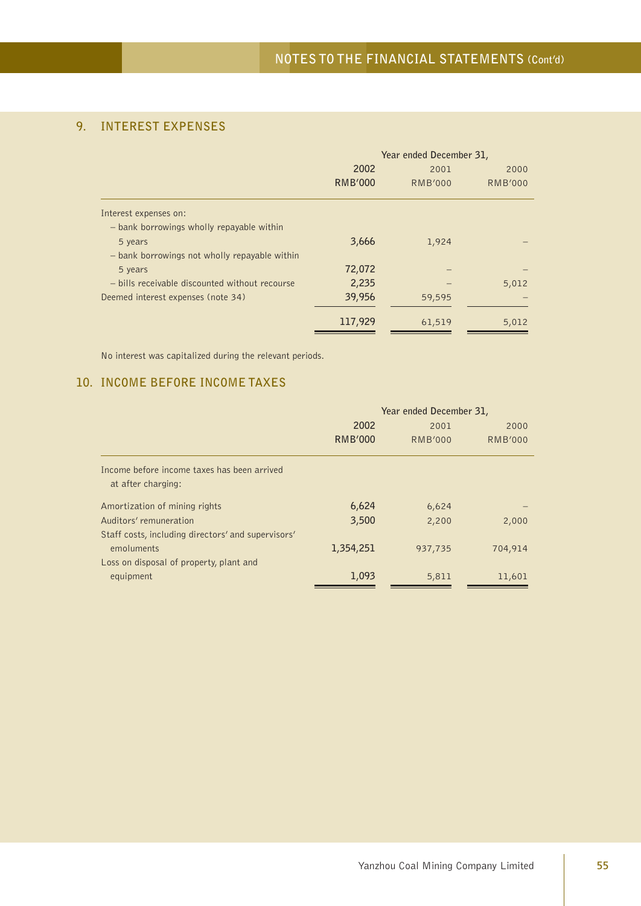## **9. INTEREST EXPENSES**

|                                                | Year ended December 31, |                |                |
|------------------------------------------------|-------------------------|----------------|----------------|
|                                                | 2002                    | 2001           | 2000           |
|                                                | <b>RMB'000</b>          | <b>RMB'000</b> | <b>RMB'000</b> |
| Interest expenses on:                          |                         |                |                |
| - bank borrowings wholly repayable within      |                         |                |                |
| 5 years                                        | 3,666                   | 1,924          |                |
| - bank borrowings not wholly repayable within  |                         |                |                |
| 5 years                                        | 72,072                  |                |                |
| - bills receivable discounted without recourse | 2,235                   |                | 5,012          |
| Deemed interest expenses (note 34)             | 39,956                  | 59,595         |                |
|                                                | 117,929                 | 61,519         | 5,012          |

No interest was capitalized during the relevant periods.

## **10. INCOME BEFORE INCOME TAXES**

|                                                    | Year ended December 31, |                |                |
|----------------------------------------------------|-------------------------|----------------|----------------|
|                                                    | 2002                    | 2001           | 2000           |
|                                                    | <b>RMB'000</b>          | <b>RMB'000</b> | <b>RMB'000</b> |
| Income before income taxes has been arrived        |                         |                |                |
| at after charging:                                 |                         |                |                |
| Amortization of mining rights                      | 6,624                   | 6,624          |                |
| Auditors' remuneration                             | 3,500                   | 2,200          | 2,000          |
| Staff costs, including directors' and supervisors' |                         |                |                |
| emoluments                                         | 1,354,251               | 937,735        | 704,914        |
| Loss on disposal of property, plant and            |                         |                |                |
| equipment                                          | 1,093                   | 5,811          | 11,601         |
|                                                    |                         |                |                |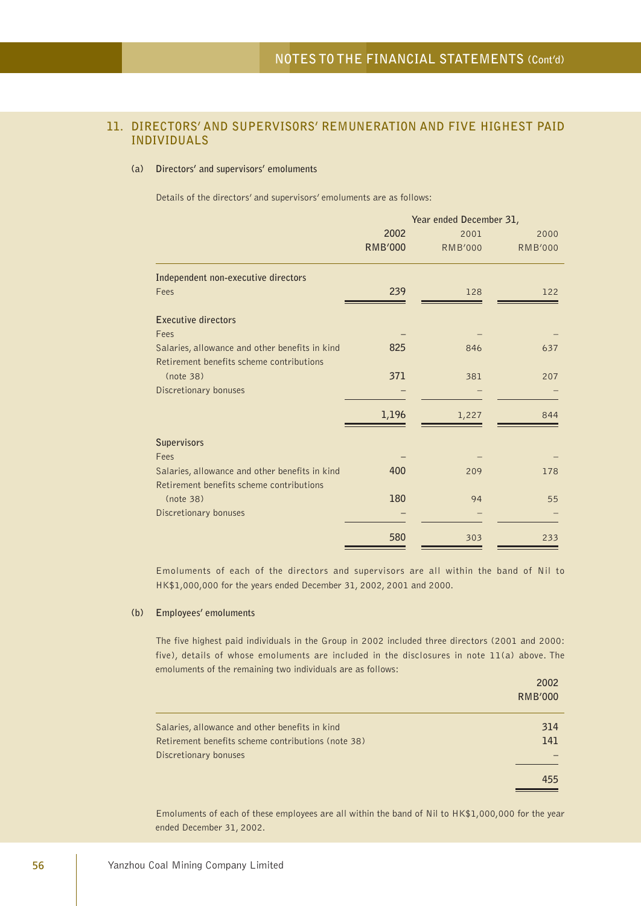## **11. DIRECTORS' AND SUPERVISORS' REMUNERATION AND FIVE HIGHEST PAID INDIVIDUALS**

### **(a) Directors' and supervisors' emoluments**

Details of the directors' and supervisors' emoluments are as follows:

|                                                | Year ended December 31, |                |                |
|------------------------------------------------|-------------------------|----------------|----------------|
|                                                | 2002                    | 2001           | 2000           |
|                                                | <b>RMB'000</b>          | <b>RMB'000</b> | <b>RMB'000</b> |
| Independent non-executive directors            |                         |                |                |
| Fees                                           | 239                     | 128            | 122            |
| <b>Executive directors</b>                     |                         |                |                |
| Fees                                           |                         |                |                |
| Salaries, allowance and other benefits in kind | 825                     | 846            | 637            |
| Retirement benefits scheme contributions       |                         |                |                |
| (note 38)                                      | 371                     | 381            | 207            |
| Discretionary bonuses                          |                         |                |                |
|                                                | 1,196                   | 1,227          | 844            |
|                                                |                         |                |                |
| <b>Supervisors</b>                             |                         |                |                |
| Fees                                           |                         |                |                |
| Salaries, allowance and other benefits in kind | 400                     | 209            | 178            |
| Retirement benefits scheme contributions       |                         |                |                |
| (note 38)                                      | 180                     | 94             | 55             |
| Discretionary bonuses                          |                         |                |                |
|                                                | 580                     | 303            | 233            |

Emoluments of each of the directors and supervisors are all within the band of Nil to HK\$1,000,000 for the years ended December 31, 2002, 2001 and 2000.

### **(b) Employees' emoluments**

The five highest paid individuals in the Group in 2002 included three directors (2001 and 2000: five), details of whose emoluments are included in the disclosures in note 11(a) above. The emoluments of the remaining two individuals are as follows:

|                                                    | 2002<br><b>RMB'000</b> |
|----------------------------------------------------|------------------------|
| Salaries, allowance and other benefits in kind     | 314                    |
| Retirement benefits scheme contributions (note 38) | 141                    |
| Discretionary bonuses                              |                        |
|                                                    | 455                    |

Emoluments of each of these employees are all within the band of Nil to HK\$1,000,000 for the year ended December 31, 2002.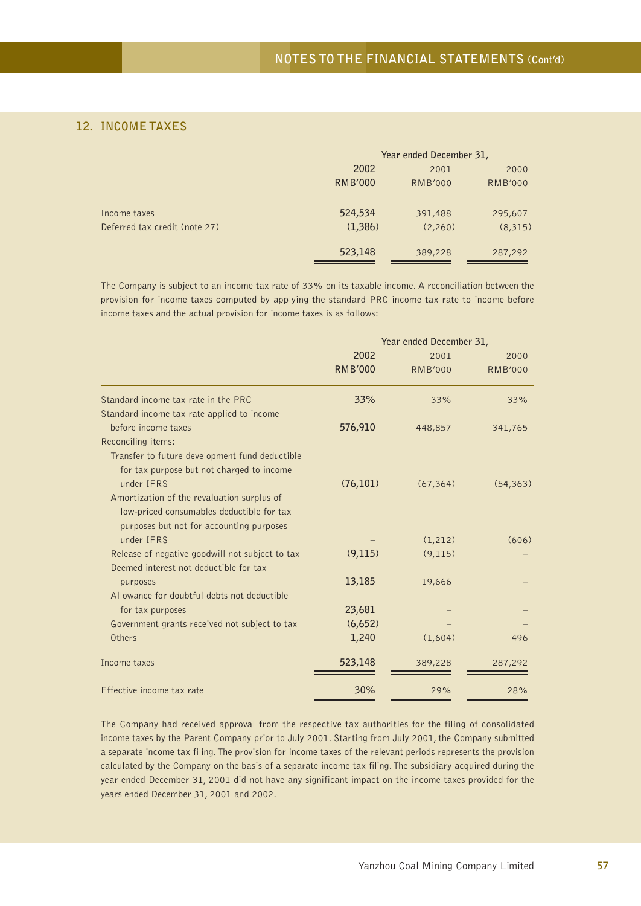## **12. INCOME TAXES**

|                               |                | Year ended December 31, |                |  |
|-------------------------------|----------------|-------------------------|----------------|--|
|                               | 2002           | 2001                    | 2000           |  |
|                               | <b>RMB'000</b> | <b>RMB'000</b>          | <b>RMB'000</b> |  |
| Income taxes                  | 524,534        | 391,488                 | 295,607        |  |
| Deferred tax credit (note 27) | (1,386)        | (2,260)                 | (8,315)        |  |
|                               | 523,148        | 389,228                 | 287,292        |  |

The Company is subject to an income tax rate of 33% on its taxable income. A reconciliation between the provision for income taxes computed by applying the standard PRC income tax rate to income before income taxes and the actual provision for income taxes is as follows:

|                                                 | Year ended December 31, |                |                |
|-------------------------------------------------|-------------------------|----------------|----------------|
|                                                 | 2002                    | 2001           | 2000           |
|                                                 | <b>RMB'000</b>          | <b>RMB'000</b> | <b>RMB'000</b> |
| Standard income tax rate in the PRC             | 33%                     | 33%            | 33%            |
| Standard income tax rate applied to income      |                         |                |                |
| before income taxes                             | 576,910                 | 448,857        | 341,765        |
| Reconciling items:                              |                         |                |                |
| Transfer to future development fund deductible  |                         |                |                |
| for tax purpose but not charged to income       |                         |                |                |
| under IFRS                                      | (76,101)                | (67, 364)      | (54, 363)      |
| Amortization of the revaluation surplus of      |                         |                |                |
| low-priced consumables deductible for tax       |                         |                |                |
| purposes but not for accounting purposes        |                         |                |                |
| under IFRS                                      |                         | (1, 212)       | (606)          |
| Release of negative goodwill not subject to tax | (9,115)                 | (9, 115)       |                |
| Deemed interest not deductible for tax          |                         |                |                |
| purposes                                        | 13,185                  | 19,666         |                |
| Allowance for doubtful debts not deductible     |                         |                |                |
| for tax purposes                                | 23,681                  |                |                |
| Government grants received not subject to tax   | (6,652)                 |                |                |
| Others                                          | 1,240                   | (1,604)        | 496            |
| Income taxes                                    | 523,148                 | 389,228        | 287,292        |
| Effective income tax rate                       | 30%                     | 29%            | 28%            |

The Company had received approval from the respective tax authorities for the filing of consolidated income taxes by the Parent Company prior to July 2001. Starting from July 2001, the Company submitted a separate income tax filing. The provision for income taxes of the relevant periods represents the provision calculated by the Company on the basis of a separate income tax filing. The subsidiary acquired during the year ended December 31, 2001 did not have any significant impact on the income taxes provided for the years ended December 31, 2001 and 2002.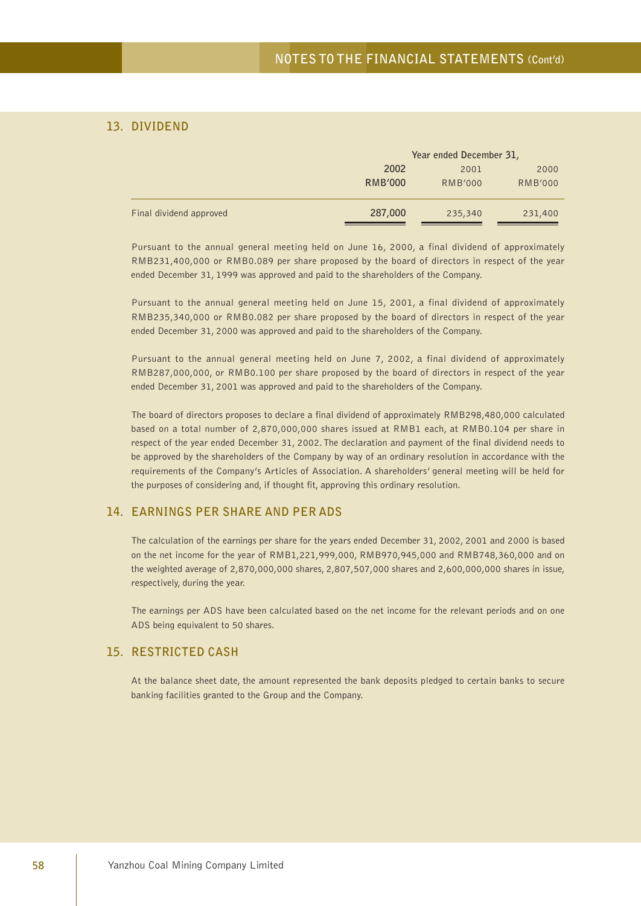## **13. DIVIDEND**

|                         |                | Year ended December 31, |                |  |
|-------------------------|----------------|-------------------------|----------------|--|
|                         | 2002           | 2001                    |                |  |
|                         | <b>RMB'000</b> | <b>RMB'000</b>          | <b>RMB'000</b> |  |
| Final dividend approved | 287,000        | 235,340                 | 231,400        |  |

Pursuant to the annual general meeting held on June 16, 2000, a final dividend of approximately RMB231,400,000 or RMB0.089 per share proposed by the board of directors in respect of the year ended December 31, 1999 was approved and paid to the shareholders of the Company.

Pursuant to the annual general meeting held on June 15, 2001, a final dividend of approximately RMB235,340,000 or RMB0.082 per share proposed by the board of directors in respect of the year ended December 31, 2000 was approved and paid to the shareholders of the Company.

Pursuant to the annual general meeting held on June 7, 2002, a final dividend of approximately RMB287,000,000, or RMB0.100 per share proposed by the board of directors in respect of the year ended December 31, 2001 was approved and paid to the shareholders of the Company.

The board of directors proposes to declare a final dividend of approximately RMB298,480,000 calculated based on a total number of 2,870,000,000 shares issued at RMB1 each, at RMB0.104 per share in respect of the year ended December 31, 2002. The declaration and payment of the final dividend needs to be approved by the shareholders of the Company by way of an ordinary resolution in accordance with the requirements of the Company's Articles of Association. A shareholders' general meeting will be held for the purposes of considering and, if thought fit, approving this ordinary resolution.

### **14. EARNINGS PER SHARE AND PER ADS**

The calculation of the earnings per share for the years ended December 31, 2002, 2001 and 2000 is based on the net income for the year of RMB1,221,999,000, RMB970,945,000 and RMB748,360,000 and on the weighted average of 2,870,000,000 shares, 2,807,507,000 shares and 2,600,000,000 shares in issue, respectively, during the year.

The earnings per ADS have been calculated based on the net income for the relevant periods and on one ADS being equivalent to 50 shares.

### **15. RESTRICTED CASH**

At the balance sheet date, the amount represented the bank deposits pledged to certain banks to secure banking facilities granted to the Group and the Company.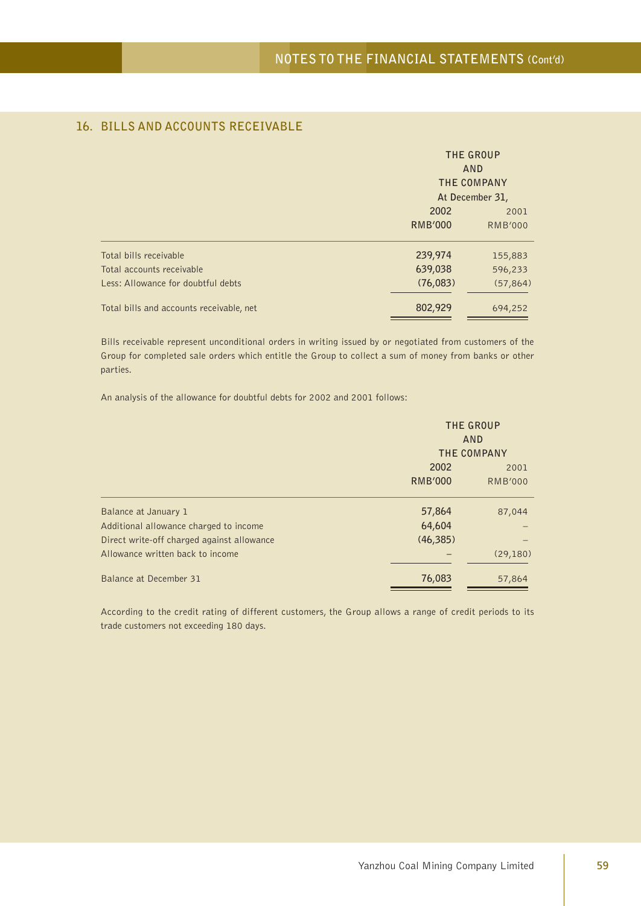|                                          | THE GROUP<br>AND<br>THE COMPANY |                 |  |
|------------------------------------------|---------------------------------|-----------------|--|
|                                          |                                 | At December 31, |  |
|                                          | 2002                            | 2001            |  |
|                                          | <b>RMB'000</b>                  | <b>RMB'000</b>  |  |
| Total bills receivable                   | 239,974                         | 155,883         |  |
| Total accounts receivable                | 639,038                         | 596,233         |  |
| Less: Allowance for doubtful debts       | (76,083)                        | (57, 864)       |  |
| Total bills and accounts receivable, net | 802,929                         | 694,252         |  |

## **16. BILLS AND ACCOUNTS RECEIVABLE**

Bills receivable represent unconditional orders in writing issued by or negotiated from customers of the Group for completed sale orders which entitle the Group to collect a sum of money from banks or other parties.

An analysis of the allowance for doubtful debts for 2002 and 2001 follows:

|                                            | THE GROUP<br>AND<br>THE COMPANY |                |  |
|--------------------------------------------|---------------------------------|----------------|--|
|                                            | 2002                            |                |  |
|                                            | <b>RMB'000</b>                  | <b>RMB'000</b> |  |
| Balance at January 1                       | 57,864                          | 87,044         |  |
| Additional allowance charged to income     | 64,604                          |                |  |
| Direct write-off charged against allowance | (46, 385)                       |                |  |
| Allowance written back to income           |                                 | (29, 180)      |  |
| Balance at December 31                     | 76,083                          | 57,864         |  |

According to the credit rating of different customers, the Group allows a range of credit periods to its trade customers not exceeding 180 days.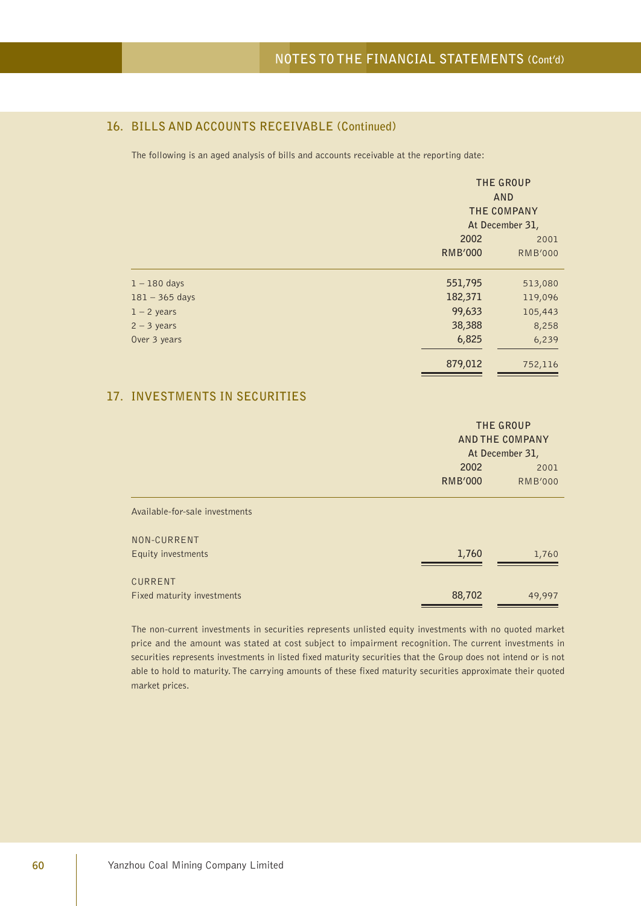## **16. BILLS AND ACCOUNTS RECEIVABLE (Continued)**

The following is an aged analysis of bills and accounts receivable at the reporting date:

|                  | THE GROUP<br>AND<br>THE COMPANY<br>At December 31, |                |  |
|------------------|----------------------------------------------------|----------------|--|
|                  | 2002                                               | 2001           |  |
|                  | <b>RMB'000</b>                                     | <b>RMB'000</b> |  |
| $1 - 180$ days   | 551,795                                            | 513,080        |  |
| $181 - 365$ days | 182,371                                            | 119,096        |  |
| $1 - 2$ years    | 99,633                                             | 105,443        |  |
| $2 - 3$ years    | 38,388                                             | 8,258          |  |
| Over 3 years     | 6,825                                              | 6,239          |  |
|                  | 879,012                                            | 752,116        |  |

## **17. INVESTMENTS IN SECURITIES**

|                                       |                        | THE GROUP<br><b>AND THE COMPANY</b><br>At December 31, |  |  |
|---------------------------------------|------------------------|--------------------------------------------------------|--|--|
|                                       | 2002<br><b>RMB'000</b> | 2001<br><b>RMB'000</b>                                 |  |  |
| Available-for-sale investments        |                        |                                                        |  |  |
| NON-CURRENT<br>Equity investments     | 1,760                  | 1,760                                                  |  |  |
| CURRENT<br>Fixed maturity investments | 88,702                 | 49,997                                                 |  |  |

The non-current investments in securities represents unlisted equity investments with no quoted market price and the amount was stated at cost subject to impairment recognition. The current investments in securities represents investments in listed fixed maturity securities that the Group does not intend or is not able to hold to maturity. The carrying amounts of these fixed maturity securities approximate their quoted market prices.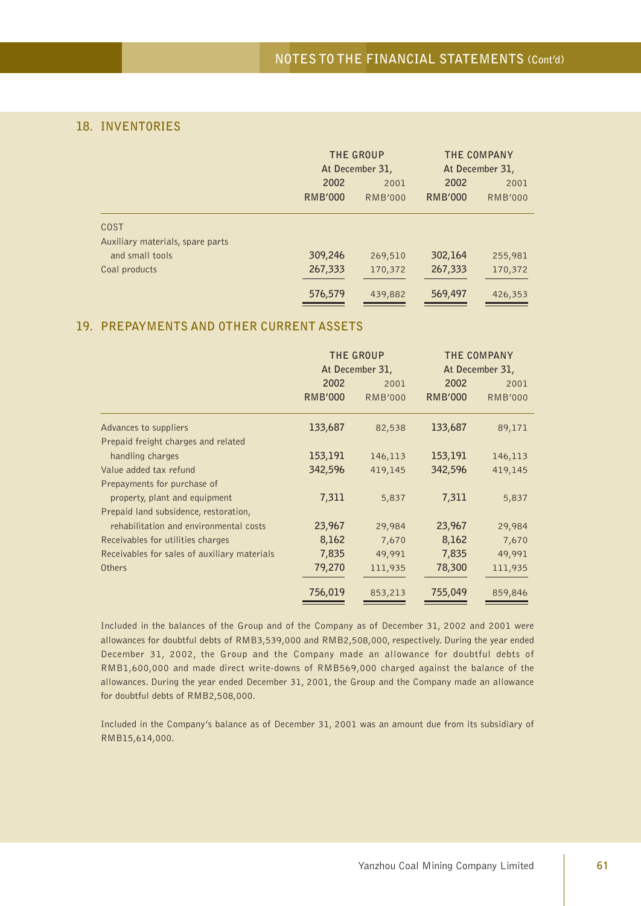## **18. INVENTORIES**

|                                  | THE GROUP      |                 | THE COMPANY    |                 |
|----------------------------------|----------------|-----------------|----------------|-----------------|
|                                  |                | At December 31, |                | At December 31, |
|                                  | 2002           | 2001            | 2002           | 2001            |
|                                  | <b>RMB'000</b> | <b>RMB'000</b>  | <b>RMB'000</b> | <b>RMB'000</b>  |
| <b>COST</b>                      |                |                 |                |                 |
| Auxiliary materials, spare parts |                |                 |                |                 |
| and small tools                  | 309,246        | 269,510         | 302,164        | 255,981         |
| Coal products                    | 267,333        | 170,372         | 267,333        | 170,372         |
|                                  | 576,579        | 439,882         | 569,497        | 426,353         |

### **19. PREPAYMENTS AND OTHER CURRENT ASSETS**

|                                              | THE GROUP<br>At December 31, |                |                | THE COMPANY<br>At December 31, |
|----------------------------------------------|------------------------------|----------------|----------------|--------------------------------|
|                                              | 2002                         | 2001           | 2002           | 2001                           |
|                                              | <b>RMB'000</b>               | <b>RMB'000</b> | <b>RMB'000</b> | <b>RMB'000</b>                 |
| Advances to suppliers                        | 133,687                      | 82,538         | 133,687        | 89,171                         |
| Prepaid freight charges and related          |                              |                |                |                                |
| handling charges                             | 153,191                      | 146,113        | 153,191        | 146,113                        |
| Value added tax refund                       | 342,596                      | 419,145        | 342,596        | 419,145                        |
| Prepayments for purchase of                  |                              |                |                |                                |
| property, plant and equipment                | 7,311                        | 5,837          | 7,311          | 5,837                          |
| Prepaid land subsidence, restoration,        |                              |                |                |                                |
| rehabilitation and environmental costs       | 23,967                       | 29,984         | 23,967         | 29,984                         |
| Receivables for utilities charges            | 8,162                        | 7,670          | 8,162          | 7,670                          |
| Receivables for sales of auxiliary materials | 7,835                        | 49,991         | 7,835          | 49,991                         |
| Others                                       | 79,270                       | 111,935        | 78,300         | 111,935                        |
|                                              | 756,019                      | 853,213        | 755,049        | 859,846                        |

Included in the balances of the Group and of the Company as of December 31, 2002 and 2001 were allowances for doubtful debts of RMB3,539,000 and RMB2,508,000, respectively. During the year ended December 31, 2002, the Group and the Company made an allowance for doubtful debts of RMB1,600,000 and made direct write-downs of RMB569,000 charged against the balance of the allowances. During the year ended December 31, 2001, the Group and the Company made an allowance for doubtful debts of RMB2,508,000.

Included in the Company's balance as of December 31, 2001 was an amount due from its subsidiary of RMB15,614,000.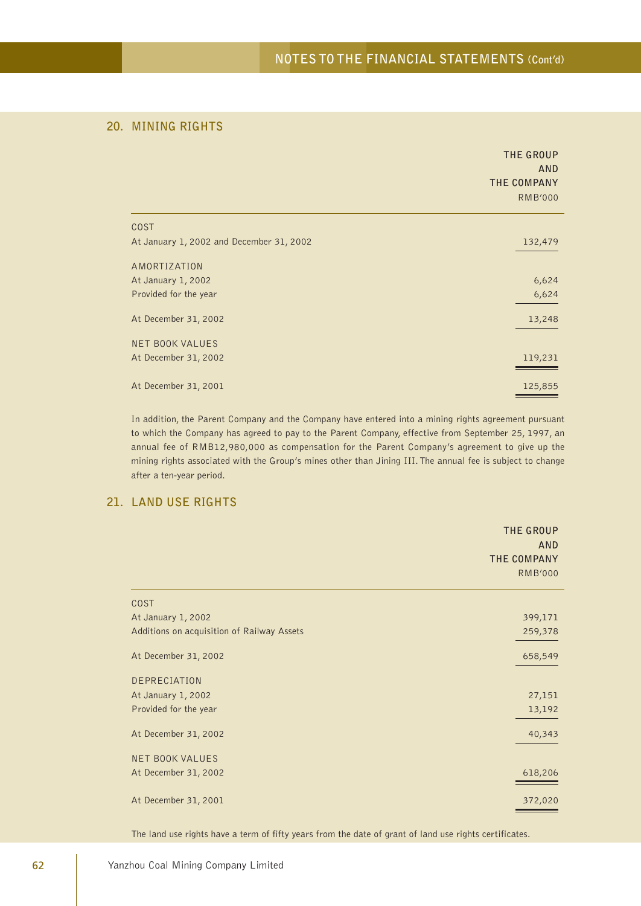## **20. MINING RIGHTS**

|                                          | THE GROUP<br><b>AND</b><br>THE COMPANY<br><b>RMB'000</b> |
|------------------------------------------|----------------------------------------------------------|
| <b>COST</b>                              |                                                          |
| At January 1, 2002 and December 31, 2002 | 132,479                                                  |
| AMORTIZATION                             |                                                          |
| At January 1, 2002                       | 6,624                                                    |
| Provided for the year                    | 6,624                                                    |
| At December 31, 2002                     | 13,248                                                   |
| <b>NET BOOK VALUES</b>                   |                                                          |
| At December 31, 2002                     | 119,231                                                  |
| At December 31, 2001                     | 125,855                                                  |

In addition, the Parent Company and the Company have entered into a mining rights agreement pursuant to which the Company has agreed to pay to the Parent Company, effective from September 25, 1997, an annual fee of RMB12,980,000 as compensation for the Parent Company's agreement to give up the mining rights associated with the Group's mines other than Jining III. The annual fee is subject to change after a ten-year period.

### **21. LAND USE RIGHTS**

|                                            | THE GROUP<br><b>AND</b><br>THE COMPANY<br><b>RMB'000</b> |
|--------------------------------------------|----------------------------------------------------------|
| <b>COST</b>                                |                                                          |
| At January 1, 2002                         | 399,171                                                  |
| Additions on acquisition of Railway Assets | 259,378                                                  |
| At December 31, 2002                       | 658,549                                                  |
| DEPRECIATION                               |                                                          |
| At January 1, 2002                         | 27,151                                                   |
| Provided for the year                      | 13,192                                                   |
| At December 31, 2002                       | 40,343                                                   |
| <b>NET BOOK VALUES</b>                     |                                                          |
| At December 31, 2002                       | 618,206                                                  |
| At December 31, 2001                       | 372,020                                                  |

The land use rights have a term of fifty years from the date of grant of land use rights certificates.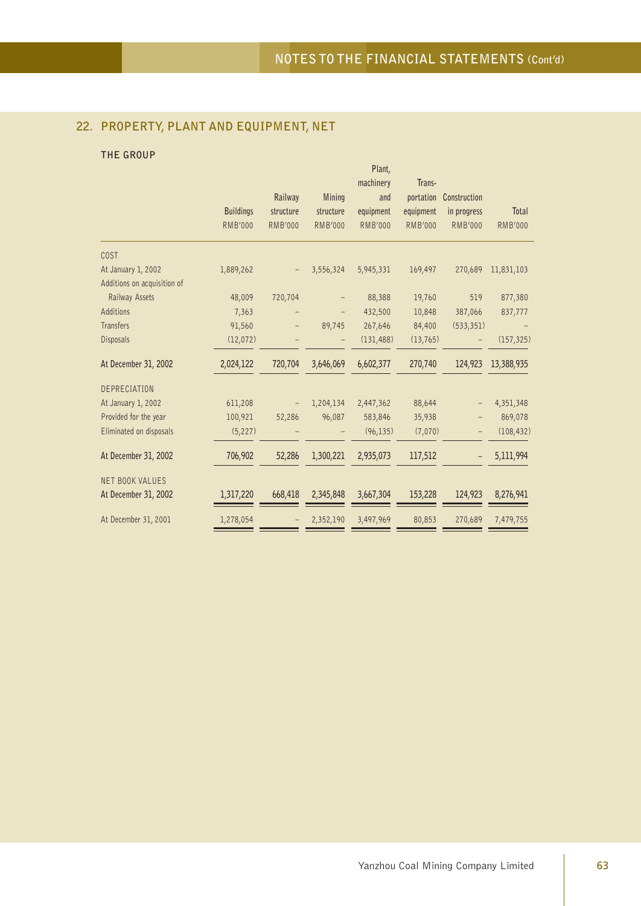## **22. PROPERTY, PLANT AND EQUIPMENT, NET**

### **THE GROUP**

|                             |                  |                |                | Plant,         |                |                |                |
|-----------------------------|------------------|----------------|----------------|----------------|----------------|----------------|----------------|
|                             |                  |                |                | machinery      | Trans-         |                |                |
|                             |                  | Railway        | <b>Mining</b>  | and            | portation      | Construction   |                |
|                             | <b>Buildings</b> | structure      | structure      | equipment      | equipment      | in progress    | Total          |
|                             | <b>RMB'000</b>   | <b>RMB'000</b> | <b>RMB'000</b> | <b>RMB'000</b> | <b>RMB'000</b> | <b>RMB'000</b> | <b>RMB'000</b> |
| COST                        |                  |                |                |                |                |                |                |
| At January 1, 2002          | 1,889,262        |                | 3,556,324      | 5,945,331      | 169,497        | 270,689        | 11,831,103     |
| Additions on acquisition of |                  |                |                |                |                |                |                |
| Railway Assets              | 48,009           | 720,704        |                | 88,388         | 19,760         | 519            | 877,380        |
| Additions                   | 7,363            |                |                | 432,500        | 10,848         | 387,066        | 837,777        |
| <b>Transfers</b>            | 91,560           |                | 89,745         | 267,646        | 84,400         | (533, 351)     |                |
| Disposals                   | (12,072)         |                |                | (131, 488)     | (13, 765)      |                | (157, 325)     |
| At December 31, 2002        | 2,024,122        | 720,704        | 3,646,069      | 6,602,377      | 270,740        | 124,923        | 13,388,935     |
| DEPRECIATION                |                  |                |                |                |                |                |                |
| At January 1, 2002          | 611,208          |                | 1,204,134      | 2,447,362      | 88,644         |                | 4,351,348      |
| Provided for the year       | 100,921          | 52,286         | 96,087         | 583,846        | 35,938         |                | 869,078        |
| Eliminated on disposals     | (5, 227)         |                |                | (96, 135)      | (7,070)        |                | (108, 432)     |
| At December 31, 2002        | 706,902          | 52,286         | 1,300,221      | 2,935,073      | 117,512        |                | 5,111,994      |
| <b>NET BOOK VALUES</b>      |                  |                |                |                |                |                |                |
| At December 31, 2002        | 1,317,220        | 668,418        | 2,345,848      | 3,667,304      | 153,228        | 124,923        | 8,276,941      |
| At December 31, 2001        | 1,278,054        |                | 2,352,190      | 3,497,969      | 80,853         | 270,689        | 7,479,755      |
|                             |                  |                |                |                |                |                |                |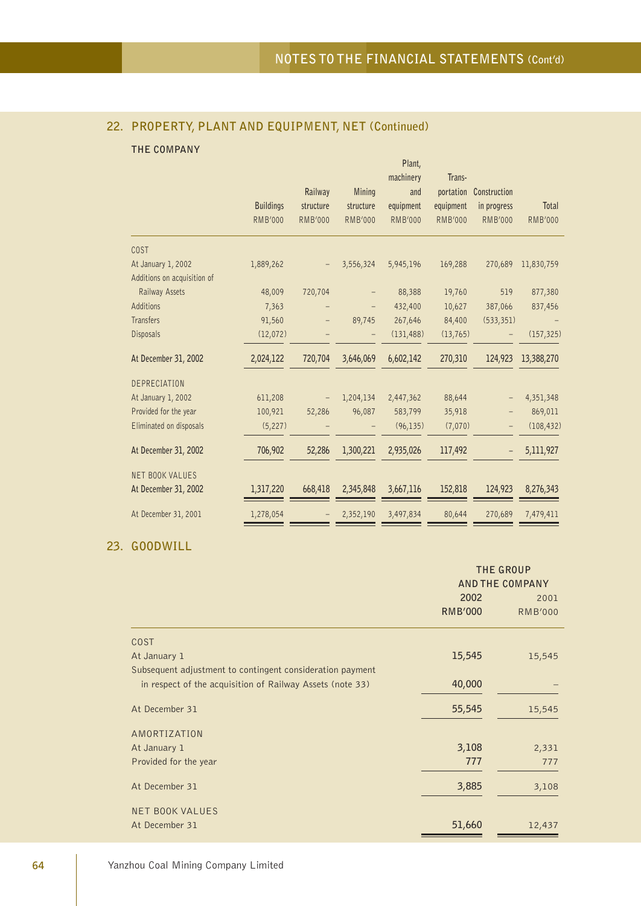## **22. PROPERTY, PLANT AND EQUIPMENT, NET (Continued)**

## **THE COMPANY**

|                             |                  |                |                | Plant,           |                     |                |                |
|-----------------------------|------------------|----------------|----------------|------------------|---------------------|----------------|----------------|
|                             |                  | Railway        | Mining         | machinery<br>and | Trans-<br>portation | Construction   |                |
|                             | <b>Buildings</b> | structure      | structure      | equipment        | equipment           | in progress    | Total          |
|                             | <b>RMB'000</b>   | <b>RMB'000</b> | <b>RMB'000</b> | <b>RMB'000</b>   | <b>RMB'000</b>      | <b>RMB'000</b> | <b>RMB'000</b> |
| COST                        |                  |                |                |                  |                     |                |                |
| At January 1, 2002          | 1,889,262        |                | 3,556,324      | 5,945,196        | 169,288             | 270,689        | 11,830,759     |
| Additions on acquisition of |                  |                |                |                  |                     |                |                |
| Railway Assets              | 48,009           | 720,704        |                | 88,388           | 19,760              | 519            | 877,380        |
| Additions                   | 7,363            |                |                | 432,400          | 10,627              | 387,066        | 837,456        |
| Transfers                   | 91,560           | -              | 89,745         | 267,646          | 84,400              | (533, 351)     |                |
| Disposals                   | (12,072)         |                |                | (131, 488)       | (13,765)            |                | (157, 325)     |
| At December 31, 2002        | 2,024,122        | 720,704        | 3,646,069      | 6,602,142        | 270,310             | 124,923        | 13,388,270     |
| <b>DEPRECIATION</b>         |                  |                |                |                  |                     |                |                |
| At January 1, 2002          | 611,208          |                | 1,204,134      | 2,447,362        | 88,644              |                | 4,351,348      |
| Provided for the year       | 100,921          | 52,286         | 96,087         | 583,799          | 35,918              |                | 869,011        |
| Eliminated on disposals     | (5, 227)         |                |                | (96, 135)        | (7,070)             |                | (108, 432)     |
| At December 31, 2002        | 706,902          | 52,286         | 1,300,221      | 2,935,026        | 117,492             |                | 5,111,927      |
| <b>NET BOOK VALUES</b>      |                  |                |                |                  |                     |                |                |
| At December 31, 2002        | 1,317,220        | 668,418        | 2,345,848      | 3,667,116        | 152,818             | 124,923        | 8,276,343      |
| At December 31, 2001        | 1,278,054        |                | 2,352,190      | 3,497,834        | 80,644              | 270,689        | 7,479,411      |

## **23. GOODWILL**

|                                                           |                 | <b>THE GROUP</b> |  |
|-----------------------------------------------------------|-----------------|------------------|--|
|                                                           | AND THE COMPANY |                  |  |
|                                                           | 2002            | 2001             |  |
|                                                           | <b>RMB'000</b>  | <b>RMB'000</b>   |  |
| <b>COST</b>                                               |                 |                  |  |
| At January 1                                              | 15,545          | 15,545           |  |
| Subsequent adjustment to contingent consideration payment |                 |                  |  |
| in respect of the acquisition of Railway Assets (note 33) | 40,000          |                  |  |
| At December 31                                            | 55,545          | 15,545           |  |
| AMORTIZATION                                              |                 |                  |  |
| At January 1                                              | 3,108           | 2,331            |  |
| Provided for the year                                     | 777             | 777              |  |
| At December 31                                            | 3,885           | 3,108            |  |
| <b>NET BOOK VALUES</b>                                    |                 |                  |  |
| At December 31                                            | 51,660          | 12,437           |  |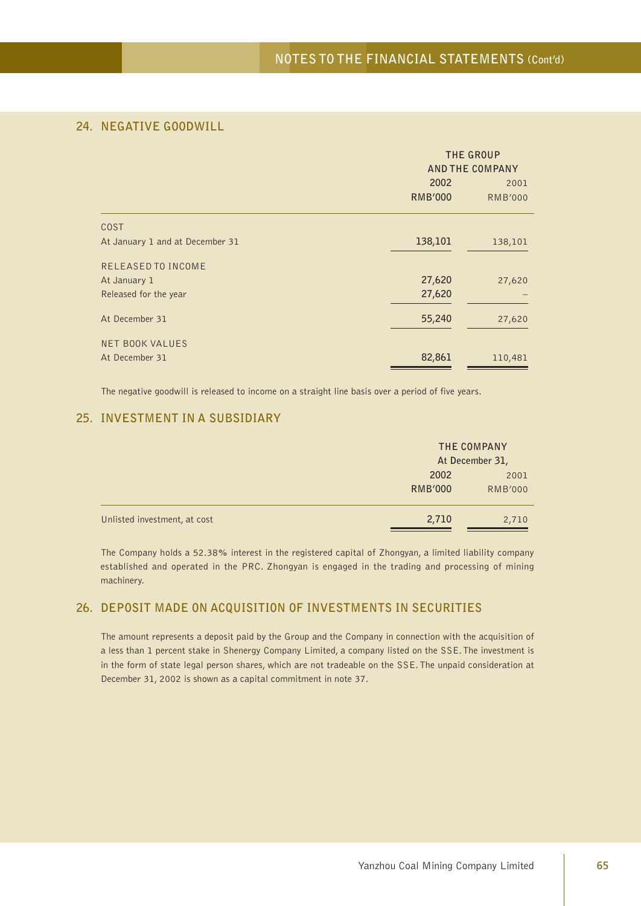## **24. NEGATIVE GOODWILL**

|                                 |                | THE GROUP<br><b>AND THE COMPANY</b> |
|---------------------------------|----------------|-------------------------------------|
|                                 | 2002           | 2001                                |
|                                 | <b>RMB'000</b> | <b>RMB'000</b>                      |
| <b>COST</b>                     |                |                                     |
| At January 1 and at December 31 | 138,101        | 138,101                             |
| RELEASED TO INCOME              |                |                                     |
| At January 1                    | 27,620         | 27,620                              |
| Released for the year           | 27,620         |                                     |
| At December 31                  | 55,240         | 27,620                              |
| <b>NET BOOK VALUES</b>          |                |                                     |
| At December 31                  | 82,861         | 110,481                             |

The negative goodwill is released to income on a straight line basis over a period of five years.

## **25. INVESTMENT IN A SUBSIDIARY**

|                              |                        | THE COMPANY<br>At December 31, |
|------------------------------|------------------------|--------------------------------|
|                              | 2002<br><b>RMB'000</b> | 2001<br><b>RMB'000</b>         |
| Unlisted investment, at cost | 2,710                  | 2,710                          |

The Company holds a 52.38% interest in the registered capital of Zhongyan, a limited liability company established and operated in the PRC. Zhongyan is engaged in the trading and processing of mining machinery.

## **26. DEPOSIT MADE ON ACQUISITION OF INVESTMENTS IN SECURITIES**

The amount represents a deposit paid by the Group and the Company in connection with the acquisition of a less than 1 percent stake in Shenergy Company Limited, a company listed on the SSE. The investment is in the form of state legal person shares, which are not tradeable on the SSE. The unpaid consideration at December 31, 2002 is shown as a capital commitment in note 37.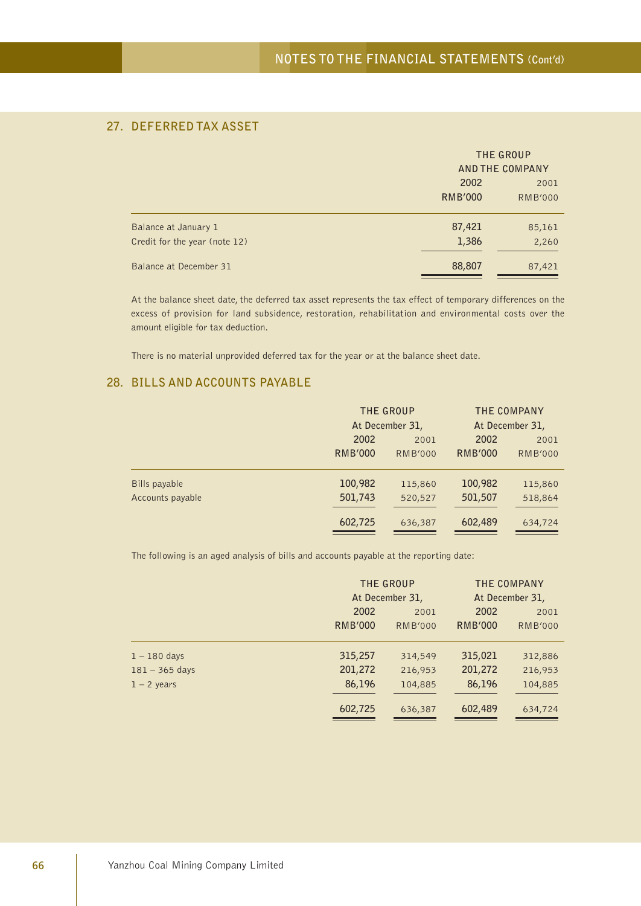## **27. DEFERRED TAX ASSET**

|                                                       |                        | THE GROUP<br><b>AND THE COMPANY</b> |  |
|-------------------------------------------------------|------------------------|-------------------------------------|--|
|                                                       | 2002<br><b>RMB'000</b> | 2001<br><b>RMB'000</b>              |  |
| Balance at January 1<br>Credit for the year (note 12) | 87,421<br>1,386        | 85,161<br>2,260                     |  |
| Balance at December 31                                | 88,807                 | 87,421                              |  |

At the balance sheet date, the deferred tax asset represents the tax effect of temporary differences on the excess of provision for land subsidence, restoration, rehabilitation and environmental costs over the amount eligible for tax deduction.

There is no material unprovided deferred tax for the year or at the balance sheet date.

## **28. BILLS AND ACCOUNTS PAYABLE**

|                      |                | THE GROUP       | THE COMPANY    |                 |  |
|----------------------|----------------|-----------------|----------------|-----------------|--|
|                      |                | At December 31, |                | At December 31, |  |
|                      | 2002           | 2001            | 2002           | 2001            |  |
|                      | <b>RMB'000</b> | <b>RMB'000</b>  | <b>RMB'000</b> | <b>RMB'000</b>  |  |
|                      |                |                 |                |                 |  |
| <b>Bills payable</b> | 100,982        | 115,860         | 100,982        | 115,860         |  |
| Accounts payable     | 501,743        | 520,527         | 501,507        | 518,864         |  |
|                      |                |                 |                |                 |  |
|                      | 602,725        | 636,387         | 602,489        | 634,724         |  |

The following is an aged analysis of bills and accounts payable at the reporting date:

|                  |                | THE GROUP<br>At December 31, |                | THE COMPANY<br>At December 31, |
|------------------|----------------|------------------------------|----------------|--------------------------------|
|                  | 2002           | 2001                         |                | 2001                           |
|                  | <b>RMB'000</b> | <b>RMB'000</b>               | <b>RMB'000</b> | <b>RMB'000</b>                 |
| $1 - 180$ days   | 315,257        | 314,549                      | 315,021        | 312,886                        |
| $181 - 365$ days | 201,272        | 216,953                      | 201,272        | 216,953                        |
| $1 - 2$ years    | 86,196         | 104,885                      | 86,196         | 104,885                        |
|                  | 602,725        | 636,387                      | 602,489        | 634,724                        |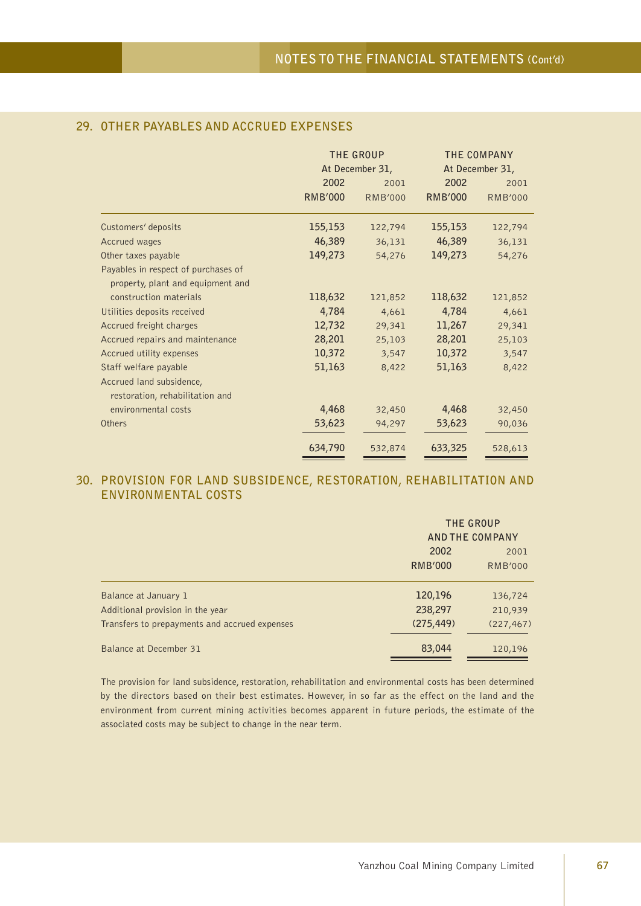## **29. OTHER PAYABLES AND ACCRUED EXPENSES**

|                                     |                | THE GROUP       | THE COMPANY     |                |  |
|-------------------------------------|----------------|-----------------|-----------------|----------------|--|
|                                     |                | At December 31, | At December 31, |                |  |
|                                     | 2002           | 2001            | 2002            | 2001           |  |
|                                     | <b>RMB'000</b> | <b>RMB'000</b>  | <b>RMB'000</b>  | <b>RMB'000</b> |  |
| Customers' deposits                 | 155,153        | 122,794         | 155,153         | 122,794        |  |
| Accrued wages                       | 46,389         | 36,131          | 46,389          | 36,131         |  |
| Other taxes payable                 | 149,273        | 54,276          | 149,273         | 54,276         |  |
| Payables in respect of purchases of |                |                 |                 |                |  |
| property, plant and equipment and   |                |                 |                 |                |  |
| construction materials              | 118,632        | 121,852         | 118,632         | 121,852        |  |
| Utilities deposits received         | 4,784          | 4,661           | 4,784           | 4,661          |  |
| Accrued freight charges             | 12,732         | 29,341          | 11,267          | 29,341         |  |
| Accrued repairs and maintenance     | 28,201         | 25,103          | 28,201          | 25,103         |  |
| Accrued utility expenses            | 10,372         | 3,547           | 10,372          | 3,547          |  |
| Staff welfare payable               | 51,163         | 8,422           | 51,163          | 8,422          |  |
| Accrued land subsidence,            |                |                 |                 |                |  |
| restoration, rehabilitation and     |                |                 |                 |                |  |
| environmental costs                 | 4,468          | 32,450          | 4,468           | 32,450         |  |
| Others                              | 53,623         | 94,297          | 53,623          | 90,036         |  |
|                                     | 634,790        | 532,874         | 633,325         | 528,613        |  |

## **30. PROVISION FOR LAND SUBSIDENCE, RESTORATION, REHABILITATION AND ENVIRONMENTAL COSTS**

|                                               |                | THE GROUP<br><b>AND THE COMPANY</b> |  |
|-----------------------------------------------|----------------|-------------------------------------|--|
|                                               | 2002           | 2001                                |  |
|                                               | <b>RMB'000</b> | <b>RMB'000</b>                      |  |
| Balance at January 1                          | 120,196        | 136,724                             |  |
| Additional provision in the year              | 238,297        | 210,939                             |  |
| Transfers to prepayments and accrued expenses | (275, 449)     | (227, 467)                          |  |
| Balance at December 31                        | 83,044         | 120,196                             |  |

The provision for land subsidence, restoration, rehabilitation and environmental costs has been determined by the directors based on their best estimates. However, in so far as the effect on the land and the environment from current mining activities becomes apparent in future periods, the estimate of the associated costs may be subject to change in the near term.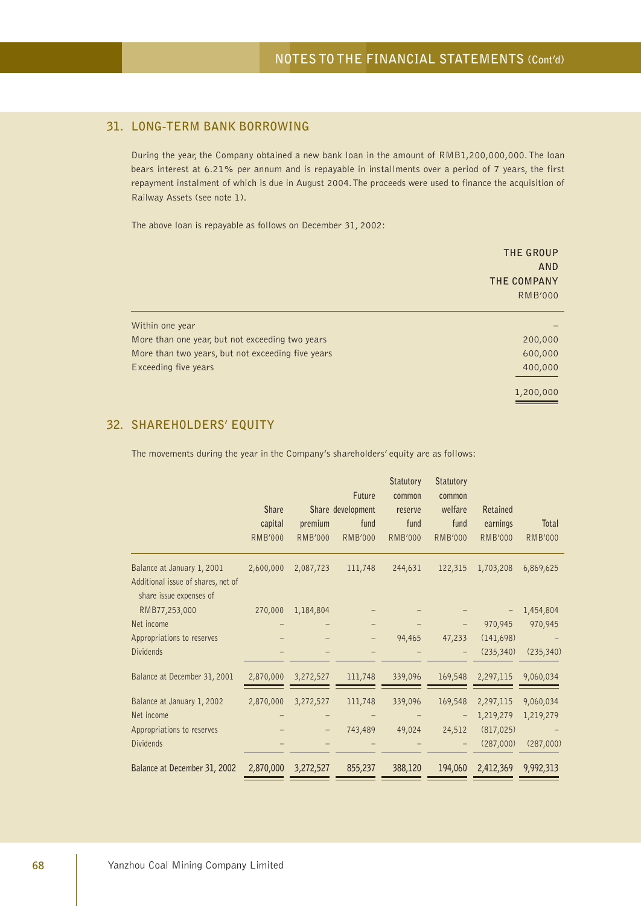## **31. LONG-TERM BANK BORROWING**

During the year, the Company obtained a new bank loan in the amount of RMB1,200,000,000. The loan bears interest at 6.21% per annum and is repayable in installments over a period of 7 years, the first repayment instalment of which is due in August 2004. The proceeds were used to finance the acquisition of Railway Assets (see note 1).

The above loan is repayable as follows on December 31, 2002:

|                                                   | THE GROUP<br>AND<br>THE COMPANY<br><b>RMB'000</b> |
|---------------------------------------------------|---------------------------------------------------|
| Within one year                                   |                                                   |
| More than one year, but not exceeding two years   | 200,000                                           |
| More than two years, but not exceeding five years | 600,000                                           |
| Exceeding five years                              | 400,000                                           |
|                                                   | 1,200,000                                         |

## **32. SHAREHOLDERS' EQUITY**

The movements during the year in the Company's shareholders' equity are as follows:

|                                                               |                |                | Future            | <b>Statutory</b><br>common | <b>Statutory</b><br>common |                |                |
|---------------------------------------------------------------|----------------|----------------|-------------------|----------------------------|----------------------------|----------------|----------------|
|                                                               | <b>Share</b>   |                | Share development | reserve                    | welfare                    | Retained       |                |
|                                                               | capital        | premium        | fund              | fund                       | fund                       | earnings       | Total          |
|                                                               | <b>RMB'000</b> | <b>RMB'000</b> | <b>RMB'000</b>    | <b>RMB'000</b>             | <b>RMB'000</b>             | <b>RMB'000</b> | <b>RMB'000</b> |
| Balance at January 1, 2001                                    | 2,600,000      | 2,087,723      | 111,748           | 244,631                    | 122,315                    | 1,703,208      | 6,869,625      |
| Additional issue of shares, net of<br>share issue expenses of |                |                |                   |                            |                            |                |                |
| RMB77,253,000                                                 | 270,000        | 1,184,804      |                   |                            |                            |                | 1,454,804      |
| Net income                                                    |                |                |                   |                            |                            | 970,945        | 970,945        |
| Appropriations to reserves                                    |                |                |                   | 94,465                     | 47,233                     | (141, 698)     |                |
| <b>Dividends</b>                                              |                |                |                   |                            |                            | (235, 340)     | (235, 340)     |
| Balance at December 31, 2001                                  | 2,870,000      | 3,272,527      | 111,748           | 339,096                    | 169,548                    | 2,297,115      | 9,060,034      |
| Balance at January 1, 2002                                    | 2,870,000      | 3,272,527      | 111,748           | 339,096                    | 169,548                    | 2,297,115      | 9,060,034      |
| Net income                                                    |                |                |                   |                            |                            | 1,219,279      | 1,219,279      |
| Appropriations to reserves                                    |                | -              | 743,489           | 49,024                     | 24,512                     | (817, 025)     |                |
| <b>Dividends</b>                                              |                |                |                   |                            |                            | (287,000)      | (287,000)      |
| Balance at December 31, 2002                                  | 2,870,000      | 3,272,527      | 855,237           | 388,120                    | 194,060                    | 2,412,369      | 9,992,313      |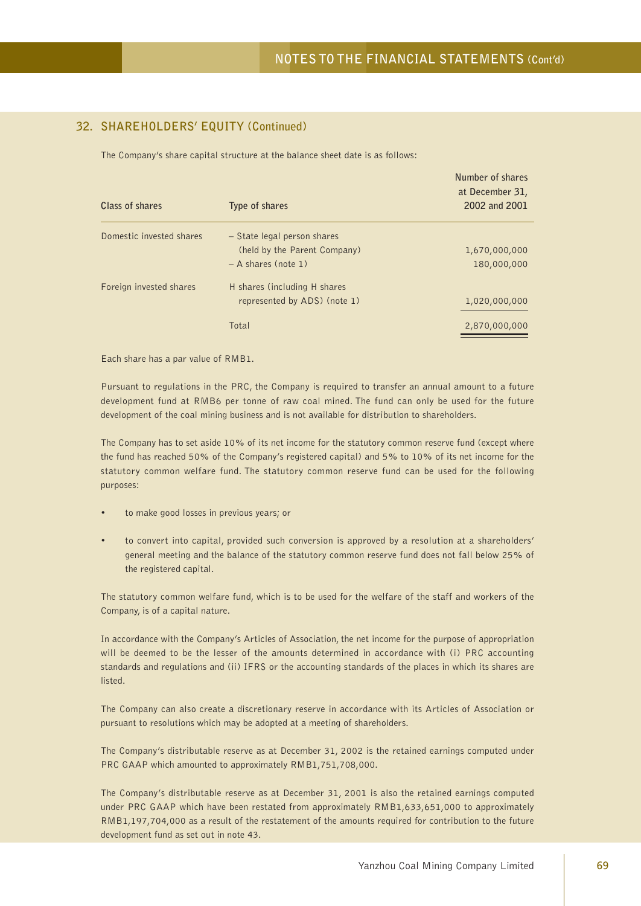## **32. SHAREHOLDERS' EQUITY (Continued)**

The Company's share capital structure at the balance sheet date is as follows:

| Type of shares               | Number of shares<br>at December 31,<br>2002 and 2001 |
|------------------------------|------------------------------------------------------|
| - State legal person shares  |                                                      |
| (held by the Parent Company) | 1,670,000,000                                        |
| $- A$ shares (note 1)        | 180,000,000                                          |
| H shares (including H shares |                                                      |
| represented by ADS) (note 1) | 1,020,000,000                                        |
| Total                        | 2,870,000,000                                        |
|                              |                                                      |

Each share has a par value of RMB1.

Pursuant to regulations in the PRC, the Company is required to transfer an annual amount to a future development fund at RMB6 per tonne of raw coal mined. The fund can only be used for the future development of the coal mining business and is not available for distribution to shareholders.

The Company has to set aside 10% of its net income for the statutory common reserve fund (except where the fund has reached 50% of the Company's registered capital) and 5% to 10% of its net income for the statutory common welfare fund. The statutory common reserve fund can be used for the following purposes:

- to make good losses in previous years; or
- to convert into capital, provided such conversion is approved by a resolution at a shareholders' general meeting and the balance of the statutory common reserve fund does not fall below 25% of the registered capital.

The statutory common welfare fund, which is to be used for the welfare of the staff and workers of the Company, is of a capital nature.

In accordance with the Company's Articles of Association, the net income for the purpose of appropriation will be deemed to be the lesser of the amounts determined in accordance with (i) PRC accounting standards and regulations and (ii) IFRS or the accounting standards of the places in which its shares are listed.

The Company can also create a discretionary reserve in accordance with its Articles of Association or pursuant to resolutions which may be adopted at a meeting of shareholders.

The Company's distributable reserve as at December 31, 2002 is the retained earnings computed under PRC GAAP which amounted to approximately RMB1,751,708,000.

The Company's distributable reserve as at December 31, 2001 is also the retained earnings computed under PRC GAAP which have been restated from approximately RMB1,633,651,000 to approximately RMB1,197,704,000 as a result of the restatement of the amounts required for contribution to the future development fund as set out in note 43.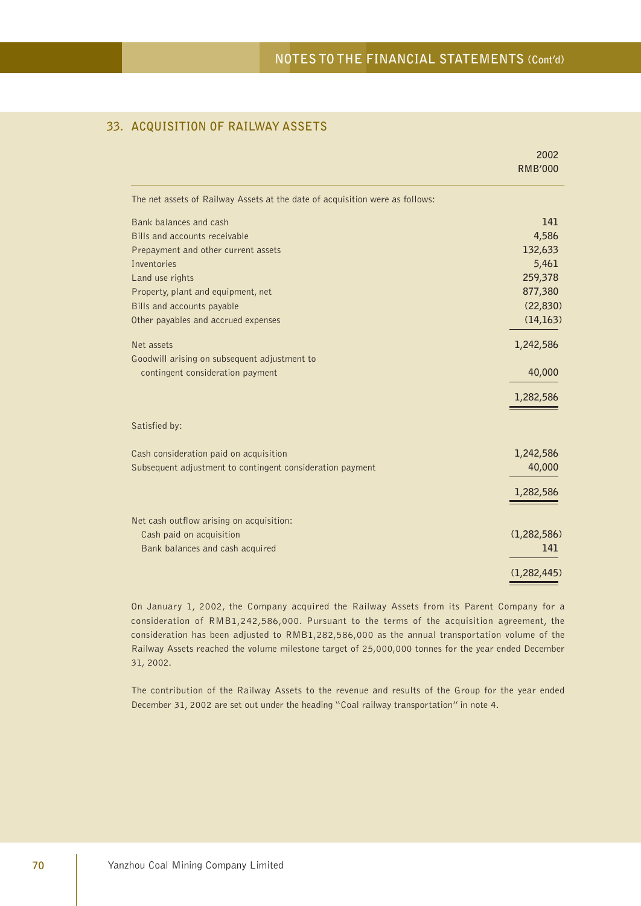### **33. ACQUISITION OF RAILWAY ASSETS**

|                                                                              | 2002           |
|------------------------------------------------------------------------------|----------------|
|                                                                              | <b>RMB'000</b> |
| The net assets of Railway Assets at the date of acquisition were as follows: |                |
| Bank balances and cash                                                       | 141            |
| Bills and accounts receivable                                                | 4,586          |
| Prepayment and other current assets                                          | 132,633        |
| Inventories                                                                  | 5,461          |
| Land use rights                                                              | 259,378        |
| Property, plant and equipment, net                                           | 877,380        |
| Bills and accounts payable                                                   | (22, 830)      |
| Other payables and accrued expenses                                          | (14, 163)      |
| Net assets                                                                   | 1,242,586      |
| Goodwill arising on subsequent adjustment to                                 |                |
| contingent consideration payment                                             | 40,000         |
|                                                                              | 1,282,586      |
| Satisfied by:                                                                |                |
| Cash consideration paid on acquisition                                       | 1,242,586      |
| Subsequent adjustment to contingent consideration payment                    | 40,000         |
|                                                                              | 1,282,586      |
| Net cash outflow arising on acquisition:                                     |                |
| Cash paid on acquisition                                                     | (1, 282, 586)  |
| Bank balances and cash acquired                                              | 141            |
|                                                                              | (1, 282, 445)  |

On January 1, 2002, the Company acquired the Railway Assets from its Parent Company for a consideration of RMB1,242,586,000. Pursuant to the terms of the acquisition agreement, the consideration has been adjusted to RMB1,282,586,000 as the annual transportation volume of the Railway Assets reached the volume milestone target of 25,000,000 tonnes for the year ended December 31, 2002.

The contribution of the Railway Assets to the revenue and results of the Group for the year ended December 31, 2002 are set out under the heading "Coal railway transportation" in note 4.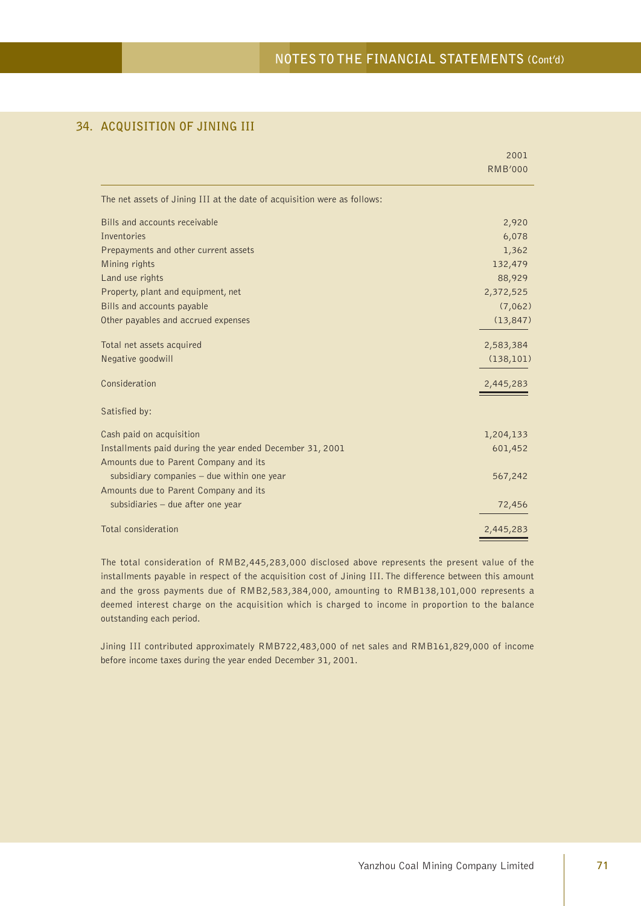## **34. ACQUISITION OF JINING III**

|                                                                          | 2001           |
|--------------------------------------------------------------------------|----------------|
|                                                                          | <b>RMB'000</b> |
| The net assets of Jining III at the date of acquisition were as follows: |                |
| Bills and accounts receivable                                            | 2,920          |
| <b>Inventories</b>                                                       | 6,078          |
| Prepayments and other current assets                                     | 1,362          |
| Mining rights                                                            | 132,479        |
| Land use rights                                                          | 88,929         |
| Property, plant and equipment, net                                       | 2,372,525      |
| Bills and accounts payable                                               | (7,062)        |
| Other payables and accrued expenses                                      | (13, 847)      |
| Total net assets acquired                                                | 2,583,384      |
| Negative goodwill                                                        | (138, 101)     |
| Consideration                                                            | 2,445,283      |
| Satisfied by:                                                            |                |
| Cash paid on acquisition                                                 | 1,204,133      |
| Installments paid during the year ended December 31, 2001                | 601,452        |
| Amounts due to Parent Company and its                                    |                |
| subsidiary companies $-$ due within one year                             | 567,242        |
| Amounts due to Parent Company and its                                    |                |
| subsidiaries - due after one year                                        | 72,456         |
| Total consideration                                                      | 2,445,283      |

The total consideration of RMB2,445,283,000 disclosed above represents the present value of the installments payable in respect of the acquisition cost of Jining III. The difference between this amount and the gross payments due of RMB2,583,384,000, amounting to RMB138,101,000 represents a deemed interest charge on the acquisition which is charged to income in proportion to the balance outstanding each period.

Jining III contributed approximately RMB722,483,000 of net sales and RMB161,829,000 of income before income taxes during the year ended December 31, 2001.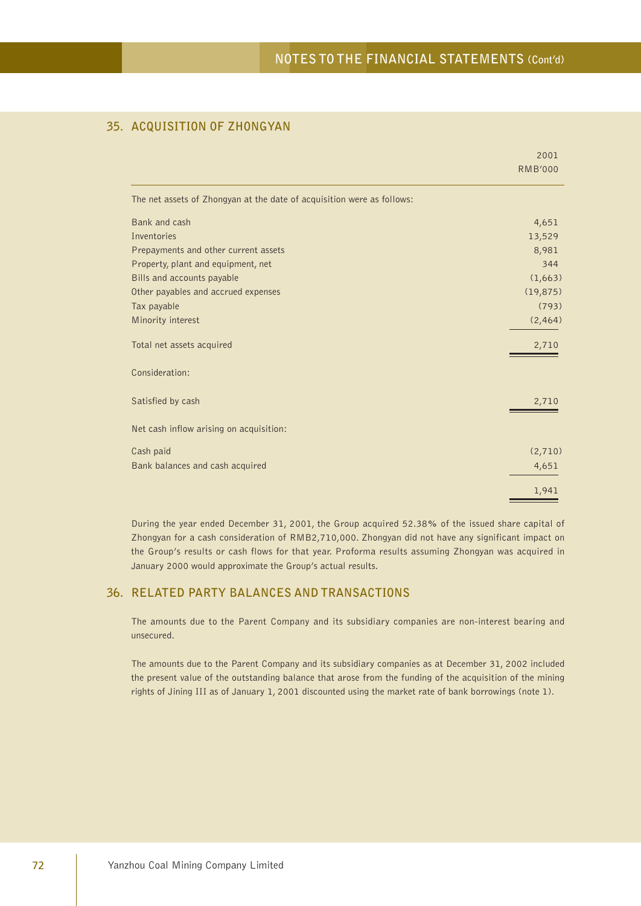## **35. ACQUISITION OF ZHONGYAN**

|                                                                        | 2001<br><b>RMB'000</b> |
|------------------------------------------------------------------------|------------------------|
|                                                                        |                        |
| The net assets of Zhongyan at the date of acquisition were as follows: |                        |
| Bank and cash                                                          | 4,651                  |
| <b>Inventories</b>                                                     | 13,529                 |
| Prepayments and other current assets                                   | 8,981                  |
| Property, plant and equipment, net                                     | 344                    |
| Bills and accounts payable                                             | (1,663)                |
| Other payables and accrued expenses                                    | (19, 875)              |
| Tax payable                                                            | (793)                  |
| Minority interest                                                      | (2, 464)               |
| Total net assets acquired                                              | 2,710                  |
| Consideration:                                                         |                        |
| Satisfied by cash                                                      | 2,710                  |
| Net cash inflow arising on acquisition:                                |                        |
| Cash paid                                                              | (2,710)                |
| Bank balances and cash acquired                                        | 4,651                  |
|                                                                        | 1,941                  |

During the year ended December 31, 2001, the Group acquired 52.38% of the issued share capital of Zhongyan for a cash consideration of RMB2,710,000. Zhongyan did not have any significant impact on the Group's results or cash flows for that year. Proforma results assuming Zhongyan was acquired in January 2000 would approximate the Group's actual results.

## **36. RELATED PARTY BALANCES AND TRANSACTIONS**

The amounts due to the Parent Company and its subsidiary companies are non-interest bearing and unsecured.

The amounts due to the Parent Company and its subsidiary companies as at December 31, 2002 included the present value of the outstanding balance that arose from the funding of the acquisition of the mining rights of Jining III as of January 1, 2001 discounted using the market rate of bank borrowings (note 1).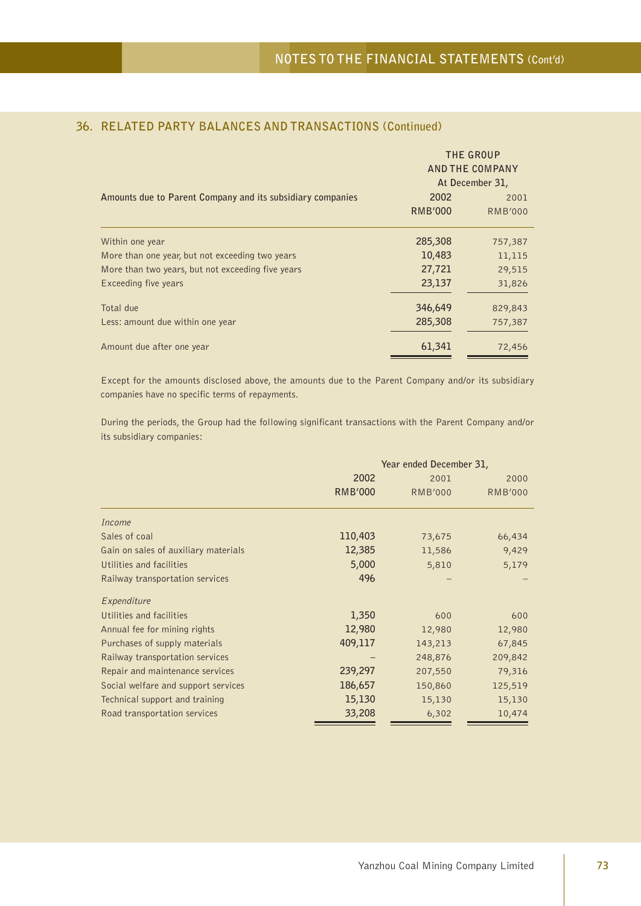|                                                            |                | THE GROUP<br><b>AND THE COMPANY</b><br>At December 31, |
|------------------------------------------------------------|----------------|--------------------------------------------------------|
| Amounts due to Parent Company and its subsidiary companies | 2002           | 2001                                                   |
|                                                            | <b>RMB'000</b> | <b>RMB'000</b>                                         |
| Within one year                                            | 285,308        | 757,387                                                |
| More than one year, but not exceeding two years            | 10,483         | 11,115                                                 |
| More than two years, but not exceeding five years          | 27,721         | 29,515                                                 |
| Exceeding five years                                       | 23,137         | 31,826                                                 |
| Total due                                                  | 346,649        | 829,843                                                |
| Less: amount due within one year                           | 285,308        | 757,387                                                |
| Amount due after one year                                  | 61,341         | 72,456                                                 |

### **36. RELATED PARTY BALANCES AND TRANSACTIONS (Continued)**

Except for the amounts disclosed above, the amounts due to the Parent Company and/or its subsidiary companies have no specific terms of repayments.

During the periods, the Group had the following significant transactions with the Parent Company and/or its subsidiary companies:

|                                      | Year ended December 31, |                |                |  |
|--------------------------------------|-------------------------|----------------|----------------|--|
|                                      | 2002                    | 2001           | 2000           |  |
|                                      | <b>RMB'000</b>          | <b>RMB'000</b> | <b>RMB'000</b> |  |
| Income                               |                         |                |                |  |
| Sales of coal                        | 110,403                 | 73,675         | 66,434         |  |
| Gain on sales of auxiliary materials | 12,385                  | 11,586         | 9,429          |  |
| Utilities and facilities             | 5,000                   | 5,810          | 5,179          |  |
| Railway transportation services      | 496                     |                |                |  |
| Expenditure                          |                         |                |                |  |
| Utilities and facilities             | 1,350                   | 600            | 600            |  |
| Annual fee for mining rights         | 12,980                  | 12,980         | 12,980         |  |
| Purchases of supply materials        | 409,117                 | 143,213        | 67,845         |  |
| Railway transportation services      |                         | 248,876        | 209,842        |  |
| Repair and maintenance services      | 239,297                 | 207,550        | 79,316         |  |
| Social welfare and support services  | 186,657                 | 150,860        | 125,519        |  |
| Technical support and training       | 15,130                  | 15,130         | 15,130         |  |
| Road transportation services         | 33,208                  | 6,302          | 10,474         |  |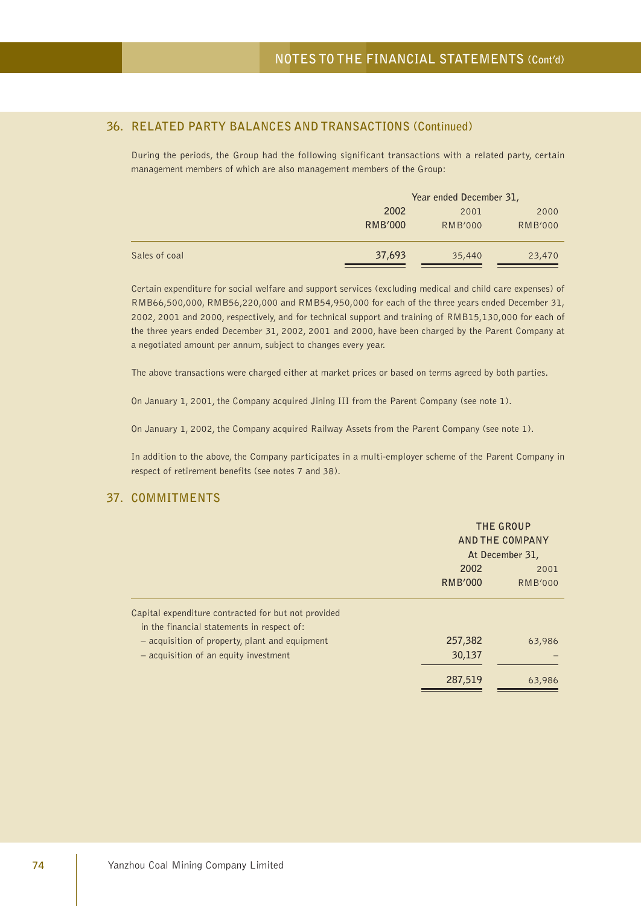## **36. RELATED PARTY BALANCES AND TRANSACTIONS (Continued)**

During the periods, the Group had the following significant transactions with a related party, certain management members of which are also management members of the Group:

|               |                | Year ended December 31, |                |  |
|---------------|----------------|-------------------------|----------------|--|
|               | 2002           | 2001                    | 2000           |  |
|               | <b>RMB'000</b> | <b>RMB'000</b>          | <b>RMB'000</b> |  |
| Sales of coal | 37,693         | 35,440                  | 23,470         |  |

Certain expenditure for social welfare and support services (excluding medical and child care expenses) of RMB66,500,000, RMB56,220,000 and RMB54,950,000 for each of the three years ended December 31, 2002, 2001 and 2000, respectively, and for technical support and training of RMB15,130,000 for each of the three years ended December 31, 2002, 2001 and 2000, have been charged by the Parent Company at a negotiated amount per annum, subject to changes every year.

The above transactions were charged either at market prices or based on terms agreed by both parties.

On January 1, 2001, the Company acquired Jining III from the Parent Company (see note 1).

On January 1, 2002, the Company acquired Railway Assets from the Parent Company (see note 1).

In addition to the above, the Company participates in a multi-employer scheme of the Parent Company in respect of retirement benefits (see notes 7 and 38).

### **37. COMMITMENTS**

|                                                                                                   | THE GROUP<br>AND THE COMPANY<br>At December 31, |                |
|---------------------------------------------------------------------------------------------------|-------------------------------------------------|----------------|
|                                                                                                   | 2002                                            | 2001           |
|                                                                                                   | <b>RMB'000</b>                                  | <b>RMB'000</b> |
| Capital expenditure contracted for but not provided<br>in the financial statements in respect of: |                                                 |                |
| - acquisition of property, plant and equipment                                                    | 257,382                                         | 63,986         |
| - acquisition of an equity investment                                                             | 30,137                                          |                |
|                                                                                                   | 287,519                                         | 63,986         |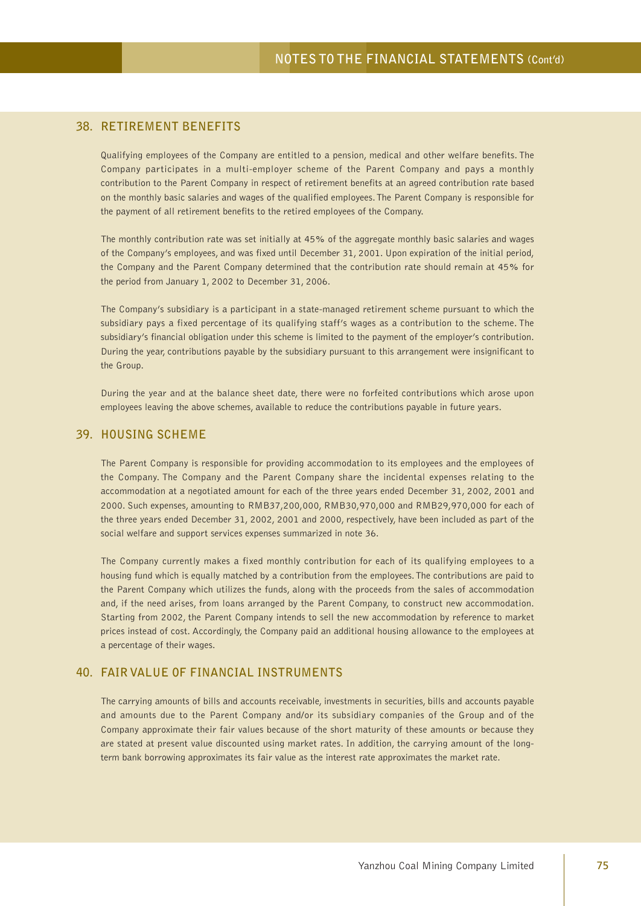### **38. RETIREMENT BENEFITS**

Qualifying employees of the Company are entitled to a pension, medical and other welfare benefits. The Company participates in a multi-employer scheme of the Parent Company and pays a monthly contribution to the Parent Company in respect of retirement benefits at an agreed contribution rate based on the monthly basic salaries and wages of the qualified employees. The Parent Company is responsible for the payment of all retirement benefits to the retired employees of the Company.

The monthly contribution rate was set initially at 45% of the aggregate monthly basic salaries and wages of the Company's employees, and was fixed until December 31, 2001. Upon expiration of the initial period, the Company and the Parent Company determined that the contribution rate should remain at 45% for the period from January 1, 2002 to December 31, 2006.

The Company's subsidiary is a participant in a state-managed retirement scheme pursuant to which the subsidiary pays a fixed percentage of its qualifying staff's wages as a contribution to the scheme. The subsidiary's financial obligation under this scheme is limited to the payment of the employer's contribution. During the year, contributions payable by the subsidiary pursuant to this arrangement were insignificant to the Group.

During the year and at the balance sheet date, there were no forfeited contributions which arose upon employees leaving the above schemes, available to reduce the contributions payable in future years.

#### **39. HOUSING SCHEME**

The Parent Company is responsible for providing accommodation to its employees and the employees of the Company. The Company and the Parent Company share the incidental expenses relating to the accommodation at a negotiated amount for each of the three years ended December 31, 2002, 2001 and 2000. Such expenses, amounting to RMB37,200,000, RMB30,970,000 and RMB29,970,000 for each of the three years ended December 31, 2002, 2001 and 2000, respectively, have been included as part of the social welfare and support services expenses summarized in note 36.

The Company currently makes a fixed monthly contribution for each of its qualifying employees to a housing fund which is equally matched by a contribution from the employees. The contributions are paid to the Parent Company which utilizes the funds, along with the proceeds from the sales of accommodation and, if the need arises, from loans arranged by the Parent Company, to construct new accommodation. Starting from 2002, the Parent Company intends to sell the new accommodation by reference to market prices instead of cost. Accordingly, the Company paid an additional housing allowance to the employees at a percentage of their wages.

### **40. FAIR VALUE OF FINANCIAL INSTRUMENTS**

The carrying amounts of bills and accounts receivable, investments in securities, bills and accounts payable and amounts due to the Parent Company and/or its subsidiary companies of the Group and of the Company approximate their fair values because of the short maturity of these amounts or because they are stated at present value discounted using market rates. In addition, the carrying amount of the longterm bank borrowing approximates its fair value as the interest rate approximates the market rate.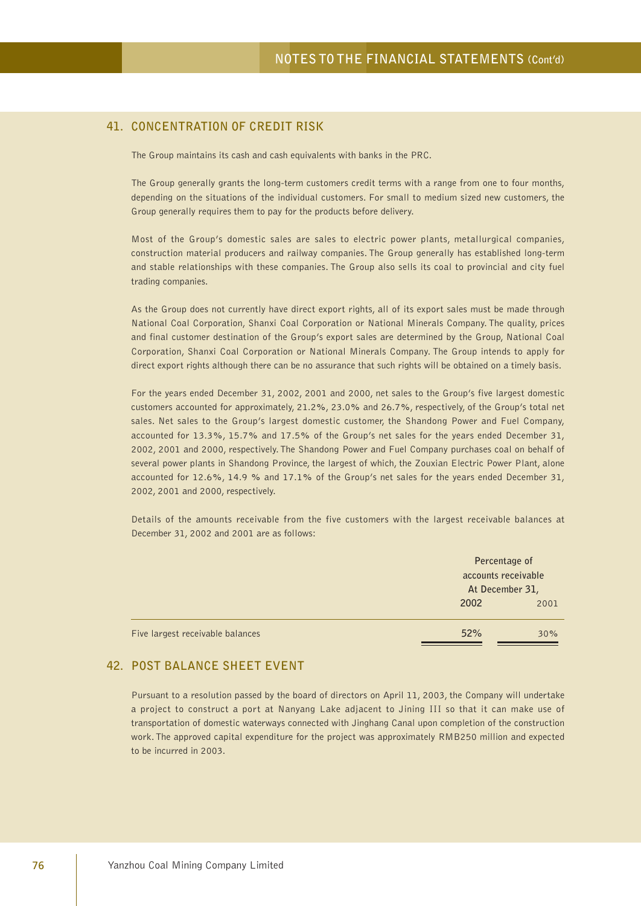### **41. CONCENTRATION OF CREDIT RISK**

The Group maintains its cash and cash equivalents with banks in the PRC.

The Group generally grants the long-term customers credit terms with a range from one to four months, depending on the situations of the individual customers. For small to medium sized new customers, the Group generally requires them to pay for the products before delivery.

Most of the Group's domestic sales are sales to electric power plants, metallurgical companies, construction material producers and railway companies. The Group generally has established long-term and stable relationships with these companies. The Group also sells its coal to provincial and city fuel trading companies.

As the Group does not currently have direct export rights, all of its export sales must be made through National Coal Corporation, Shanxi Coal Corporation or National Minerals Company. The quality, prices and final customer destination of the Group's export sales are determined by the Group, National Coal Corporation, Shanxi Coal Corporation or National Minerals Company. The Group intends to apply for direct export rights although there can be no assurance that such rights will be obtained on a timely basis.

For the years ended December 31, 2002, 2001 and 2000, net sales to the Group's five largest domestic customers accounted for approximately, 21.2%, 23.0% and 26.7%, respectively, of the Group's total net sales. Net sales to the Group's largest domestic customer, the Shandong Power and Fuel Company, accounted for 13.3%, 15.7% and 17.5% of the Group's net sales for the years ended December 31, 2002, 2001 and 2000, respectively. The Shandong Power and Fuel Company purchases coal on behalf of several power plants in Shandong Province, the largest of which, the Zouxian Electric Power Plant, alone accounted for 12.6%, 14.9 % and 17.1% of the Group's net sales for the years ended December 31, 2002, 2001 and 2000, respectively.

Details of the amounts receivable from the five customers with the largest receivable balances at December 31, 2002 and 2001 are as follows:

|                                  | Percentage of<br>accounts receivable |      |
|----------------------------------|--------------------------------------|------|
|                                  | At December 31,<br>2002              | 2001 |
| Five largest receivable balances | 52%                                  | 30%  |

#### **42. POST BALANCE SHEET EVENT**

Pursuant to a resolution passed by the board of directors on April 11, 2003, the Company will undertake a project to construct a port at Nanyang Lake adjacent to Jining III so that it can make use of transportation of domestic waterways connected with Jinghang Canal upon completion of the construction work. The approved capital expenditure for the project was approximately RMB250 million and expected to be incurred in 2003.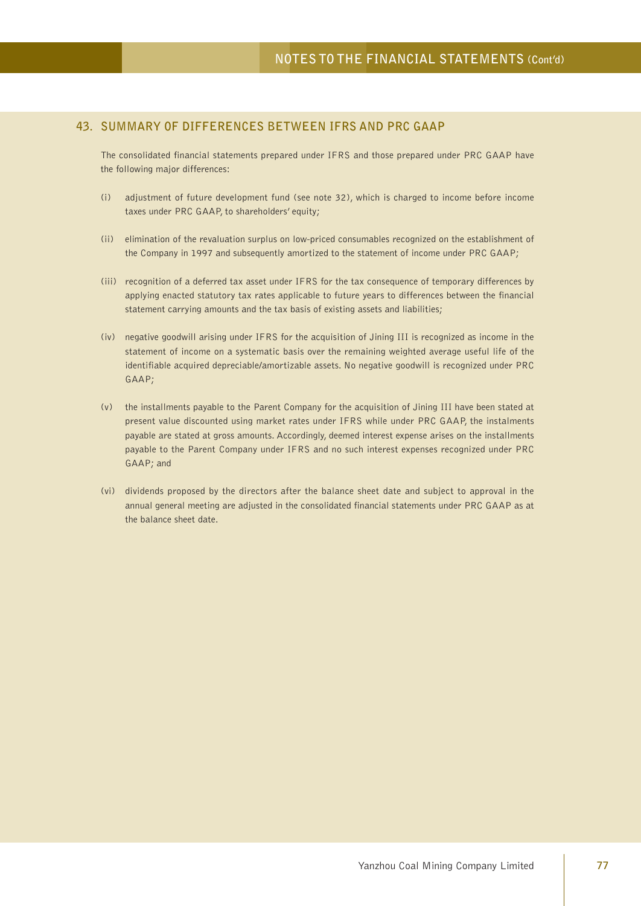### **43. SUMMARY OF DIFFERENCES BETWEEN IFRS AND PRC GAAP**

The consolidated financial statements prepared under IFRS and those prepared under PRC GAAP have the following major differences:

- (i) adjustment of future development fund (see note 32), which is charged to income before income taxes under PRC GAAP, to shareholders' equity;
- (ii) elimination of the revaluation surplus on low-priced consumables recognized on the establishment of the Company in 1997 and subsequently amortized to the statement of income under PRC GAAP;
- (iii) recognition of a deferred tax asset under IFRS for the tax consequence of temporary differences by applying enacted statutory tax rates applicable to future years to differences between the financial statement carrying amounts and the tax basis of existing assets and liabilities;
- (iv) negative goodwill arising under IFRS for the acquisition of Jining III is recognized as income in the statement of income on a systematic basis over the remaining weighted average useful life of the identifiable acquired depreciable/amortizable assets. No negative goodwill is recognized under PRC GAAP;
- (v) the installments payable to the Parent Company for the acquisition of Jining III have been stated at present value discounted using market rates under IFRS while under PRC GAAP, the instalments payable are stated at gross amounts. Accordingly, deemed interest expense arises on the installments payable to the Parent Company under IFRS and no such interest expenses recognized under PRC GAAP; and
- (vi) dividends proposed by the directors after the balance sheet date and subject to approval in the annual general meeting are adjusted in the consolidated financial statements under PRC GAAP as at the balance sheet date.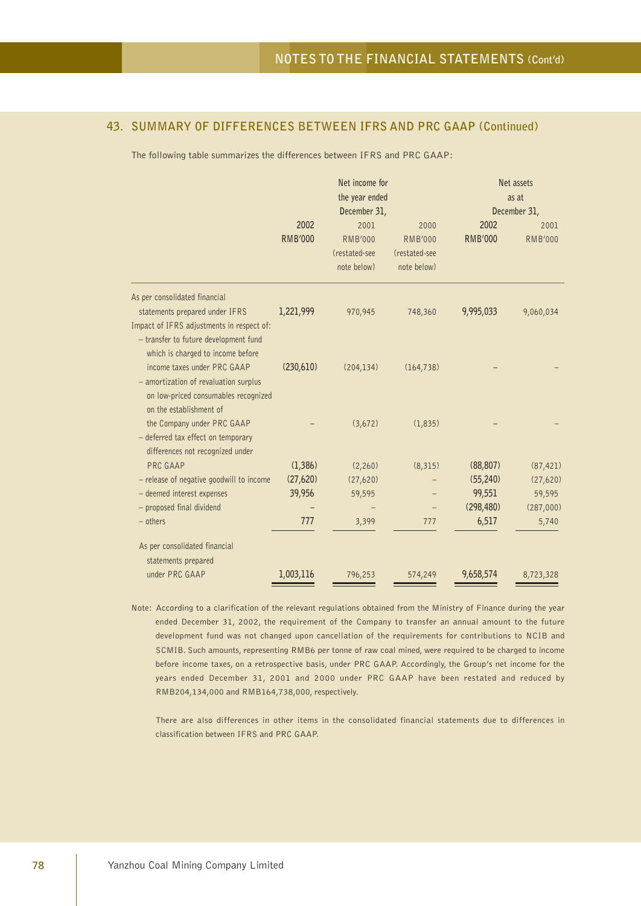The following table summarizes the differences between IFRS and PRC GAAP:

|                                                                                                                                                                                            | Net income for<br>the year ended<br>December 31, |                                                        |                                                        |                        | Net assets<br>as at<br>December 31, |
|--------------------------------------------------------------------------------------------------------------------------------------------------------------------------------------------|--------------------------------------------------|--------------------------------------------------------|--------------------------------------------------------|------------------------|-------------------------------------|
|                                                                                                                                                                                            | 2002<br><b>RMB'000</b>                           | 2001<br><b>RMB'000</b><br>(restated-see<br>note below) | 2000<br><b>RMB'000</b><br>(restated-see<br>note below) | 2002<br><b>RMB'000</b> | 2001<br><b>RMB'000</b>              |
| As per consolidated financial<br>statements prepared under IFRS<br>Impact of IFRS adjustments in respect of:<br>- transfer to future development fund<br>which is charged to income before | 1,221,999                                        | 970,945                                                | 748,360                                                | 9,995,033              | 9,060,034                           |
| income taxes under PRC GAAP<br>- amortization of revaluation surplus<br>on low-priced consumables recognized<br>on the establishment of                                                    | (230,610)                                        | (204, 134)                                             | (164, 738)                                             |                        |                                     |
| the Company under PRC GAAP<br>- deferred tax effect on temporary<br>differences not recognized under                                                                                       |                                                  | (3,672)                                                | (1,835)                                                |                        |                                     |
| PRC GAAP                                                                                                                                                                                   | (1, 386)                                         | (2,260)                                                | (8, 315)                                               | (88, 807)              | (87, 421)                           |
| - release of negative goodwill to income                                                                                                                                                   | (27,620)                                         | (27, 620)                                              |                                                        | (55, 240)              | (27, 620)                           |
| - deemed interest expenses                                                                                                                                                                 | 39,956                                           | 59,595                                                 |                                                        | 99,551                 | 59,595                              |
| - proposed final dividend                                                                                                                                                                  |                                                  |                                                        |                                                        | (298, 480)             | (287,000)                           |
| $-$ others                                                                                                                                                                                 | 777                                              | 3,399                                                  | 777                                                    | 6,517                  | 5,740                               |
| As per consolidated financial<br>statements prepared                                                                                                                                       |                                                  |                                                        |                                                        |                        |                                     |
| under PRC GAAP                                                                                                                                                                             | 1,003,116                                        | 796,253                                                | 574,249                                                | 9,658,574              | 8,723,328                           |

Note: According to a clarification of the relevant regulations obtained from the Ministry of Finance during the year ended December 31, 2002, the requirement of the Company to transfer an annual amount to the future development fund was not changed upon cancellation of the requirements for contributions to NCIB and SCMIB. Such amounts, representing RMB6 per tonne of raw coal mined, were required to be charged to income before income taxes, on a retrospective basis, under PRC GAAP. Accordingly, the Group's net income for the years ended December 31, 2001 and 2000 under PRC GAAP have been restated and reduced by RMB204,134,000 and RMB164,738,000, respectively.

There are also differences in other items in the consolidated financial statements due to differences in classification between IFRS and PRC GAAP.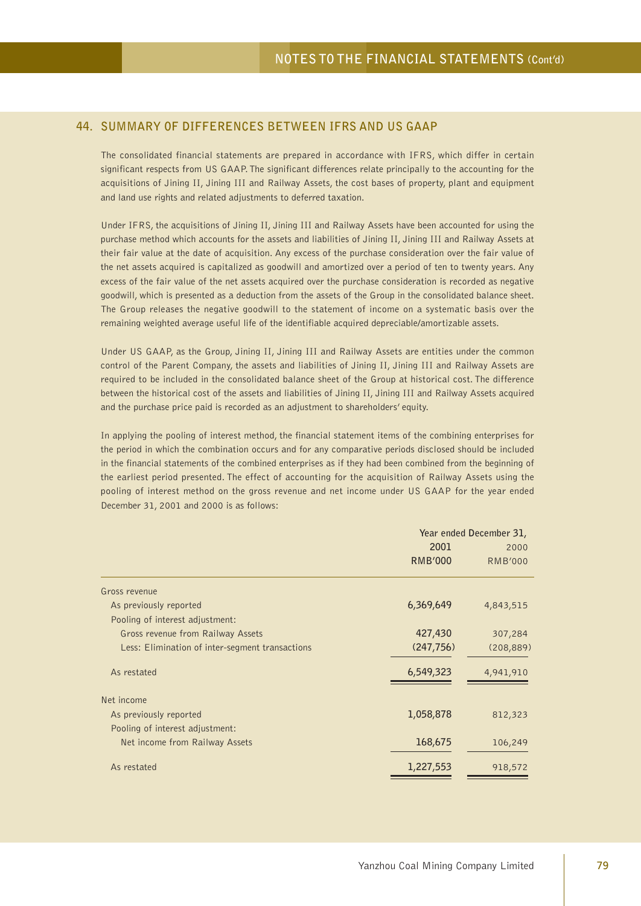### **44. SUMMARY OF DIFFERENCES BETWEEN IFRS AND US GAAP**

The consolidated financial statements are prepared in accordance with IFRS, which differ in certain significant respects from US GAAP. The significant differences relate principally to the accounting for the acquisitions of Jining II, Jining III and Railway Assets, the cost bases of property, plant and equipment and land use rights and related adjustments to deferred taxation.

Under IFRS, the acquisitions of Jining II, Jining III and Railway Assets have been accounted for using the purchase method which accounts for the assets and liabilities of Jining II, Jining III and Railway Assets at their fair value at the date of acquisition. Any excess of the purchase consideration over the fair value of the net assets acquired is capitalized as goodwill and amortized over a period of ten to twenty years. Any excess of the fair value of the net assets acquired over the purchase consideration is recorded as negative goodwill, which is presented as a deduction from the assets of the Group in the consolidated balance sheet. The Group releases the negative goodwill to the statement of income on a systematic basis over the remaining weighted average useful life of the identifiable acquired depreciable/amortizable assets.

Under US GAAP, as the Group, Jining II, Jining III and Railway Assets are entities under the common control of the Parent Company, the assets and liabilities of Jining II, Jining III and Railway Assets are required to be included in the consolidated balance sheet of the Group at historical cost. The difference between the historical cost of the assets and liabilities of Jining II, Jining III and Railway Assets acquired and the purchase price paid is recorded as an adjustment to shareholders' equity.

In applying the pooling of interest method, the financial statement items of the combining enterprises for the period in which the combination occurs and for any comparative periods disclosed should be included in the financial statements of the combined enterprises as if they had been combined from the beginning of the earliest period presented. The effect of accounting for the acquisition of Railway Assets using the pooling of interest method on the gross revenue and net income under US GAAP for the year ended December 31, 2001 and 2000 is as follows:

|                                                 | Year ended December 31, |                |  |
|-------------------------------------------------|-------------------------|----------------|--|
|                                                 | 2001                    | 2000           |  |
|                                                 | <b>RMB'000</b>          | <b>RMB'000</b> |  |
| Gross revenue                                   |                         |                |  |
| As previously reported                          | 6,369,649               | 4,843,515      |  |
| Pooling of interest adjustment:                 |                         |                |  |
| Gross revenue from Railway Assets               | 427,430                 | 307,284        |  |
| Less: Elimination of inter-segment transactions | (247, 756)              | (208, 889)     |  |
| As restated                                     | 6,549,323               | 4,941,910      |  |
| Net income                                      |                         |                |  |
| As previously reported                          | 1,058,878               | 812,323        |  |
| Pooling of interest adjustment:                 |                         |                |  |
| Net income from Railway Assets                  | 168,675                 | 106,249        |  |
| As restated                                     | 1,227,553               | 918,572        |  |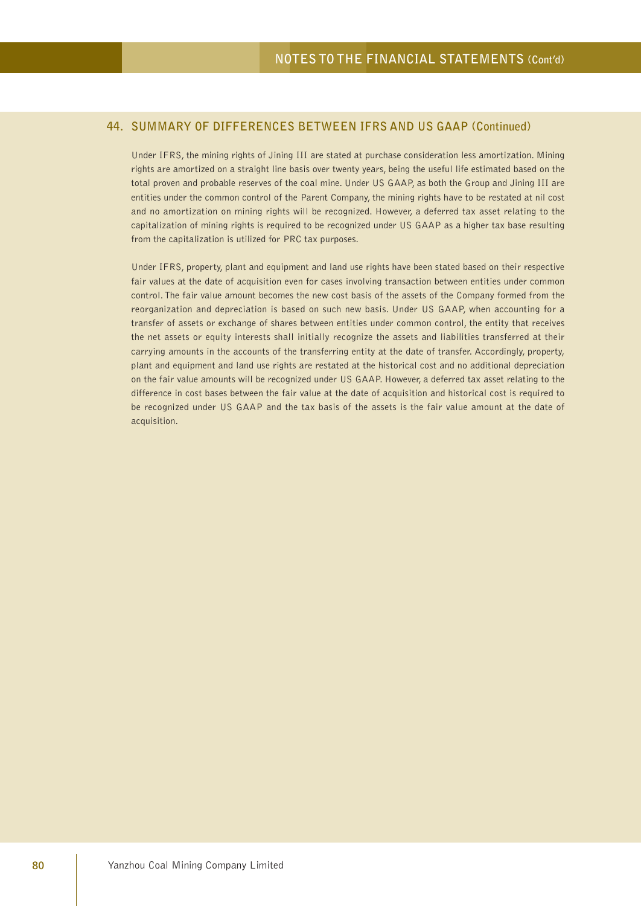Under IFRS, the mining rights of Jining III are stated at purchase consideration less amortization. Mining rights are amortized on a straight line basis over twenty years, being the useful life estimated based on the total proven and probable reserves of the coal mine. Under US GAAP, as both the Group and Jining III are entities under the common control of the Parent Company, the mining rights have to be restated at nil cost and no amortization on mining rights will be recognized. However, a deferred tax asset relating to the capitalization of mining rights is required to be recognized under US GAAP as a higher tax base resulting from the capitalization is utilized for PRC tax purposes.

Under IFRS, property, plant and equipment and land use rights have been stated based on their respective fair values at the date of acquisition even for cases involving transaction between entities under common control. The fair value amount becomes the new cost basis of the assets of the Company formed from the reorganization and depreciation is based on such new basis. Under US GAAP, when accounting for a transfer of assets or exchange of shares between entities under common control, the entity that receives the net assets or equity interests shall initially recognize the assets and liabilities transferred at their carrying amounts in the accounts of the transferring entity at the date of transfer. Accordingly, property, plant and equipment and land use rights are restated at the historical cost and no additional depreciation on the fair value amounts will be recognized under US GAAP. However, a deferred tax asset relating to the difference in cost bases between the fair value at the date of acquisition and historical cost is required to be recognized under US GAAP and the tax basis of the assets is the fair value amount at the date of acquisition.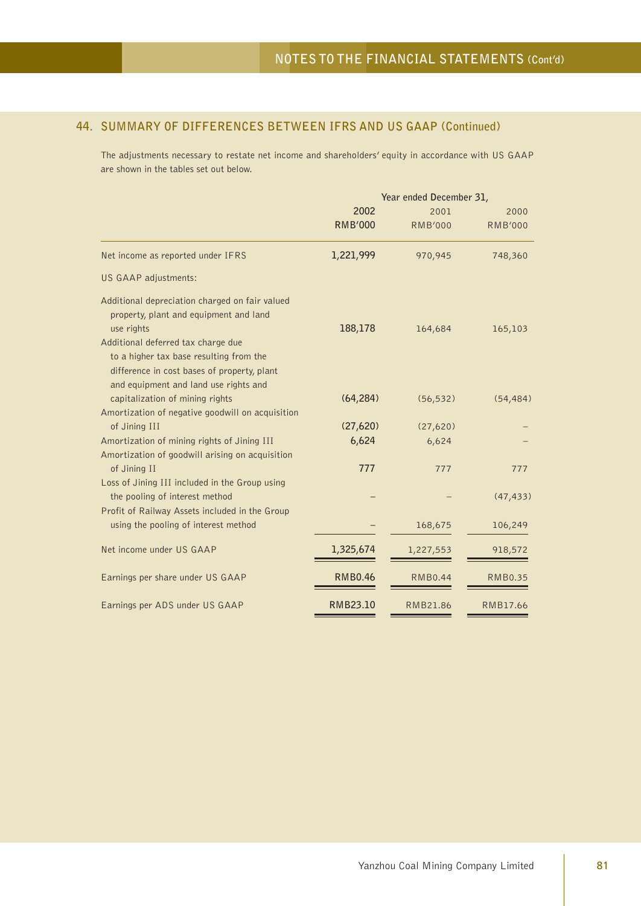The adjustments necessary to restate net income and shareholders' equity in accordance with US GAAP are shown in the tables set out below.

|                                                                                                                                                                       | Year ended December 31, |                |                |  |
|-----------------------------------------------------------------------------------------------------------------------------------------------------------------------|-------------------------|----------------|----------------|--|
|                                                                                                                                                                       | 2002                    | 2001           | 2000           |  |
|                                                                                                                                                                       | <b>RMB'000</b>          | <b>RMB'000</b> | <b>RMB'000</b> |  |
| Net income as reported under IFRS                                                                                                                                     | 1,221,999               | 970,945        | 748,360        |  |
| US GAAP adjustments:                                                                                                                                                  |                         |                |                |  |
| Additional depreciation charged on fair valued<br>property, plant and equipment and land<br>use rights                                                                | 188,178                 | 164,684        | 165,103        |  |
| Additional deferred tax charge due<br>to a higher tax base resulting from the<br>difference in cost bases of property, plant<br>and equipment and land use rights and |                         |                |                |  |
| capitalization of mining rights<br>Amortization of negative goodwill on acquisition                                                                                   | (64, 284)               | (56, 532)      | (54, 484)      |  |
| of Jining III                                                                                                                                                         | (27,620)                | (27,620)       |                |  |
| Amortization of mining rights of Jining III                                                                                                                           | 6,624                   | 6,624          |                |  |
| Amortization of goodwill arising on acquisition                                                                                                                       |                         |                |                |  |
| of Jining II                                                                                                                                                          | 777                     | 777            | 777            |  |
| Loss of Jining III included in the Group using<br>the pooling of interest method                                                                                      |                         |                | (47, 433)      |  |
| Profit of Railway Assets included in the Group<br>using the pooling of interest method                                                                                |                         | 168,675        | 106,249        |  |
| Net income under US GAAP                                                                                                                                              | 1,325,674               | 1,227,553      | 918,572        |  |
| Earnings per share under US GAAP                                                                                                                                      | <b>RMB0.46</b>          | <b>RMB0.44</b> | <b>RMB0.35</b> |  |
| Earnings per ADS under US GAAP                                                                                                                                        | RMB23.10                | RMB21.86       | RMB17.66       |  |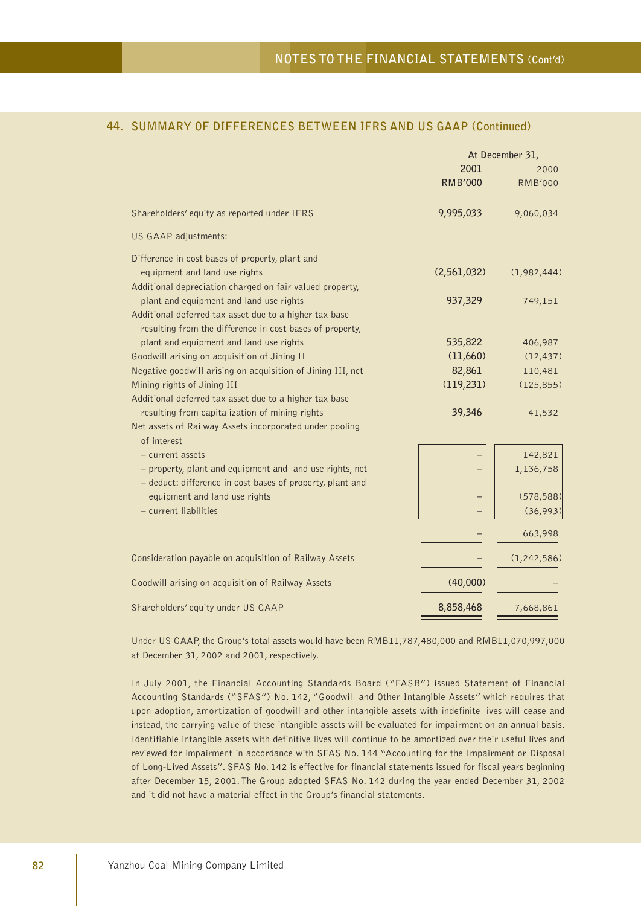|                                                                                                                    | At December 31,        |                        |  |
|--------------------------------------------------------------------------------------------------------------------|------------------------|------------------------|--|
|                                                                                                                    | 2001<br><b>RMB'000</b> | 2000<br><b>RMB'000</b> |  |
| Shareholders' equity as reported under IFRS                                                                        | 9,995,033              | 9,060,034              |  |
| US GAAP adjustments:                                                                                               |                        |                        |  |
| Difference in cost bases of property, plant and                                                                    |                        |                        |  |
| equipment and land use rights                                                                                      | (2,561,032)            | (1,982,444)            |  |
| Additional depreciation charged on fair valued property,                                                           |                        |                        |  |
| plant and equipment and land use rights                                                                            | 937,329                | 749,151                |  |
| Additional deferred tax asset due to a higher tax base<br>resulting from the difference in cost bases of property, |                        |                        |  |
| plant and equipment and land use rights                                                                            | 535,822                | 406,987                |  |
| Goodwill arising on acquisition of Jining II                                                                       | (11,660)               | (12, 437)              |  |
| Negative goodwill arising on acquisition of Jining III, net                                                        | 82,861                 | 110,481                |  |
| Mining rights of Jining III                                                                                        | (119, 231)             | (125, 855)             |  |
| Additional deferred tax asset due to a higher tax base                                                             |                        |                        |  |
| resulting from capitalization of mining rights                                                                     | 39,346                 | 41,532                 |  |
| Net assets of Railway Assets incorporated under pooling<br>of interest                                             |                        |                        |  |
| - current assets                                                                                                   |                        | 142,821                |  |
| - property, plant and equipment and land use rights, net                                                           |                        | 1,136,758              |  |
| - deduct: difference in cost bases of property, plant and                                                          |                        |                        |  |
| equipment and land use rights                                                                                      |                        | (578, 588)             |  |
| - current liabilities                                                                                              |                        | (36,993)               |  |
|                                                                                                                    |                        | 663,998                |  |
| Consideration payable on acquisition of Railway Assets                                                             |                        | (1, 242, 586)          |  |
| Goodwill arising on acquisition of Railway Assets                                                                  | (40,000)               |                        |  |
| Shareholders' equity under US GAAP                                                                                 | 8,858,468              | 7,668,861              |  |

Under US GAAP, the Group's total assets would have been RMB11,787,480,000 and RMB11,070,997,000 at December 31, 2002 and 2001, respectively.

In July 2001, the Financial Accounting Standards Board ("FASB") issued Statement of Financial Accounting Standards ("SFAS") No. 142, "Goodwill and Other Intangible Assets" which requires that upon adoption, amortization of goodwill and other intangible assets with indefinite lives will cease and instead, the carrying value of these intangible assets will be evaluated for impairment on an annual basis. Identifiable intangible assets with definitive lives will continue to be amortized over their useful lives and reviewed for impairment in accordance with SFAS No. 144 "Accounting for the Impairment or Disposal of Long-Lived Assets". SFAS No. 142 is effective for financial statements issued for fiscal years beginning after December 15, 2001. The Group adopted SFAS No. 142 during the year ended December 31, 2002 and it did not have a material effect in the Group's financial statements.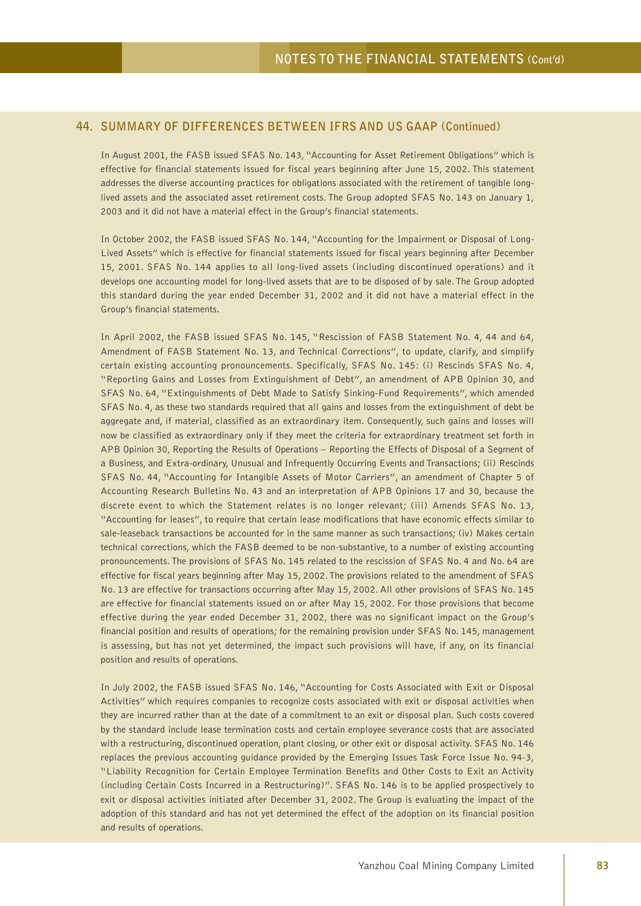In August 2001, the FASB issued SFAS No. 143, "Accounting for Asset Retirement Obligations" which is effective for financial statements issued for fiscal years beginning after June 15, 2002. This statement addresses the diverse accounting practices for obligations associated with the retirement of tangible longlived assets and the associated asset retirement costs. The Group adopted SFAS No. 143 on January 1, 2003 and it did not have a material effect in the Group's financial statements.

In October 2002, the FASB issued SFAS No. 144, "Accounting for the Impairment or Disposal of Long-Lived Assets" which is effective for financial statements issued for fiscal years beginning after December 15, 2001. SFAS No. 144 applies to all long-lived assets (including discontinued operations) and it develops one accounting model for long-lived assets that are to be disposed of by sale. The Group adopted this standard during the year ended December 31, 2002 and it did not have a material effect in the Group's financial statements.

In April 2002, the FASB issued SFAS No. 145, "Rescission of FASB Statement No. 4, 44 and 64, Amendment of FASB Statement No. 13, and Technical Corrections", to update, clarify, and simplify certain existing accounting pronouncements. Specifically, SFAS No. 145: (i) Rescinds SFAS No. 4, "Reporting Gains and Losses from Extinguishment of Debt", an amendment of APB Opinion 30, and SFAS No. 64, "Extinguishments of Debt Made to Satisfy Sinking-Fund Requirements", which amended SFAS No. 4, as these two standards required that all gains and losses from the extinguishment of debt be aggregate and, if material, classified as an extraordinary item. Consequently, such gains and losses will now be classified as extraordinary only if they meet the criteria for extraordinary treatment set forth in APB Opinion 30, Reporting the Results of Operations – Reporting the Effects of Disposal of a Segment of a Business, and Extra-ordinary, Unusual and Infrequently Occurring Events and Transactions; (ii) Rescinds SFAS No. 44, "Accounting for Intangible Assets of Motor Carriers", an amendment of Chapter 5 of Accounting Research Bulletins No. 43 and an interpretation of APB Opinions 17 and 30, because the discrete event to which the Statement relates is no longer relevant; (iii) Amends SFAS No. 13, "Accounting for leases", to require that certain lease modifications that have economic effects similar to sale-leaseback transactions be accounted for in the same manner as such transactions; (iv) Makes certain technical corrections, which the FASB deemed to be non-substantive, to a number of existing accounting pronouncements. The provisions of SFAS No. 145 related to the rescission of SFAS No. 4 and No. 64 are effective for fiscal years beginning after May 15, 2002. The provisions related to the amendment of SFAS No. 13 are effective for transactions occurring after May 15, 2002. All other provisions of SFAS No. 145 are effective for financial statements issued on or after May 15, 2002. For those provisions that become effective during the year ended December 31, 2002, there was no significant impact on the Group's financial position and results of operations; for the remaining provision under SFAS No. 145, management is assessing, but has not yet determined, the impact such provisions will have, if any, on its financial position and results of operations.

In July 2002, the FASB issued SFAS No. 146, "Accounting for Costs Associated with Exit or Disposal Activities" which requires companies to recognize costs associated with exit or disposal activities when they are incurred rather than at the date of a commitment to an exit or disposal plan. Such costs covered by the standard include lease termination costs and certain employee severance costs that are associated with a restructuring, discontinued operation, plant closing, or other exit or disposal activity. SFAS No. 146 replaces the previous accounting guidance provided by the Emerging Issues Task Force Issue No. 94-3, "Liability Recognition for Certain Employee Termination Benefits and Other Costs to Exit an Activity (including Certain Costs Incurred in a Restructuring)". SFAS No. 146 is to be applied prospectively to exit or disposal activities initiated after December 31, 2002. The Group is evaluating the impact of the adoption of this standard and has not yet determined the effect of the adoption on its financial position and results of operations.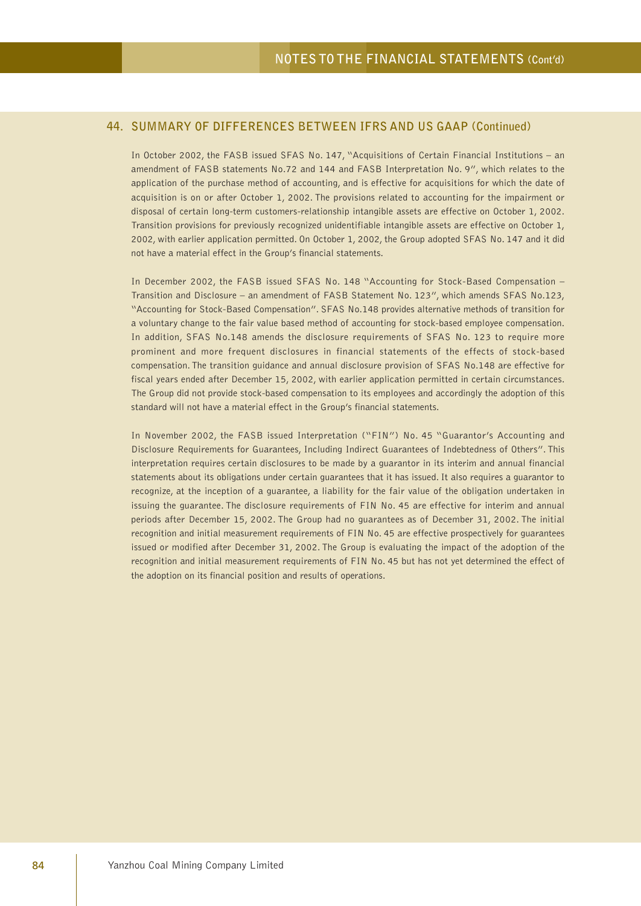In October 2002, the FASB issued SFAS No. 147, "Acquisitions of Certain Financial Institutions – an amendment of FASB statements No.72 and 144 and FASB Interpretation No. 9", which relates to the application of the purchase method of accounting, and is effective for acquisitions for which the date of acquisition is on or after October 1, 2002. The provisions related to accounting for the impairment or disposal of certain long-term customers-relationship intangible assets are effective on October 1, 2002. Transition provisions for previously recognized unidentifiable intangible assets are effective on October 1, 2002, with earlier application permitted. On October 1, 2002, the Group adopted SFAS No. 147 and it did not have a material effect in the Group's financial statements.

In December 2002, the FASB issued SFAS No. 148 "Accounting for Stock-Based Compensation – Transition and Disclosure – an amendment of FASB Statement No. 123", which amends SFAS No.123, "Accounting for Stock-Based Compensation". SFAS No.148 provides alternative methods of transition for a voluntary change to the fair value based method of accounting for stock-based employee compensation. In addition, SFAS No.148 amends the disclosure requirements of SFAS No. 123 to require more prominent and more frequent disclosures in financial statements of the effects of stock-based compensation. The transition guidance and annual disclosure provision of SFAS No.148 are effective for fiscal years ended after December 15, 2002, with earlier application permitted in certain circumstances. The Group did not provide stock-based compensation to its employees and accordingly the adoption of this standard will not have a material effect in the Group's financial statements.

In November 2002, the FASB issued Interpretation ("FIN") No. 45 "Guarantor's Accounting and Disclosure Requirements for Guarantees, Including Indirect Guarantees of Indebtedness of Others". This interpretation requires certain disclosures to be made by a guarantor in its interim and annual financial statements about its obligations under certain guarantees that it has issued. It also requires a guarantor to recognize, at the inception of a guarantee, a liability for the fair value of the obligation undertaken in issuing the guarantee. The disclosure requirements of FIN No. 45 are effective for interim and annual periods after December 15, 2002. The Group had no guarantees as of December 31, 2002. The initial recognition and initial measurement requirements of FIN No. 45 are effective prospectively for guarantees issued or modified after December 31, 2002. The Group is evaluating the impact of the adoption of the recognition and initial measurement requirements of FIN No. 45 but has not yet determined the effect of the adoption on its financial position and results of operations.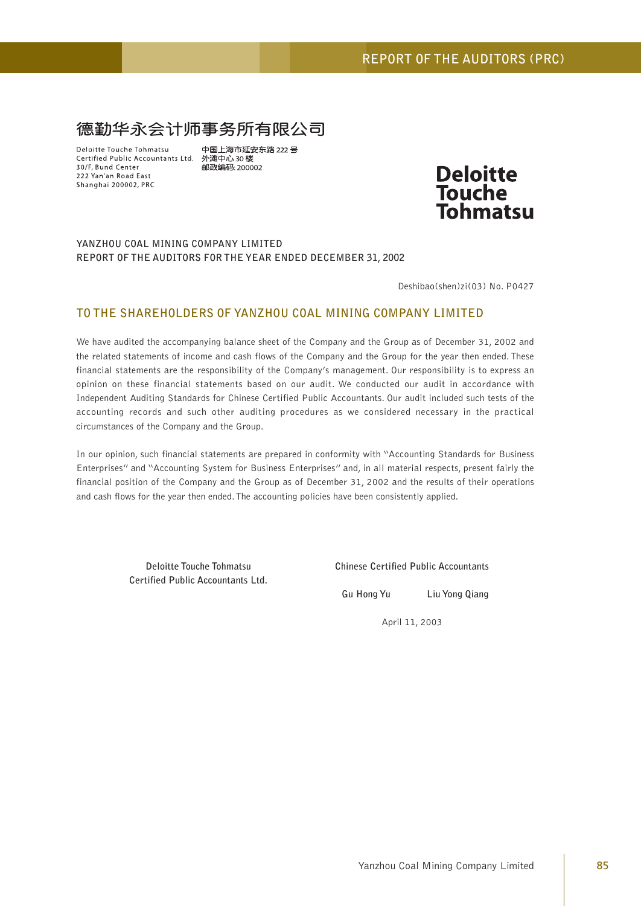# 德勤华永会计师事务所有限公司

Deloitte Touche Tohmatsu Certified Public Accountants Ltd. 外滩中心 30楼 30/F. Bund Center 222 Yan'an Road East Shanghai 200002, PRC

中国上海市延安东路 222 号 邮政编码: 200002



#### **YANZHOU COAL MINING COMPANY LIMITED REPORT OF THE AUDITORS FOR THE YEAR ENDED DECEMBER 31, 2002**

Deshibao(shen)zi(03) No. P0427

# **TO THE SHAREHOLDERS OF YANZHOU COAL MINING COMPANY LIMITED**

We have audited the accompanying balance sheet of the Company and the Group as of December 31, 2002 and the related statements of income and cash flows of the Company and the Group for the year then ended. These financial statements are the responsibility of the Company's management. Our responsibility is to express an opinion on these financial statements based on our audit. We conducted our audit in accordance with Independent Auditing Standards for Chinese Certified Public Accountants. Our audit included such tests of the accounting records and such other auditing procedures as we considered necessary in the practical circumstances of the Company and the Group.

In our opinion, such financial statements are prepared in conformity with "Accounting Standards for Business Enterprises" and "Accounting System for Business Enterprises" and, in all material respects, present fairly the financial position of the Company and the Group as of December 31, 2002 and the results of their operations and cash flows for the year then ended. The accounting policies have been consistently applied.

**Certified Public Accountants Ltd.**

**Deloitte Touche Tohmatsu Chinese Certified Public Accountants**

**Gu Hong Yu Liu Yong Qiang**

April 11, 2003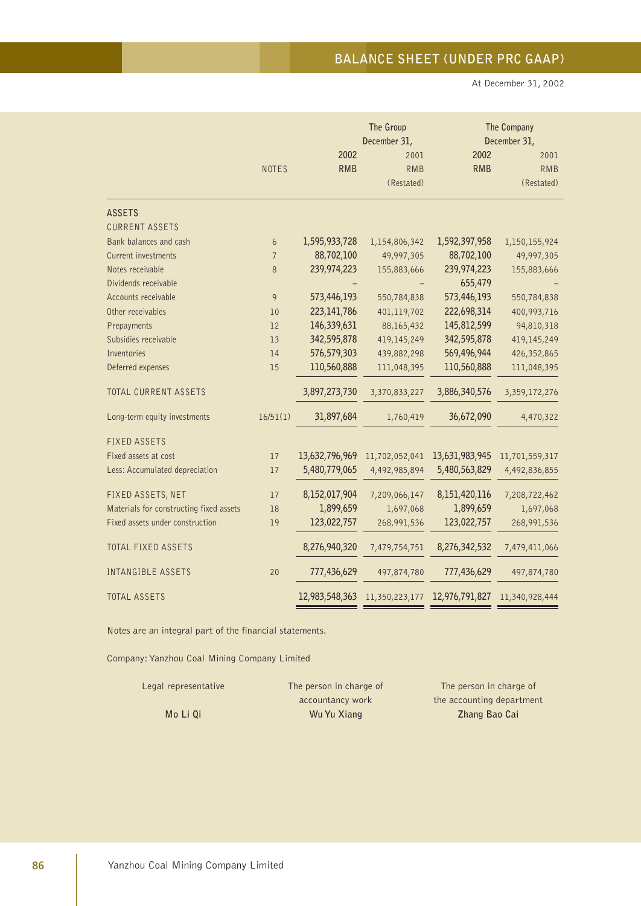At December 31, 2002

|                                         |                |                | The Group<br>December 31, |                | The Company<br>December 31, |
|-----------------------------------------|----------------|----------------|---------------------------|----------------|-----------------------------|
|                                         |                | 2002           | 2001                      | 2002           |                             |
|                                         | <b>NOTES</b>   | <b>RMB</b>     | <b>RMB</b>                | <b>RMB</b>     | 2001<br><b>RMB</b>          |
|                                         |                |                | (Restated)                |                | (Restated)                  |
|                                         |                |                |                           |                |                             |
| <b>ASSETS</b>                           |                |                |                           |                |                             |
| <b>CURRENT ASSETS</b>                   |                |                |                           |                |                             |
| Bank balances and cash                  | 6              | 1,595,933,728  | 1,154,806,342             | 1,592,397,958  | 1,150,155,924               |
| Current investments                     | $\overline{7}$ | 88,702,100     | 49,997,305                | 88,702,100     | 49,997,305                  |
| Notes receivable                        | 8              | 239,974,223    | 155,883,666               | 239,974,223    | 155,883,666                 |
| Dividends receivable                    |                |                |                           | 655,479        |                             |
| Accounts receivable                     | 9              | 573,446,193    | 550,784,838               | 573,446,193    | 550,784,838                 |
| Other receivables                       | 10             | 223,141,786    | 401,119,702               | 222,698,314    | 400,993,716                 |
| Prepayments                             | 12             | 146,339,631    | 88,165,432                | 145,812,599    | 94,810,318                  |
| Subsidies receivable                    | 13             | 342,595,878    | 419,145,249               | 342,595,878    | 419,145,249                 |
| Inventories                             | 14             | 576,579,303    | 439,882,298               | 569,496,944    | 426,352,865                 |
| Deferred expenses                       | 15             | 110,560,888    | 111,048,395               | 110,560,888    | 111,048,395                 |
| TOTAL CURRENT ASSETS                    |                | 3,897,273,730  | 3,370,833,227             | 3,886,340,576  | 3,359,172,276               |
| Long-term equity investments            | 16/51(1)       | 31,897,684     | 1,760,419                 | 36,672,090     | 4,470,322                   |
| <b>FIXED ASSETS</b>                     |                |                |                           |                |                             |
| Fixed assets at cost                    | 17             | 13,632,796,969 | 11,702,052,041            | 13,631,983,945 | 11,701,559,317              |
| Less: Accumulated depreciation          | 17             | 5,480,779,065  | 4,492,985,894             | 5,480,563,829  | 4,492,836,855               |
| FIXED ASSETS, NET                       | 17             | 8,152,017,904  | 7,209,066,147             | 8,151,420,116  | 7,208,722,462               |
| Materials for constructing fixed assets | 18             | 1,899,659      | 1,697,068                 | 1,899,659      | 1,697,068                   |
| Fixed assets under construction         | 19             | 123,022,757    | 268,991,536               | 123,022,757    | 268,991,536                 |
| <b>TOTAL FIXED ASSETS</b>               |                | 8,276,940,320  | 7,479,754,751             | 8,276,342,532  | 7,479,411,066               |
| INTANGIBLE ASSETS                       | 20             | 777,436,629    | 497,874,780               | 777,436,629    | 497,874,780                 |
| <b>TOTAL ASSETS</b>                     |                | 12,983,548,363 | 11,350,223,177            | 12,976,791,827 | 11,340,928,444              |

Notes are an integral part of the financial statements.

| Legal representative | The person in charge of | The person in charge of   |
|----------------------|-------------------------|---------------------------|
|                      | accountancy work        | the accounting department |
| Mo Li Qi             | Wu Yu Xiang             | Zhang Bao Cai             |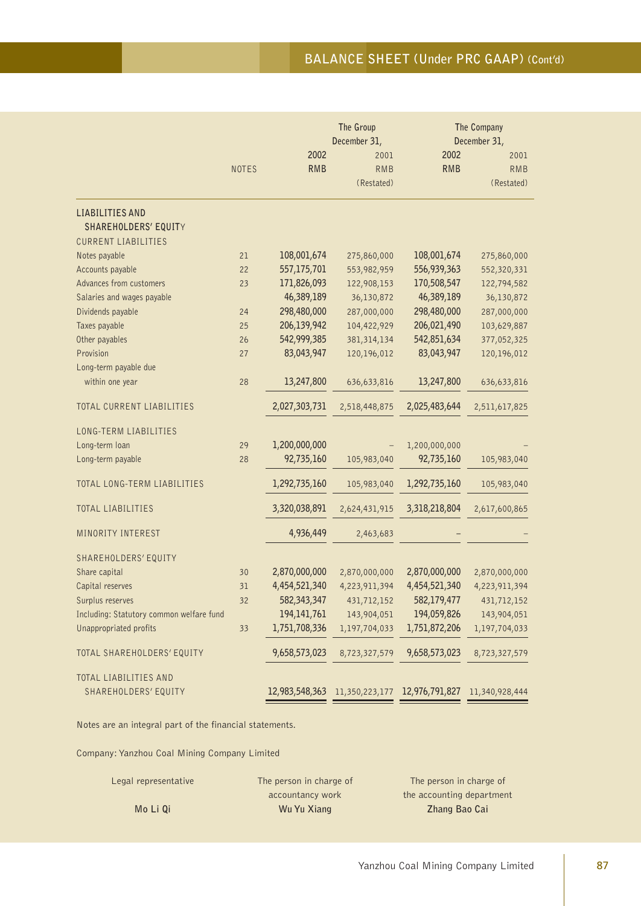# **BALANCE SHEET (Under PRC GAAP) (Cont'd)**

|                                                                              |              |               | The Group<br>December 31,                    |               | The Company<br>December 31, |
|------------------------------------------------------------------------------|--------------|---------------|----------------------------------------------|---------------|-----------------------------|
|                                                                              |              | 2002          | 2001                                         | 2002          | 2001                        |
|                                                                              | <b>NOTES</b> | <b>RMB</b>    | <b>RMB</b>                                   | <b>RMB</b>    | <b>RMB</b>                  |
|                                                                              |              |               | (Restated)                                   |               | (Restated)                  |
| <b>LIABILITIES AND</b><br>SHAREHOLDERS' EQUITY<br><b>CURRENT LIABILITIES</b> |              |               |                                              |               |                             |
| Notes payable                                                                | 21           | 108,001,674   | 275,860,000                                  | 108,001,674   | 275,860,000                 |
| Accounts payable                                                             | 22           | 557,175,701   | 553,982,959                                  | 556,939,363   | 552,320,331                 |
| Advances from customers                                                      | 23           | 171,826,093   | 122,908,153                                  | 170,508,547   | 122,794,582                 |
| Salaries and wages payable                                                   |              | 46,389,189    | 36,130,872                                   | 46,389,189    | 36,130,872                  |
| Dividends payable                                                            | 24           | 298,480,000   | 287,000,000                                  | 298,480,000   | 287,000,000                 |
| Taxes payable                                                                | 25           | 206,139,942   | 104,422,929                                  | 206,021,490   | 103,629,887                 |
| Other payables                                                               | 26           | 542,999,385   | 381, 314, 134                                | 542,851,634   | 377,052,325                 |
| Provision                                                                    | 27           | 83,043,947    | 120,196,012                                  | 83,043,947    | 120,196,012                 |
| Long-term payable due                                                        |              |               |                                              |               |                             |
| within one year                                                              | 28           | 13,247,800    | 636,633,816                                  | 13,247,800    | 636,633,816                 |
| TOTAL CURRENT LIABILITIES                                                    |              | 2,027,303,731 | 2,518,448,875                                | 2,025,483,644 | 2,511,617,825               |
| LONG-TERM LIABILITIES                                                        |              |               |                                              |               |                             |
| Long-term loan                                                               | 29           | 1,200,000,000 |                                              | 1,200,000,000 |                             |
| Long-term payable                                                            | 28           | 92,735,160    | 105,983,040                                  | 92,735,160    | 105,983,040                 |
|                                                                              |              |               |                                              |               |                             |
| TOTAL LONG-TERM LIABILITIES                                                  |              | 1,292,735,160 | 105,983,040                                  | 1,292,735,160 | 105,983,040                 |
| TOTAL LIABILITIES                                                            |              | 3,320,038,891 | 2,624,431,915                                | 3,318,218,804 | 2,617,600,865               |
| MINORITY INTEREST                                                            |              | 4,936,449     | 2,463,683                                    |               |                             |
| SHAREHOLDERS' EQUITY                                                         |              |               |                                              |               |                             |
| Share capital                                                                | 30           | 2,870,000,000 | 2,870,000,000                                | 2,870,000,000 | 2,870,000,000               |
| Capital reserves                                                             | 31           | 4,454,521,340 | 4,223,911,394                                | 4,454,521,340 | 4,223,911,394               |
| Surplus reserves                                                             | 32           | 582,343,347   | 431,712,152                                  | 582,179,477   | 431,712,152                 |
| Including: Statutory common welfare fund                                     |              | 194, 141, 761 | 143,904,051                                  | 194,059,826   | 143,904,051                 |
| Unappropriated profits                                                       | 33           | 1,751,708,336 | 1,197,704,033                                | 1,751,872,206 | 1,197,704,033               |
| TOTAL SHAREHOLDERS' EQUITY                                                   |              | 9,658,573,023 | 8,723,327,579                                | 9,658,573,023 | 8,723,327,579               |
| TOTAL LIABILITIES AND                                                        |              |               |                                              |               |                             |
| SHAREHOLDERS' EQUITY                                                         |              |               | 12,983,548,363 11,350,223,177 12,976,791,827 |               | 11,340,928,444              |

Notes are an integral part of the financial statements.

| Legal representative | The person in charge of | The person in charge of   |
|----------------------|-------------------------|---------------------------|
|                      | accountancy work        | the accounting department |
| Mo Li Qi             | Wu Yu Xiang             | Zhang Bao Cai             |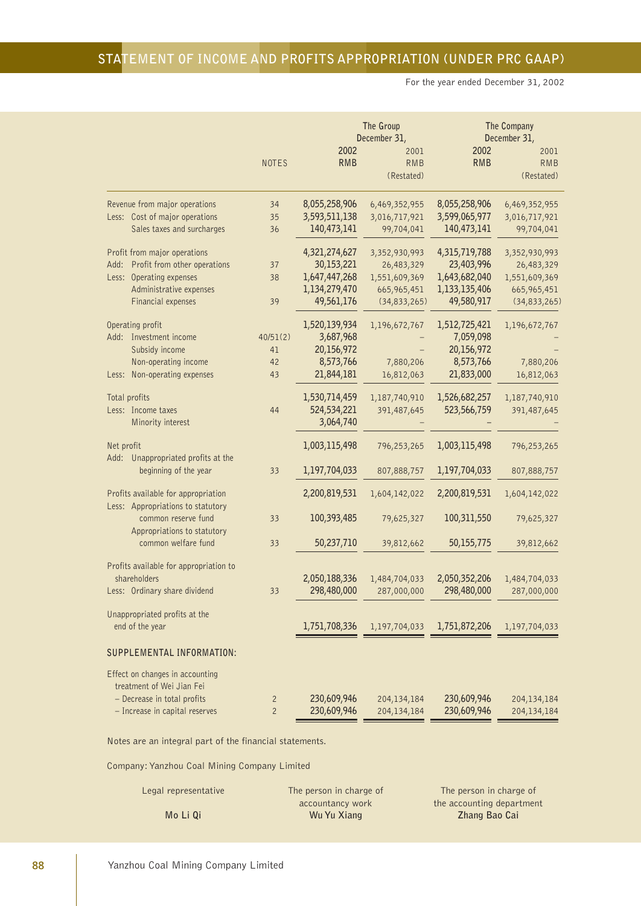For the year ended December 31, 2002

|                                                                                                                                                       |                                  |                                                                             | The Group<br>December 31,                                                     |                                                                             | The Company<br>December 31,                                                 |
|-------------------------------------------------------------------------------------------------------------------------------------------------------|----------------------------------|-----------------------------------------------------------------------------|-------------------------------------------------------------------------------|-----------------------------------------------------------------------------|-----------------------------------------------------------------------------|
|                                                                                                                                                       | <b>NOTES</b>                     | 2002<br><b>RMB</b>                                                          | 2001<br><b>RMB</b><br>(Restated)                                              | 2002<br><b>RMB</b>                                                          | 2001<br><b>RMB</b><br>(Restated)                                            |
| Revenue from major operations<br>Less: Cost of major operations<br>Sales taxes and surcharges                                                         | 34<br>35<br>36                   | 8,055,258,906<br>3,593,511,138<br>140,473,141                               | 6,469,352,955<br>3,016,717,921<br>99,704,041                                  | 8,055,258,906<br>3,599,065,977<br>140,473,141                               | 6,469,352,955<br>3,016,717,921<br>99,704,041                                |
| Profit from major operations<br>Profit from other operations<br>Add:<br>Less: Operating expenses<br>Administrative expenses<br>Financial expenses     | 37<br>38<br>39                   | 4,321,274,627<br>30,153,221<br>1,647,447,268<br>1,134,279,470<br>49,561,176 | 3,352,930,993<br>26,483,329<br>1,551,609,369<br>665,965,451<br>(34, 833, 265) | 4,315,719,788<br>23,403,996<br>1,643,682,040<br>1,133,135,406<br>49,580,917 | 3,352,930,993<br>26,483,329<br>1,551,609,369<br>665,965,451<br>(34,833,265) |
| Operating profit<br>Add: Investment income<br>Subsidy income<br>Non-operating income<br>Non-operating expenses<br>Less:                               | 40/51(2)<br>41<br>42<br>43       | 1,520,139,934<br>3,687,968<br>20,156,972<br>8,573,766<br>21,844,181         | 1,196,672,767<br>7,880,206<br>16,812,063                                      | 1,512,725,421<br>7,059,098<br>20,156,972<br>8,573,766<br>21,833,000         | 1,196,672,767<br>7,880,206<br>16,812,063                                    |
| Total profits<br>Less: Income taxes<br>Minority interest                                                                                              | 44                               | 1,530,714,459<br>524,534,221<br>3,064,740                                   | 1,187,740,910<br>391,487,645                                                  | 1,526,682,257<br>523,566,759                                                | 1,187,740,910<br>391,487,645                                                |
| Net profit<br>Unappropriated profits at the<br>Add:<br>beginning of the year                                                                          | 33                               | 1,003,115,498<br>1,197,704,033                                              | 796,253,265<br>807,888,757                                                    | 1,003,115,498<br>1,197,704,033                                              | 796,253,265<br>807,888,757                                                  |
| Profits available for appropriation<br>Less: Appropriations to statutory<br>common reserve fund<br>Appropriations to statutory<br>common welfare fund | 33<br>33                         | 2,200,819,531<br>100,393,485<br>50,237,710                                  | 1,604,142,022<br>79,625,327<br>39,812,662                                     | 2,200,819,531<br>100,311,550<br>50,155,775                                  | 1,604,142,022<br>79,625,327<br>39,812,662                                   |
| Profits available for appropriation to<br>shareholders<br>Less: Ordinary share dividend                                                               | 33                               | 2,050,188,336<br>298,480,000                                                | 1,484,704,033<br>287,000,000                                                  | 2,050,352,206<br>298,480,000                                                | 1,484,704,033<br>287,000,000                                                |
| Unappropriated profits at the<br>end of the year                                                                                                      |                                  | 1,751,708,336                                                               | 1,197,704,033                                                                 | 1,751,872,206                                                               | 1,197,704,033                                                               |
| SUPPLEMENTAL INFORMATION:                                                                                                                             |                                  |                                                                             |                                                                               |                                                                             |                                                                             |
| Effect on changes in accounting<br>treatment of Wei Jian Fei<br>- Decrease in total profits<br>- Increase in capital reserves                         | $\overline{2}$<br>$\overline{2}$ | 230,609,946<br>230,609,946                                                  | 204,134,184<br>204,134,184                                                    | 230,609,946<br>230,609,946                                                  | 204,134,184<br>204,134,184                                                  |

Notes are an integral part of the financial statements.

| Legal representative | The person in charge of | The person in charge of   |
|----------------------|-------------------------|---------------------------|
|                      | accountancy work        | the accounting department |
| Mo Li Qi             | Wu Yu Xiang             | Zhang Bao Cai             |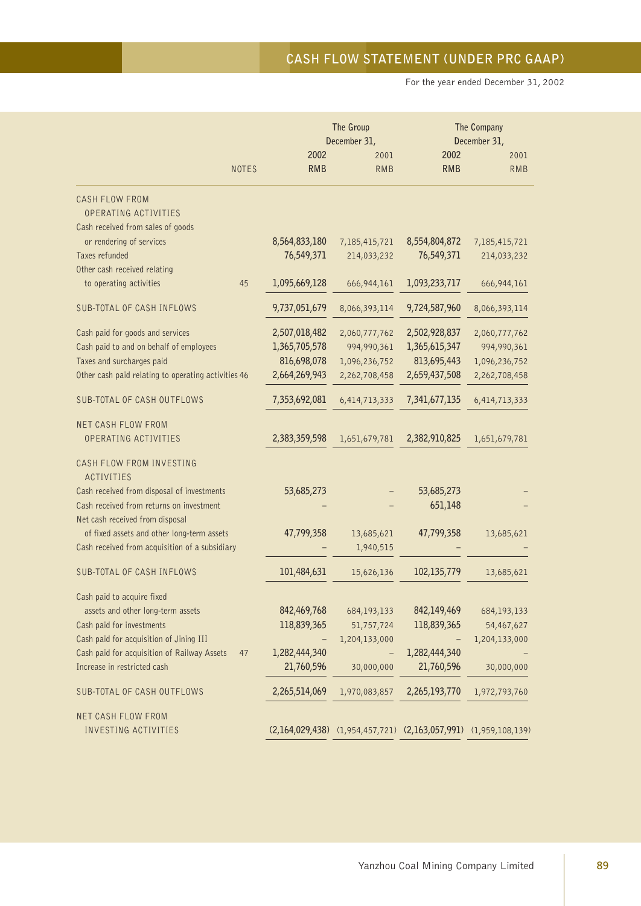For the year ended December 31, 2002

|                                                                             |              | The Group<br>December 31, |                                                                         |                    | The Company<br>December 31, |  |  |
|-----------------------------------------------------------------------------|--------------|---------------------------|-------------------------------------------------------------------------|--------------------|-----------------------------|--|--|
|                                                                             | <b>NOTES</b> | 2002<br><b>RMB</b>        | 2001<br><b>RMB</b>                                                      | 2002<br><b>RMB</b> | 2001<br><b>RMB</b>          |  |  |
| CASH FLOW FROM<br>OPERATING ACTIVITIES                                      |              |                           |                                                                         |                    |                             |  |  |
| Cash received from sales of goods                                           |              |                           |                                                                         |                    |                             |  |  |
| or rendering of services                                                    |              | 8,564,833,180             | 7,185,415,721                                                           | 8,554,804,872      | 7,185,415,721               |  |  |
| Taxes refunded<br>Other cash received relating                              |              | 76,549,371                | 214,033,232                                                             | 76,549,371         | 214,033,232                 |  |  |
| to operating activities                                                     | 45           | 1,095,669,128             | 666,944,161                                                             | 1,093,233,717      | 666,944,161                 |  |  |
| SUB-TOTAL OF CASH INFLOWS                                                   |              | 9,737,051,679             | 8,066,393,114                                                           | 9,724,587,960      | 8,066,393,114               |  |  |
| Cash paid for goods and services                                            |              | 2,507,018,482             | 2,060,777,762                                                           | 2,502,928,837      | 2,060,777,762               |  |  |
| Cash paid to and on behalf of employees                                     |              | 1,365,705,578             | 994,990,361                                                             | 1,365,615,347      | 994,990,361                 |  |  |
| Taxes and surcharges paid                                                   |              | 816,698,078               | 1,096,236,752                                                           | 813,695,443        | 1,096,236,752               |  |  |
| Other cash paid relating to operating activities 46                         |              | 2,664,269,943             | 2,262,708,458                                                           | 2,659,437,508      | 2,262,708,458               |  |  |
| SUB-TOTAL OF CASH OUTFLOWS                                                  |              | 7,353,692,081             | 6,414,713,333                                                           | 7,341,677,135      | 6,414,713,333               |  |  |
| <b>NET CASH FLOW FROM</b>                                                   |              |                           |                                                                         |                    |                             |  |  |
| OPERATING ACTIVITIES                                                        |              | 2,383,359,598             | 1,651,679,781                                                           | 2,382,910,825      | 1,651,679,781               |  |  |
| CASH FLOW FROM INVESTING                                                    |              |                           |                                                                         |                    |                             |  |  |
| <b>ACTIVITIES</b>                                                           |              |                           |                                                                         |                    |                             |  |  |
| Cash received from disposal of investments                                  |              | 53,685,273                |                                                                         | 53,685,273         |                             |  |  |
| Cash received from returns on investment<br>Net cash received from disposal |              |                           |                                                                         | 651,148            |                             |  |  |
| of fixed assets and other long-term assets                                  |              | 47,799,358                | 13,685,621                                                              | 47,799,358         | 13,685,621                  |  |  |
| Cash received from acquisition of a subsidiary                              |              |                           | 1,940,515                                                               |                    |                             |  |  |
|                                                                             |              |                           |                                                                         |                    |                             |  |  |
| SUB-TOTAL OF CASH INFLOWS                                                   |              | 101,484,631               | 15,626,136                                                              | 102,135,779        | 13,685,621                  |  |  |
| Cash paid to acquire fixed                                                  |              |                           |                                                                         |                    |                             |  |  |
| assets and other long-term assets                                           |              | 842,469,768               | 684,193,133                                                             | 842,149,469        | 684, 193, 133               |  |  |
| Cash paid for investments                                                   |              | 118,839,365               | 51,757,724                                                              | 118,839,365        | 54,467,627                  |  |  |
| Cash paid for acquisition of Jining III                                     |              |                           | 1,204,133,000                                                           |                    | 1,204,133,000               |  |  |
| Cash paid for acquisition of Railway Assets                                 | 47           | 1,282,444,340             |                                                                         | 1,282,444,340      |                             |  |  |
| Increase in restricted cash                                                 |              | 21,760,596                | 30,000,000                                                              | 21,760,596         | 30,000,000                  |  |  |
| SUB-TOTAL OF CASH OUTFLOWS                                                  |              | 2,265,514,069             | 1,970,083,857                                                           | 2,265,193,770      | 1,972,793,760               |  |  |
| NET CASH FLOW FROM                                                          |              |                           |                                                                         |                    |                             |  |  |
| <b>INVESTING ACTIVITIES</b>                                                 |              |                           | $(2,164,029,438)$ $(1,954,457,721)$ $(2,163,057,991)$ $(1,959,108,139)$ |                    |                             |  |  |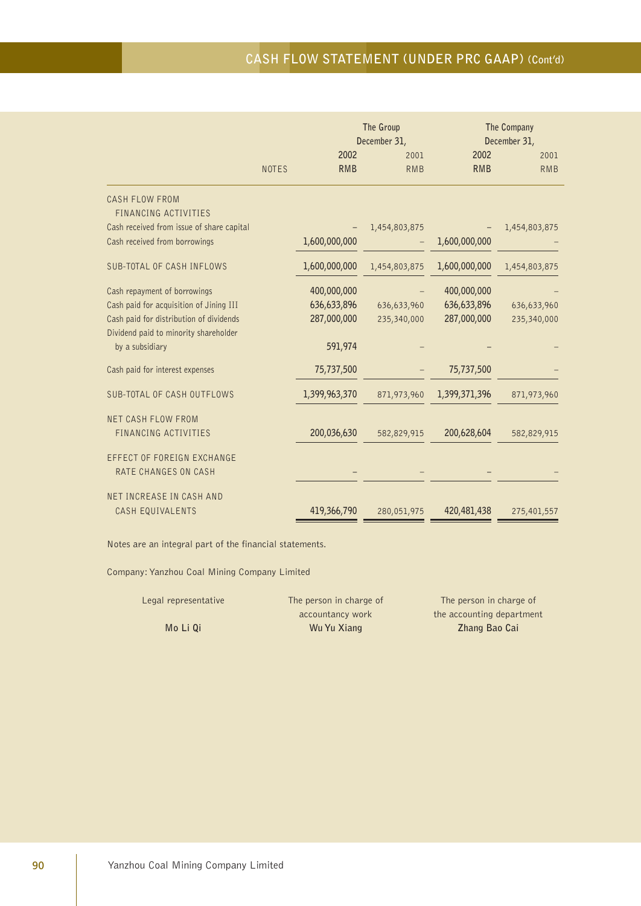# **CASH FLOW STATEMENT (UNDER PRC GAAP) (Cont'd)**

|                                                                                                                                                             | The Group<br>December 31, |                                           |                            |                                           | The Company<br>December 31, |  |  |
|-------------------------------------------------------------------------------------------------------------------------------------------------------------|---------------------------|-------------------------------------------|----------------------------|-------------------------------------------|-----------------------------|--|--|
|                                                                                                                                                             | <b>NOTES</b>              | 2002<br><b>RMB</b>                        | 2001<br><b>RMB</b>         | 2002<br><b>RMB</b>                        | 2001<br><b>RMB</b>          |  |  |
| <b>CASH FLOW FROM</b><br>FINANCING ACTIVITIES                                                                                                               |                           |                                           |                            |                                           |                             |  |  |
| Cash received from issue of share capital<br>Cash received from borrowings                                                                                  |                           | 1,600,000,000                             | 1,454,803,875              | 1,600,000,000                             | 1,454,803,875               |  |  |
| <b>SUB-TOTAL OF CASH INFLOWS</b>                                                                                                                            |                           | 1,600,000,000                             | 1,454,803,875              | 1,600,000,000                             | 1,454,803,875               |  |  |
| Cash repayment of borrowings<br>Cash paid for acquisition of Jining III<br>Cash paid for distribution of dividends<br>Dividend paid to minority shareholder |                           | 400,000,000<br>636,633,896<br>287,000,000 | 636,633,960<br>235,340,000 | 400,000,000<br>636,633,896<br>287,000,000 | 636,633,960<br>235,340,000  |  |  |
| by a subsidiary<br>Cash paid for interest expenses                                                                                                          |                           | 591,974<br>75,737,500                     |                            | 75,737,500                                |                             |  |  |
| SUB-TOTAL OF CASH OUTFLOWS                                                                                                                                  |                           | 1,399,963,370                             | 871,973,960                | 1,399,371,396                             | 871,973,960                 |  |  |
| <b>NET CASH FLOW FROM</b><br>FINANCING ACTIVITIES                                                                                                           |                           | 200,036,630                               | 582,829,915                | 200,628,604                               | 582,829,915                 |  |  |
| EFFECT OF FOREIGN EXCHANGE<br>RATE CHANGES ON CASH                                                                                                          |                           |                                           |                            |                                           |                             |  |  |
| NET INCREASE IN CASH AND<br>CASH EQUIVALENTS                                                                                                                |                           | 419,366,790                               | 280,051,975                | 420,481,438                               | 275,401,557                 |  |  |

Notes are an integral part of the financial statements.

Company: Yanzhou Coal Mining Company Limited

**Mo Li Qi Wu Yu Xiang Cai Wu Yu Xiang Cai Zhang Bao Cai** 

Legal representative The person in charge of The person in charge of accountancy work the accounting department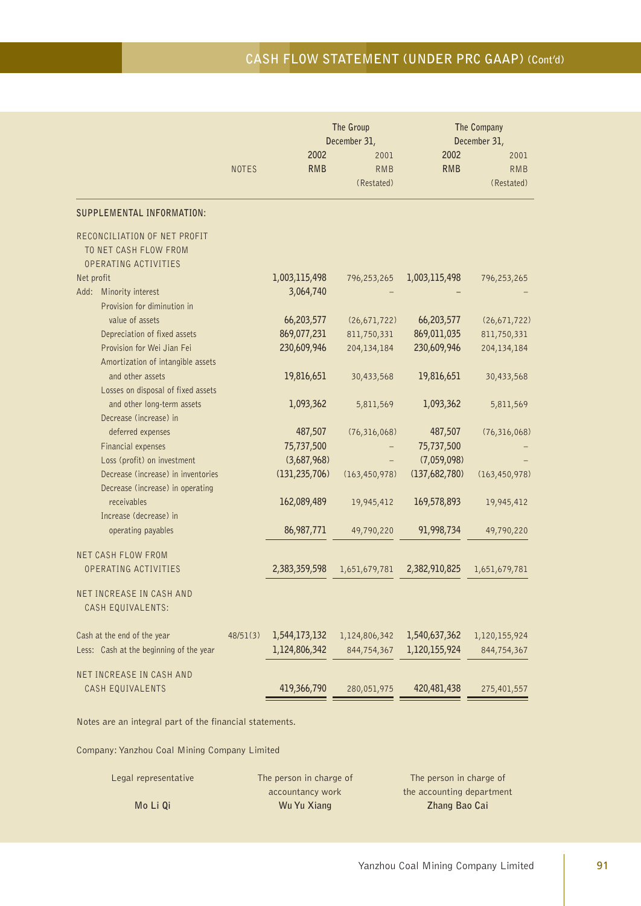# **CASH FLOW STATEMENT (UNDER PRC GAAP) (Cont'd)**

| 2002<br>2002<br>2001<br><b>RMB</b><br><b>RMB</b><br><b>RMB</b><br><b>NOTES</b><br>(Restated)<br>SUPPLEMENTAL INFORMATION:<br>RECONCILIATION OF NET PROFIT<br>TO NET CASH FLOW FROM<br>OPERATING ACTIVITIES | 2001<br><b>RMB</b><br>(Restated)<br>796,253,265 |
|------------------------------------------------------------------------------------------------------------------------------------------------------------------------------------------------------------|-------------------------------------------------|
|                                                                                                                                                                                                            |                                                 |
|                                                                                                                                                                                                            |                                                 |
|                                                                                                                                                                                                            |                                                 |
| Net profit<br>1,003,115,498<br>1,003,115,498<br>796,253,265<br>3,064,740<br>Add: Minority interest<br>Provision for diminution in                                                                          |                                                 |
| value of assets<br>66,203,577<br>66,203,577<br>(26, 671, 722)<br>869,077,231<br>Depreciation of fixed assets<br>811,750,331<br>869,011,035                                                                 | (26, 671, 722)<br>811,750,331                   |
| 230,609,946<br>Provision for Wei Jian Fei<br>204,134,184<br>230,609,946<br>Amortization of intangible assets                                                                                               | 204,134,184                                     |
| and other assets<br>19,816,651<br>19,816,651<br>30,433,568<br>Losses on disposal of fixed assets                                                                                                           | 30,433,568                                      |
| and other long-term assets<br>1,093,362<br>1,093,362<br>5,811,569<br>Decrease (increase) in                                                                                                                | 5,811,569                                       |
| deferred expenses<br>487,507<br>(76, 316, 068)<br>487,507<br>75,737,500<br>75,737,500<br>Financial expenses                                                                                                | (76, 316, 068)                                  |
| Loss (profit) on investment<br>(3,687,968)<br>(7,059,098)<br>Decrease (increase) in inventories<br>(131, 235, 706)<br>(137,682,780)<br>(163, 450, 978)<br>Decrease (increase) in operating                 | (163, 450, 978)                                 |
| 162,089,489<br>169,578,893<br>receivables<br>19,945,412<br>Increase (decrease) in                                                                                                                          | 19,945,412                                      |
| 86,987,771<br>91,998,734<br>operating payables<br>49,790,220                                                                                                                                               | 49,790,220                                      |
| <b>NET CASH FLOW FROM</b><br>OPERATING ACTIVITIES<br>2,383,359,598<br>2,382,910,825<br>1,651,679,781                                                                                                       | 1,651,679,781                                   |
| NET INCREASE IN CASH AND<br>CASH EQUIVALENTS:                                                                                                                                                              |                                                 |
| 1,544,173,132<br>1,540,637,362<br>Cash at the end of the year<br>48/51(3)<br>1,124,806,342<br>Less: Cash at the beginning of the year<br>1,124,806,342<br>1,120,155,924<br>844,754,367                     | 1,120,155,924<br>844,754,367                    |
| NET INCREASE IN CASH AND<br>419,366,790<br>420,481,438<br>CASH EQUIVALENTS<br>280,051,975                                                                                                                  | 275,401,557                                     |

Notes are an integral part of the financial statements.

| Legal representative | The person in charge of | The person in charge of   |
|----------------------|-------------------------|---------------------------|
|                      | accountancy work        | the accounting department |
| Mo Li Qi             | Wu Yu Xiang             | Zhang Bao Cai             |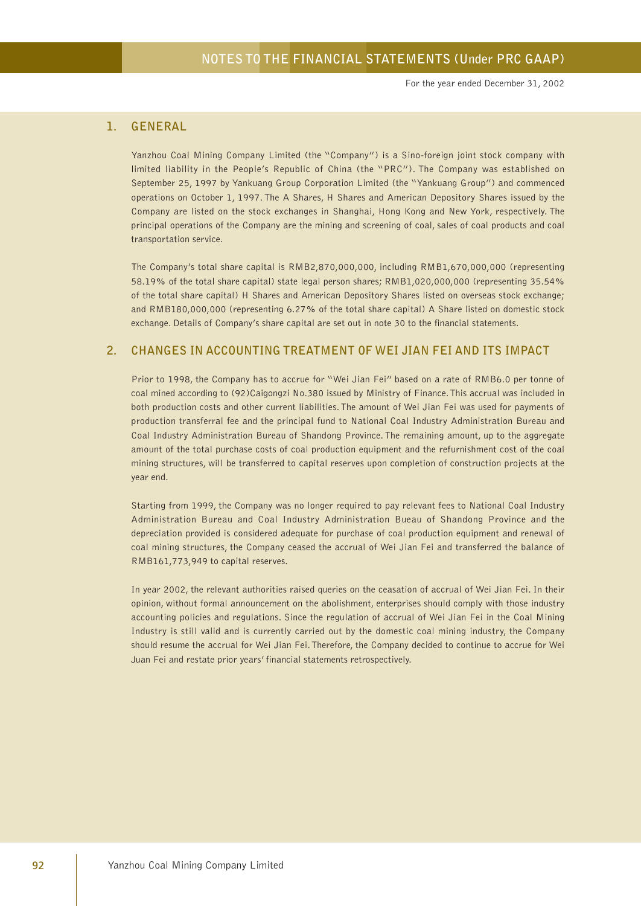For the year ended December 31, 2002

### **1. GENERAL**

Yanzhou Coal Mining Company Limited (the "Company") is a Sino-foreign joint stock company with limited liability in the People's Republic of China (the "PRC"). The Company was established on September 25, 1997 by Yankuang Group Corporation Limited (the "Yankuang Group") and commenced operations on October 1, 1997. The A Shares, H Shares and American Depository Shares issued by the Company are listed on the stock exchanges in Shanghai, Hong Kong and New York, respectively. The principal operations of the Company are the mining and screening of coal, sales of coal products and coal transportation service.

The Company's total share capital is RMB2,870,000,000, including RMB1,670,000,000 (representing 58.19% of the total share capital) state legal person shares; RMB1,020,000,000 (representing 35.54% of the total share capital) H Shares and American Depository Shares listed on overseas stock exchange; and RMB180,000,000 (representing 6.27% of the total share capital) A Share listed on domestic stock exchange. Details of Company's share capital are set out in note 30 to the financial statements.

#### **2. CHANGES IN ACCOUNTING TREATMENT OF WEI JIAN FEI AND ITS IMPACT**

Prior to 1998, the Company has to accrue for "Wei Jian Fei" based on a rate of RMB6.0 per tonne of coal mined according to (92)Caigongzi No.380 issued by Ministry of Finance. This accrual was included in both production costs and other current liabilities. The amount of Wei Jian Fei was used for payments of production transferral fee and the principal fund to National Coal Industry Administration Bureau and Coal Industry Administration Bureau of Shandong Province. The remaining amount, up to the aggregate amount of the total purchase costs of coal production equipment and the refurnishment cost of the coal mining structures, will be transferred to capital reserves upon completion of construction projects at the year end.

Starting from 1999, the Company was no longer required to pay relevant fees to National Coal Industry Administration Bureau and Coal Industry Administration Bueau of Shandong Province and the depreciation provided is considered adequate for purchase of coal production equipment and renewal of coal mining structures, the Company ceased the accrual of Wei Jian Fei and transferred the balance of RMB161,773,949 to capital reserves.

In year 2002, the relevant authorities raised queries on the ceasation of accrual of Wei Jian Fei. In their opinion, without formal announcement on the abolishment, enterprises should comply with those industry accounting policies and regulations. Since the regulation of accrual of Wei Jian Fei in the Coal Mining Industry is still valid and is currently carried out by the domestic coal mining industry, the Company should resume the accrual for Wei Jian Fei. Therefore, the Company decided to continue to accrue for Wei Juan Fei and restate prior years' financial statements retrospectively.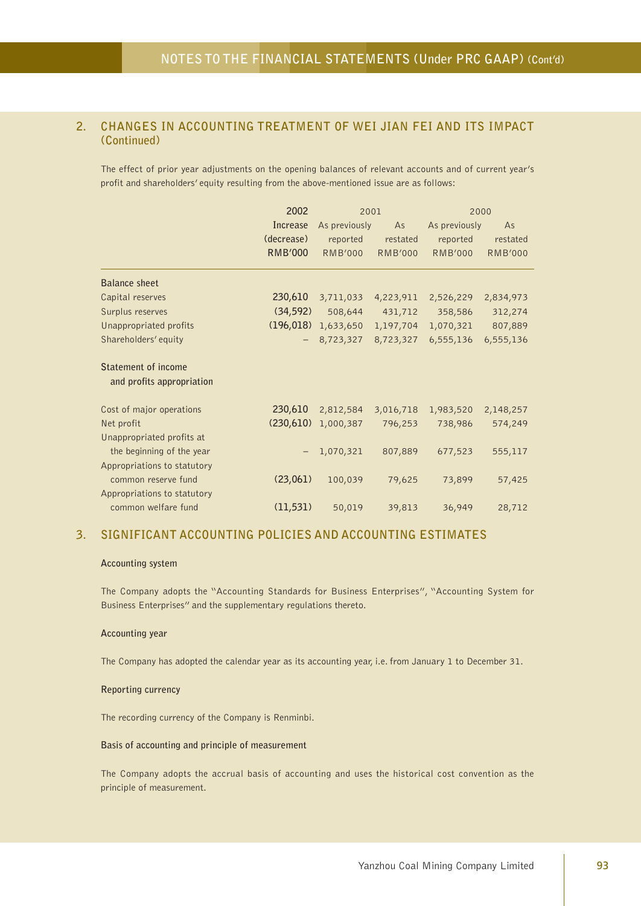### **2. CHANGES IN ACCOUNTING TREATMENT OF WEI JIAN FEI AND ITS IMPACT (Continued)**

The effect of prior year adjustments on the opening balances of relevant accounts and of current year's profit and shareholders' equity resulting from the above-mentioned issue are as follows:

|                             | 2002           | 2001           |                |                | 2000           |
|-----------------------------|----------------|----------------|----------------|----------------|----------------|
|                             | Increase       | As previously  | As             | As previously  | As             |
|                             | (decrease)     | reported       | restated       | reported       | restated       |
|                             | <b>RMB'000</b> | <b>RMB'000</b> | <b>RMB'000</b> | <b>RMB'000</b> | <b>RMB'000</b> |
| <b>Balance sheet</b>        |                |                |                |                |                |
| Capital reserves            | 230,610        | 3,711,033      | 4,223,911      | 2,526,229      | 2,834,973      |
| Surplus reserves            | (34, 592)      | 508,644        | 431,712        | 358,586        | 312,274        |
| Unappropriated profits      | (196, 018)     | 1,633,650      | 1,197,704      | 1,070,321      | 807,889        |
| Shareholders' equity        |                | 8,723,327      | 8,723,327      | 6,555,136      | 6,555,136      |
| <b>Statement of income</b>  |                |                |                |                |                |
| and profits appropriation   |                |                |                |                |                |
| Cost of major operations    | 230,610        | 2,812,584      | 3,016,718      | 1,983,520      | 2,148,257      |
| Net profit                  | (230,610)      | 1,000,387      | 796,253        | 738,986        | 574,249        |
| Unappropriated profits at   |                |                |                |                |                |
| the beginning of the year   |                | 1,070,321      | 807,889        | 677,523        | 555,117        |
| Appropriations to statutory |                |                |                |                |                |
| common reserve fund         | (23,061)       | 100,039        | 79,625         | 73,899         | 57,425         |
| Appropriations to statutory |                |                |                |                |                |
| common welfare fund         | (11, 531)      | 50,019         | 39,813         | 36,949         | 28,712         |

### **3. SIGNIFICANT ACCOUNTING POLICIES AND ACCOUNTING ESTIMATES**

#### **Accounting system**

The Company adopts the "Accounting Standards for Business Enterprises", "Accounting System for Business Enterprises" and the supplementary regulations thereto.

#### **Accounting year**

The Company has adopted the calendar year as its accounting year, i.e. from January 1 to December 31.

#### **Reporting currency**

The recording currency of the Company is Renminbi.

#### **Basis of accounting and principle of measurement**

The Company adopts the accrual basis of accounting and uses the historical cost convention as the principle of measurement.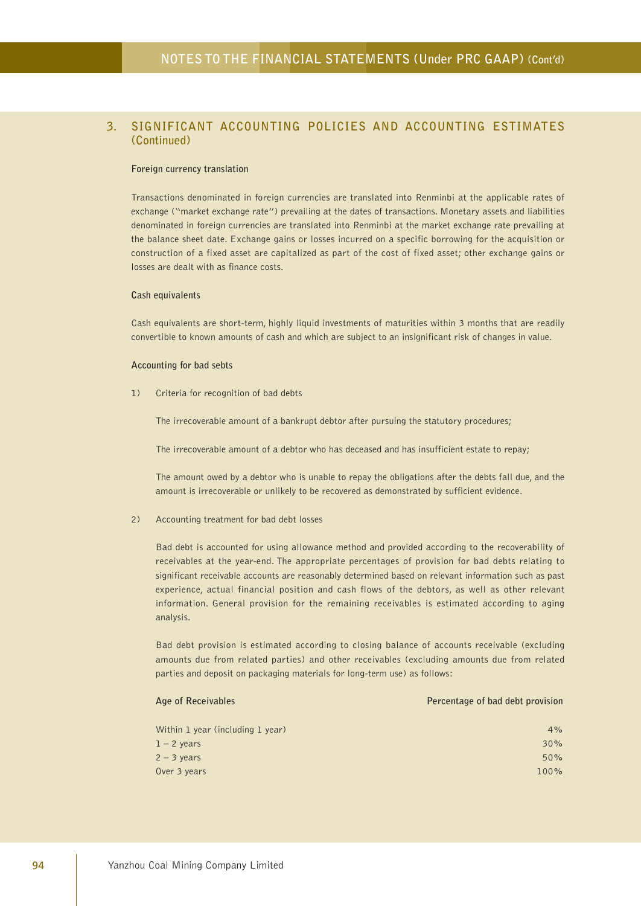#### **Foreign currency translation**

Transactions denominated in foreign currencies are translated into Renminbi at the applicable rates of exchange ("market exchange rate") prevailing at the dates of transactions. Monetary assets and liabilities denominated in foreign currencies are translated into Renminbi at the market exchange rate prevailing at the balance sheet date. Exchange gains or losses incurred on a specific borrowing for the acquisition or construction of a fixed asset are capitalized as part of the cost of fixed asset; other exchange gains or losses are dealt with as finance costs.

#### **Cash equivalents**

Cash equivalents are short-term, highly liquid investments of maturities within 3 months that are readily convertible to known amounts of cash and which are subject to an insignificant risk of changes in value.

#### **Accounting for bad sebts**

1) Criteria for recognition of bad debts

The irrecoverable amount of a bankrupt debtor after pursuing the statutory procedures;

The irrecoverable amount of a debtor who has deceased and has insufficient estate to repay;

The amount owed by a debtor who is unable to repay the obligations after the debts fall due, and the amount is irrecoverable or unlikely to be recovered as demonstrated by sufficient evidence.

2) Accounting treatment for bad debt losses

Bad debt is accounted for using allowance method and provided according to the recoverability of receivables at the year-end. The appropriate percentages of provision for bad debts relating to significant receivable accounts are reasonably determined based on relevant information such as past experience, actual financial position and cash flows of the debtors, as well as other relevant information. General provision for the remaining receivables is estimated according to aging analysis.

Bad debt provision is estimated according to closing balance of accounts receivable (excluding amounts due from related parties) and other receivables (excluding amounts due from related parties and deposit on packaging materials for long-term use) as follows:

| Age of Receivables               | Percentage of bad debt provision |
|----------------------------------|----------------------------------|
| Within 1 year (including 1 year) | 4%                               |
| $1 - 2$ years                    | 30%                              |
| $2 - 3$ years                    | 50%                              |
| Over 3 years                     | 100%                             |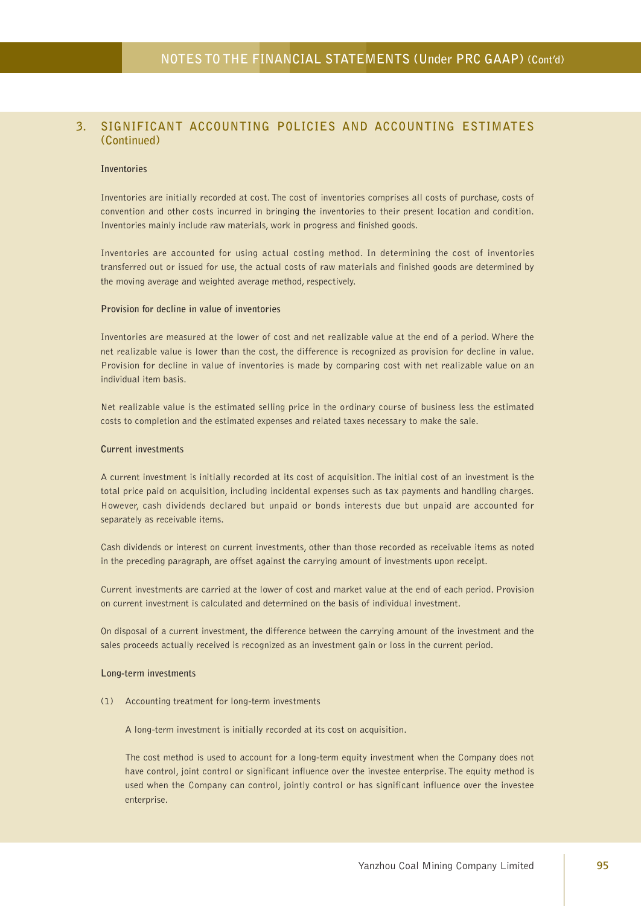#### **Inventories**

Inventories are initially recorded at cost. The cost of inventories comprises all costs of purchase, costs of convention and other costs incurred in bringing the inventories to their present location and condition. Inventories mainly include raw materials, work in progress and finished goods.

Inventories are accounted for using actual costing method. In determining the cost of inventories transferred out or issued for use, the actual costs of raw materials and finished goods are determined by the moving average and weighted average method, respectively.

#### **Provision for decline in value of inventories**

Inventories are measured at the lower of cost and net realizable value at the end of a period. Where the net realizable value is lower than the cost, the difference is recognized as provision for decline in value. Provision for decline in value of inventories is made by comparing cost with net realizable value on an individual item basis.

Net realizable value is the estimated selling price in the ordinary course of business less the estimated costs to completion and the estimated expenses and related taxes necessary to make the sale.

#### **Current investments**

A current investment is initially recorded at its cost of acquisition. The initial cost of an investment is the total price paid on acquisition, including incidental expenses such as tax payments and handling charges. However, cash dividends declared but unpaid or bonds interests due but unpaid are accounted for separately as receivable items.

Cash dividends or interest on current investments, other than those recorded as receivable items as noted in the preceding paragraph, are offset against the carrying amount of investments upon receipt.

Current investments are carried at the lower of cost and market value at the end of each period. Provision on current investment is calculated and determined on the basis of individual investment.

On disposal of a current investment, the difference between the carrying amount of the investment and the sales proceeds actually received is recognized as an investment gain or loss in the current period.

#### **Long-term investments**

(1) Accounting treatment for long-term investments

A long-term investment is initially recorded at its cost on acquisition.

The cost method is used to account for a long-term equity investment when the Company does not have control, joint control or significant influence over the investee enterprise. The equity method is used when the Company can control, jointly control or has significant influence over the investee enterprise.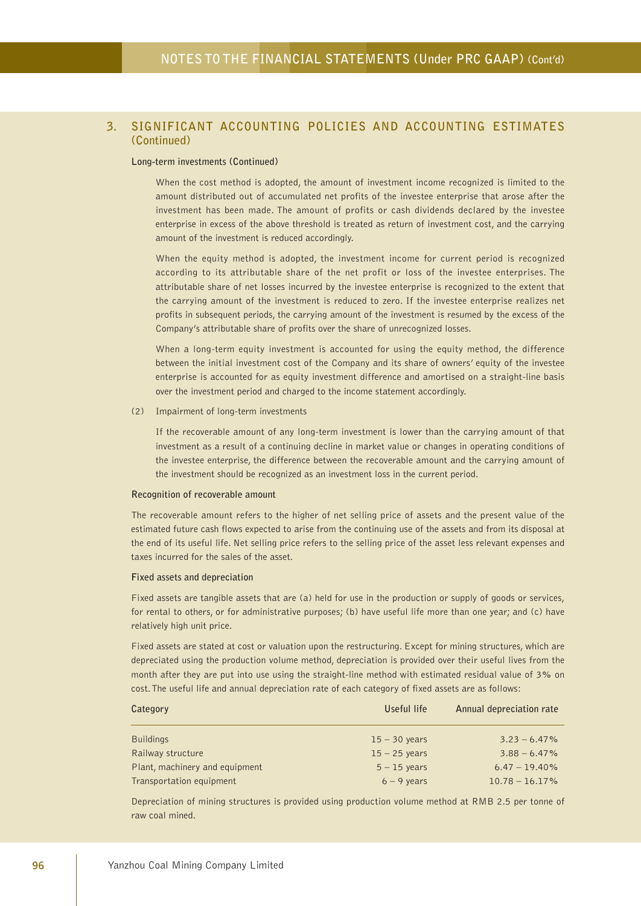#### **Long-term investments (Continued)**

When the cost method is adopted, the amount of investment income recognized is limited to the amount distributed out of accumulated net profits of the investee enterprise that arose after the investment has been made. The amount of profits or cash dividends declared by the investee enterprise in excess of the above threshold is treated as return of investment cost, and the carrying amount of the investment is reduced accordingly.

When the equity method is adopted, the investment income for current period is recognized according to its attributable share of the net profit or loss of the investee enterprises. The attributable share of net losses incurred by the investee enterprise is recognized to the extent that the carrying amount of the investment is reduced to zero. If the investee enterprise realizes net profits in subsequent periods, the carrying amount of the investment is resumed by the excess of the Company's attributable share of profits over the share of unrecognized losses.

When a long-term equity investment is accounted for using the equity method, the difference between the initial investment cost of the Company and its share of owners' equity of the investee enterprise is accounted for as equity investment difference and amortised on a straight-line basis over the investment period and charged to the income statement accordingly.

#### (2) Impairment of long-term investments

If the recoverable amount of any long-term investment is lower than the carrying amount of that investment as a result of a continuing decline in market value or changes in operating conditions of the investee enterprise, the difference between the recoverable amount and the carrying amount of the investment should be recognized as an investment loss in the current period.

#### **Recognition of recoverable amount**

The recoverable amount refers to the higher of net selling price of assets and the present value of the estimated future cash flows expected to arise from the continuing use of the assets and from its disposal at the end of its useful life. Net selling price refers to the selling price of the asset less relevant expenses and taxes incurred for the sales of the asset.

#### **Fixed assets and depreciation**

Fixed assets are tangible assets that are (a) held for use in the production or supply of goods or services, for rental to others, or for administrative purposes; (b) have useful life more than one year; and (c) have relatively high unit price.

Fixed assets are stated at cost or valuation upon the restructuring. Except for mining structures, which are depreciated using the production volume method, depreciation is provided over their useful lives from the month after they are put into use using the straight-line method with estimated residual value of 3% on cost. The useful life and annual depreciation rate of each category of fixed assets are as follows:

| Category                       | Useful life     | Annual depreciation rate |
|--------------------------------|-----------------|--------------------------|
| <b>Buildings</b>               | $15 - 30$ years | $3.23 - 6.47\%$          |
| Railway structure              | $15 - 25$ years | $3.88 - 6.47\%$          |
| Plant, machinery and equipment | $5 - 15$ years  | $6.47 - 19.40\%$         |
| Transportation equipment       | $6 - 9$ years   | $10.78 - 16.17\%$        |

Depreciation of mining structures is provided using production volume method at RMB 2.5 per tonne of raw coal mined.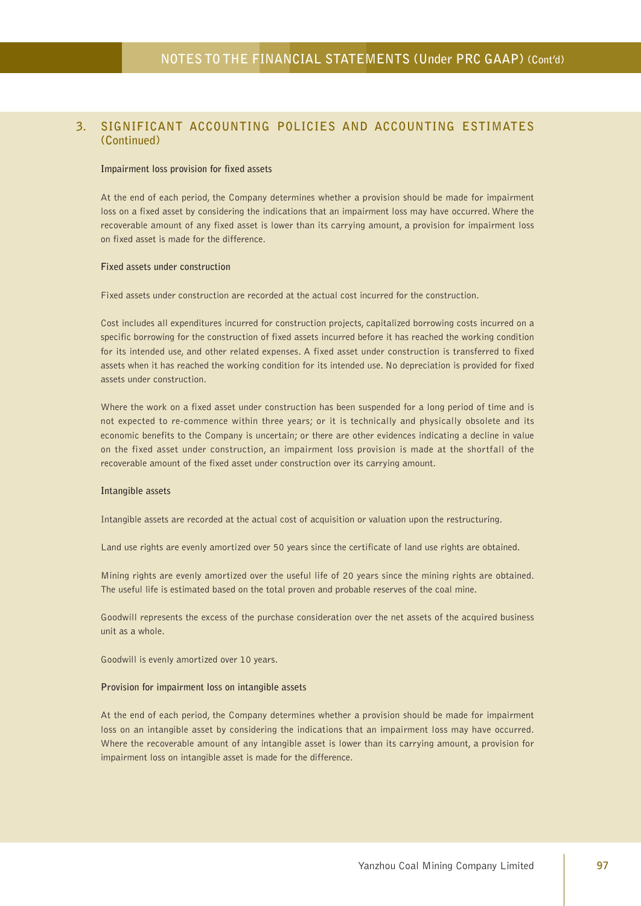#### **Impairment loss provision for fixed assets**

At the end of each period, the Company determines whether a provision should be made for impairment loss on a fixed asset by considering the indications that an impairment loss may have occurred. Where the recoverable amount of any fixed asset is lower than its carrying amount, a provision for impairment loss on fixed asset is made for the difference.

#### **Fixed assets under construction**

Fixed assets under construction are recorded at the actual cost incurred for the construction.

Cost includes all expenditures incurred for construction projects, capitalized borrowing costs incurred on a specific borrowing for the construction of fixed assets incurred before it has reached the working condition for its intended use, and other related expenses. A fixed asset under construction is transferred to fixed assets when it has reached the working condition for its intended use. No depreciation is provided for fixed assets under construction.

Where the work on a fixed asset under construction has been suspended for a long period of time and is not expected to re-commence within three years; or it is technically and physically obsolete and its economic benefits to the Company is uncertain; or there are other evidences indicating a decline in value on the fixed asset under construction, an impairment loss provision is made at the shortfall of the recoverable amount of the fixed asset under construction over its carrying amount.

#### **Intangible assets**

Intangible assets are recorded at the actual cost of acquisition or valuation upon the restructuring.

Land use rights are evenly amortized over 50 years since the certificate of land use rights are obtained.

Mining rights are evenly amortized over the useful life of 20 years since the mining rights are obtained. The useful life is estimated based on the total proven and probable reserves of the coal mine.

Goodwill represents the excess of the purchase consideration over the net assets of the acquired business unit as a whole.

Goodwill is evenly amortized over 10 years.

#### **Provision for impairment loss on intangible assets**

At the end of each period, the Company determines whether a provision should be made for impairment loss on an intangible asset by considering the indications that an impairment loss may have occurred. Where the recoverable amount of any intangible asset is lower than its carrying amount, a provision for impairment loss on intangible asset is made for the difference.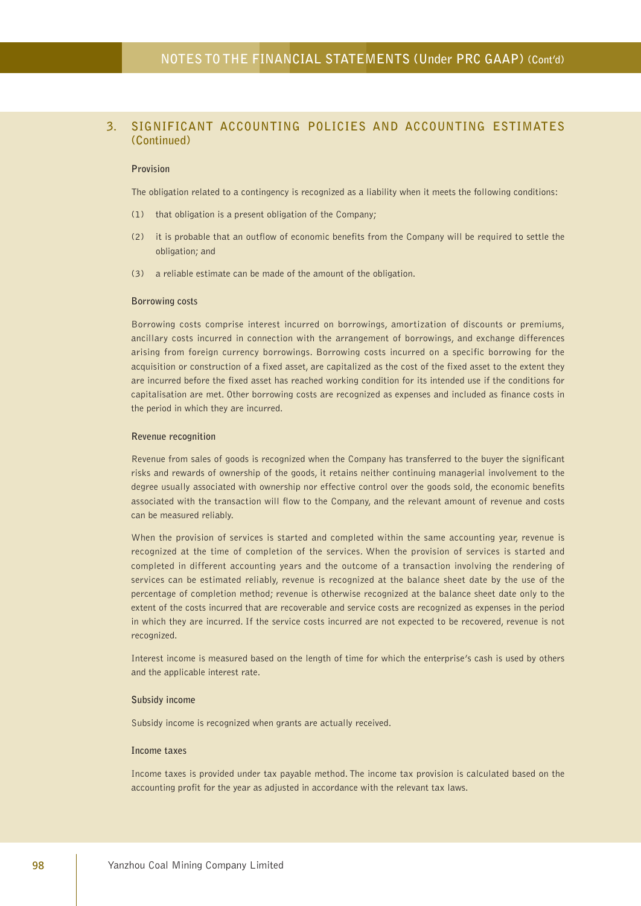#### **Provision**

The obligation related to a contingency is recognized as a liability when it meets the following conditions:

- (1) that obligation is a present obligation of the Company;
- (2) it is probable that an outflow of economic benefits from the Company will be required to settle the obligation; and
- (3) a reliable estimate can be made of the amount of the obligation.

#### **Borrowing costs**

Borrowing costs comprise interest incurred on borrowings, amortization of discounts or premiums, ancillary costs incurred in connection with the arrangement of borrowings, and exchange differences arising from foreign currency borrowings. Borrowing costs incurred on a specific borrowing for the acquisition or construction of a fixed asset, are capitalized as the cost of the fixed asset to the extent they are incurred before the fixed asset has reached working condition for its intended use if the conditions for capitalisation are met. Other borrowing costs are recognized as expenses and included as finance costs in the period in which they are incurred.

#### **Revenue recognition**

Revenue from sales of goods is recognized when the Company has transferred to the buyer the significant risks and rewards of ownership of the goods, it retains neither continuing managerial involvement to the degree usually associated with ownership nor effective control over the goods sold, the economic benefits associated with the transaction will flow to the Company, and the relevant amount of revenue and costs can be measured reliably.

When the provision of services is started and completed within the same accounting year, revenue is recognized at the time of completion of the services. When the provision of services is started and completed in different accounting years and the outcome of a transaction involving the rendering of services can be estimated reliably, revenue is recognized at the balance sheet date by the use of the percentage of completion method; revenue is otherwise recognized at the balance sheet date only to the extent of the costs incurred that are recoverable and service costs are recognized as expenses in the period in which they are incurred. If the service costs incurred are not expected to be recovered, revenue is not recognized.

Interest income is measured based on the length of time for which the enterprise's cash is used by others and the applicable interest rate.

#### **Subsidy income**

Subsidy income is recognized when grants are actually received.

#### **Income taxes**

Income taxes is provided under tax payable method. The income tax provision is calculated based on the accounting profit for the year as adjusted in accordance with the relevant tax laws.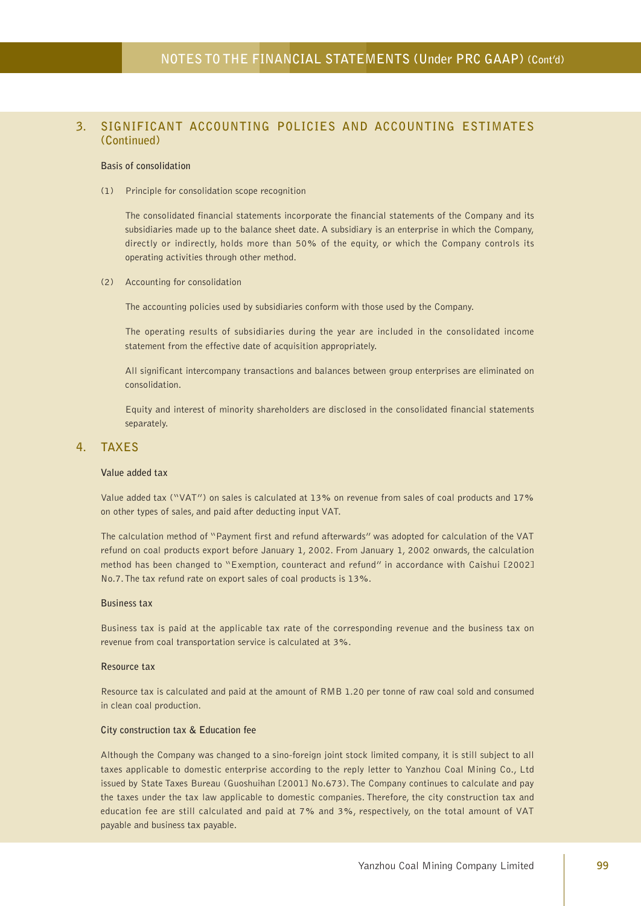#### **Basis of consolidation**

(1) Principle for consolidation scope recognition

The consolidated financial statements incorporate the financial statements of the Company and its subsidiaries made up to the balance sheet date. A subsidiary is an enterprise in which the Company, directly or indirectly, holds more than 50% of the equity, or which the Company controls its operating activities through other method.

(2) Accounting for consolidation

The accounting policies used by subsidiaries conform with those used by the Company.

The operating results of subsidiaries during the year are included in the consolidated income statement from the effective date of acquisition appropriately.

All significant intercompany transactions and balances between group enterprises are eliminated on consolidation.

Equity and interest of minority shareholders are disclosed in the consolidated financial statements separately.

#### **4. TAXES**

#### **Value added tax**

Value added tax ("VAT") on sales is calculated at 13% on revenue from sales of coal products and 17% on other types of sales, and paid after deducting input VAT.

The calculation method of "Payment first and refund afterwards" was adopted for calculation of the VAT refund on coal products export before January 1, 2002. From January 1, 2002 onwards, the calculation method has been changed to "Exemption, counteract and refund" in accordance with Caishui [2002] No.7. The tax refund rate on export sales of coal products is 13%.

#### **Business tax**

Business tax is paid at the applicable tax rate of the corresponding revenue and the business tax on revenue from coal transportation service is calculated at 3%.

#### **Resource tax**

Resource tax is calculated and paid at the amount of RMB 1.20 per tonne of raw coal sold and consumed in clean coal production.

#### **City construction tax & Education fee**

Although the Company was changed to a sino-foreign joint stock limited company, it is still subject to all taxes applicable to domestic enterprise according to the reply letter to Yanzhou Coal Mining Co., Ltd issued by State Taxes Bureau (Guoshuihan [2001] No.673). The Company continues to calculate and pay the taxes under the tax law applicable to domestic companies. Therefore, the city construction tax and education fee are still calculated and paid at 7% and 3%, respectively, on the total amount of VAT payable and business tax payable.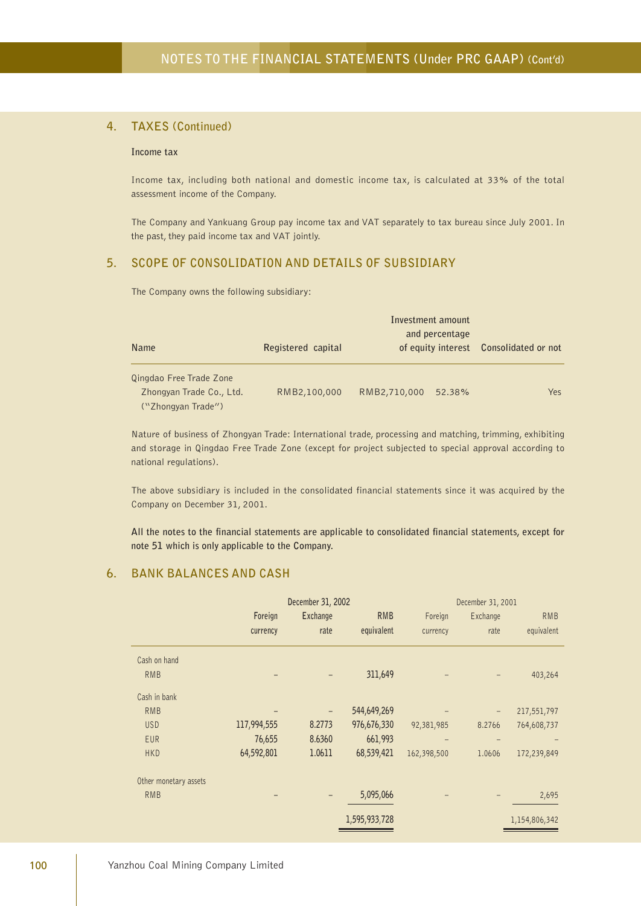### **4. TAXES (Continued)**

#### **Income tax**

Income tax, including both national and domestic income tax, is calculated at 33% of the total assessment income of the Company.

The Company and Yankuang Group pay income tax and VAT separately to tax bureau since July 2001. In the past, they paid income tax and VAT jointly.

### **5. SCOPE OF CONSOLIDATION AND DETAILS OF SUBSIDIARY**

The Company owns the following subsidiary:

| <b>Name</b>                                                               | Registered capital | Investment amount<br>and percentage<br>of equity interest | Consolidated or not |  |
|---------------------------------------------------------------------------|--------------------|-----------------------------------------------------------|---------------------|--|
| Qingdao Free Trade Zone<br>Zhongyan Trade Co., Ltd.<br>("Zhongyan Trade") | RMB2,100,000       | RMB2,710,000<br>52.38%                                    | Yes                 |  |

Nature of business of Zhongyan Trade: International trade, processing and matching, trimming, exhibiting and storage in Qingdao Free Trade Zone (except for project subjected to special approval according to national regulations).

The above subsidiary is included in the consolidated financial statements since it was acquired by the Company on December 31, 2001.

**All the notes to the financial statements are applicable to consolidated financial statements, except for note 51 which is only applicable to the Company.**

### **6. BANK BALANCES AND CASH**

| December 31, 2002     |             |          |               | December 31, 2001 |                   |               |
|-----------------------|-------------|----------|---------------|-------------------|-------------------|---------------|
|                       | Foreign     | Exchange | <b>RMB</b>    | Foreign           | Exchange          | <b>RMB</b>    |
|                       | currency    | rate     | equivalent    | currency          | rate              | equivalent    |
| Cash on hand          |             |          |               |                   |                   |               |
| <b>RMB</b>            |             |          | 311,649       |                   |                   | 403,264       |
| Cash in bank          |             |          |               |                   |                   |               |
| <b>RMB</b>            |             |          | 544,649,269   |                   | $\qquad \qquad -$ | 217,551,797   |
| <b>USD</b>            | 117,994,555 | 8.2773   | 976,676,330   | 92,381,985        | 8.2766            | 764,608,737   |
| <b>EUR</b>            | 76,655      | 8.6360   | 661,993       |                   |                   |               |
| <b>HKD</b>            | 64,592,801  | 1.0611   | 68,539,421    | 162,398,500       | 1.0606            | 172,239,849   |
| Other monetary assets |             |          |               |                   |                   |               |
| <b>RMB</b>            |             |          | 5,095,066     |                   |                   | 2,695         |
|                       |             |          | 1,595,933,728 |                   |                   | 1,154,806,342 |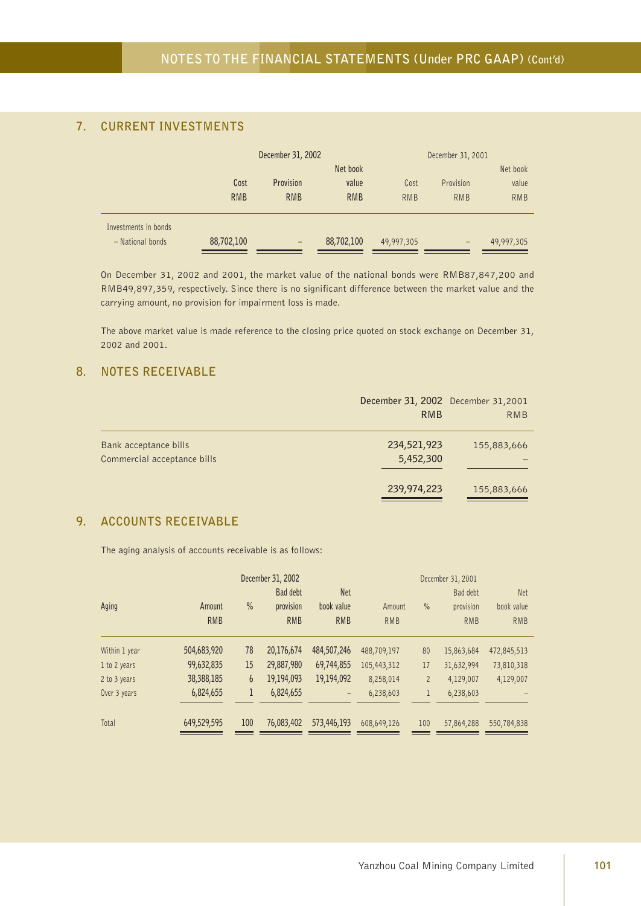# **7. CURRENT INVESTMENTS**

|                      |            | December 31, 2002 |            |            | December 31, 2001 |            |  |  |
|----------------------|------------|-------------------|------------|------------|-------------------|------------|--|--|
|                      |            | Net book          |            |            |                   | Net book   |  |  |
|                      | Cost       | Provision         | value      | Cost       | Provision         | value      |  |  |
|                      | <b>RMB</b> | <b>RMB</b>        | <b>RMB</b> | <b>RMB</b> | <b>RMB</b>        | <b>RMB</b> |  |  |
| Investments in bonds |            |                   |            |            |                   |            |  |  |
| - National bonds     | 88,702,100 | $\qquad \qquad -$ | 88,702,100 | 49,997,305 | $\qquad \qquad -$ | 49,997,305 |  |  |

On December 31, 2002 and 2001, the market value of the national bonds were RMB87,847,200 and RMB49,897,359, respectively. Since there is no significant difference between the market value and the carrying amount, no provision for impairment loss is made.

The above market value is made reference to the closing price quoted on stock exchange on December 31, 2002 and 2001.

### **8. NOTES RECEIVABLE**

|                                                      | December 31, 2002 December 31, 2001<br><b>RMB</b> | RMB         |
|------------------------------------------------------|---------------------------------------------------|-------------|
| Bank acceptance bills<br>Commercial acceptance bills | 234,521,923<br>5,452,300                          | 155,883,666 |
|                                                      | 239,974,223                                       | 155,883,666 |

# **9. ACCOUNTS RECEIVABLE**

The aging analysis of accounts receivable is as follows:

|               | December 31, 2002 |      |            |                   |             | December 31, 2001 |            |             |  |
|---------------|-------------------|------|------------|-------------------|-------------|-------------------|------------|-------------|--|
|               |                   |      | Bad debt   | <b>Net</b>        |             |                   | Bad debt   | <b>Net</b>  |  |
| Aging         | Amount            | $\%$ | provision  | book value        | Amount      | $\%$              | provision  | book value  |  |
|               | <b>RMB</b>        |      | <b>RMB</b> | <b>RMB</b>        | <b>RMB</b>  |                   | <b>RMB</b> | <b>RMB</b>  |  |
| Within 1 year | 504,683,920       | 78   | 20,176,674 | 484,507,246       | 488,709,197 | 80                | 15,863,684 | 472,845,513 |  |
| 1 to 2 years  | 99,632,835        | 15   | 29,887,980 | 69,744,855        | 105,443,312 | 17                | 31,632,994 | 73,810,318  |  |
| 2 to 3 years  | 38,388,185        | 6    | 19,194,093 | 19,194,092        | 8,258,014   | $\overline{2}$    | 4,129,007  | 4,129,007   |  |
| Over 3 years  | 6,824,655         | 1    | 6,824,655  | $\qquad \qquad -$ | 6,238,603   | 1                 | 6,238,603  |             |  |
| Total         | 649,529,595       | 100  | 76,083,402 | 573,446,193       | 608,649,126 | 100               | 57,864,288 | 550,784,838 |  |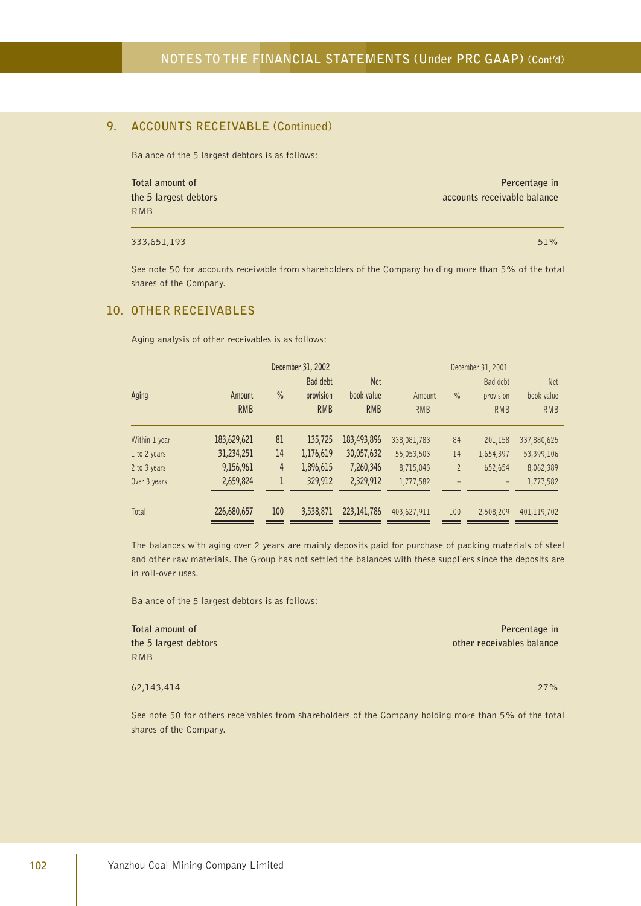### **9. ACCOUNTS RECEIVABLE (Continued)**

Balance of the 5 largest debtors is as follows:

**Total amount of Percentage in the 5 largest debtors accounts receivable balance** RMB

 $333,651,193$  51%  $51\%$ 

See note 50 for accounts receivable from shareholders of the Company holding more than 5% of the total shares of the Company.

#### **10. OTHER RECEIVABLES**

Aging analysis of other receivables is as follows:

| December 31, 2002 |             |      |            |               |             | December 31, 2001 |            |             |  |
|-------------------|-------------|------|------------|---------------|-------------|-------------------|------------|-------------|--|
|                   |             |      | Bad debt   | <b>Net</b>    |             |                   | Bad debt   | <b>Net</b>  |  |
| Aging             | Amount      | $\%$ | provision  | book value    | Amount      | $\frac{0}{0}$     | provision  | book value  |  |
|                   | <b>RMB</b>  |      | <b>RMB</b> | <b>RMB</b>    | <b>RMB</b>  |                   | <b>RMB</b> | <b>RMB</b>  |  |
| Within 1 year     | 183,629,621 | 81   | 135,725    | 183,493,896   | 338,081,783 | 84                | 201,158    | 337,880,625 |  |
| 1 to 2 years      | 31,234,251  | 14   | 1,176,619  | 30,057,632    | 55,053,503  | 14                | 1,654,397  | 53,399,106  |  |
| 2 to 3 years      | 9,156,961   | 4    | 1,896,615  | 7,260,346     | 8,715,043   | $\overline{2}$    | 652,654    | 8,062,389   |  |
| Over 3 years      | 2,659,824   | 1    | 329,912    | 2,329,912     | 1,777,582   |                   |            | 1,777,582   |  |
| Total             | 226,680,657 | 100  | 3,538,871  | 223, 141, 786 | 403,627,911 | 100               | 2,508,209  | 401,119,702 |  |

The balances with aging over 2 years are mainly deposits paid for purchase of packing materials of steel and other raw materials. The Group has not settled the balances with these suppliers since the deposits are in roll-over uses.

Balance of the 5 largest debtors is as follows:

| Total amount of       | Percentage in             |
|-----------------------|---------------------------|
| the 5 largest debtors | other receivables balance |
| RMB                   |                           |

62,143,414 27%

See note 50 for others receivables from shareholders of the Company holding more than 5% of the total shares of the Company.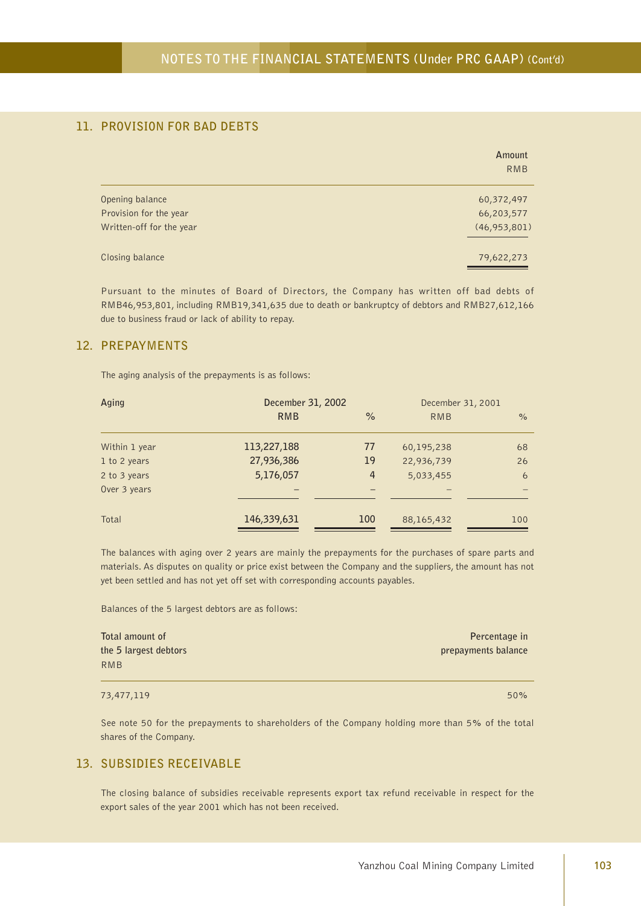# **11. PROVISION FOR BAD DEBTS**

|                          | Amount<br><b>RMB</b> |
|--------------------------|----------------------|
| Opening balance          | 60,372,497           |
| Provision for the year   | 66,203,577           |
| Written-off for the year | (46, 953, 801)       |
| Closing balance          | 79,622,273           |

Pursuant to the minutes of Board of Directors, the Company has written off bad debts of RMB46,953,801, including RMB19,341,635 due to death or bankruptcy of debtors and RMB27,612,166 due to business fraud or lack of ability to repay.

### **12. PREPAYMENTS**

The aging analysis of the prepayments is as follows:

| Aging         | December 31, 2002 |                | December 31, 2001 |      |  |
|---------------|-------------------|----------------|-------------------|------|--|
|               | <b>RMB</b>        | $\%$           | <b>RMB</b>        | $\%$ |  |
| Within 1 year | 113,227,188       | 77             | 60,195,238        | 68   |  |
| 1 to 2 years  | 27,936,386        | 19             | 22,936,739        | 26   |  |
| 2 to 3 years  | 5,176,057         | $\overline{4}$ | 5,033,455         | 6    |  |
| Over 3 years  |                   |                |                   |      |  |
| Total         | 146,339,631       | 100            | 88,165,432        | 100  |  |

The balances with aging over 2 years are mainly the prepayments for the purchases of spare parts and materials. As disputes on quality or price exist between the Company and the suppliers, the amount has not yet been settled and has not yet off set with corresponding accounts payables.

Balances of the 5 largest debtors are as follows:

| Total amount of       | Percentage in       |
|-----------------------|---------------------|
| the 5 largest debtors | prepayments balance |
| RMB                   |                     |

#### $73,477,119$  50% and  $73,477,119$

See note 50 for the prepayments to shareholders of the Company holding more than 5% of the total shares of the Company.

#### **13. SUBSIDIES RECEIVABLE**

The closing balance of subsidies receivable represents export tax refund receivable in respect for the export sales of the year 2001 which has not been received.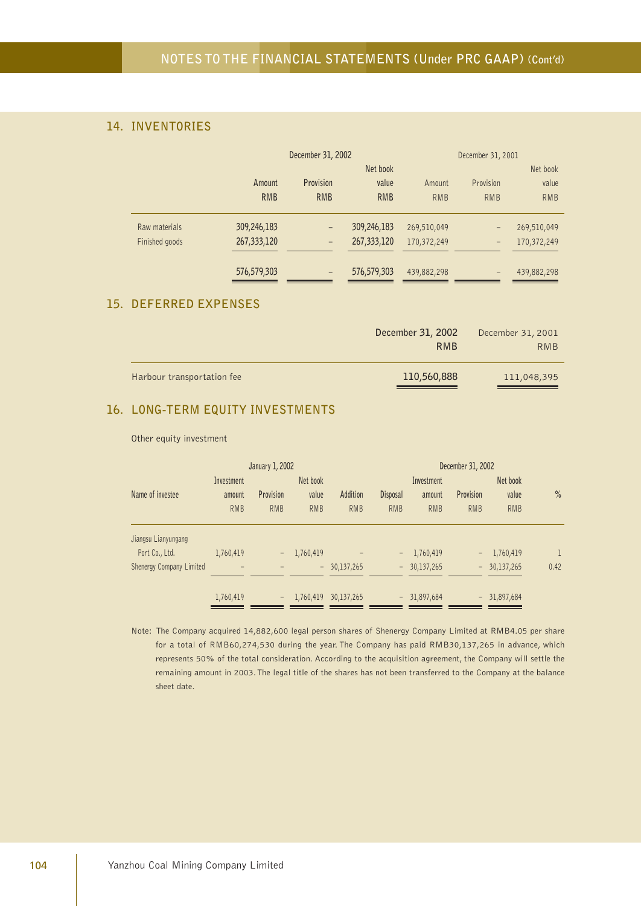# **14. INVENTORIES**

|                |             | December 31, 2002        |             | December 31, 2001 |                   |             |  |
|----------------|-------------|--------------------------|-------------|-------------------|-------------------|-------------|--|
|                |             |                          | Net book    |                   |                   |             |  |
|                | Amount      | Provision                | value       | Amount            | Provision         | value       |  |
|                | <b>RMB</b>  | <b>RMB</b>               | <b>RMB</b>  | <b>RMB</b>        | <b>RMB</b>        | <b>RMB</b>  |  |
| Raw materials  | 309,246,183 |                          | 309,246,183 | 269,510,049       | $\qquad \qquad -$ | 269,510,049 |  |
| Finished goods | 267,333,120 | $\overline{\phantom{0}}$ | 267,333,120 | 170,372,249       | $\qquad \qquad -$ | 170,372,249 |  |
|                | 576,579,303 | -                        | 576,579,303 | 439,882,298       | -                 | 439,882,298 |  |

# **15. DEFERRED EXPENSES**

|                            | December 31, 2002<br><b>RMB</b> | December 31, 2001<br>RMB |
|----------------------------|---------------------------------|--------------------------|
| Harbour transportation fee | 110,560,888                     | 111,048,395              |

### **16. LONG-TERM EQUITY INVESTMENTS**

Other equity investment

| January 1, 2002          |            |                   |            |            | December 31, 2002 |               |            |               |              |
|--------------------------|------------|-------------------|------------|------------|-------------------|---------------|------------|---------------|--------------|
|                          | Investment |                   | Net book   |            |                   | Investment    |            |               | Net book     |
| Name of investee         | amount     | Provision         | value      | Addition   | <b>Disposal</b>   | amount        | Provision  | value         | $\%$         |
|                          | <b>RMB</b> | <b>RMB</b>        | <b>RMB</b> | <b>RMB</b> | <b>RMB</b>        | <b>RMB</b>    | <b>RMB</b> | <b>RMB</b>    |              |
| Jiangsu Lianyungang      |            |                   |            |            |                   |               |            |               |              |
| Port Co., Ltd.           | 1,760,419  |                   | 1,760,419  |            | -                 | 1,760,419     | -          | 1,760,419     | $\mathbf{1}$ |
| Shenergy Company Limited |            |                   | $\sim$     | 30,137,265 |                   | $-30,137,265$ |            | $-30,137,265$ | 0.42         |
|                          | 1,760,419  | $\qquad \qquad -$ | 1,760,419  | 30,137,265 |                   | $-31,897,684$ |            | $-31,897,684$ |              |

Note: The Company acquired 14,882,600 legal person shares of Shenergy Company Limited at RMB4.05 per share for a total of RMB60,274,530 during the year. The Company has paid RMB30,137,265 in advance, which represents 50% of the total consideration. According to the acquisition agreement, the Company will settle the remaining amount in 2003. The legal title of the shares has not been transferred to the Company at the balance sheet date.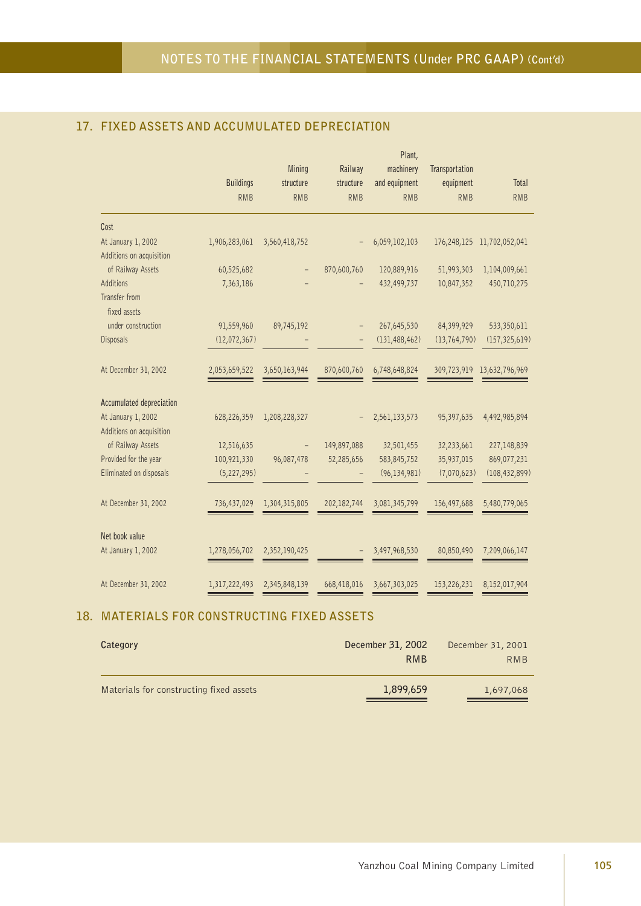|                               |                  |               |               | Plant,          |                |                            |
|-------------------------------|------------------|---------------|---------------|-----------------|----------------|----------------------------|
|                               |                  | Mining        | Railway       | machinery       | Transportation |                            |
|                               | <b>Buildings</b> | structure     | structure     | and equipment   | equipment      | Total                      |
|                               | <b>RMB</b>       | <b>RMB</b>    | <b>RMB</b>    | <b>RMB</b>      | <b>RMB</b>     | <b>RMB</b>                 |
| Cost                          |                  |               |               |                 |                |                            |
| At January 1, 2002            | 1,906,283,061    | 3,560,418,752 |               | 6,059,102,103   |                | 176,248,125 11,702,052,041 |
| Additions on acquisition      |                  |               |               |                 |                |                            |
| of Railway Assets             | 60,525,682       |               | 870,600,760   | 120,889,916     | 51,993,303     | 1,104,009,661              |
| Additions                     | 7,363,186        |               |               | 432,499,737     | 10,847,352     | 450,710,275                |
| Transfer from<br>fixed assets |                  |               |               |                 |                |                            |
| under construction            | 91,559,960       | 89,745,192    |               | 267,645,530     | 84,399,929     | 533,350,611                |
| Disposals                     | (12,072,367)     |               |               | (131, 488, 462) | (13, 764, 790) | (157, 325, 619)            |
| At December 31, 2002          | 2,053,659,522    | 3,650,163,944 | 870,600,760   | 6,748,648,824   |                | 309,723,919 13,632,796,969 |
| Accumulated depreciation      |                  |               |               |                 |                |                            |
| At January 1, 2002            | 628,226,359      | 1,208,228,327 |               | 2,561,133,573   | 95,397,635     | 4,492,985,894              |
| Additions on acquisition      |                  |               |               |                 |                |                            |
| of Railway Assets             | 12,516,635       |               | 149,897,088   | 32,501,455      | 32,233,661     | 227,148,839                |
| Provided for the year         | 100,921,330      | 96,087,478    | 52,285,656    | 583,845,752     | 35,937,015     | 869,077,231                |
| Eliminated on disposals       | (5, 227, 295)    |               |               | (96, 134, 981)  | (7,070,623)    | (108, 432, 899)            |
| At December 31, 2002          | 736,437,029      | 1,304,315,805 | 202, 182, 744 | 3,081,345,799   | 156,497,688    | 5,480,779,065              |
| Net book value                |                  |               |               |                 |                |                            |
| At January 1, 2002            | 1,278,056,702    | 2,352,190,425 |               | 3,497,968,530   | 80,850,490     | 7,209,066,147              |
| At December 31, 2002          | 1,317,222,493    | 2,345,848,139 | 668,418,016   | 3,667,303,025   | 153,226,231    | 8,152,017,904              |

# **17. FIXED ASSETS AND ACCUMULATED DEPRECIATION**

# **18. MATERIALS FOR CONSTRUCTING FIXED ASSETS**

| Category                                | December 31, 2002<br><b>RMB</b> | December 31, 2001<br>RMB |
|-----------------------------------------|---------------------------------|--------------------------|
| Materials for constructing fixed assets | 1,899,659                       | 1,697,068                |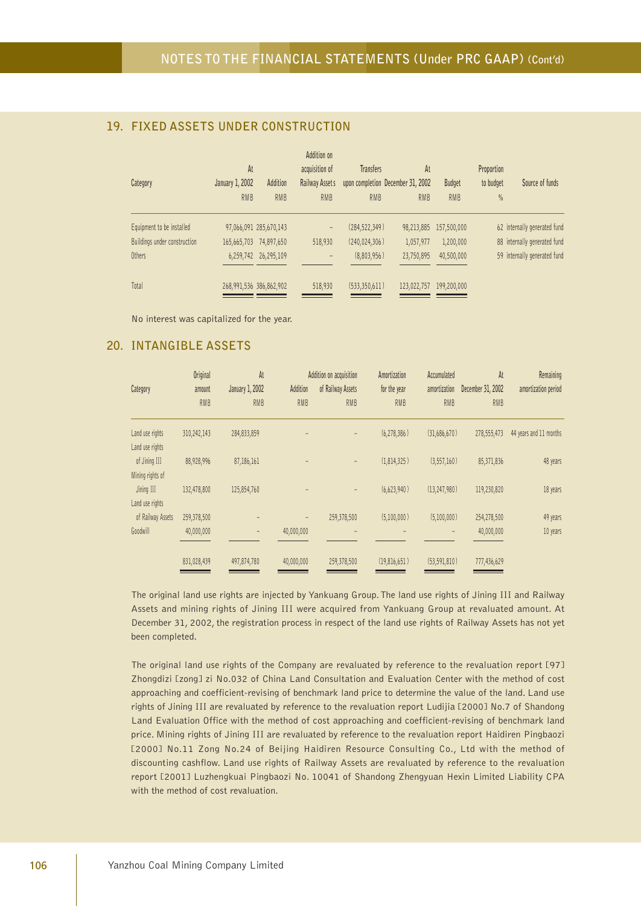# **19. FIXED ASSETS UNDER CONSTRUCTION**

|                              | At              |                         | Addition on<br>acquisition of |                 | At<br><b>Transfers</b>            |               | Proportion |                              |
|------------------------------|-----------------|-------------------------|-------------------------------|-----------------|-----------------------------------|---------------|------------|------------------------------|
| Category                     | January 1, 2002 | Addition                | Railway Assets                |                 | upon completion December 31, 2002 | <b>Budget</b> | to budget  | Source of funds              |
|                              | <b>RMB</b>      | <b>RMB</b>              | <b>RMB</b>                    | <b>RMB</b>      | <b>RMB</b>                        | <b>RMB</b>    | $\%$       |                              |
| Equipment to be installed    |                 | 97,066,091 285,670,143  | $\qquad \qquad -$             | (284, 522, 349) | 98,213,885                        | 157,500,000   |            | 62 internally generated fund |
| Buildings under construction | 165,665,703     | 74,897,650              | 518,930                       | (240, 024, 306) | 1,057,977                         | 1,200,000     |            | 88 internally generated fund |
| Others                       |                 | 6,259,742 26,295,109    | $\qquad \qquad -$             | (8,803,956)     | 23,750,895                        | 40,500,000    |            | 59 internally generated fund |
| Total                        |                 | 268,991,536 386,862,902 | 518,930                       | (533,350,611)   | 123,022,757                       | 199,200,000   |            |                              |

No interest was capitalized for the year.

## **20. INTANGIBLE ASSETS**

| Category                           | <b>Original</b><br>amount<br><b>RMB</b> | At<br>January 1, 2002<br><b>RMB</b> | Addition<br><b>RMB</b> | Addition on acquisition<br>of Railway Assets<br><b>RMB</b> | Amortization<br>for the year<br><b>RMB</b> | Accumulated<br>amortization<br><b>RMB</b> | At<br>December 31, 2002<br><b>RMB</b> | Remaining<br>amortization period |
|------------------------------------|-----------------------------------------|-------------------------------------|------------------------|------------------------------------------------------------|--------------------------------------------|-------------------------------------------|---------------------------------------|----------------------------------|
| Land use rights<br>Land use rights | 310,242,143                             | 284,833,859                         |                        |                                                            | (6, 278, 386)                              | (31,686,670)                              | 278,555,473                           | 44 years and 11 months           |
| of Jining III<br>Mining rights of  | 88,928,996                              | 87,186,161                          |                        |                                                            | (1,814,325)                                | (3,557,160)                               | 85,371,836                            | 48 years                         |
| Jining III<br>Land use rights      | 132,478,800                             | 125,854,760                         |                        |                                                            | (6,623,940)                                | (13, 247, 980)                            | 119,230,820                           | 18 years                         |
| of Railway Assets                  | 259,378,500                             |                                     | $\qquad \qquad -$      | 259,378,500                                                | (5,100,000)                                | (5,100,000)                               | 254,278,500                           | 49 years                         |
| Goodwill                           | 40,000,000                              |                                     | 40,000,000             | -                                                          |                                            |                                           | 40,000,000                            | 10 years                         |
|                                    | 831,028,439                             | 497,874,780                         | 40,000,000             | 259,378,500                                                | (19,816,651)                               | (53, 591, 810)                            | 777,436,629                           |                                  |

The original land use rights are injected by Yankuang Group. The land use rights of Jining III and Railway Assets and mining rights of Jining III were acquired from Yankuang Group at revaluated amount. At December 31, 2002, the registration process in respect of the land use rights of Railway Assets has not yet been completed.

The original land use rights of the Company are revaluated by reference to the revaluation report [97] Zhongdizi [zong] zi No.032 of China Land Consultation and Evaluation Center with the method of cost approaching and coefficient-revising of benchmark land price to determine the value of the land. Land use rights of Jining III are revaluated by reference to the revaluation report Ludijia [2000] No.7 of Shandong Land Evaluation Office with the method of cost approaching and coefficient-revising of benchmark land price. Mining rights of Jining III are revaluated by reference to the revaluation report Haidiren Pingbaozi [2000] No.11 Zong No.24 of Beijing Haidiren Resource Consulting Co., Ltd with the method of discounting cashflow. Land use rights of Railway Assets are revaluated by reference to the revaluation report [2001] Luzhengkuai Pingbaozi No. 10041 of Shandong Zhengyuan Hexin Limited Liability CPA with the method of cost revaluation.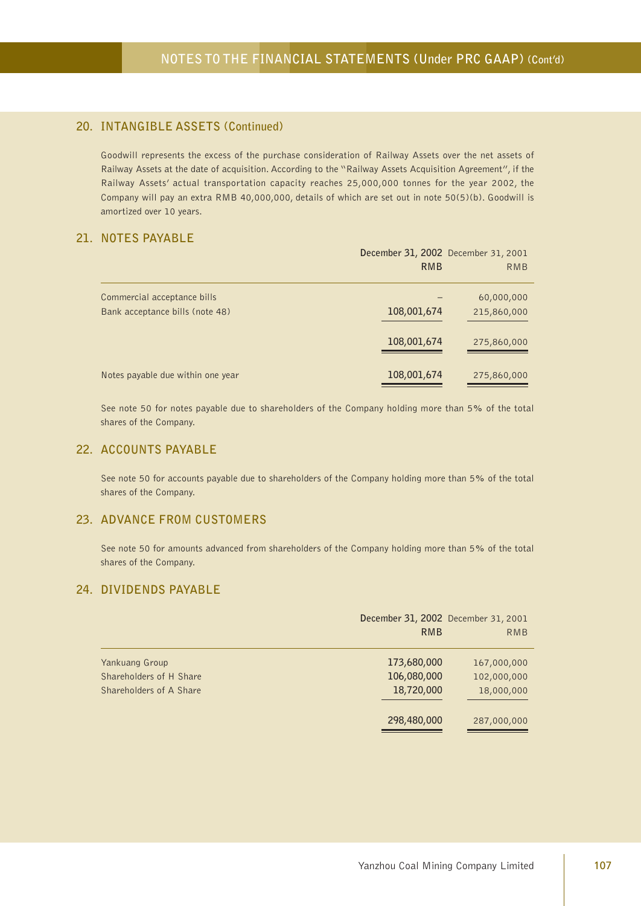# **20. INTANGIBLE ASSETS (Continued)**

Goodwill represents the excess of the purchase consideration of Railway Assets over the net assets of Railway Assets at the date of acquisition. According to the "Railway Assets Acquisition Agreement", if the Railway Assets' actual transportation capacity reaches 25,000,000 tonnes for the year 2002, the Company will pay an extra RMB 40,000,000, details of which are set out in note 50(5)(b). Goodwill is amortized over 10 years.

# **21. NOTES PAYABLE**

|                                                                | December 31, 2002 December 31, 2001<br><b>RMB</b> | <b>RMB</b>                |
|----------------------------------------------------------------|---------------------------------------------------|---------------------------|
| Commercial acceptance bills<br>Bank acceptance bills (note 48) | 108,001,674                                       | 60,000,000<br>215,860,000 |
|                                                                | 108,001,674                                       | 275,860,000               |
| Notes payable due within one year                              | 108,001,674                                       | 275,860,000               |

See note 50 for notes payable due to shareholders of the Company holding more than 5% of the total shares of the Company.

#### **22. ACCOUNTS PAYABLE**

See note 50 for accounts payable due to shareholders of the Company holding more than 5% of the total shares of the Company.

#### **23. ADVANCE FROM CUSTOMERS**

See note 50 for amounts advanced from shareholders of the Company holding more than 5% of the total shares of the Company.

### **24. DIVIDENDS PAYABLE**

|                         | December 31, 2002 December 31, 2001 |             |
|-------------------------|-------------------------------------|-------------|
|                         | <b>RMB</b>                          | RMB         |
| Yankuang Group          | 173,680,000                         | 167,000,000 |
| Shareholders of H Share | 106,080,000                         | 102,000,000 |
| Shareholders of A Share | 18,720,000                          | 18,000,000  |
|                         | 298,480,000                         | 287,000,000 |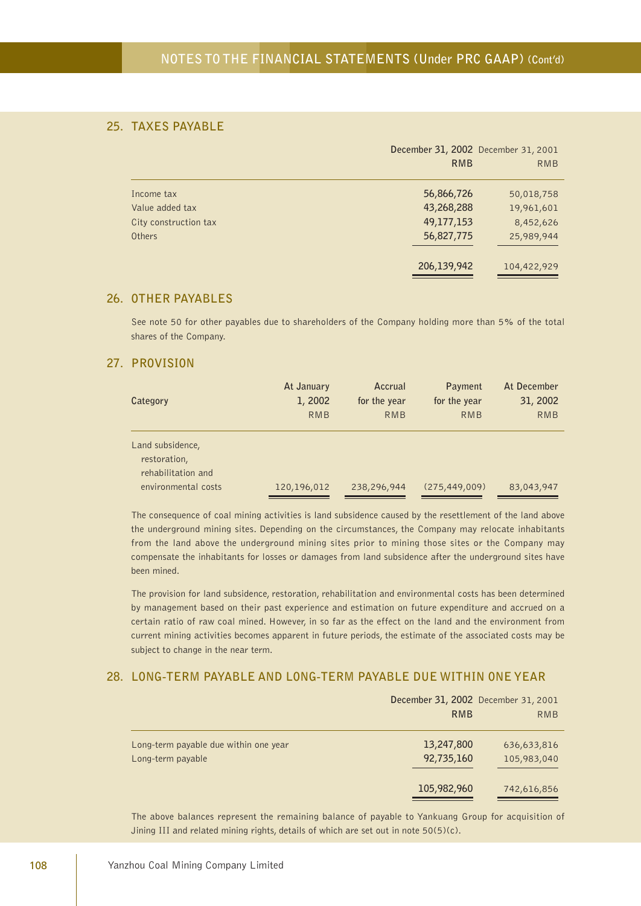### **25. TAXES PAYABLE**

|                       | December 31, 2002 December 31, 2001 |             |
|-----------------------|-------------------------------------|-------------|
|                       | <b>RMB</b>                          | <b>RMB</b>  |
| Income tax            | 56,866,726                          | 50,018,758  |
| Value added tax       | 43,268,288                          | 19,961,601  |
| City construction tax | 49,177,153                          | 8,452,626   |
| Others                | 56,827,775                          | 25,989,944  |
|                       | 206,139,942                         | 104,422,929 |

### **26. OTHER PAYABLES**

See note 50 for other payables due to shareholders of the Company holding more than 5% of the total shares of the Company.

#### **27. PROVISION**

| Category                                                                      | At January  | Accrual      | Payment         | At December |
|-------------------------------------------------------------------------------|-------------|--------------|-----------------|-------------|
|                                                                               | 1, 2002     | for the year | for the year    | 31, 2002    |
|                                                                               | <b>RMB</b>  | <b>RMB</b>   | <b>RMB</b>      | <b>RMB</b>  |
| Land subsidence,<br>restoration,<br>rehabilitation and<br>environmental costs | 120,196,012 | 238,296,944  | (275, 449, 009) | 83,043,947  |

The consequence of coal mining activities is land subsidence caused by the resettlement of the land above the underground mining sites. Depending on the circumstances, the Company may relocate inhabitants from the land above the underground mining sites prior to mining those sites or the Company may compensate the inhabitants for losses or damages from land subsidence after the underground sites have been mined.

The provision for land subsidence, restoration, rehabilitation and environmental costs has been determined by management based on their past experience and estimation on future expenditure and accrued on a certain ratio of raw coal mined. However, in so far as the effect on the land and the environment from current mining activities becomes apparent in future periods, the estimate of the associated costs may be subject to change in the near term.

#### **28. LONG-TERM PAYABLE AND LONG-TERM PAYABLE DUE WITHIN ONE YEAR**

|                                                            | December 31, 2002 December 31, 2001<br><b>RMB</b> | <b>RMB</b>                 |
|------------------------------------------------------------|---------------------------------------------------|----------------------------|
| Long-term payable due within one year<br>Long-term payable | 13,247,800<br>92,735,160                          | 636,633,816<br>105,983,040 |
|                                                            | 105,982,960                                       | 742,616,856                |

The above balances represent the remaining balance of payable to Yankuang Group for acquisition of Jining III and related mining rights, details of which are set out in note 50(5)(c).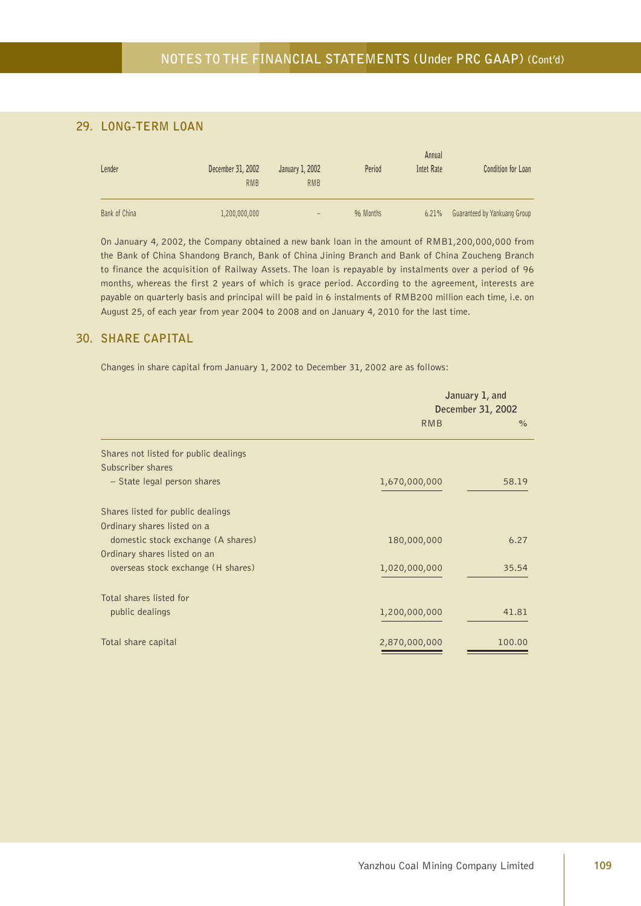## **29. LONG-TERM LOAN**

| Lender        | December 31, 2002<br><b>RMB</b> | January 1, 2002<br><b>RMB</b> | Period    | Annual<br>Intet Rate | <b>Condition for Loan</b>    |
|---------------|---------------------------------|-------------------------------|-----------|----------------------|------------------------------|
| Bank of China | 1,200,000,000                   | $\overline{\phantom{0}}$      | 96 Months | $6.21\%$             | Guaranteed by Yankuang Group |

On January 4, 2002, the Company obtained a new bank loan in the amount of RMB1,200,000,000 from the Bank of China Shandong Branch, Bank of China Jining Branch and Bank of China Zoucheng Branch to finance the acquisition of Railway Assets. The loan is repayable by instalments over a period of 96 months, whereas the first 2 years of which is grace period. According to the agreement, interests are payable on quarterly basis and principal will be paid in 6 instalments of RMB200 million each time, i.e. on August 25, of each year from year 2004 to 2008 and on January 4, 2010 for the last time.

#### **30. SHARE CAPITAL**

Changes in share capital from January 1, 2002 to December 31, 2002 are as follows:

|                                       | January 1, and<br>December 31, 2002 |        |
|---------------------------------------|-------------------------------------|--------|
|                                       | <b>RMB</b>                          | $\%$   |
| Shares not listed for public dealings |                                     |        |
| Subscriber shares                     |                                     |        |
| - State legal person shares           | 1,670,000,000                       | 58.19  |
| Shares listed for public dealings     |                                     |        |
| Ordinary shares listed on a           |                                     |        |
| domestic stock exchange (A shares)    | 180,000,000                         | 6.27   |
| Ordinary shares listed on an          |                                     |        |
| overseas stock exchange (H shares)    | 1,020,000,000                       | 35.54  |
| Total shares listed for               |                                     |        |
| public dealings                       | 1,200,000,000                       | 41.81  |
| Total share capital                   | 2,870,000,000                       | 100.00 |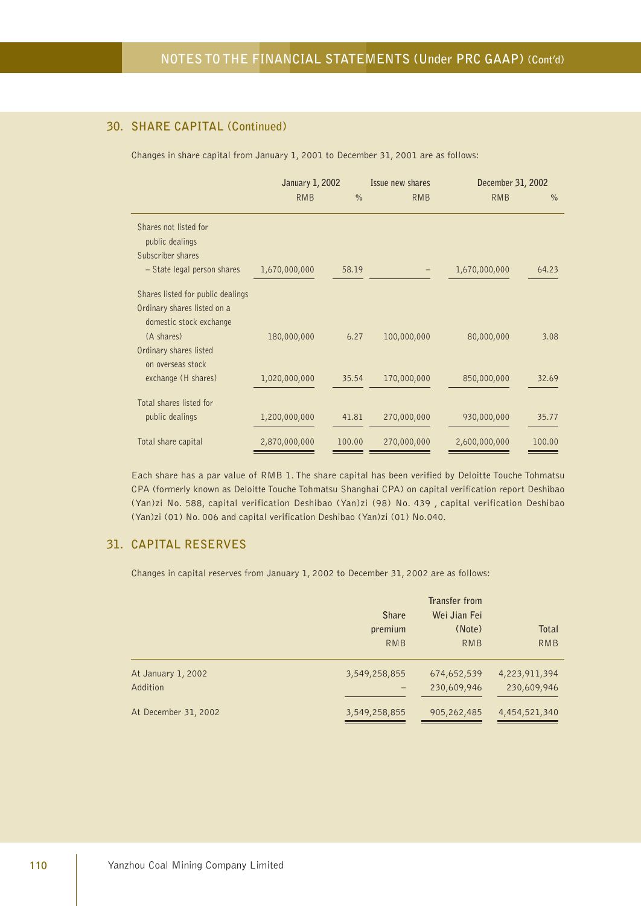## **30. SHARE CAPITAL (Continued)**

Changes in share capital from January 1, 2001 to December 31, 2001 are as follows:

|                                                                                             | January 1, 2002 | Issue new shares |             | December 31, 2002 |               |
|---------------------------------------------------------------------------------------------|-----------------|------------------|-------------|-------------------|---------------|
|                                                                                             | <b>RMB</b>      | $\frac{0}{0}$    | <b>RMB</b>  | <b>RMB</b>        | $\frac{0}{0}$ |
| Shares not listed for<br>public dealings                                                    |                 |                  |             |                   |               |
| Subscriber shares<br>- State legal person shares                                            | 1,670,000,000   | 58.19            |             | 1,670,000,000     | 64.23         |
| Shares listed for public dealings<br>Ordinary shares listed on a<br>domestic stock exchange |                 |                  |             |                   |               |
| (A shares)<br>Ordinary shares listed<br>on overseas stock                                   | 180,000,000     | 6.27             | 100,000,000 | 80,000,000        | 3.08          |
| exchange (H shares)                                                                         | 1,020,000,000   | 35.54            | 170,000,000 | 850,000,000       | 32.69         |
| Total shares listed for<br>public dealings                                                  | 1,200,000,000   | 41.81            | 270,000,000 | 930,000,000       | 35.77         |
| Total share capital                                                                         | 2,870,000,000   | 100.00           | 270,000,000 | 2,600,000,000     | 100.00        |

Each share has a par value of RMB 1. The share capital has been verified by Deloitte Touche Tohmatsu CPA (formerly known as Deloitte Touche Tohmatsu Shanghai CPA) on capital verification report Deshibao (Yan)zi No. 588, capital verification Deshibao (Yan)zi (98) No. 439 , capital verification Deshibao (Yan)zi (01) No. 006 and capital verification Deshibao (Yan)zi (01) No.040.

#### **31. CAPITAL RESERVES**

Changes in capital reserves from January 1, 2002 to December 31, 2002 are as follows:

|                      |               | Transfer from |               |  |
|----------------------|---------------|---------------|---------------|--|
|                      | <b>Share</b>  | Wei Jian Fei  |               |  |
|                      | premium       | (Note)        | <b>Total</b>  |  |
|                      | <b>RMB</b>    | <b>RMB</b>    | <b>RMB</b>    |  |
| At January 1, 2002   | 3,549,258,855 | 674,652,539   | 4,223,911,394 |  |
| Addition             |               | 230,609,946   | 230,609,946   |  |
| At December 31, 2002 | 3,549,258,855 | 905,262,485   | 4,454,521,340 |  |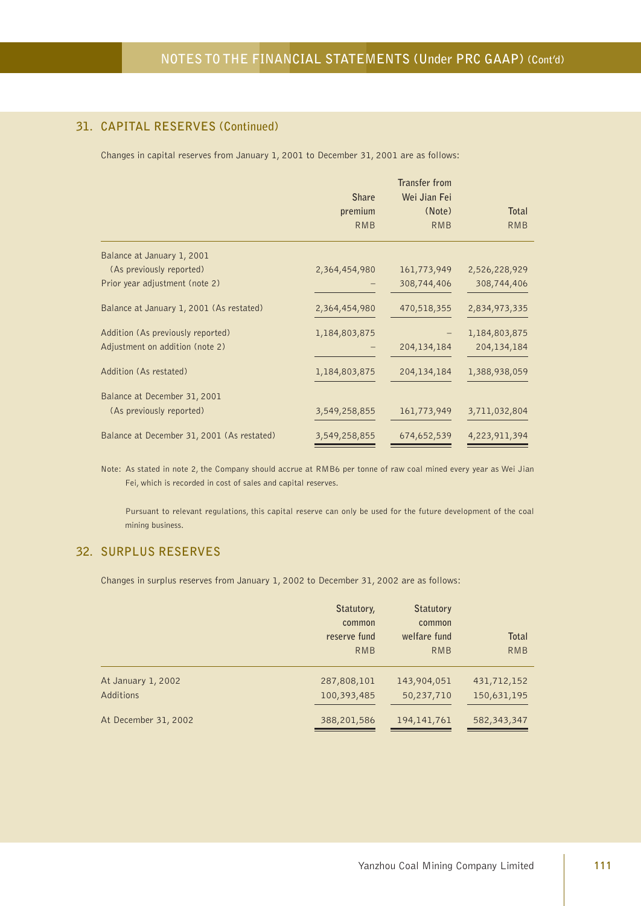## **31. CAPITAL RESERVES (Continued)**

Changes in capital reserves from January 1, 2001 to December 31, 2001 are as follows:

|                                            |               | <b>Transfer from</b> |               |
|--------------------------------------------|---------------|----------------------|---------------|
|                                            | <b>Share</b>  | Wei Jian Fei         |               |
|                                            | premium       | (Note)               | <b>Total</b>  |
|                                            | <b>RMB</b>    | <b>RMB</b>           | <b>RMB</b>    |
| Balance at January 1, 2001                 |               |                      |               |
| (As previously reported)                   | 2,364,454,980 | 161,773,949          | 2,526,228,929 |
| Prior year adjustment (note 2)             |               | 308,744,406          | 308,744,406   |
| Balance at January 1, 2001 (As restated)   | 2,364,454,980 | 470,518,355          | 2,834,973,335 |
| Addition (As previously reported)          | 1,184,803,875 |                      | 1,184,803,875 |
| Adjustment on addition (note 2)            |               | 204, 134, 184        | 204,134,184   |
| Addition (As restated)                     | 1,184,803,875 | 204, 134, 184        | 1,388,938,059 |
| Balance at December 31, 2001               |               |                      |               |
| (As previously reported)                   | 3,549,258,855 | 161,773,949          | 3,711,032,804 |
| Balance at December 31, 2001 (As restated) | 3,549,258,855 | 674,652,539          | 4,223,911,394 |

Note: As stated in note 2, the Company should accrue at RMB6 per tonne of raw coal mined every year as Wei Jian Fei, which is recorded in cost of sales and capital reserves.

Pursuant to relevant regulations, this capital reserve can only be used for the future development of the coal mining business.

## **32. SURPLUS RESERVES**

Changes in surplus reserves from January 1, 2002 to December 31, 2002 are as follows:

|                                 | Statutory,<br>common<br>reserve fund<br><b>RMB</b> | <b>Statutory</b><br>common<br>welfare fund<br><b>RMB</b> | Total<br><b>RMB</b>        |
|---------------------------------|----------------------------------------------------|----------------------------------------------------------|----------------------------|
| At January 1, 2002<br>Additions | 287,808,101<br>100,393,485                         | 143,904,051<br>50,237,710                                | 431,712,152<br>150,631,195 |
| At December 31, 2002            | 388,201,586                                        | 194, 141, 761                                            | 582,343,347                |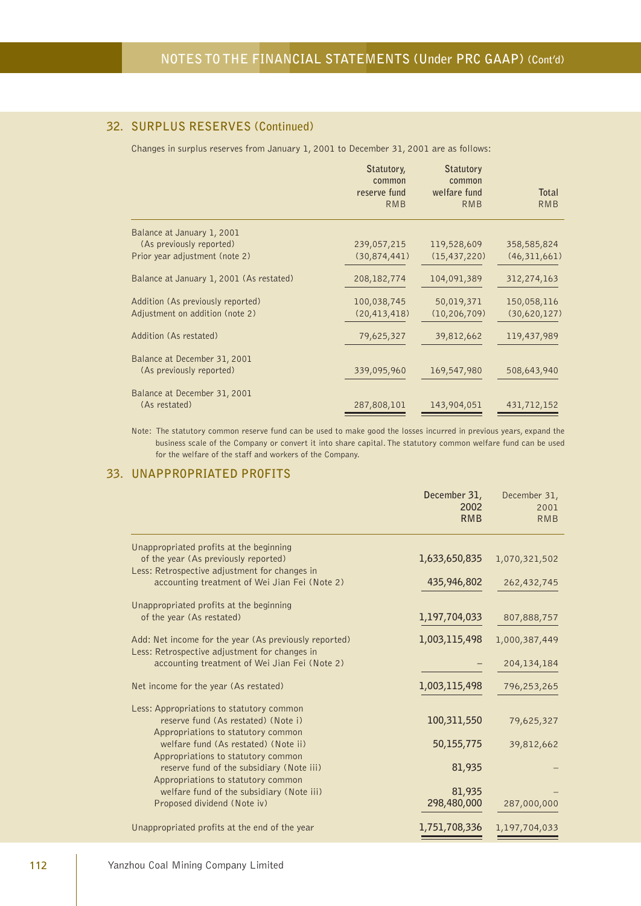## **32. SURPLUS RESERVES (Continued)**

Changes in surplus reserves from January 1, 2001 to December 31, 2001 are as follows:

| Balance at January 1, 2001                                               |                |
|--------------------------------------------------------------------------|----------------|
| (As previously reported)<br>239,057,215<br>119,528,609                   | 358,585,824    |
| Prior year adjustment (note 2)<br>(30,874,441)<br>(15, 437, 220)         | (46, 311, 661) |
| Balance at January 1, 2001 (As restated)<br>208, 182, 774<br>104,091,389 | 312,274,163    |
| Addition (As previously reported)<br>100,038,745<br>50,019,371           | 150,058,116    |
| Adjustment on addition (note 2)<br>(20, 413, 418)<br>(10, 206, 709)      | (30,620,127)   |
| Addition (As restated)<br>79,625,327<br>39,812,662                       | 119,437,989    |
| Balance at December 31, 2001                                             |                |
| (As previously reported)<br>339,095,960<br>169,547,980                   | 508,643,940    |
| Balance at December 31, 2001                                             |                |
| (As restated)<br>287,808,101<br>143,904,051                              | 431,712,152    |

Note: The statutory common reserve fund can be used to make good the losses incurred in previous years, expand the business scale of the Company or convert it into share capital. The statutory common welfare fund can be used for the welfare of the staff and workers of the Company.

## **33. UNAPPROPRIATED PROFITS**

|                                                                                                                  | December 31,<br>2002<br><b>RMB</b> | December 31,<br>2001<br><b>RMB</b> |
|------------------------------------------------------------------------------------------------------------------|------------------------------------|------------------------------------|
| Unappropriated profits at the beginning                                                                          |                                    |                                    |
| of the year (As previously reported)<br>Less: Retrospective adjustment for changes in                            | 1,633,650,835                      | 1,070,321,502                      |
| accounting treatment of Wei Jian Fei (Note 2)                                                                    | 435,946,802                        | 262,432,745                        |
| Unappropriated profits at the beginning                                                                          |                                    |                                    |
| of the year (As restated)                                                                                        | 1,197,704,033                      | 807,888,757                        |
| Add: Net income for the year (As previously reported)<br>Less: Retrospective adjustment for changes in           | 1,003,115,498                      | 1,000,387,449                      |
| accounting treatment of Wei Jian Fei (Note 2)                                                                    |                                    | 204,134,184                        |
| Net income for the year (As restated)                                                                            | 1,003,115,498                      | 796,253,265                        |
| Less: Appropriations to statutory common                                                                         |                                    |                                    |
| reserve fund (As restated) (Note i)                                                                              | 100,311,550                        | 79,625,327                         |
| Appropriations to statutory common<br>welfare fund (As restated) (Note ii)<br>Appropriations to statutory common | 50,155,775                         | 39,812,662                         |
| reserve fund of the subsidiary (Note iii)                                                                        | 81,935                             |                                    |
| Appropriations to statutory common                                                                               |                                    |                                    |
| welfare fund of the subsidiary (Note iii)<br>Proposed dividend (Note iv)                                         | 81,935<br>298,480,000              | 287,000,000                        |
| Unappropriated profits at the end of the year                                                                    | 1,751,708,336                      | 1,197,704,033                      |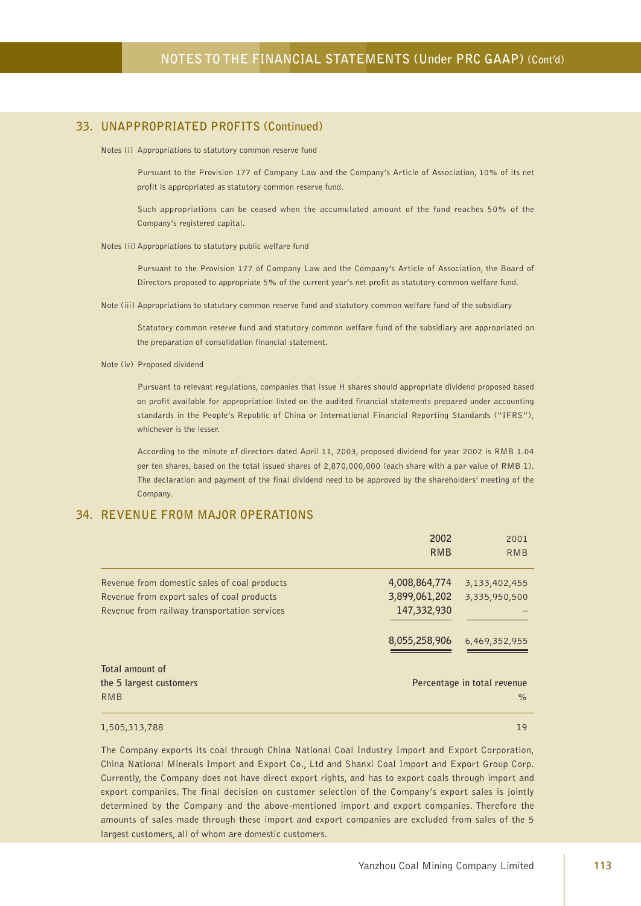### **33. UNAPPROPRIATED PROFITS (Continued)**

Notes (i) Appropriations to statutory common reserve fund

Pursuant to the Provision 177 of Company Law and the Company's Article of Association, 10% of its net profit is appropriated as statutory common reserve fund.

Such appropriations can be ceased when the accumulated amount of the fund reaches 50% of the Company's registered capital.

#### Notes (ii) Appropriations to statutory public welfare fund

Pursuant to the Provision 177 of Company Law and the Company's Article of Association, the Board of Directors proposed to appropriate 5% of the current year's net profit as statutory common welfare fund.

Note (iii) Appropriations to statutory common reserve fund and statutory common welfare fund of the subsidiary

Statutory common reserve fund and statutory common welfare fund of the subsidiary are appropriated on the preparation of consolidation financial statement.

Note (iv) Proposed dividend

Pursuant to relevant regulations, companies that issue H shares should appropriate dividend proposed based on profit available for appropriation listed on the audited financial statements prepared under accounting standards in the People's Republic of China or International Financial Reporting Standards ("IFRS"), whichever is the lesser.

According to the minute of directors dated April 11, 2003, proposed dividend for year 2002 is RMB 1.04 per ten shares, based on the total issued shares of 2,870,000,000 (each share with a par value of RMB 1). The declaration and payment of the final dividend need to be approved by the shareholders' meeting of the Company.

#### **34. REVENUE FROM MAJOR OPERATIONS**

|                                              | 2002          | 2001                        |
|----------------------------------------------|---------------|-----------------------------|
|                                              | <b>RMB</b>    | <b>RMB</b>                  |
| Revenue from domestic sales of coal products | 4,008,864,774 | 3,133,402,455               |
| Revenue from export sales of coal products   | 3,899,061,202 | 3,335,950,500               |
| Revenue from railway transportation services | 147,332,930   |                             |
|                                              |               |                             |
|                                              | 8,055,258,906 | 6,469,352,955               |
|                                              |               |                             |
| Total amount of                              |               |                             |
| the 5 largest customers                      |               | Percentage in total revenue |
| RMB                                          |               | $\frac{6}{6}$               |

#### 1,505,313,788 19

The Company exports its coal through China National Coal Industry Import and Export Corporation, China National Minerals Import and Export Co., Ltd and Shanxi Coal Import and Export Group Corp. Currently, the Company does not have direct export rights, and has to export coals through import and export companies. The final decision on customer selection of the Company's export sales is jointly determined by the Company and the above-mentioned import and export companies. Therefore the amounts of sales made through these import and export companies are excluded from sales of the 5 largest customers, all of whom are domestic customers.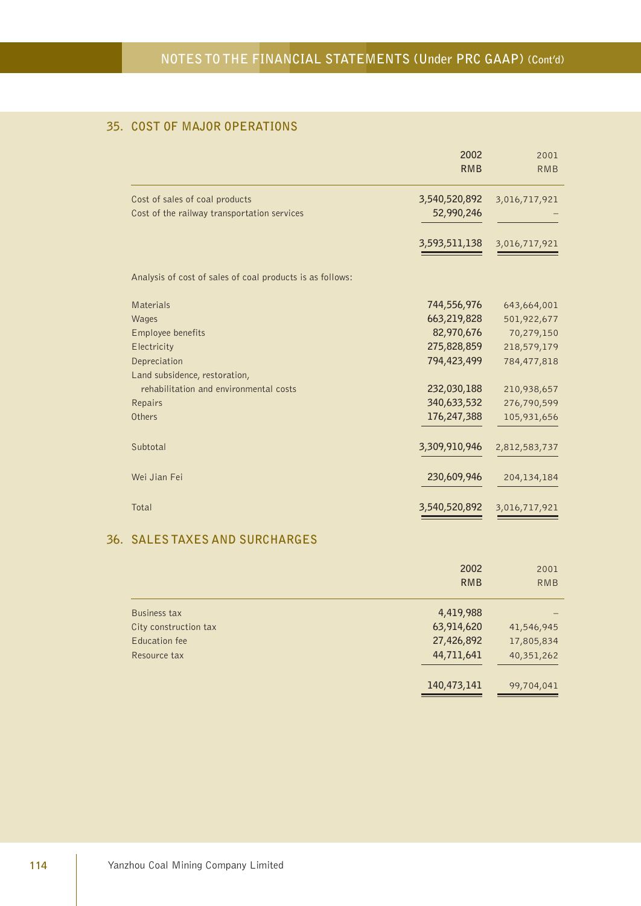## **35. COST OF MAJOR OPERATIONS**

|                                                           | 2002<br><b>RMB</b> | 2001<br><b>RMB</b> |
|-----------------------------------------------------------|--------------------|--------------------|
| Cost of sales of coal products                            | 3,540,520,892      | 3,016,717,921      |
| Cost of the railway transportation services               | 52,990,246         |                    |
|                                                           | 3,593,511,138      | 3,016,717,921      |
| Analysis of cost of sales of coal products is as follows: |                    |                    |
| <b>Materials</b>                                          | 744,556,976        | 643,664,001        |
| Wages                                                     | 663,219,828        | 501,922,677        |
| Employee benefits                                         | 82,970,676         | 70,279,150         |
| Electricity                                               | 275,828,859        | 218,579,179        |
| Depreciation                                              | 794,423,499        | 784,477,818        |
| Land subsidence, restoration,                             |                    |                    |
| rehabilitation and environmental costs                    | 232,030,188        | 210,938,657        |
| Repairs                                                   | 340,633,532        | 276,790,599        |
| Others                                                    | 176,247,388        | 105,931,656        |
| Subtotal                                                  | 3,309,910,946      | 2,812,583,737      |
| Wei Jian Fei                                              | 230,609,946        | 204, 134, 184      |
| Total                                                     | 3,540,520,892      | 3,016,717,921      |
| 36. SALES TAXES AND SURCHARGES                            |                    |                    |
|                                                           |                    |                    |

|                       | 2002        | 2001       |
|-----------------------|-------------|------------|
|                       | <b>RMB</b>  | <b>RMB</b> |
| Business tax          | 4,419,988   |            |
| City construction tax | 63,914,620  | 41,546,945 |
| Education fee         | 27,426,892  | 17,805,834 |
| Resource tax          | 44,711,641  | 40,351,262 |
|                       | 140,473,141 | 99,704,041 |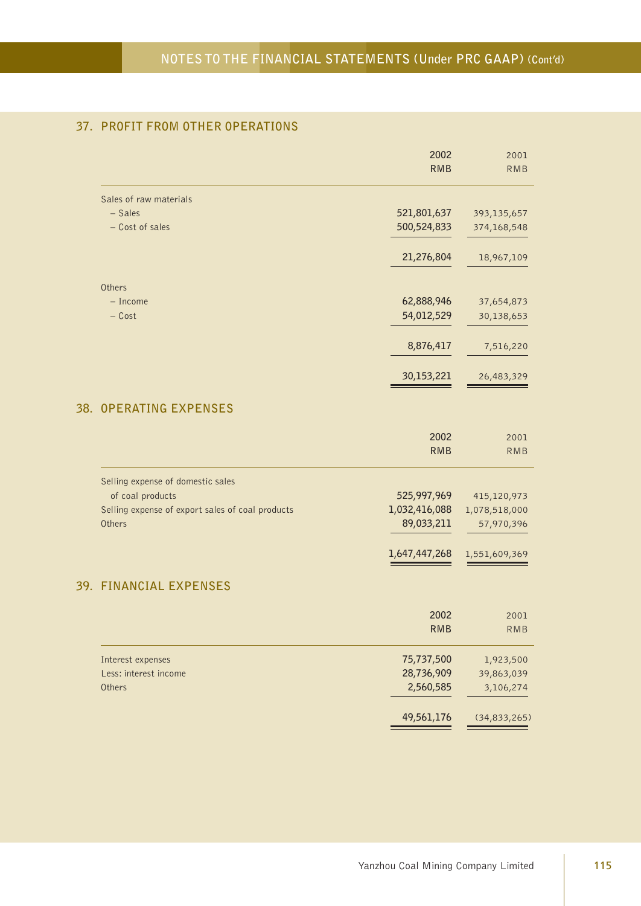## **37. PROFIT FROM OTHER OPERATIONS**

|                                                                                                                     | 2002<br><b>RMB</b>                                          | 2001<br><b>RMB</b>                                          |
|---------------------------------------------------------------------------------------------------------------------|-------------------------------------------------------------|-------------------------------------------------------------|
| Sales of raw materials<br>- Sales<br>- Cost of sales                                                                | 521,801,637<br>500,524,833                                  | 393,135,657<br>374,168,548                                  |
|                                                                                                                     | 21,276,804                                                  | 18,967,109                                                  |
| Others<br>- Income<br>$-$ Cost                                                                                      | 62,888,946<br>54,012,529                                    | 37,654,873<br>30,138,653                                    |
|                                                                                                                     | 8,876,417<br>30,153,221                                     | 7,516,220<br>26,483,329                                     |
| 38. OPERATING EXPENSES                                                                                              |                                                             |                                                             |
|                                                                                                                     | 2002<br><b>RMB</b>                                          | 2001<br><b>RMB</b>                                          |
| Selling expense of domestic sales<br>of coal products<br>Selling expense of export sales of coal products<br>Others | 525,997,969<br>1,032,416,088<br>89,033,211<br>1,647,447,268 | 415,120,973<br>1,078,518,000<br>57,970,396<br>1,551,609,369 |
| 39. FINANCIAL EXPENSES                                                                                              |                                                             |                                                             |
|                                                                                                                     | 2002<br>RMB                                                 | 2001<br>RMB                                                 |
| Interest expenses<br>Less: interest income<br>Others                                                                | 75,737,500<br>28,736,909<br>2,560,585                       | 1,923,500<br>39,863,039<br>3,106,274                        |
|                                                                                                                     | 49,561,176                                                  | (34, 833, 265)                                              |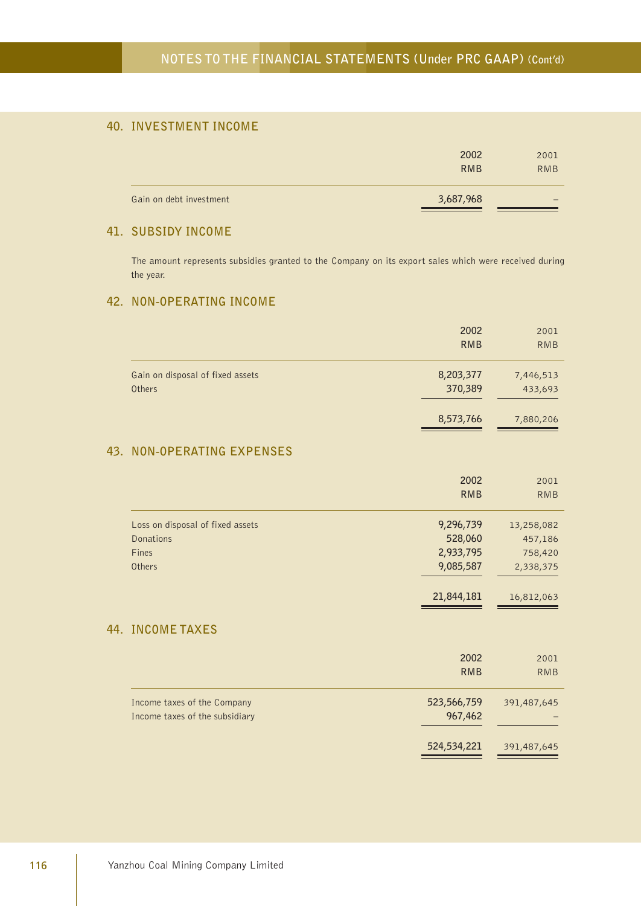## **40. INVESTMENT INCOME**

|                         | 2002<br><b>RMB</b> | 2001<br><b>RMB</b> |
|-------------------------|--------------------|--------------------|
| Gain on debt investment | 3,687,968          |                    |

## **41. SUBSIDY INCOME**

The amount represents subsidies granted to the Company on its export sales which were received during the year.

#### **42. NON-OPERATING INCOME**

|                                  | 2002       | 2001       |
|----------------------------------|------------|------------|
|                                  | <b>RMB</b> | <b>RMB</b> |
| Gain on disposal of fixed assets | 8,203,377  | 7,446,513  |
| Others                           | 370,389    | 433,693    |
|                                  | 8,573,766  | 7,880,206  |

## **43. NON-OPERATING EXPENSES**

|                                  | 2002       | 2001       |
|----------------------------------|------------|------------|
|                                  | <b>RMB</b> | <b>RMB</b> |
| Loss on disposal of fixed assets | 9,296,739  | 13,258,082 |
| Donations                        | 528,060    | 457,186    |
| Fines                            | 2,933,795  | 758,420    |
| Others                           | 9,085,587  | 2,338,375  |
|                                  | 21,844,181 | 16,812,063 |

#### **44. INCOME TAXES**

|                                                               | 2002<br><b>RMB</b>     | 2001<br><b>RMB</b> |
|---------------------------------------------------------------|------------------------|--------------------|
| Income taxes of the Company<br>Income taxes of the subsidiary | 523,566,759<br>967,462 | 391,487,645        |
|                                                               | 524,534,221            | 391,487,645        |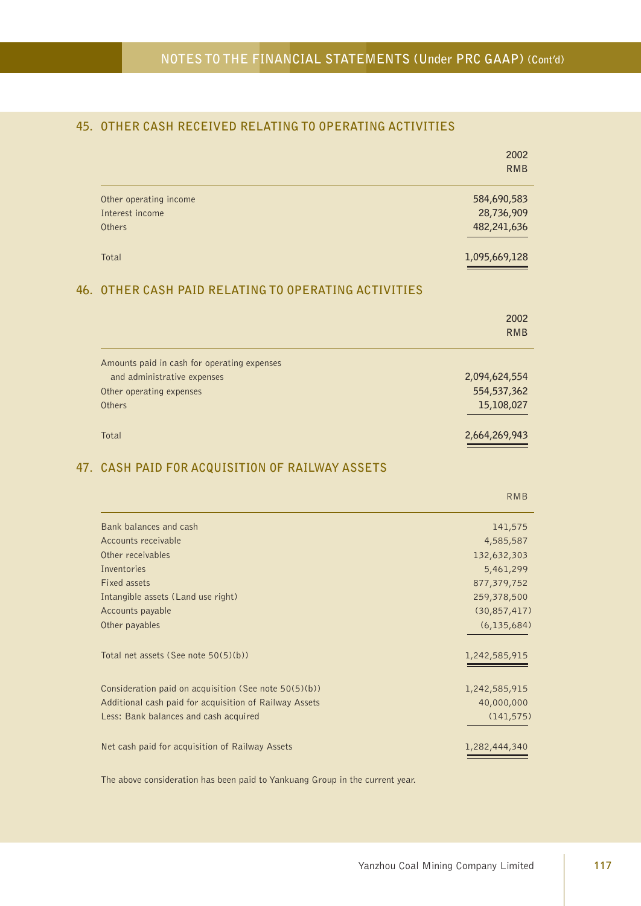## **45. OTHER CASH RECEIVED RELATING TO OPERATING ACTIVITIES**

|                                                        | 2002<br><b>RMB</b>          |
|--------------------------------------------------------|-----------------------------|
| Other operating income                                 | 584,690,583                 |
| Interest income                                        | 28,736,909                  |
| Others                                                 | 482,241,636                 |
| Total                                                  | 1,095,669,128               |
| 46. OTHER CASH PAID RELATING TO OPERATING ACTIVITIES   |                             |
|                                                        | 2002<br><b>RMB</b>          |
| Amounts paid in cash for operating expenses            |                             |
| and administrative expenses                            | 2,094,624,554               |
| Other operating expenses                               | 554,537,362                 |
| Others                                                 | 15,108,027                  |
| Total                                                  | 2,664,269,943               |
| 47. CASH PAID FOR ACQUISITION OF RAILWAY ASSETS        |                             |
|                                                        | <b>RMB</b>                  |
|                                                        |                             |
| Bank balances and cash<br>Accounts receivable          | 141,575                     |
| Other receivables                                      | 4,585,587                   |
| Inventories                                            | 132,632,303<br>5,461,299    |
| Fixed assets                                           | 877,379,752                 |
| Intangible assets (Land use right)                     | 259,378,500                 |
| Accounts payable                                       | (30, 857, 417)              |
| Other payables                                         |                             |
| Total net assets (See note 50(5)(b))                   | 1,242,585,915               |
| Consideration paid on acquisition (See note 50(5)(b))  | 1,242,585,915               |
| Additional cash paid for acquisition of Railway Assets | (6, 135, 684)<br>40,000,000 |
| Less: Bank balances and cash acquired                  | (141, 575)                  |

The above consideration has been paid to Yankuang Group in the current year.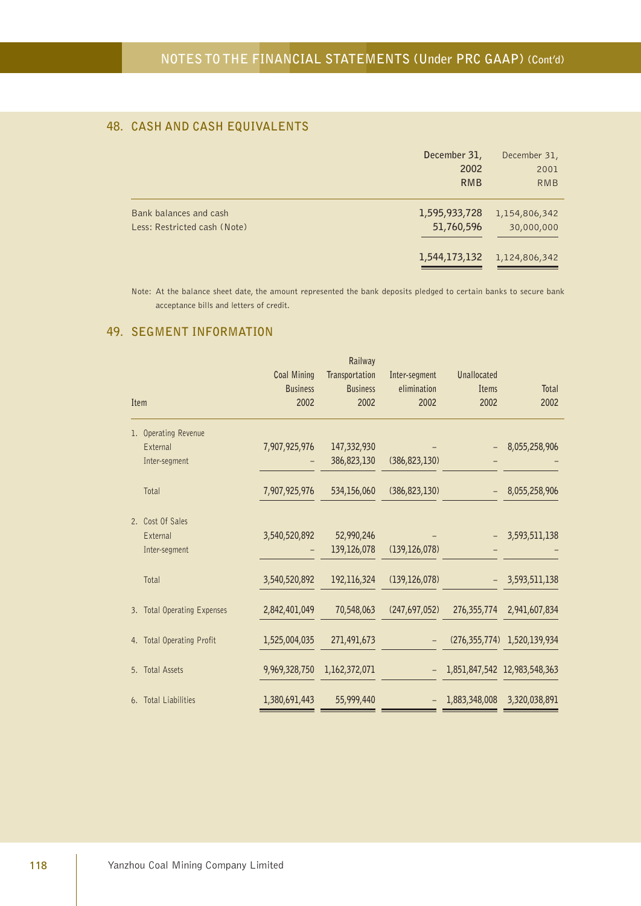## **48. CASH AND CASH EQUIVALENTS**

|                                                        | December 31,<br>2002<br><b>RMB</b> | December 31,<br>2001<br><b>RMB</b> |
|--------------------------------------------------------|------------------------------------|------------------------------------|
| Bank balances and cash<br>Less: Restricted cash (Note) | 1,595,933,728<br>51,760,596        | 1,154,806,342<br>30,000,000        |
|                                                        | 1,544,173,132                      | 1,124,806,342                      |

Note: At the balance sheet date, the amount represented the bank deposits pledged to certain banks to secure bank acceptance bills and letters of credit.

## **49. SEGMENT INFORMATION**

|      |                             |                    | Railway         |                 |                    |                              |
|------|-----------------------------|--------------------|-----------------|-----------------|--------------------|------------------------------|
|      |                             | <b>Coal Mining</b> | Transportation  | Inter-segment   | <b>Unallocated</b> |                              |
|      |                             | <b>Business</b>    | <b>Business</b> | elimination     | Items              | <b>Total</b>                 |
| Item |                             | 2002               | 2002            | 2002            | 2002               | 2002                         |
|      | 1. Operating Revenue        |                    |                 |                 |                    |                              |
|      | External                    | 7,907,925,976      | 147,332,930     |                 |                    | 8,055,258,906                |
|      | Inter-segment               |                    | 386,823,130     | (386, 823, 130) |                    |                              |
|      | Total                       | 7,907,925,976      | 534,156,060     | (386, 823, 130) |                    | 8,055,258,906                |
|      | 2. Cost Of Sales            |                    |                 |                 |                    |                              |
|      | External                    | 3,540,520,892      | 52,990,246      |                 |                    | 3,593,511,138                |
|      | Inter-segment               |                    | 139,126,078     | (139, 126, 078) |                    |                              |
|      | Total                       | 3,540,520,892      | 192,116,324     | (139, 126, 078) |                    | 3,593,511,138                |
|      | 3. Total Operating Expenses | 2,842,401,049      | 70,548,063      | (247, 697, 052) | 276,355,774        | 2,941,607,834                |
|      | 4. Total Operating Profit   | 1,525,004,035      | 271,491,673     |                 |                    | (276,355,774) 1,520,139,934  |
|      | 5. Total Assets             | 9,969,328,750      | 1,162,372,071   |                 |                    | 1,851,847,542 12,983,548,363 |
|      | 6. Total Liabilities        | 1,380,691,443      | 55,999,440      |                 | 1,883,348,008      | 3,320,038,891                |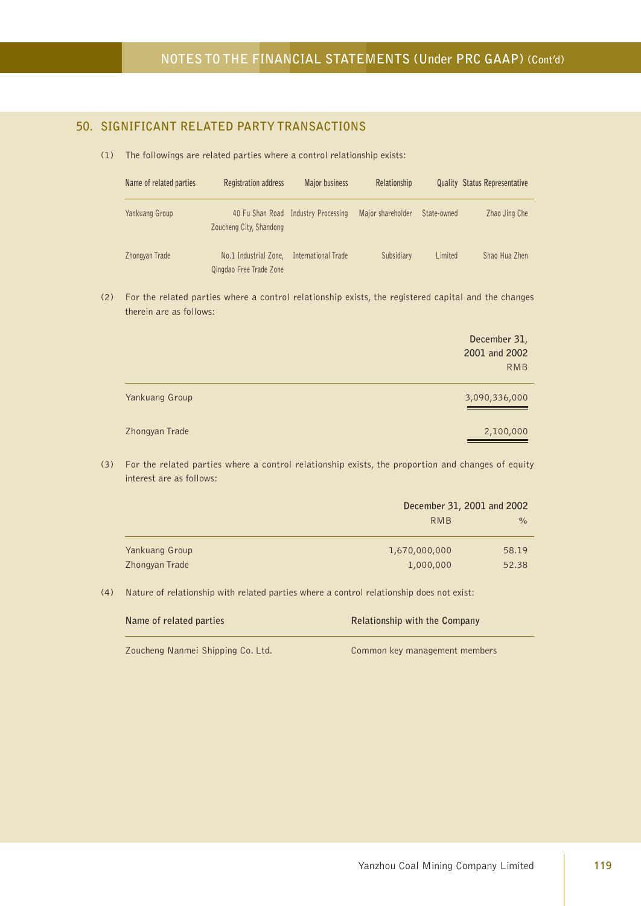## **50. SIGNIFICANT RELATED PARTY TRANSACTIONS**

(1) The followings are related parties where a control relationship exists:

| Name of related parties | Registration address                             | Major business                      | Relationship      |             | <b>Quality Status Representative</b> |
|-------------------------|--------------------------------------------------|-------------------------------------|-------------------|-------------|--------------------------------------|
| Yankuang Group          | Zoucheng City, Shandong                          | 40 Fu Shan Road Industry Processing | Major shareholder | State-owned | Zhao Jing Che                        |
| Zhongyan Trade          | No.1 Industrial Zone,<br>Qingdao Free Trade Zone | International Trade                 | Subsidiary        | Limited     | Shao Hua Zhen                        |

(2) For the related parties where a control relationship exists, the registered capital and the changes therein are as follows:

|                | December 31,<br>2001 and 2002<br><b>RMB</b> |
|----------------|---------------------------------------------|
| Yankuang Group | 3,090,336,000                               |
| Zhongyan Trade | 2,100,000                                   |

(3) For the related parties where a control relationship exists, the proportion and changes of equity interest are as follows:

|                | December 31, 2001 and 2002 |               |
|----------------|----------------------------|---------------|
|                | RMB                        | $\frac{6}{6}$ |
|                |                            |               |
| Yankuang Group | 1,670,000,000              | 58.19         |
| Zhongyan Trade | 1,000,000                  | 52.38         |

(4) Nature of relationship with related parties where a control relationship does not exist:

| Name of related parties           | Relationship with the Company |
|-----------------------------------|-------------------------------|
| Zoucheng Nanmei Shipping Co. Ltd. | Common key management members |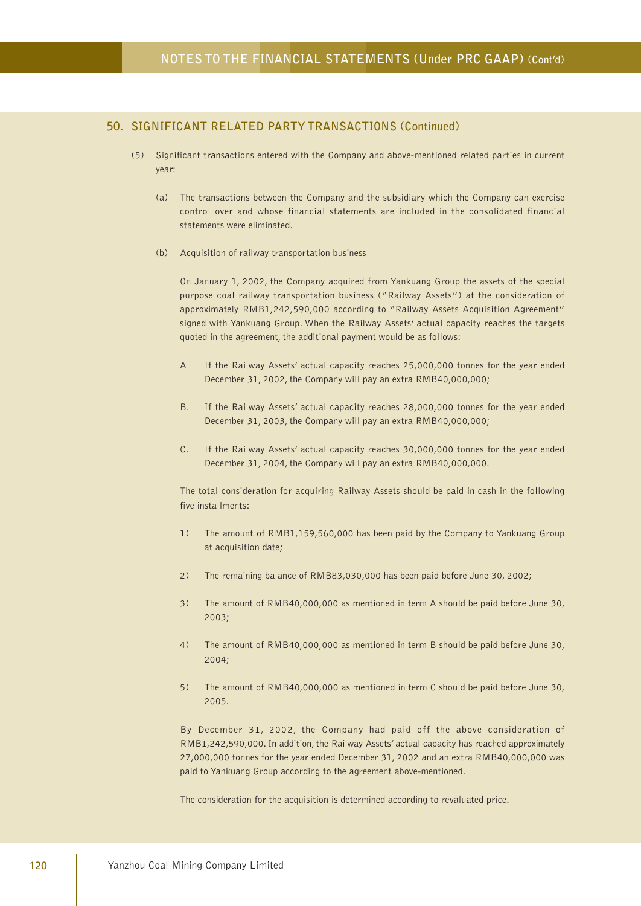- (5) Significant transactions entered with the Company and above-mentioned related parties in current year:
	- (a) The transactions between the Company and the subsidiary which the Company can exercise control over and whose financial statements are included in the consolidated financial statements were eliminated.
	- (b) Acquisition of railway transportation business

On January 1, 2002, the Company acquired from Yankuang Group the assets of the special purpose coal railway transportation business ("Railway Assets") at the consideration of approximately RMB1,242,590,000 according to "Railway Assets Acquisition Agreement" signed with Yankuang Group. When the Railway Assets' actual capacity reaches the targets quoted in the agreement, the additional payment would be as follows:

- A If the Railway Assets' actual capacity reaches 25,000,000 tonnes for the year ended December 31, 2002, the Company will pay an extra RMB40,000,000;
- B. If the Railway Assets' actual capacity reaches 28,000,000 tonnes for the year ended December 31, 2003, the Company will pay an extra RMB40,000,000;
- C. If the Railway Assets' actual capacity reaches 30,000,000 tonnes for the year ended December 31, 2004, the Company will pay an extra RMB40,000,000.

The total consideration for acquiring Railway Assets should be paid in cash in the following five installments:

- 1) The amount of RMB1,159,560,000 has been paid by the Company to Yankuang Group at acquisition date;
- 2) The remaining balance of RMB83,030,000 has been paid before June 30, 2002;
- 3) The amount of RMB40,000,000 as mentioned in term A should be paid before June 30, 2003;
- 4) The amount of RMB40,000,000 as mentioned in term B should be paid before June 30, 2004;
- 5) The amount of RMB40,000,000 as mentioned in term C should be paid before June 30, 2005.

By December 31, 2002, the Company had paid off the above consideration of RMB1,242,590,000. In addition, the Railway Assets' actual capacity has reached approximately 27,000,000 tonnes for the year ended December 31, 2002 and an extra RMB40,000,000 was paid to Yankuang Group according to the agreement above-mentioned.

The consideration for the acquisition is determined according to revaluated price.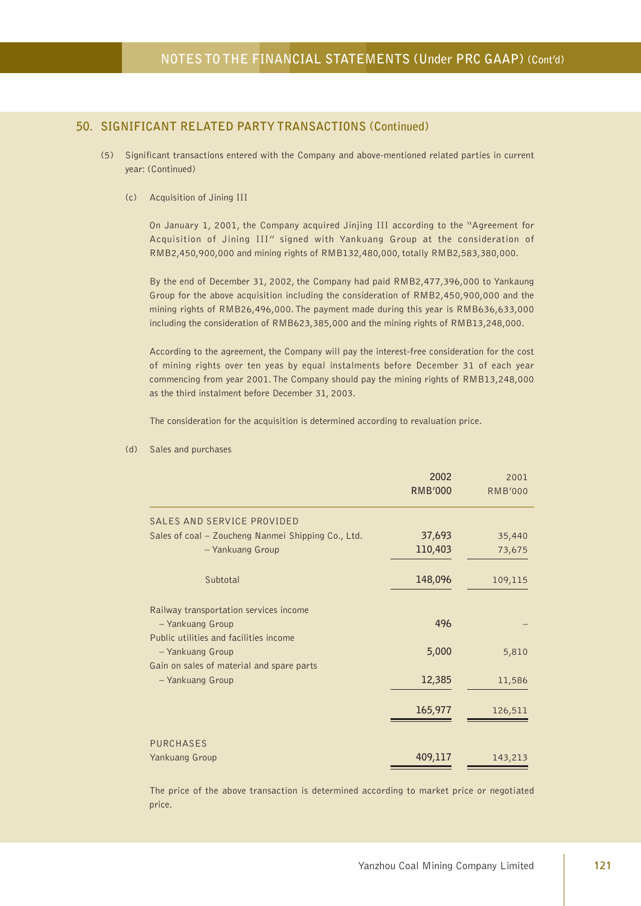- (5) Significant transactions entered with the Company and above-mentioned related parties in current year: (Continued)
	- (c) Acquisition of Jining III

On January 1, 2001, the Company acquired Jinjing III according to the "Agreement for Acquisition of Jining III" signed with Yankuang Group at the consideration of RMB2,450,900,000 and mining rights of RMB132,480,000, totally RMB2,583,380,000.

By the end of December 31, 2002, the Company had paid RMB2,477,396,000 to Yankaung Group for the above acquisition including the consideration of RMB2,450,900,000 and the mining rights of RMB26,496,000. The payment made during this year is RMB636,633,000 including the consideration of RMB623,385,000 and the mining rights of RMB13,248,000.

According to the agreement, the Company will pay the interest-free consideration for the cost of mining rights over ten yeas by equal instalments before December 31 of each year commencing from year 2001. The Company should pay the mining rights of RMB13,248,000 as the third instalment before December 31, 2003.

The consideration for the acquisition is determined according to revaluation price.

| 2002           | 2001           |
|----------------|----------------|
| <b>RMB'000</b> | <b>RMB'000</b> |
|                |                |
| 37,693         | 35,440         |
| 110,403        | 73,675         |
| 148,096        | 109,115        |
|                |                |
| 496            |                |
|                |                |
| 5,000          | 5,810          |
|                |                |
| 12,385         | 11,586         |
| 165,977        | 126,511        |
|                |                |
|                | 143,213        |
|                | 409,117        |

#### (d) Sales and purchases

The price of the above transaction is determined according to market price or negotiated price.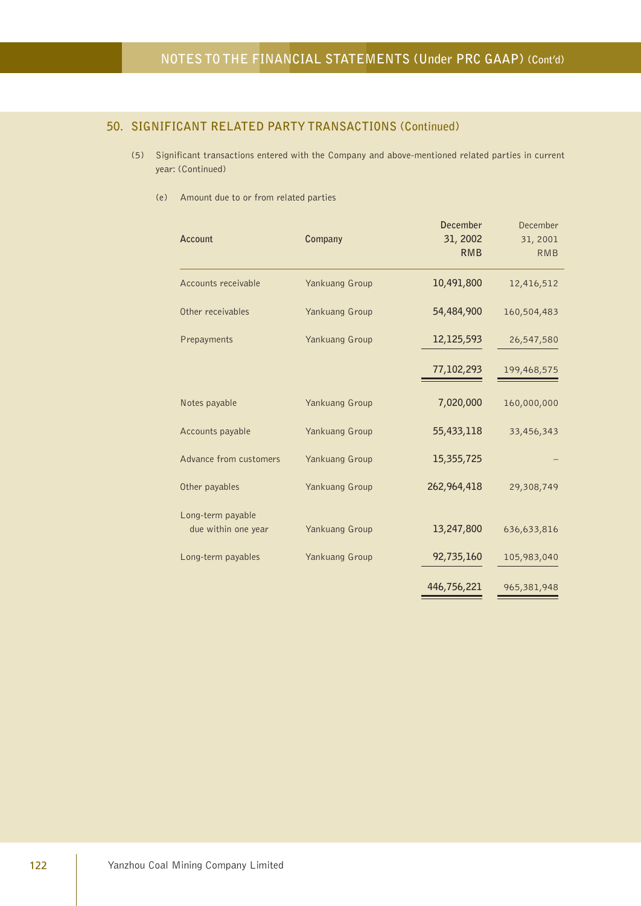- (5) Significant transactions entered with the Company and above-mentioned related parties in current year: (Continued)
	- (e) Amount due to or from related parties

| Account                                  | Company        | <b>December</b><br>31, 2002<br><b>RMB</b> | December<br>31, 2001<br><b>RMB</b> |
|------------------------------------------|----------------|-------------------------------------------|------------------------------------|
| Accounts receivable                      | Yankuang Group | 10,491,800                                | 12,416,512                         |
| Other receivables                        | Yankuang Group | 54,484,900                                | 160,504,483                        |
| Prepayments                              | Yankuang Group | 12,125,593                                | 26,547,580                         |
|                                          |                | 77,102,293                                | 199,468,575                        |
| Notes payable                            | Yankuang Group | 7,020,000                                 | 160,000,000                        |
| Accounts payable                         | Yankuang Group | 55,433,118                                | 33,456,343                         |
| Advance from customers                   | Yankuang Group | 15,355,725                                |                                    |
| Other payables                           | Yankuang Group | 262,964,418                               | 29,308,749                         |
| Long-term payable<br>due within one year | Yankuang Group | 13,247,800                                | 636,633,816                        |
| Long-term payables                       | Yankuang Group | 92,735,160                                | 105,983,040                        |
|                                          |                | 446,756,221                               | 965,381,948                        |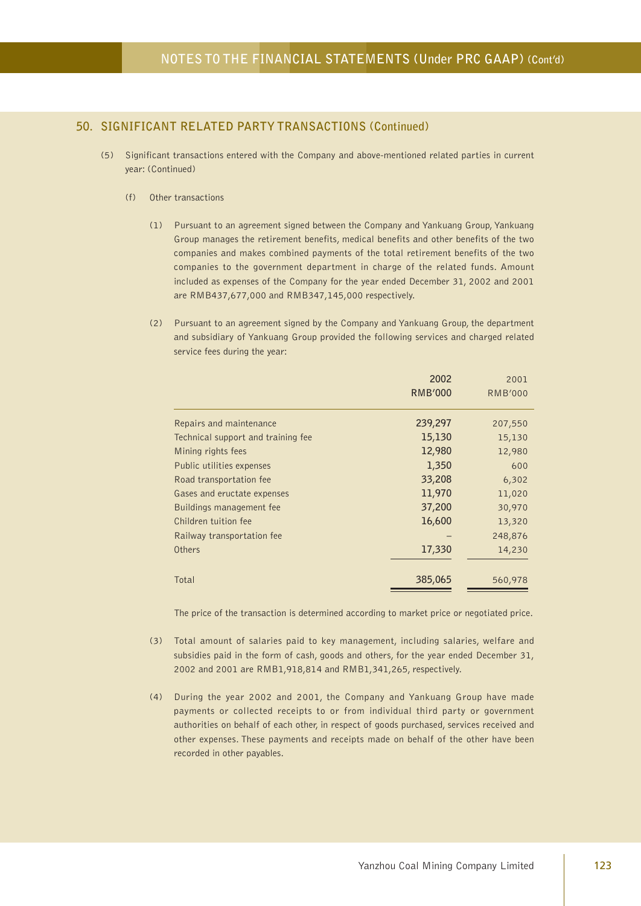- (5) Significant transactions entered with the Company and above-mentioned related parties in current year: (Continued)
	- (f) Other transactions
		- (1) Pursuant to an agreement signed between the Company and Yankuang Group, Yankuang Group manages the retirement benefits, medical benefits and other benefits of the two companies and makes combined payments of the total retirement benefits of the two companies to the government department in charge of the related funds. Amount included as expenses of the Company for the year ended December 31, 2002 and 2001 are RMB437,677,000 and RMB347,145,000 respectively.
		- (2) Pursuant to an agreement signed by the Company and Yankuang Group, the department and subsidiary of Yankuang Group provided the following services and charged related service fees during the year:

|                                    | 2002           | 2001           |
|------------------------------------|----------------|----------------|
|                                    | <b>RMB'000</b> | <b>RMB'000</b> |
|                                    |                |                |
| Repairs and maintenance            | 239,297        | 207,550        |
| Technical support and training fee | 15,130         | 15,130         |
| Mining rights fees                 | 12,980         | 12,980         |
| Public utilities expenses          | 1,350          | 600            |
| Road transportation fee            | 33,208         | 6,302          |
| Gases and eructate expenses        | 11,970         | 11,020         |
| Buildings management fee           | 37,200         | 30,970         |
| Children tuition fee               | 16,600         | 13,320         |
| Railway transportation fee         |                | 248,876        |
| Others                             | 17,330         | 14,230         |
|                                    |                |                |
| Total                              | 385,065        | 560,978        |
|                                    |                |                |

The price of the transaction is determined according to market price or negotiated price.

- (3) Total amount of salaries paid to key management, including salaries, welfare and subsidies paid in the form of cash, goods and others, for the year ended December 31, 2002 and 2001 are RMB1,918,814 and RMB1,341,265, respectively.
- (4) During the year 2002 and 2001, the Company and Yankuang Group have made payments or collected receipts to or from individual third party or government authorities on behalf of each other, in respect of goods purchased, services received and other expenses. These payments and receipts made on behalf of the other have been recorded in other payables.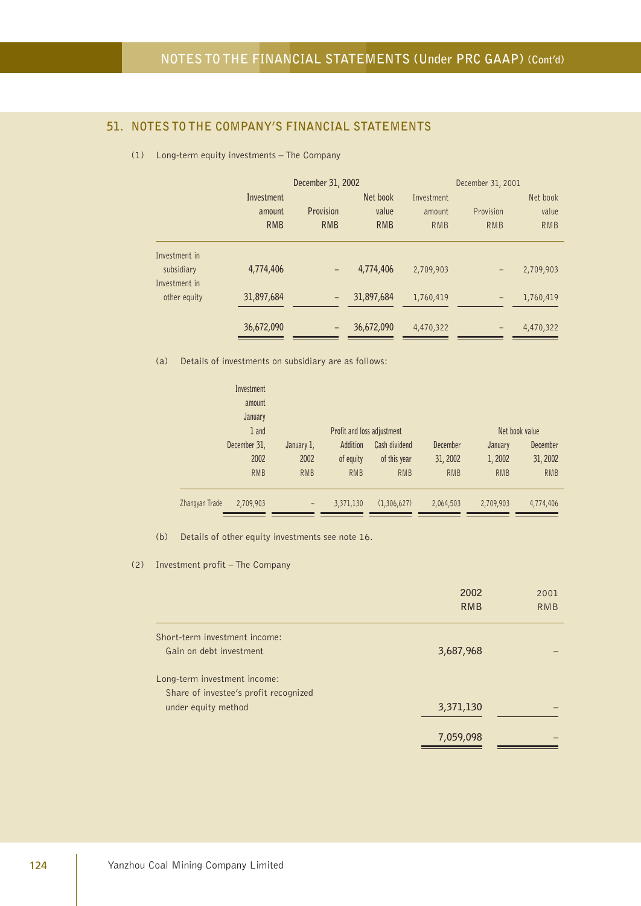## **51. NOTES TO THE COMPANY'S FINANCIAL STATEMENTS**

(1) Long-term equity investments – The Company

|               |            | December 31, 2002        |            | December 31, 2001 |            |            |
|---------------|------------|--------------------------|------------|-------------------|------------|------------|
|               | Investment |                          | Net book   | Investment        |            | Net book   |
|               | amount     | Provision                | value      | amount            | Provision  | value      |
|               | <b>RMB</b> | <b>RMB</b>               | <b>RMB</b> | <b>RMB</b>        | <b>RMB</b> | <b>RMB</b> |
| Investment in |            |                          |            |                   |            |            |
| subsidiary    | 4,774,406  | $\overline{\phantom{0}}$ | 4,774,406  | 2,709,903         | -          | 2,709,903  |
| Investment in |            |                          |            |                   |            |            |
| other equity  | 31,897,684 | -                        | 31,897,684 | 1,760,419         | -          | 1,760,419  |
|               | 36,672,090 |                          | 36,672,090 | 4,470,322         |            | 4,470,322  |

(a) Details of investments on subsidiary are as follows:

|                | Investment   |            |                            |               |            |                |            |  |
|----------------|--------------|------------|----------------------------|---------------|------------|----------------|------------|--|
|                | amount       |            |                            |               |            |                |            |  |
|                | January      |            |                            |               |            |                |            |  |
|                | 1 and        |            | Profit and loss adjustment |               |            | Net book value |            |  |
|                | December 31, | January 1, | Addition                   | Cash dividend | December   | January        | December   |  |
|                | 2002         | 2002       | of equity                  | of this year  | 31, 2002   | 1,2002         | 31, 2002   |  |
|                | <b>RMB</b>   | <b>RMB</b> | <b>RMB</b>                 | <b>RMB</b>    | <b>RMB</b> | <b>RMB</b>     | <b>RMB</b> |  |
|                |              |            |                            |               |            |                |            |  |
| Zhangyan Trade | 2,709,903    | -          | 3,371,130                  | (1,306,627)   | 2,064,503  | 2,709,903      | 4,774,406  |  |

(b) Details of other equity investments see note 16.

(2) Investment profit – The Company

|                                       | 2002<br><b>RMB</b> | 2001<br>RMB |
|---------------------------------------|--------------------|-------------|
| Short-term investment income:         |                    |             |
| Gain on debt investment               | 3,687,968          |             |
| Long-term investment income:          |                    |             |
| Share of investee's profit recognized |                    |             |
| under equity method                   | 3,371,130          |             |
|                                       | 7,059,098          |             |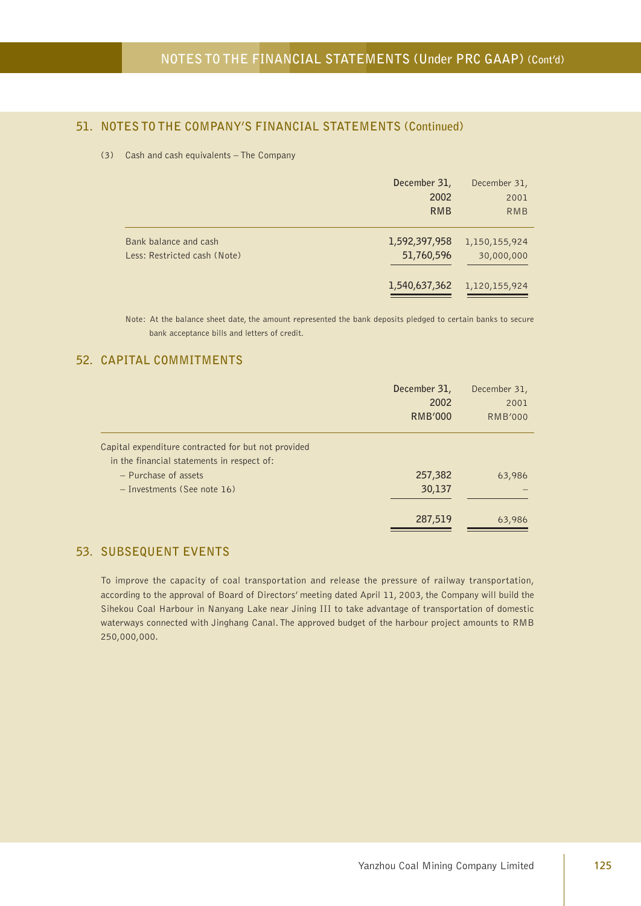## **51. NOTES TO THE COMPANY'S FINANCIAL STATEMENTS (Continued)**

#### (3) Cash and cash equivalents – The Company

|                                                       | December 31,<br>2002<br><b>RMB</b> | December 31,<br>2001<br><b>RMB</b> |
|-------------------------------------------------------|------------------------------------|------------------------------------|
| Bank balance and cash<br>Less: Restricted cash (Note) | 1,592,397,958<br>51,760,596        | 1,150,155,924<br>30,000,000        |
|                                                       | 1,540,637,362                      | 1,120,155,924                      |

Note: At the balance sheet date, the amount represented the bank deposits pledged to certain banks to secure bank acceptance bills and letters of credit.

#### **52. CAPITAL COMMITMENTS**

|                                                                                                   | December 31,<br>2002<br><b>RMB'000</b> | December 31,<br>2001<br><b>RMB'000</b> |
|---------------------------------------------------------------------------------------------------|----------------------------------------|----------------------------------------|
| Capital expenditure contracted for but not provided<br>in the financial statements in respect of: |                                        |                                        |
| - Purchase of assets                                                                              | 257,382                                | 63,986                                 |
| - Investments (See note 16)                                                                       | 30,137                                 |                                        |
|                                                                                                   | 287,519                                | 63,986                                 |

### **53. SUBSEQUENT EVENTS**

To improve the capacity of coal transportation and release the pressure of railway transportation, according to the approval of Board of Directors' meeting dated April 11, 2003, the Company will build the Sihekou Coal Harbour in Nanyang Lake near Jining III to take advantage of transportation of domestic waterways connected with Jinghang Canal. The approved budget of the harbour project amounts to RMB 250,000,000.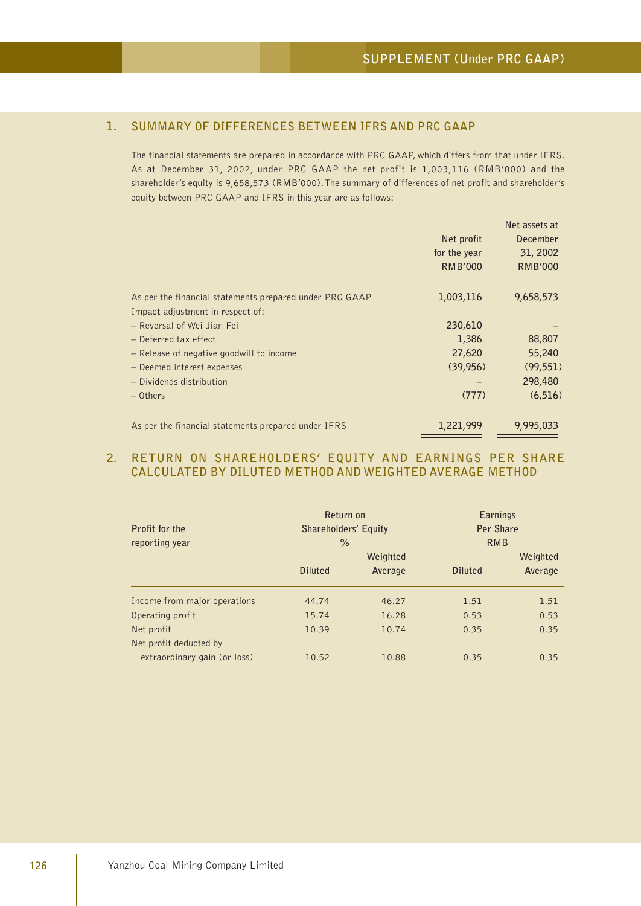## **1. SUMMARY OF DIFFERENCES BETWEEN IFRS AND PRC GAAP**

The financial statements are prepared in accordance with PRC GAAP, which differs from that under IFRS. As at December 31, 2002, under PRC GAAP the net profit is 1,003,116 (RMB'000) and the shareholder's equity is 9,658,573 (RMB'000). The summary of differences of net profit and shareholder's equity between PRC GAAP and IFRS in this year are as follows:

|                                                         |              | Net assets at   |
|---------------------------------------------------------|--------------|-----------------|
|                                                         | Net profit   | <b>December</b> |
|                                                         | for the year | 31, 2002        |
|                                                         | RMB'000      | <b>RMB'000</b>  |
| As per the financial statements prepared under PRC GAAP | 1,003,116    | 9,658,573       |
| Impact adjustment in respect of:                        |              |                 |
| - Reversal of Wei Jian Fei                              | 230,610      |                 |
| - Deferred tax effect                                   | 1,386        | 88,807          |
| - Release of negative goodwill to income                | 27,620       | 55,240          |
| - Deemed interest expenses                              | (39, 956)    | (99, 551)       |
| - Dividends distribution                                |              | 298,480         |
| $-$ Others                                              | (777)        | (6, 516)        |
| As per the financial statements prepared under IFRS     | 1,221,999    | 9,995,033       |

#### **2. RETURN ON SHAREHOLDERS' EQUITY AND EARNINGS PER SHARE CALCULATED BY DILUTED METHOD AND WEIGHTED AVERAGE METHOD**

| Profit for the<br>reporting year | Return on<br>Shareholders' Equity<br>$\%$ |          | <b>Earnings</b><br>Per Share<br><b>RMB</b> |          |  |
|----------------------------------|-------------------------------------------|----------|--------------------------------------------|----------|--|
|                                  |                                           | Weighted |                                            | Weighted |  |
|                                  | <b>Diluted</b>                            | Average  | <b>Diluted</b>                             | Average  |  |
| Income from major operations     | 44.74                                     | 46.27    | 1.51                                       | 1.51     |  |
| Operating profit                 | 15.74                                     | 16.28    | 0.53                                       | 0.53     |  |
| Net profit                       | 10.39                                     | 10.74    | 0.35                                       | 0.35     |  |
| Net profit deducted by           |                                           |          |                                            |          |  |
| extraordinary gain (or loss)     | 10.52                                     | 10.88    | 0.35                                       | 0.35     |  |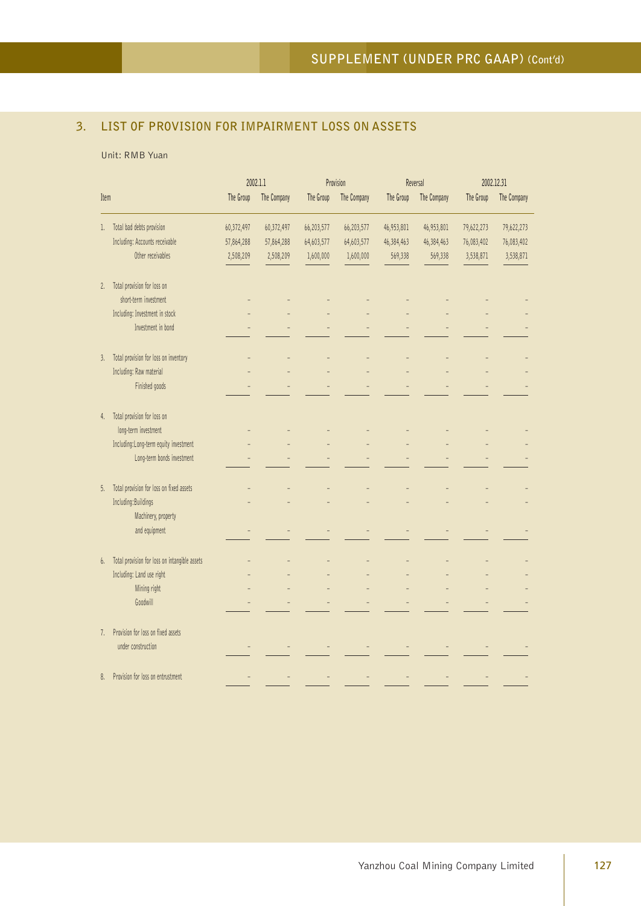# **3. LIST OF PROVISION FOR IMPAIRMENT LOSS ON ASSETS**

#### Unit: RMB Yuan

|      |                                               | 2002.1.1   |             | Provision  |             | Reversal   |             | 2002.12.31 |             |
|------|-----------------------------------------------|------------|-------------|------------|-------------|------------|-------------|------------|-------------|
| Item |                                               | The Group  | The Company | The Group  | The Company | The Group  | The Company | The Group  | The Company |
| l.   | Total bad debts provision                     | 60,372,497 | 60,372,497  | 66,203,577 | 66,203,577  | 46,953,801 | 46,953,801  | 79,622,273 | 79,622,273  |
|      | Including: Accounts receivable                | 57,864,288 | 57,864,288  | 64,603,577 | 64,603,577  | 46,384,463 | 46,384,463  | 76,083,402 | 76,083,402  |
|      | Other receivables                             | 2,508,209  | 2,508,209   | 1,600,000  | 1,600,000   | 569,338    | 569,338     | 3,538,871  | 3,538,871   |
| 2.   | Total provision for loss on                   |            |             |            |             |            |             |            |             |
|      | short-term investment                         |            |             |            |             |            |             |            |             |
|      | Including: Investment in stock                |            |             |            |             |            |             |            |             |
|      | Investment in bond                            |            |             |            |             |            |             |            |             |
| 3.   | Total provision for loss on inventory         |            |             |            |             |            |             |            |             |
|      | Including: Raw material                       |            |             |            |             |            |             |            |             |
|      | Finished goods                                |            |             |            |             |            |             |            |             |
| 4.   | Total provision for loss on                   |            |             |            |             |            |             |            |             |
|      | long-term investment                          |            |             |            |             |            |             |            |             |
|      | Including:Long-term equity investment         |            |             |            |             |            |             |            |             |
|      | Long-term bonds investment                    |            |             |            |             |            |             |            |             |
| 5.   | Total provision for loss on fixed assets      |            |             |            |             |            |             |            |             |
|      | Including: Buildings                          |            |             |            |             |            |             |            |             |
|      | Machinery, property                           |            |             |            |             |            |             |            |             |
|      | and equipment                                 |            |             |            |             |            |             |            |             |
| 6.   | Total provision for loss on intangible assets |            |             |            |             |            |             |            |             |
|      | Including: Land use right                     |            |             |            |             |            |             |            |             |
|      | Mining right                                  |            |             |            |             |            |             |            |             |
|      | Goodwill                                      |            |             |            |             |            |             |            |             |
| 7.   | Provision for loss on fixed assets            |            |             |            |             |            |             |            |             |
|      | under construction                            |            |             |            |             |            |             |            |             |
| 8.   | Provision for loss on entrustment             |            |             |            |             |            |             |            |             |
|      |                                               |            |             |            |             |            |             |            |             |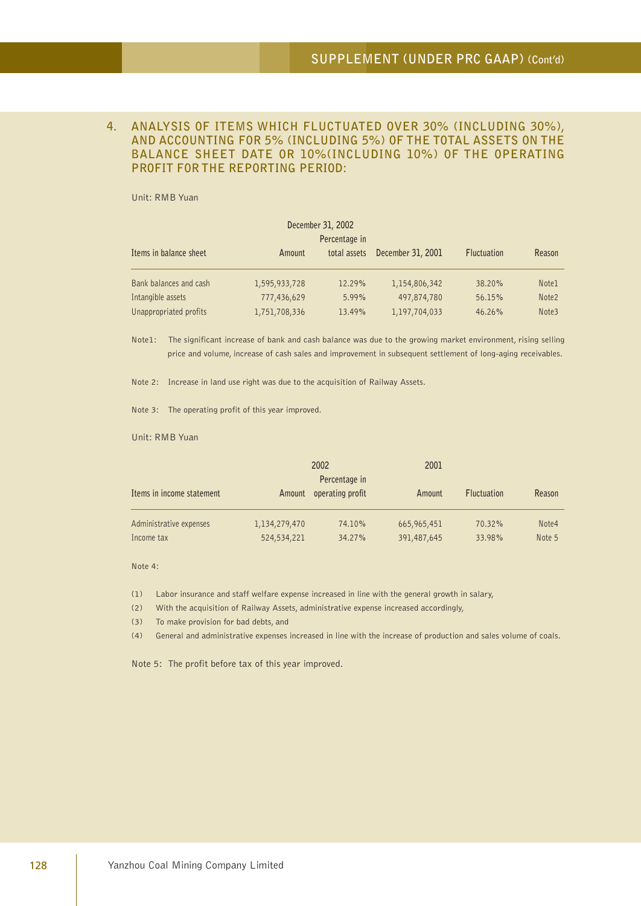#### **4. ANALYSIS OF ITEMS WHICH FLUCTUATED OVER 30% (INCLUDING 30%), AND ACCOUNTING FOR 5% (INCLUDING 5%) OF THE TOTAL ASSETS ON THE BALANCE SHEET DATE OR 10%(INCLUDING 10%) OF THE OPERATING PROFIT FOR THE REPORTING PERIOD:**

Unit: RMB Yuan

| December 31, 2002      |               |              |                   |                    |                   |  |  |  |
|------------------------|---------------|--------------|-------------------|--------------------|-------------------|--|--|--|
|                        | Percentage in |              |                   |                    |                   |  |  |  |
| Items in balance sheet | Amount        | total assets | December 31, 2001 | <b>Fluctuation</b> | Reason            |  |  |  |
|                        |               |              |                   |                    |                   |  |  |  |
| Bank balances and cash | 1,595,933,728 | 12.29%       | 1,154,806,342     | 38.20%             | Note <sub>1</sub> |  |  |  |
| Intangible assets      | 777,436,629   | 5.99%        | 497,874,780       | 56.15%             | Note <sub>2</sub> |  |  |  |
| Unappropriated profits | 1,751,708,336 | 13.49%       | 1,197,704,033     | 46.26%             | Note3             |  |  |  |

Note1: The significant increase of bank and cash balance was due to the growing market environment, rising selling price and volume, increase of cash sales and improvement in subsequent settlement of long-aging receivables.

Note 2: Increase in land use right was due to the acquisition of Railway Assets.

Note 3: The operating profit of this year improved.

Unit: RMB Yuan

|                           |               | 2002                              | 2001        |                    |        |  |
|---------------------------|---------------|-----------------------------------|-------------|--------------------|--------|--|
| Items in income statement | Amount        | Percentage in<br>operating profit | Amount      | <b>Fluctuation</b> | Reason |  |
| Administrative expenses   | 1,134,279,470 | 74.10%                            | 665,965,451 | 70.32%             | Note4  |  |
| Income tax                | 524,534,221   | 34.27%                            | 391,487,645 | 33.98%             | Note 5 |  |

Note 4:

(1) Labor insurance and staff welfare expense increased in line with the general growth in salary,

(2) With the acquisition of Railway Assets, administrative expense increased accordingly,

(3) To make provision for bad debts, and

(4) General and administrative expenses increased in line with the increase of production and sales volume of coals.

Note 5: The profit before tax of this year improved.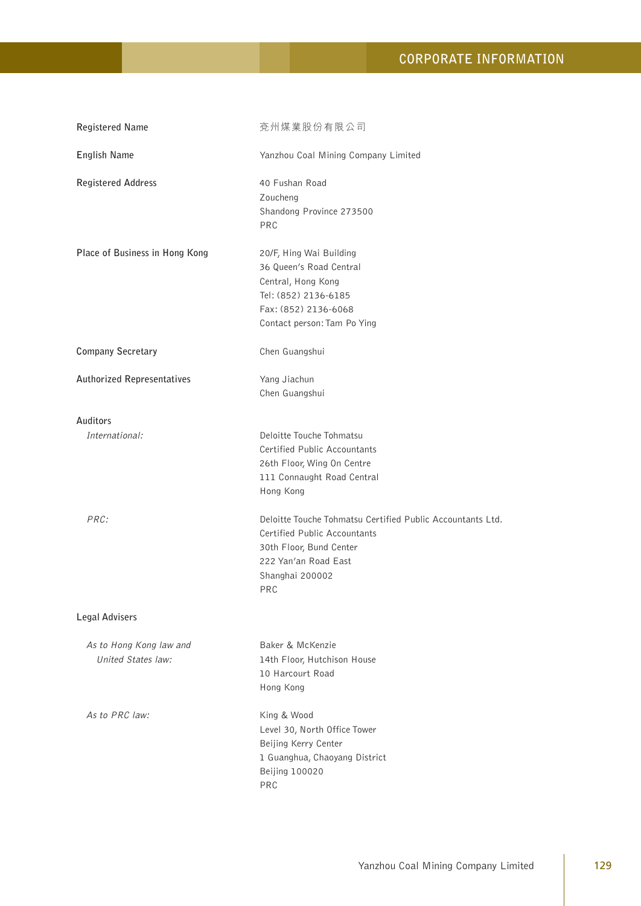# **CORPORATE INFORMATION**

| <b>Registered Name</b>                        | 兗州煤業股份有限公司                                                                                                                                                              |
|-----------------------------------------------|-------------------------------------------------------------------------------------------------------------------------------------------------------------------------|
| English Name                                  | Yanzhou Coal Mining Company Limited                                                                                                                                     |
| <b>Registered Address</b>                     | 40 Fushan Road<br>Zoucheng<br>Shandong Province 273500<br>PRC                                                                                                           |
| Place of Business in Hong Kong                | 20/F, Hing Wai Building<br>36 Queen's Road Central<br>Central, Hong Kong<br>Tel: (852) 2136-6185<br>Fax: (852) 2136-6068<br>Contact person: Tam Po Ying                 |
| <b>Company Secretary</b>                      | Chen Guangshui                                                                                                                                                          |
| <b>Authorized Representatives</b>             | Yang Jiachun<br>Chen Guangshui                                                                                                                                          |
| Auditors<br>International:                    | Deloitte Touche Tohmatsu<br>Certified Public Accountants<br>26th Floor, Wing On Centre<br>111 Connaught Road Central<br>Hong Kong                                       |
| PRC:                                          | Deloitte Touche Tohmatsu Certified Public Accountants Ltd.<br>Certified Public Accountants<br>30th Floor, Bund Center<br>222 Yan'an Road East<br>Shanghai 200002<br>PRC |
| <b>Legal Advisers</b>                         |                                                                                                                                                                         |
| As to Hong Kong law and<br>United States law: | Baker & McKenzie<br>14th Floor, Hutchison House<br>10 Harcourt Road<br>Hong Kong                                                                                        |
| As to PRC law:                                | King & Wood<br>Level 30, North Office Tower<br>Beijing Kerry Center<br>1 Guanghua, Chaoyang District<br><b>Beijing 100020</b><br>PRC                                    |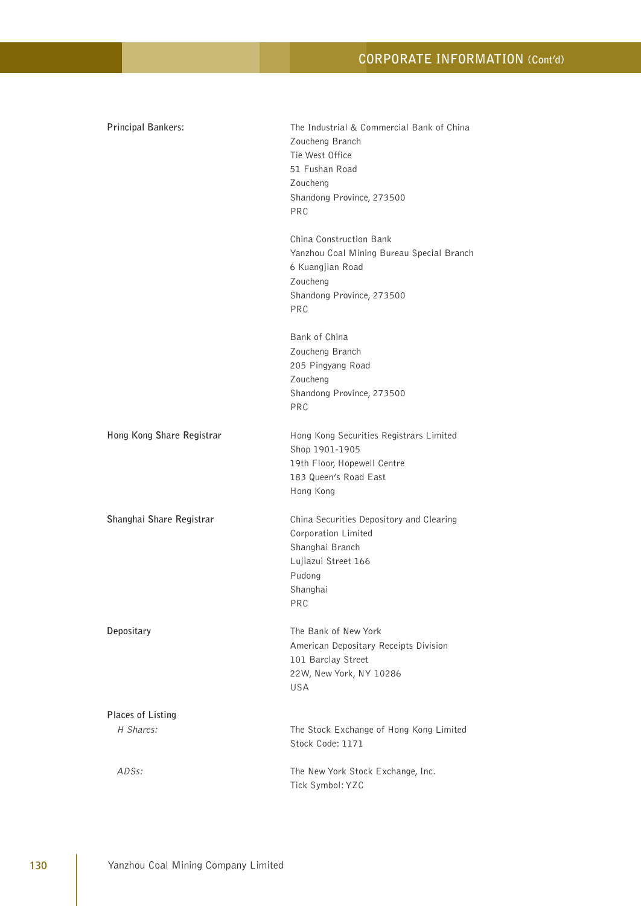# **CORPORATE INFORMATION (Cont'd)**

| Principal Bankers:                    | The Industrial & Commercial Bank of China<br>Zoucheng Branch<br>Tie West Office<br>51 Fushan Road<br>Zoucheng<br>Shandong Province, 273500<br>PRC<br>China Construction Bank |
|---------------------------------------|------------------------------------------------------------------------------------------------------------------------------------------------------------------------------|
|                                       | Yanzhou Coal Mining Bureau Special Branch<br>6 Kuangjian Road<br>Zoucheng<br>Shandong Province, 273500<br><b>PRC</b>                                                         |
|                                       | Bank of China<br>Zoucheng Branch<br>205 Pingyang Road<br>Zoucheng<br>Shandong Province, 273500<br><b>PRC</b>                                                                 |
| Hong Kong Share Registrar             | Hong Kong Securities Registrars Limited<br>Shop 1901-1905<br>19th Floor, Hopewell Centre<br>183 Queen's Road East<br>Hong Kong                                               |
| Shanghai Share Registrar              | China Securities Depository and Clearing<br>Corporation Limited<br>Shanghai Branch<br>Lujiazui Street 166<br>Pudong<br>Shanghai<br>PRC                                       |
| Depositary                            | The Bank of New York<br>American Depositary Receipts Division<br>101 Barclay Street<br>22W, New York, NY 10286<br><b>USA</b>                                                 |
| <b>Places of Listing</b><br>H Shares: | The Stock Exchange of Hong Kong Limited<br>Stock Code: 1171                                                                                                                  |
| ADSs:                                 | The New York Stock Exchange, Inc.<br>Tick Symbol: YZC                                                                                                                        |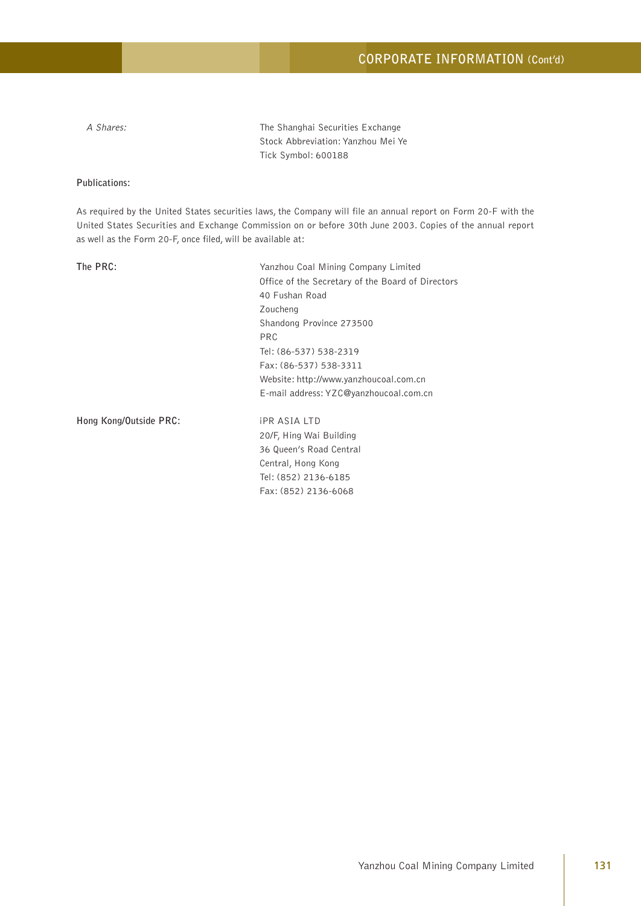A Shares: The Shanghai Securities Exchange Stock Abbreviation: Yanzhou Mei Ye Tick Symbol: 600188

#### **Publications:**

As required by the United States securities laws, the Company will file an annual report on Form 20-F with the United States Securities and Exchange Commission on or before 30th June 2003. Copies of the annual report as well as the Form 20-F, once filed, will be available at:

**The PRC:** Yanzhou Coal Mining Company Limited Office of the Secretary of the Board of Directors 40 Fushan Road Zoucheng Shandong Province 273500 PRC Tel: (86-537) 538-2319 Fax: (86-537) 538-3311 Website: http://www.yanzhoucoal.com.cn E-mail address: YZC@yanzhoucoal.com.cn

**Hong Kong/Outside PRC:** iPR ASIA LTD

20/F, Hing Wai Building 36 Queen's Road Central Central, Hong Kong Tel: (852) 2136-6185 Fax: (852) 2136-6068